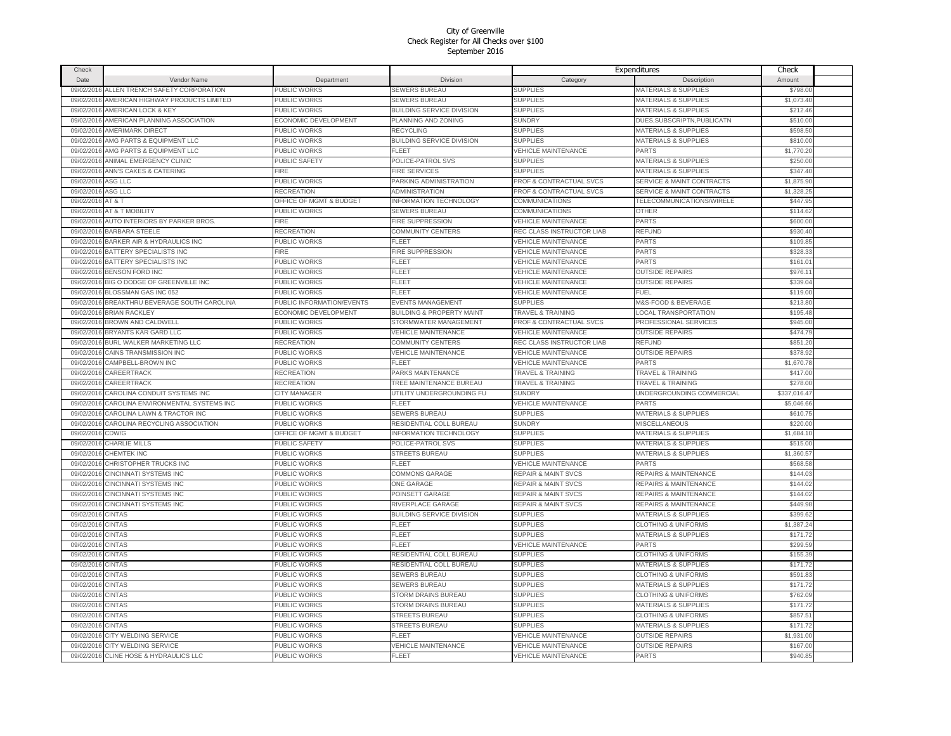| Check      |                                        |                                    |                                      |                                | Expenditures                         | Check        |  |
|------------|----------------------------------------|------------------------------------|--------------------------------------|--------------------------------|--------------------------------------|--------------|--|
| Date       | Vendor Name                            | Department                         | <b>Division</b>                      | Category                       | Description                          | Amount       |  |
| 09/02/2016 | ALLEN TRENCH SAFETY CORPORATION        | PUBLIC WORKS                       | <b>SEWERS BUREAU</b>                 | <b>SUPPLIES</b>                | <b>MATERIALS &amp; SUPPLIES</b>      | \$798.00     |  |
| 09/02/2016 | AMERICAN HIGHWAY PRODUCTS LIMITED      | PUBLIC WORKS                       | SEWERS BUREAU                        | <b>SUPPLIES</b>                | <b>MATERIALS &amp; SUPPLIES</b>      | \$1,073.40   |  |
| 09/02/2016 | AMERICAN LOCK & KEY                    | PUBLIC WORKS                       | <b>BUILDING SERVICE DIVISION</b>     | <b>SUPPLIES</b>                | <b>MATERIALS &amp; SUPPLIES</b>      | \$212.46     |  |
| 09/02/2016 | AMERICAN PLANNING ASSOCIATION          | ECONOMIC DEVELOPMENT               | PLANNING AND ZONING                  | <b>SUNDRY</b>                  | DUES, SUBSCRIPTN, PUBLICATN          | \$510.00     |  |
| 09/02/2016 | AMERIMARK DIRECT                       | PUBLIC WORKS                       | RECYCLING                            | <b>SUPPLIES</b>                | <b>MATERIALS &amp; SUPPLIES</b>      | \$598.50     |  |
| 09/02/2016 | AMG PARTS & EQUIPMENT LLC              | PUBLIC WORKS                       | BUILDING SERVICE DIVISION            | <b>SUPPLIES</b>                | <b>MATERIALS &amp; SUPPLIES</b>      | \$810.00     |  |
| 09/02/2016 | AMG PARTS & EQUIPMENT LLC              | PUBLIC WORKS                       | FLEET                                | <b>VEHICLE MAINTENANCE</b>     | <b>PARTS</b>                         | \$1,770.20   |  |
| 09/02/2016 | ANIMAL EMERGENCY CLINIC                | PUBLIC SAFETY                      | POLICE-PATROL SVS                    | <b>SUPPLIES</b>                | MATERIALS & SUPPLIES                 | \$250.00     |  |
| 09/02/201  | ANN'S CAKES & CATERING                 | <b>FIRE</b>                        | <b>FIRE SERVICES</b>                 | <b>SUPPLIES</b>                | MATERIALS & SUPPLIES                 | \$347.4      |  |
| 09/02/2016 | ASG LLC                                | PUBLIC WORKS                       | PARKING ADMINISTRATION               | PROF & CONTRACTUAL SVCS        | <b>SERVICE &amp; MAINT CONTRACTS</b> | \$1,875.9    |  |
| 09/02/201  | <b>ASG LLC</b>                         | RECREATION                         | ADMINISTRATION                       | PROF & CONTRACTUAL SVCS        | <b>SERVICE &amp; MAINT CONTRACTS</b> | \$1,328.2    |  |
| 09/02/2016 | AT&T                                   | <b>DFFICE OF MGMT &amp; BUDGET</b> | <b>INFORMATION TECHNOLOGY</b>        | <b>COMMUNICATIONS</b>          | TELECOMMUNICATIONS/WIRELE            | \$447.95     |  |
| 09/02/201  | AT & T MOBILITY                        | PUBLIC WORKS                       | <b>SEWERS BUREAU</b>                 | <b>COMMUNICATIONS</b>          | OTHER                                | \$114.62     |  |
| 09/02/2016 | AUTO INTERIORS BY PARKER BROS.         | <b>FIRE</b>                        | FIRE SUPPRESSION                     | <b>VEHICLE MAINTENANCE</b>     | <b>PARTS</b>                         | \$600.00     |  |
| 09/02/201  | BARBARA STEELE                         | RECREATION                         | COMMUNITY CENTERS                    | REC CLASS INSTRUCTOR LIAB      | REFUND                               | \$930.4      |  |
|            | <b>BARKER AIR &amp; HYDRAULICS INC</b> | PUBLIC WORKS                       | FLEET                                | <b>VEHICLE MAINTENANCE</b>     | PARTS                                | \$109.85     |  |
| 09/02/2016 | BATTERY SPECIALISTS INC                | <b>FIRE</b>                        | FIRE SUPPRESSION                     | <b>VEHICLE MAINTENANCE</b>     | <b>PARTS</b>                         | \$328.33     |  |
| 09/02/2016 | BATTERY SPECIALISTS INC                | PUBLIC WORKS                       | FLEET                                | <b>VEHICLE MAINTENANCE</b>     | <b>PARTS</b>                         | \$161.0      |  |
| 09/02/2016 |                                        |                                    |                                      |                                |                                      |              |  |
| 09/02/2016 | <b>BENSON FORD INC</b>                 | PUBLIC WORKS                       | FLEET                                | <b>VEHICLE MAINTENANCE</b>     | <b>OUTSIDE REPAIRS</b>               | \$976.11     |  |
| 09/02/2016 | BIG O DODGE OF GREENVILLE INC          | PUBLIC WORKS                       | FLEET                                | <b>VEHICLE MAINTENANCE</b>     | <b>OUTSIDE REPAIRS</b>               | \$339.04     |  |
| 09/02/2016 | BLOSSMAN GAS INC 052                   | PUBLIC WORKS                       | FLEET                                | <b>VEHICLE MAINTENANCE</b>     | FUEL                                 | \$119.00     |  |
| 09/02/2016 | BREAKTHRU BEVERAGE SOUTH CAROLINA      | PUBLIC INFORMATION/EVENTS          | <b>EVENTS MANAGEMENT</b>             | <b>SUPPLIES</b>                | M&S-FOOD & BEVERAGE                  | \$213.80     |  |
| 09/02/2016 | <b>BRIAN RACKLEY</b>                   | ECONOMIC DEVELOPMENT               | <b>BUILDING &amp; PROPERTY MAINT</b> | <b>TRAVEL &amp; TRAINING</b>   | <b>LOCAL TRANSPORTATION</b>          | \$195.48     |  |
| 09/02/2016 | BROWN AND CALDWELL                     | PUBLIC WORKS                       | STORMWATER MANAGEMENT                | PROF & CONTRACTUAL SVCS        | PROFESSIONAL SERVICES                | \$945.00     |  |
| 09/02/2016 | BRYANTS KAR GARD LLC                   | PUBLIC WORKS                       | <b>VEHICLE MAINTENANCE</b>           | <b>VEHICLE MAINTENANCE</b>     | <b>OUTSIDE REPAIRS</b>               | \$474.79     |  |
| 09/02/201  | BURL WALKER MARKETING LLC              | RECREATION                         | <b>COMMUNITY CENTERS</b>             | REC CLASS INSTRUCTOR LIAB      | REFUND                               | \$851.20     |  |
| 09/02/201  | CAINS TRANSMISSION INC                 | <b>UBLIC WORKS</b>                 | <b>VEHICLE MAINTENANCE</b>           | <b>VEHICLE MAINTENANCE</b>     | <b>OUTSIDE REPAIRS</b>               | \$378.92     |  |
| 09/02/201  | CAMPBELL-BROWN INC                     | PUBLIC WORKS                       | FLEET                                | <b>VEHICLE MAINTENANCE</b>     | <b>PARTS</b>                         | \$1,670.78   |  |
| 09/02/2016 | CAREERTRACK                            | RECREATION                         | PARKS MAINTENANCE                    | <b>TRAVEL &amp; TRAINING</b>   | <b>TRAVEL &amp; TRAINING</b>         | \$417.00     |  |
| 09/02/201  | CAREERTRACK                            | RECREATION                         | TREE MAINTENANCE BUREAU              | <b>TRAVEL &amp; TRAINING</b>   | <b>TRAVEL &amp; TRAINING</b>         | \$278.0      |  |
| 09/02/201  | CAROLINA CONDUIT SYSTEMS INC           | <b>CITY MANAGER</b>                | UTILITY UNDERGROUNDING FU            | <b>SUNDRY</b>                  | UNDERGROUNDING COMMERCIAL            | \$337,016.47 |  |
| 09/02/201  | CAROLINA ENVIRONMENTAL SYSTEMS INC     | PUBLIC WORKS                       | FLEET                                | <b>VEHICLE MAINTENANCE</b>     | PARTS                                | \$5,046.66   |  |
| 09/02/201  | CAROLINA LAWN & TRACTOR INC            | PUBLIC WORKS                       | SEWERS BUREAU                        | <b>SUPPLIES</b>                | <b>MATERIALS &amp; SUPPLIES</b>      | \$610.75     |  |
| 09/02/2016 | CAROLINA RECYCLING ASSOCIATION         | PUBLIC WORKS                       | RESIDENTIAL COLL BUREAU              | <b>SUNDRY</b>                  | MISCELLANEOUS                        | \$220.00     |  |
| 09/02/201  | CDW/G                                  | <b>OFFICE OF MGMT &amp; BUDGET</b> | <b>INFORMATION TECHNOLOGY</b>        | <b>SUPPLIES</b>                | <b>MATERIALS &amp; SUPPLIES</b>      | \$1,684.10   |  |
| 09/02/2016 | <b>CHARLIE MILLS</b>                   | PUBLIC SAFETY                      | POLICE-PATROL SVS                    | <b>SUPPLIES</b>                | <b>MATERIALS &amp; SUPPLIES</b>      | \$515.00     |  |
| 09/02/2016 | <b>CHEMTEK INC</b>                     | PUBLIC WORKS                       | <b>STREETS BUREAU</b>                | <b>SUPPLIES</b>                | <b>MATERIALS &amp; SUPPLIES</b>      | \$1,360.5    |  |
| 09/02/2016 | <b>CHRISTOPHER TRUCKS INC</b>          | PUBLIC WORKS                       | FLEET                                | <b>VEHICLE MAINTENANCE</b>     | PARTS                                | \$568.58     |  |
| 09/02/2016 | CINCINNATI SYSTEMS INC                 | PUBLIC WORKS                       | COMMONS GARAGE                       | <b>REPAIR &amp; MAINT SVCS</b> | REPAIRS & MAINTENANCE                | \$144.03     |  |
| 09/02/2016 | CINCINNATI SYSTEMS INC                 | PUBLIC WORKS                       | <b>ONE GARAGE</b>                    | <b>REPAIR &amp; MAINT SVCS</b> | REPAIRS & MAINTENANCE                | \$144.02     |  |
| 09/02/201  | CINCINNATI SYSTEMS INC                 | PUBLIC WORKS                       | POINSETT GARAGE                      | <b>REPAIR &amp; MAINT SVCS</b> | REPAIRS & MAINTENANCE                | \$144.0      |  |
| 09/02/2016 | CINCINNATI SYSTEMS INC                 | PUBLIC WORKS                       | RIVERPLACE GARAGE                    | <b>REPAIR &amp; MAINT SVCS</b> | REPAIRS & MAINTENANCE                | \$449.9      |  |
| 09/02/201  | <b>CINTAS</b>                          | PUBLIC WORKS                       | <b>BUILDING SERVICE DIVISION</b>     | <b>SUPPLIES</b>                | <b>MATERIALS &amp; SUPPLIES</b>      | \$399.62     |  |
| 09/02/2016 | <b>CINTAS</b>                          | PUBLIC WORKS                       | FLEET                                | <b>SUPPLIES</b>                | <b>CLOTHING &amp; UNIFORMS</b>       | \$1,387.24   |  |
| 09/02/201  | <b>CINTAS</b>                          | PUBLIC WORKS                       | FLEET                                | <b>SUPPLIES</b>                | <b>MATERIALS &amp; SUPPLIES</b>      | \$171.72     |  |
| 09/02/201  | <b>CINTAS</b>                          | <b>UBLIC WORKS</b>                 | FLEET                                | <b>VEHICLE MAINTENANCE</b>     | PARTS                                | \$299.59     |  |
| 09/02/201  | CINTAS                                 | <b>UBLIC WORKS</b>                 | RESIDENTIAL COLL BUREAU              | <b>SUPPLIES</b>                | <b>CLOTHING &amp; UNIFORMS</b>       | \$155.39     |  |
| 09/02/2016 | <b>CINTAS</b>                          | PUBLIC WORKS                       | RESIDENTIAL COLL BUREAU              | <b>SUPPLIES</b>                | MATERIALS & SUPPLIES                 | \$171.72     |  |
| 09/02/2016 | <b>CINTAS</b>                          | PUBLIC WORKS                       | <b>SEWERS BUREAU</b>                 | <b>SUPPLIES</b>                | <b>CLOTHING &amp; UNIFORMS</b>       | \$591.83     |  |
| 09/02/2016 | <b>CINTAS</b>                          | PUBLIC WORKS                       | <b>SEWERS BUREAU</b>                 | <b>SUPPLIES</b>                | <b>MATERIALS &amp; SUPPLIES</b>      | \$171.72     |  |
| 09/02/2016 | <b>CINTAS</b>                          | PUBLIC WORKS                       | STORM DRAINS BUREAU                  | <b>SUPPLIES</b>                | <b>CLOTHING &amp; UNIFORMS</b>       | \$762.09     |  |
| 09/02/201  | <b>CINTAS</b>                          | PUBLIC WORKS                       | STORM DRAINS BUREAU                  | <b>SUPPLIES</b>                | MATERIALS & SUPPLIES                 | \$171.72     |  |
| 09/02/2016 | <b>CINTAS</b>                          | PUBLIC WORKS                       | <b>STREETS BUREAU</b>                | <b>SUPPLIES</b>                | <b>CLOTHING &amp; UNIFORMS</b>       | \$857.51     |  |
| 09/02/201  | <b>CINTAS</b>                          | PUBLIC WORKS                       | <b>STREETS BUREAU</b>                | <b>SUPPLIES</b>                | <b>MATERIALS &amp; SUPPLIES</b>      | \$171.72     |  |
| 09/02/2016 | <b>CITY WELDING SERVICE</b>            | PUBLIC WORKS                       | FLEET                                | <b>VEHICLE MAINTENANCE</b>     | <b>OUTSIDE REPAIRS</b>               | \$1,931.00   |  |
| 09/02/2016 | CITY WELDING SERVICE                   | PUBLIC WORKS                       | <b>VEHICLE MAINTENANCE</b>           | <b>VEHICLE MAINTENANCE</b>     | <b>OUTSIDE REPAIRS</b>               | \$167.00     |  |
|            | 09/02/2016 CLINE HOSE & HYDRAULICS LLC | PUBLIC WORKS                       | FLEET                                | <b>VEHICLE MAINTENANCE</b>     | <b>PARTS</b>                         | \$940.85     |  |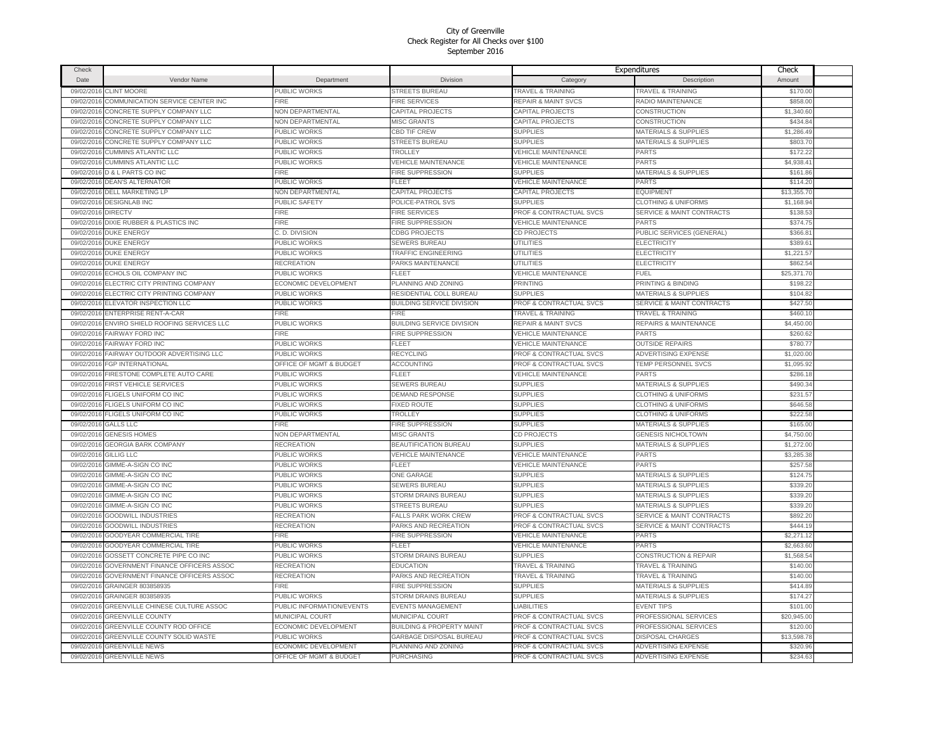| Check      |                                    |                                    |                                      |                                    | Expenditures                         | Check       |  |
|------------|------------------------------------|------------------------------------|--------------------------------------|------------------------------------|--------------------------------------|-------------|--|
| Date       | Vendor Name                        | Department                         | <b>Division</b>                      | Category                           | Description                          | Amount      |  |
| 09/02/2016 | <b>CLINT MOORE</b>                 | PUBLIC WORKS                       | STREETS BUREAU                       | <b>TRAVEL &amp; TRAINING</b>       | <b>TRAVEL &amp; TRAINING</b>         | \$170.00    |  |
| 09/02/2016 | COMMUNICATION SERVICE CENTER INC   | <b>FIRE</b>                        | <b>FIRE SERVICES</b>                 | <b>REPAIR &amp; MAINT SVCS</b>     | RADIO MAINTENANCE                    | \$858.00    |  |
| 09/02/2016 | CONCRETE SUPPLY COMPANY LLC        | <b>NON DEPARTMENTAL</b>            | CAPITAL PROJECTS                     | CAPITAL PROJECTS                   | <b>CONSTRUCTION</b>                  | \$1,340.60  |  |
| 09/02/2016 | CONCRETE SUPPLY COMPANY LLC        | <b>NON DEPARTMENTAL</b>            | <b>MISC GRANTS</b>                   | CAPITAL PROJECTS                   | CONSTRUCTION                         | \$434.84    |  |
| 09/02/201  | CONCRETE SUPPLY COMPANY LLC        | PUBLIC WORKS                       | <b>CBD TIF CREW</b>                  | <b>SUPPLIES</b>                    | <b>MATERIALS &amp; SUPPLIES</b>      | \$1,286.49  |  |
| 09/02/2016 | CONCRETE SUPPLY COMPANY LLC        | PUBLIC WORKS                       | STREETS BUREAU                       | <b>SUPPLIES</b>                    | <b>MATERIALS &amp; SUPPLIES</b>      | \$803.70    |  |
| 09/02/2016 | <b>CUMMINS ATLANTIC LLC</b>        | PUBLIC WORKS                       | TROLLEY                              | <b>VEHICLE MAINTENANCE</b>         | <b>PARTS</b>                         | \$172.22    |  |
| 09/02/2016 | <b>CUMMINS ATLANTIC LLC</b>        | PUBLIC WORKS                       | <b>VEHICLE MAINTENANCE</b>           | <b>VEHICLE MAINTENANCE</b>         | <b>PARTS</b>                         | \$4,938.41  |  |
| 09/02/2016 | D & L PARTS CO INC                 | FIRE                               | FIRE SUPPRESSION                     | <b>SUPPLIES</b>                    | MATERIALS & SUPPLIES                 | \$161.86    |  |
| 09/02/2016 | <b>DEAN'S ALTERNATOR</b>           | PUBLIC WORKS                       | FLEET                                | <b>VEHICLE MAINTENANCE</b>         | PARTS                                | \$114.2     |  |
| 09/02/2016 | <b>DELL MARKETING LP</b>           | <b>NON DEPARTMENTAL</b>            | CAPITAL PROJECTS                     | CAPITAL PROJECTS                   | <b>EQUIPMENT</b>                     | \$13,355.70 |  |
| 09/02/2016 | <b>DESIGNLAB INC</b>               | PUBLIC SAFETY                      | POLICE-PATROL SVS                    | <b>SUPPLIES</b>                    | <b>CLOTHING &amp; UNIFORMS</b>       | \$1,168.94  |  |
| 09/02/2016 | <b>DIRECTV</b>                     | FIRE                               | <b>FIRE SERVICES</b>                 | PROF & CONTRACTUAL SVCS            | SERVICE & MAINT CONTRACTS            | \$138.53    |  |
| 09/02/2016 | DIXIE RUBBER & PLASTICS INC        | FIRE                               | FIRE SUPPRESSION                     | <b>VEHICLE MAINTENANCE</b>         | PARTS                                | \$374.75    |  |
| 09/02/2016 | <b>DUKE ENERGY</b>                 | C. D. DIVISION                     | <b>CDBG PROJECTS</b>                 | CD PROJECTS                        | PUBLIC SERVICES (GENERAL)            | \$366.8     |  |
| 09/02/2016 | <b>DUKE ENERGY</b>                 | PUBLIC WORKS                       | <b>SEWERS BUREAU</b>                 | <b>UTILITIES</b>                   | <b>ELECTRICITY</b>                   | \$389.6     |  |
| 09/02/2016 | <b>DUKE ENERGY</b>                 | PUBLIC WORKS                       | <b>TRAFFIC ENGINEERING</b>           | <b>UTILITIES</b>                   | <b>ELECTRICITY</b>                   | \$1,221.57  |  |
| 09/02/201  | <b>DUKE ENERGY</b>                 | RECREATION                         | PARKS MAINTENANCE                    | <b>UTILITIES</b>                   | <b>ELECTRICITY</b>                   | \$862.5     |  |
| 09/02/2016 | ECHOLS OIL COMPANY INC             | <b>UBLIC WORKS</b>                 | FLEET                                | VEHICLE MAINTENANCE                | FUEL                                 | \$25,371.70 |  |
| 09/02/201  | ELECTRIC CITY PRINTING COMPANY     | <b>ECONOMIC DEVELOPMENT</b>        | PLANNING AND ZONING                  | PRINTING                           | <b>PRINTING &amp; BINDING</b>        | \$198.22    |  |
| 09/02/201  | ELECTRIC CITY PRINTING COMPANY     | <b>UBLIC WORKS</b>                 | RESIDENTIAL COLL BUREAU              | <b>SUPPLIES</b>                    | <b>MATERIALS &amp; SUPPLIES</b>      | \$104.82    |  |
| 09/02/2016 | ELEVATOR INSPECTION LLC            | <b>UBLIC WORKS</b>                 | <b>BUILDING SERVICE DIVISION</b>     | PROF & CONTRACTUAL SVCS            | <b>SERVICE &amp; MAINT CONTRACTS</b> | \$427.50    |  |
| 09/02/201  | <b>ENTERPRISE RENT-A-CAR</b>       | <b>IRE</b>                         | FIRE                                 | <b>TRAVEL &amp; TRAINING</b>       | <b>TRAVEL &amp; TRAINING</b>         | \$460.10    |  |
| 09/02/201  | ENVIRO SHIELD ROOFING SERVICES LLC | PUBLIC WORKS                       | <b>BUILDING SERVICE DIVISION</b>     | <b>REPAIR &amp; MAINT SVCS</b>     | <b>REPAIRS &amp; MAINTENANCE</b>     | \$4,450.00  |  |
| 09/02/2016 | <b>FAIRWAY FORD INC</b>            | <b>FIRE</b>                        | FIRE SUPPRESSION                     | <b>VEHICLE MAINTENANCE</b>         | PARTS                                | \$260.62    |  |
| 09/02/2016 | <b>FAIRWAY FORD INC</b>            | PUBLIC WORKS                       | FLEET                                | <b>VEHICLE MAINTENANCE</b>         | <b>OUTSIDE REPAIRS</b>               | \$780.7     |  |
| 09/02/201  | FAIRWAY OUTDOOR ADVERTISING LLC    | PUBLIC WORKS                       | <b>RECYCLING</b>                     | PROF & CONTRACTUAL SVCS            | <b>ADVERTISING EXPENSE</b>           | \$1,020.00  |  |
| 09/02/2016 | FGP INTERNATIONAL                  | <b>DFFICE OF MGMT &amp; BUDGET</b> | ACCOUNTING                           | PROF & CONTRACTUAL SVCS            | TEMP PERSONNEL SVCS                  | \$1,095.92  |  |
| 09/02/2016 | FIRESTONE COMPLETE AUTO CARE       | PUBLIC WORKS                       | FLEET                                | <b>VEHICLE MAINTENANCE</b>         | PARTS                                | \$286.18    |  |
| 09/02/2016 | <b>FIRST VEHICLE SERVICES</b>      | PUBLIC WORKS                       | <b>SEWERS BUREAU</b>                 | <b>SUPPLIES</b>                    | MATERIALS & SUPPLIES                 | \$490.34    |  |
| 09/02/2016 | FLIGELS UNIFORM CO INC             | PUBLIC WORKS                       | DEMAND RESPONSE                      | <b>SUPPLIES</b>                    | <b>CLOTHING &amp; UNIFORMS</b>       | \$231.57    |  |
| 09/02/2016 | FLIGELS UNIFORM CO INC             | PUBLIC WORKS                       | FIXED ROUTE                          | <b>SUPPLIES</b>                    | <b>CLOTHING &amp; UNIFORMS</b>       | \$646.58    |  |
| 09/02/2016 | FLIGELS UNIFORM CO INC             | PUBLIC WORKS                       | TROLLEY                              | <b>SUPPLIES</b>                    | <b>CLOTHING &amp; UNIFORMS</b>       | \$222.58    |  |
| 09/02/2016 | <b>GALLS LLC</b>                   | FIRE                               | FIRE SUPPRESSION                     | <b>SUPPLIES</b>                    | <b>MATERIALS &amp; SUPPLIES</b>      | \$165.00    |  |
| 09/02/2016 | <b>GENESIS HOMES</b>               | NON DEPARTMENTAL                   | <b>MISC GRANTS</b>                   | CD PROJECTS                        | <b>GENESIS NICHOLTOWN</b>            | \$4,750.00  |  |
| 09/02/2016 | <b>GEORGIA BARK COMPANY</b>        | RECREATION                         | BEAUTIFICATION BUREAU                | <b>SUPPLIES</b>                    | MATERIALS & SUPPLIES                 | \$1,272.00  |  |
| 09/02/2016 | GILLIG LLC                         | PUBLIC WORKS                       | <b>VEHICLE MAINTENANCE</b>           | <b>VEHICLE MAINTENANCE</b>         | <b>PARTS</b>                         | \$3,285.3   |  |
| 09/02/2016 | GIMME-A-SIGN CO INC                | PUBLIC WORKS                       | FLEET                                | <b>VEHICLE MAINTENANCE</b>         | <b>PARTS</b>                         | \$257.58    |  |
| 09/02/201  | <b>GIMME-A-SIGN CO INC</b>         | PUBLIC WORKS                       | <b>ONE GARAGE</b>                    | <b>SUPPLIES</b>                    | <b>MATERIALS &amp; SUPPLIES</b>      | \$124.75    |  |
| 09/02/2016 | GIMME-A-SIGN CO INC                | PUBLIC WORKS                       | <b>SEWERS BUREAU</b>                 | <b>SUPPLIES</b>                    | MATERIALS & SUPPLIES                 | \$339.20    |  |
| 09/02/201  | GIMME-A-SIGN CO INC                | PUBLIC WORKS                       | STORM DRAINS BUREAU                  | <b>SUPPLIES</b>                    | MATERIALS & SUPPLIES                 | \$339.20    |  |
| 09/02/2016 | GIMME-A-SIGN CO INC                | <b>UBLIC WORKS</b>                 | <b>STREETS BUREAU</b>                | <b>SUPPLIES</b>                    | <b>MATERIALS &amp; SUPPLIES</b>      | \$339.20    |  |
| 09/02/201  | <b>GOODWILL INDUSTRIES</b>         | RECREATION                         | <b>FALLS PARK WORK CREW</b>          | <b>PROF &amp; CONTRACTUAL SVCS</b> | <b>SERVICE &amp; MAINT CONTRACTS</b> | \$892.20    |  |
| 09/02/2016 | <b>GOODWILL INDUSTRIES</b>         | RECREATION                         | PARKS AND RECREATION                 | <b>PROF &amp; CONTRACTUAL SVCS</b> | <b>SERVICE &amp; MAINT CONTRACTS</b> | \$444.19    |  |
| 09/02/201  | <b>GOODYEAR COMMERCIAL TIRE</b>    | FIRE                               | FIRE SUPPRESSION                     | <b>VEHICLE MAINTENANCE</b>         | <b>PARTS</b>                         | \$2,271.1   |  |
| 09/02/2016 | GOODYEAR COMMERCIAL TIRE           | PUBLIC WORKS                       | FLEET                                | VEHICLE MAINTENANCE                | <b>PARTS</b>                         | \$2,663.60  |  |
| 09/02/2016 | GOSSETT CONCRETE PIPE CO INC       | PUBLIC WORKS                       | STORM DRAINS BUREAU                  | <b>SUPPLIES</b>                    | <b>CONSTRUCTION &amp; REPAIR</b>     | \$1,568.54  |  |
| 09/02/2016 | GOVERNMENT FINANCE OFFICERS ASSOC  | RECREATION                         | <b>EDUCATION</b>                     | <b>TRAVEL &amp; TRAINING</b>       | <b>TRAVEL &amp; TRAINING</b>         | \$140.00    |  |
| 09/02/2016 | GOVERNMENT FINANCE OFFICERS ASSOC  | RECREATION                         | PARKS AND RECREATION                 | <b>TRAVEL &amp; TRAINING</b>       | <b>TRAVEL &amp; TRAINING</b>         | \$140.00    |  |
| 09/02/201  | GRAINGER 803858935                 | FIRE                               | FIRE SUPPRESSION                     | <b>SUPPLIES</b>                    | <b>MATERIALS &amp; SUPPLIES</b>      | \$414.89    |  |
| 09/02/2016 | GRAINGER 803858935                 | PUBLIC WORKS                       | STORM DRAINS BUREAU                  | <b>SUPPLIES</b>                    | MATERIALS & SUPPLIES                 | \$174.27    |  |
| 09/02/2016 | GREENVILLE CHINESE CULTURE ASSOC   | PUBLIC INFORMATION/EVENTS          | <b>EVENTS MANAGEMENT</b>             | <b>LIABILITIES</b>                 | <b>EVENT TIPS</b>                    | \$101.00    |  |
| 09/02/2016 | <b>GREENVILLE COUNTY</b>           | <b>MUNICIPAL COURT</b>             | <b>MUNICIPAL COURT</b>               | PROF & CONTRACTUAL SVCS            | PROFESSIONAL SERVICES                | \$20,945.00 |  |
| 09/02/2016 | GREENVILLE COUNTY ROD OFFICE       | ECONOMIC DEVELOPMENT               | <b>BUILDING &amp; PROPERTY MAINT</b> | PROF & CONTRACTUAL SVCS            | PROFESSIONAL SERVICES                | \$120.00    |  |
| 09/02/2016 | GREENVILLE COUNTY SOLID WASTE      | PUBLIC WORKS                       | GARBAGE DISPOSAL BUREAU              | PROF & CONTRACTUAL SVCS            | <b>DISPOSAL CHARGES</b>              | \$13,598.78 |  |
| 09/02/2016 | <b>GREENVILLE NEWS</b>             | ECONOMIC DEVELOPMENT               | PLANNING AND ZONING                  | PROF & CONTRACTUAL SVCS            | <b>ADVERTISING EXPENSE</b>           | \$320.96    |  |
|            | 09/02/2016 GREENVILLE NEWS         | <b>OFFICE OF MGMT &amp; BUDGET</b> | PURCHASING                           | PROF & CONTRACTUAL SVCS            | <b>ADVERTISING EXPENSE</b>           | \$234.63    |  |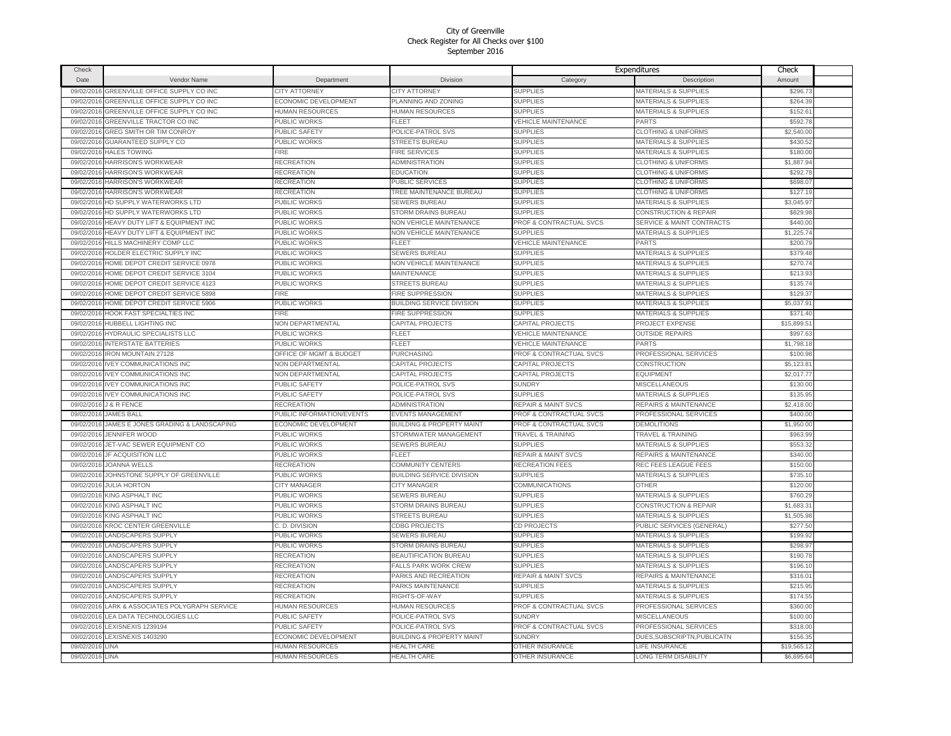| Check           |                                        |                             |                                      |                                | Expenditures                         | Check      |  |
|-----------------|----------------------------------------|-----------------------------|--------------------------------------|--------------------------------|--------------------------------------|------------|--|
| Date            | Vendor Name                            | Department                  | Division                             | Category                       | Description                          | Amount     |  |
| 09/02/2016      | GREENVILLE OFFICE SUPPLY CO INC        | CITY ATTORNEY               | <b>CITY ATTORNEY</b>                 | <b>SUPPLIES</b>                | MATERIALS & SUPPLIES                 | \$296.73   |  |
| 09/02/201       | <b>GREENVILLE OFFICE SUPPLY CO INC</b> | <b>ECONOMIC DEVELOPMENT</b> | PLANNING AND ZONING                  | <b>SUPPLIES</b>                | MATERIALS & SUPPLIES                 | \$264.39   |  |
| 09/02/201       | GREENVILLE OFFICE SUPPLY CO INC        | HUMAN RESOURCES             | HUMAN RESOURCES                      | <b>SUPPLIES</b>                | <b>MATERIALS &amp; SUPPLIES</b>      | \$152.6    |  |
| 09/02/2016      | GREENVILLE TRACTOR CO INC              | PUBLIC WORKS                | FLEET                                | <b>VEHICLE MAINTENANCE</b>     | PARTS                                | \$592.78   |  |
| 09/02/201       | GREG SMITH OR TIM CONROY               | PUBLIC SAFETY               | POLICE-PATROL SVS                    | <b>SUPPLIES</b>                | <b>CLOTHING &amp; UNIFORMS</b>       | \$2,540.00 |  |
| 09/02/2016      | GUARANTEED SUPPLY CO                   | PUBLIC WORKS                | <b>STREETS BUREAU</b>                | <b>SUPPLIES</b>                | MATERIALS & SUPPLIES                 | \$430.52   |  |
| 09/02/2016      | <b>HALES TOWING</b>                    | FIRE                        | <b>FIRE SERVICES</b>                 | <b>SUPPLIES</b>                | <b>MATERIALS &amp; SUPPLIES</b>      | \$180.00   |  |
| 09/02/201       | HARRISON'S WORKWEAR                    | <b>RECREATION</b>           | ADMINISTRATION                       | <b>SUPPLIES</b>                | <b>CLOTHING &amp; UNIFORMS</b>       | \$1,887.94 |  |
| 09/02/201       | HARRISON'S WORKWEAR                    | <b>RECREATION</b>           | <b>EDUCATION</b>                     | <b>SUPPLIES</b>                | <b>CLOTHING &amp; UNIFORMS</b>       | \$292.78   |  |
| 09/02/2016      | <b>HARRISON'S WORKWEAR</b>             | RECREATION                  | PUBLIC SERVICES                      | <b>SUPPLIES</b>                | <b>CLOTHING &amp; UNIFORMS</b>       | \$698.0    |  |
| 09/02/2016      | <b>HARRISON'S WORKWEAR</b>             | RECREATION                  | TREE MAINTENANCE BUREAU              | <b>SUPPLIES</b>                | <b>CLOTHING &amp; UNIFORMS</b>       | \$127.19   |  |
| 09/02/2016      | HD SUPPLY WATERWORKS LTD               | PUBLIC WORKS                | SEWERS BUREAU                        | <b>SUPPLIES</b>                | <b>MATERIALS &amp; SUPPLIES</b>      | \$3,045.97 |  |
| 09/02/2016      | HD SUPPLY WATERWORKS LTD               | PUBLIC WORKS                | STORM DRAINS BUREAU                  | <b>SUPPLIES</b>                | <b>CONSTRUCTION &amp; REPAIR</b>     | \$829.98   |  |
| 09/02/2016      | HEAVY DUTY LIFT & EQUIPMENT INC        | PUBLIC WORKS                | NON VEHICLE MAINTENANCE              | PROF & CONTRACTUAL SVCS        | <b>SERVICE &amp; MAINT CONTRACTS</b> | \$440.00   |  |
| 09/02/2016      | HEAVY DUTY LIFT & EQUIPMENT INC        | PUBLIC WORKS                | <b>NON VEHICLE MAINTENANCE</b>       | <b>SUPPLIES</b>                | <b>MATERIALS &amp; SUPPLIES</b>      | \$1,225.7  |  |
| 09/02/201       | HILLS MACHINERY COMP LLC               | PUBLIC WORKS                | FLEET                                | <b>VEHICLE MAINTENANCE</b>     | <b>PARTS</b>                         | \$200.7    |  |
| 09/02/201       | HOLDER ELECTRIC SUPPLY INC             | PUBLIC WORKS                | <b>SEWERS BUREAU</b>                 | <b>SUPPLIES</b>                | <b>MATERIALS &amp; SUPPLIES</b>      | \$379.48   |  |
| 09/02/201       | HOME DEPOT CREDIT SERVICE 0978         | PUBLIC WORKS                | <b>NON VEHICLE MAINTENANCE</b>       | <b>SUPPLIES</b>                | <b>MATERIALS &amp; SUPPLIES</b>      | \$270.7    |  |
| 09/02/201       | HOME DEPOT CREDIT SERVICE 3104         | PUBLIC WORKS                | <b>MAINTENANCE</b>                   | <b>SUPPLIES</b>                | MATERIALS & SUPPLIES                 | \$213.93   |  |
| 09/02/201       | HOME DEPOT CREDIT SERVICE 4123         | PUBLIC WORKS                | <b>STREETS BUREAU</b>                | <b>SUPPLIES</b>                | <b>MATERIALS &amp; SUPPLIES</b>      | \$135.74   |  |
| 09/02/201       | HOME DEPOT CREDIT SERVICE 5898         | <b>IRE</b>                  | FIRE SUPPRESSION                     | <b>SUPPLIES</b>                | <b>MATERIALS &amp; SUPPLIES</b>      | \$129.37   |  |
| 09/02/201       | HOME DEPOT CREDIT SERVICE 5906         | <b>UBLIC WORKS</b>          | BUILDING SERVICE DIVISION            | <b>SUPPLIES</b>                | MATERIALS & SUPPLIES                 | \$5,037.91 |  |
| 09/02/201       | <b>HOOK FAST SPECIALTIES INC</b>       | <b>FIRE</b>                 | FIRE SUPPRESSION                     | <b>SUPPLIES</b>                | MATERIALS & SUPPLIES                 | \$371.40   |  |
| 09/02/201       | <b>IUBBELL LIGHTING INC</b>            | <b>NON DEPARTMENTAL</b>     | CAPITAL PROJECTS                     | CAPITAL PROJECTS               | PROJECT EXPENSE                      | \$15,899.5 |  |
| 09/02/2016      | HYDRAULIC SPECIALISTS LLC              | PUBLIC WORKS                | FLEET                                | <b>VEHICLE MAINTENANCE</b>     | <b>OUTSIDE REPAIRS</b>               | \$997.63   |  |
| 09/02/201       | <b>INTERSTATE BATTERIES</b>            | PUBLIC WORKS                | FLEET                                | <b>VEHICLE MAINTENANCE</b>     | PARTS                                | \$1,798.1  |  |
| 09/02/201       | <b>IRON MOUNTAIN 27128</b>             | OFFICE OF MGMT & BUDGET     | <b>PURCHASING</b>                    | PROF & CONTRACTUAL SVCS        | PROFESSIONAL SERVICES                | \$100.98   |  |
| 09/02/2016      | <b>IVEY COMMUNICATIONS INC</b>         | <b>NON DEPARTMENTAL</b>     | CAPITAL PROJECTS                     | CAPITAL PROJECTS               | <b>CONSTRUCTION</b>                  | \$5,123.8  |  |
| 09/02/2016      | <b>IVEY COMMUNICATIONS INC</b>         | <b>NON DEPARTMENTAL</b>     | CAPITAL PROJECTS                     | CAPITAL PROJECTS               | <b>EQUIPMENT</b>                     | \$2,017.77 |  |
| 09/02/2016      | <b>IVEY COMMUNICATIONS INC</b>         | PUBLIC SAFETY               | POLICE-PATROL SVS                    | <b>SUNDRY</b>                  | <b>MISCELLANEOUS</b>                 | \$130.00   |  |
| 09/02/2016      | <b>IVEY COMMUNICATIONS INC</b>         | PUBLIC SAFETY               | POLICE-PATROL SVS                    | <b>SUPPLIES</b>                | MATERIALS & SUPPLIES                 | \$135.95   |  |
| 09/02/2016      | <b>J &amp; R FENCE</b>                 | RECREATION                  | ADMINISTRATION                       | <b>REPAIR &amp; MAINT SVCS</b> | <b>REPAIRS &amp; MAINTENANCE</b>     | \$2,418.00 |  |
| 09/02/2016      | <b>JAMES BALL</b>                      | PUBLIC INFORMATION/EVENTS   | <b>EVENTS MANAGEMENT</b>             | PROF & CONTRACTUAL SVCS        | PROFESSIONAL SERVICES                | \$400.00   |  |
| 09/02/2016      | JAMES E JONES GRADING & LANDSCAPING    | ECONOMIC DEVELOPMENT        | <b>BUILDING &amp; PROPERTY MAINT</b> | PROF & CONTRACTUAL SVCS        | <b>DEMOLITIONS</b>                   | \$1,950.00 |  |
| 09/02/201       | <b>JENNIFER WOOD</b>                   | PUBLIC WORKS                | STORMWATER MANAGEMENT                | TRAVEL & TRAINING              | <b>TRAVEL &amp; TRAINING</b>         | \$963.99   |  |
| 09/02/2016      | JET-VAC SEWER EQUIPMENT CO             | PUBLIC WORKS                | SEWERS BUREAU                        | <b>SUPPLIES</b>                | MATERIALS & SUPPLIES                 | \$553.32   |  |
| 09/02/2016      | JF ACQUISITION LLC                     | PUBLIC WORKS                | FLEET                                | <b>REPAIR &amp; MAINT SVCS</b> | REPAIRS & MAINTENANCE                | \$340.00   |  |
| 09/02/2016      | <b>JOANNA WELLS</b>                    | RECREATION                  | COMMUNITY CENTERS                    | <b>RECREATION FEES</b>         | REC FEES LEAGUE FEES                 | \$150.00   |  |
| 09/02/201       | JOHNSTONE SUPPLY OF GREENVILLE         | PUBLIC WORKS                | <b>BUILDING SERVICE DIVISION</b>     | <b>SUPPLIES</b>                | <b>MATERIALS &amp; SUPPLIES</b>      | \$735.1    |  |
| 09/02/2016      | <b>JULIA HORTON</b>                    | CITY MANAGER                | CITY MANAGER                         | COMMUNICATIONS                 | <b>OTHER</b>                         | \$120.00   |  |
| 09/02/201       | KING ASPHALT INC                       | PUBLIC WORKS                | SEWERS BUREAU                        | <b>SUPPLIES</b>                | MATERIALS & SUPPLIES                 | \$760.2    |  |
| 09/02/2016      | <b>KING ASPHALT INC</b>                | PUBLIC WORKS                | <b>STORM DRAINS BUREAU</b>           | <b>SUPPLIES</b>                | CONSTRUCTION & REPAIR                | \$1,683.31 |  |
| 09/02/201       | KING ASPHALT INC                       | PUBLIC WORKS                | <b>STREETS BUREAU</b>                | <b>SUPPLIES</b>                | MATERIALS & SUPPLIES                 | \$1,505.98 |  |
| 09/02/2016      | <b>KROC CENTER GREENVILLE</b>          | C. D. DIVISION              | <b>CDBG PROJECTS</b>                 | CD PROJECTS                    | PUBLIC SERVICES (GENERAL)            | \$277,50   |  |
| 09/02/201       | LANDSCAPERS SUPPLY                     | PUBLIC WORKS                | <b>SEWERS BUREAU</b>                 | <b>SUPPLIES</b>                | MATERIALS & SUPPLIES                 | \$199.92   |  |
| 09/02/2016      | <b>LANDSCAPERS SUPPLY</b>              | PUBLIC WORKS                | STORM DRAINS BUREAU                  | <b>SUPPLIES</b>                | MATERIALS & SUPPLIES                 | \$298.97   |  |
| 09/02/2016      | LANDSCAPERS SUPPLY                     | RECREATION                  | <b>BEAUTIFICATION BUREAU</b>         | <b>SUPPLIES</b>                | MATERIALS & SUPPLIES                 | \$190.78   |  |
| 09/02/2016      | <b>LANDSCAPERS SUPPLY</b>              | RECREATION                  | <b>FALLS PARK WORK CREW</b>          | <b>SUPPLIES</b>                | MATERIALS & SUPPLIES                 | \$196.10   |  |
| 09/02/2016      | <b>LANDSCAPERS SUPPLY</b>              | RECREATION                  | PARKS AND RECREATION                 | <b>REPAIR &amp; MAINT SVCS</b> | <b>REPAIRS &amp; MAINTENANCE</b>     | \$316.01   |  |
| 09/02/201       | LANDSCAPERS SUPPLY                     | RECREATION                  | PARKS MAINTENANCE                    | <b>SUPPLIES</b>                | <b>MATERIALS &amp; SUPPLIES</b>      | \$215.95   |  |
| 09/02/2016      | LANDSCAPERS SUPPLY                     | RECREATION                  | RIGHTS-OF-WAY                        | <b>SUPPLIES</b>                | <b>MATERIALS &amp; SUPPLIES</b>      | \$174.55   |  |
| 09/02/2016      | LARK & ASSOCIATES POLYGRAPH SERVICE    | HUMAN RESOURCES             | HUMAN RESOURCES                      | PROF & CONTRACTUAL SVCS        | PROFESSIONAL SERVICES                | \$360.00   |  |
| 09/02/2016      | LEA DATA TECHNOLOGIES LLC              | PUBLIC SAFETY               | POLICE-PATROL SVS                    | <b>SUNDRY</b>                  | MISCELLANEOUS                        | \$100.00   |  |
| 09/02/2016      | LEXISNEXIS 1239194                     | PUBLIC SAFETY               | POLICE-PATROL SVS                    | PROF & CONTRACTUAL SVCS        | PROFESSIONAL SERVICES                | \$318.00   |  |
| 09/02/2016      | LEXISNEXIS 1403290                     | ECONOMIC DEVELOPMENT        | <b>BUILDING &amp; PROPERTY MAINT</b> | <b>SUNDRY</b>                  | DUES, SUBSCRIPTN, PUBLICATN          | \$156.35   |  |
| 09/02/2016      | LINA                                   | HUMAN RESOURCES             | <b>HEALTH CARE</b>                   | OTHER INSURANCE                | LIFE INSURANCE                       | \$19,565.1 |  |
| 09/02/2016 LINA |                                        | <b>HUMAN RESOURCES</b>      | <b>HEALTH CARE</b>                   | <b>OTHER INSURANCE</b>         | <b>LONG TERM DISABILITY</b>          | \$6,695.64 |  |
|                 |                                        |                             |                                      |                                |                                      |            |  |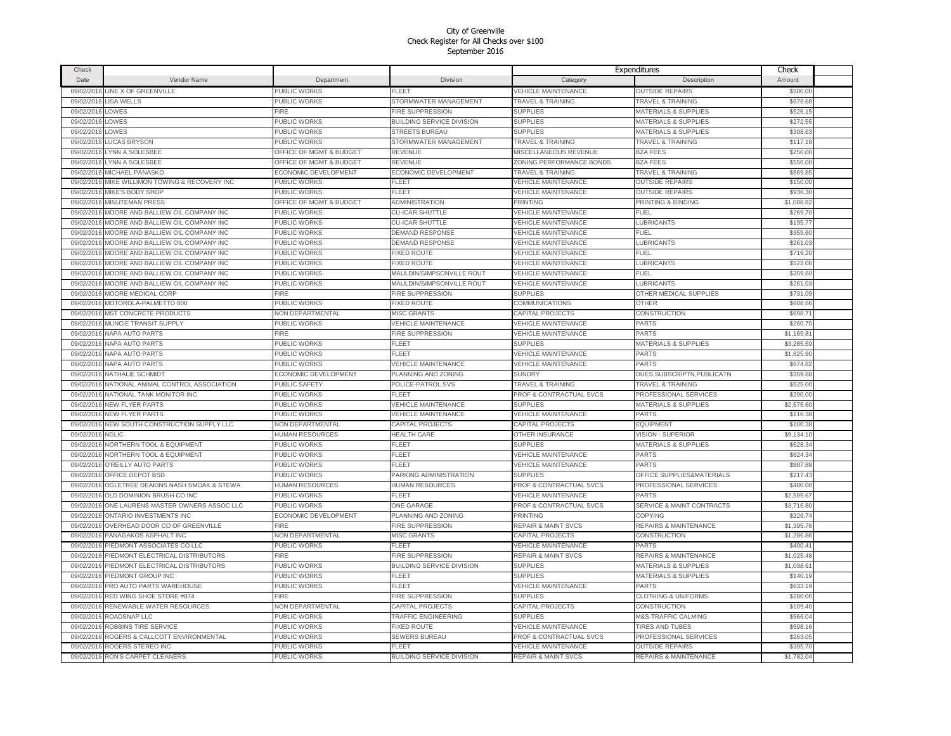| Check      |                                                |                         |                                  |                                | Expenditures                         | Check      |  |
|------------|------------------------------------------------|-------------------------|----------------------------------|--------------------------------|--------------------------------------|------------|--|
| Date       | Vendor Name                                    | Department              | <b>Division</b>                  | Category                       | Description                          | Amount     |  |
| 09/02/2016 | LINE X OF GREENVILLE                           | PUBLIC WORKS            | <b>FLEET</b>                     | VEHICLE MAINTENANCE            | <b>OUTSIDE REPAIRS</b>               | \$500.00   |  |
| 09/02/2016 | <b>LISA WELLS</b>                              | PUBLIC WORKS            | STORMWATER MANAGEMENT            | <b>TRAVEL &amp; TRAINING</b>   | <b>TRAVEL &amp; TRAINING</b>         | \$678.68   |  |
| 09/02/2016 | LOWES                                          | <b>FIRE</b>             | <b>FIRE SUPPRESSION</b>          | <b>SUPPLIES</b>                | <b>MATERIALS &amp; SUPPLIES</b>      | \$526.15   |  |
| 09/02/2016 | LOWES                                          | <b>PUBLIC WORKS</b>     | <b>BUILDING SERVICE DIVISION</b> | <b>SUPPLIES</b>                | <b>MATERIALS &amp; SUPPLIES</b>      | \$272.55   |  |
| 09/02/2016 | LOWES                                          | <b>PUBLIC WORKS</b>     | STREETS BUREAU                   | <b>SUPPLIES</b>                | MATERIALS & SUPPLIES                 | \$398.63   |  |
| 09/02/2016 | <b>LUCAS BRYSON</b>                            | PUBLIC WORKS            | STORMWATER MANAGEMENT            | TRAVEL & TRAINING              | <b>TRAVEL &amp; TRAINING</b>         | \$117.18   |  |
| 09/02/2016 | LYNN A SOLESBEE                                | OFFICE OF MGMT & BUDGET | REVENUE                          | <b>MISCELLANEOUS REVENUE</b>   | <b>BZA FEES</b>                      | \$250.00   |  |
| 09/02/2016 | LYNN A SOLESBEE                                | OFFICE OF MGMT & BUDGET | <b>REVENUE</b>                   | ZONING PERFORMANCE BONDS       | <b>BZA FEES</b>                      | \$550.00   |  |
| 09/02/2016 | MICHAEL PANASKO                                | ECONOMIC DEVELOPMENT    | ECONOMIC DEVELOPMENT             | TRAVEL & TRAINING              | <b>TRAVEL &amp; TRAINING</b>         | \$869.85   |  |
| 09/02/2016 | MIKE WILLIMON TOWING & RECOVERY INC            | PUBLIC WORKS            | <b>FLEET</b>                     | <b>VEHICLE MAINTENANCE</b>     | <b>OUTSIDE REPAIRS</b>               | \$150.00   |  |
| 09/02/2016 | MIKE'S BODY SHOP                               | PUBLIC WORKS            | <b>FLEET</b>                     | <b>VEHICLE MAINTENANCE</b>     | <b>OUTSIDE REPAIRS</b>               | \$936.30   |  |
| 09/02/2016 | <b>MINUTEMAN PRESS</b>                         | OFFICE OF MGMT & BUDGET | <b>ADMINISTRATION</b>            | <b>PRINTING</b>                | PRINTING & BINDING                   | \$1,088.82 |  |
| 09/02/2016 | MOORE AND BALLIEW OIL COMPANY INC              | PUBLIC WORKS            | <b>CU-ICAR SHUTTLE</b>           | <b>VEHICLE MAINTENANCE</b>     | <b>FUEL</b>                          | \$269.70   |  |
| 09/02/2016 | MOORE AND BALLIEW OIL COMPANY INC              | PUBLIC WORKS            | <b>CU-ICAR SHUTTLE</b>           | <b>VEHICLE MAINTENANCE</b>     | <b>LUBRICANTS</b>                    | \$195.77   |  |
| 09/02/2016 | MOORE AND BALLIEW OIL COMPANY INC              | PUBLIC WORKS            | <b>DEMAND RESPONSE</b>           | <b>VEHICLE MAINTENANCE</b>     | FUEL                                 | \$359.60   |  |
| 09/02/2016 | MOORE AND BALLIEW OIL COMPANY INC              | <b>PUBLIC WORKS</b>     | <b>DEMAND RESPONSE</b>           | <b>VEHICLE MAINTENANCE</b>     | LUBRICANTS                           | \$261.03   |  |
| 09/02/2016 | MOORE AND BALLIEW OIL COMPANY INC              | PUBLIC WORKS            | <b>FIXED ROUTE</b>               | <b>VEHICLE MAINTENANCE</b>     | FUEL                                 | \$719.20   |  |
| 09/02/2016 | MOORE AND BALLIEW OIL COMPANY INC              | <b>PUBLIC WORKS</b>     | <b>FIXED ROUTE</b>               | <b>VEHICLE MAINTENANCE</b>     | <b>LUBRICANTS</b>                    | \$522.06   |  |
| 09/02/2016 | MOORE AND BALLIEW OIL COMPANY INC              | PUBLIC WORKS            | MAULDIN/SIMPSONVILLE ROUT        | <b>VEHICLE MAINTENANCE</b>     | FUEL.                                | \$359.60   |  |
| 09/02/2016 | MOORE AND BALLIEW OIL COMPANY INC              | PUBLIC WORKS            | MAULDIN/SIMPSONVILLE ROUT        | <b>VEHICLE MAINTENANCE</b>     | <b>LUBRICANTS</b>                    | \$261.03   |  |
| 09/02/2016 | MOORE MEDICAL CORP                             | <b>FIRE</b>             | FIRE SUPPRESSION                 | <b>SUPPLIES</b>                | OTHER MEDICAL SUPPLIES               | \$731.09   |  |
| 09/02/2016 | MOTOROLA-PALMETTO 800                          | PUBLIC WORKS            | <b>FIXED ROUTE</b>               | <b>COMMUNICATIONS</b>          | <b>OTHER</b>                         | \$608,66   |  |
| 09/02/2016 | <b>MST CONCRETE PRODUCTS</b>                   | NON DEPARTMENTAL        | <b>MISC GRANTS</b>               | CAPITAL PROJECTS               | <b>CONSTRUCTION</b>                  | \$698.7'   |  |
| 09/02/2016 | MUNCIE TRANSIT SUPPLY                          | <b>PUBLIC WORKS</b>     | <b>VEHICLE MAINTENANCE</b>       | <b>VEHICLE MAINTENANCE</b>     | PARTS                                | \$260.70   |  |
| 09/02/2016 | NAPA AUTO PARTS                                | FIRE                    | FIRE SUPPRESSION                 | <b>VEHICLE MAINTENANCE</b>     | PARTS                                | \$1,169.8  |  |
| 09/02/2016 | NAPA AUTO PARTS                                | PUBLIC WORKS            | FLEET                            | <b>SUPPLIES</b>                | <b>MATERIALS &amp; SUPPLIES</b>      | \$3,285.59 |  |
| 09/02/2016 | NAPA AUTO PARTS                                | PUBLIC WORKS            | <b>FLEET</b>                     | <b>VEHICLE MAINTENANCE</b>     | PARTS                                | \$1,825.90 |  |
| 09/02/2016 | NAPA AUTO PARTS                                | PUBLIC WORKS            | <b>VEHICLE MAINTENANCE</b>       | <b>VEHICLE MAINTENANCE</b>     | PARTS                                | \$674.82   |  |
| 09/02/2016 | NATHALIE SCHMIDT                               | ECONOMIC DEVELOPMENT    | PLANNING AND ZONING              | <b>SUNDRY</b>                  | DUES, SUBSCRIPTN, PUBLICATN          | \$359.88   |  |
|            | 09/02/2016 NATIONAL ANIMAL CONTROL ASSOCIATION | PUBLIC SAFETY           | POLICE-PATROL SVS                | <b>TRAVEL &amp; TRAINING</b>   | <b>TRAVEL &amp; TRAINING</b>         | \$525.00   |  |
| 09/02/2016 | NATIONAL TANK MONITOR INC                      | PUBLIC WORKS            | <b>FLEET</b>                     | PROF & CONTRACTUAL SVCS        | PROFESSIONAL SERVICES                | \$290.00   |  |
|            | 09/02/2016 NEW FLYER PARTS                     | PUBLIC WORKS            | <b>VEHICLE MAINTENANCE</b>       | <b>SUPPLIES</b>                | MATERIALS & SUPPLIES                 | \$2,575.60 |  |
| 09/02/2016 | <b>NEW FLYER PARTS</b>                         | PUBLIC WORKS            | <b>VEHICLE MAINTENANCE</b>       | <b>VEHICLE MAINTENANCE</b>     | PARTS                                | \$116.3    |  |
| 09/02/2016 | NEW SOUTH CONSTRUCTION SUPPLY LLC              | NON DEPARTMENTAL        | CAPITAL PROJECTS                 | CAPITAL PROJECTS               | EQUIPMENT                            | \$100.3    |  |
| 09/02/2016 | NGLIC                                          | HUMAN RESOURCES         | <b>HEALTH CARE</b>               | OTHER INSURANCE                | <b>VISION - SUPERIOR</b>             | \$9,134.10 |  |
| 09/02/2016 | NORTHERN TOOL & EQUIPMENT                      | PUBLIC WORKS            | FLEET                            | <b>SUPPLIES</b>                | <b>MATERIALS &amp; SUPPLIES</b>      | \$528.34   |  |
| 09/02/2016 | <b>NORTHERN TOOL &amp; EQUIPMENT</b>           | PUBLIC WORKS            | FLEET                            | <b>VEHICLE MAINTENANCE</b>     | PARTS                                | \$624.34   |  |
| 09/02/2016 | O'REILLY AUTO PARTS                            | PUBLIC WORKS            | FI FFT                           | <b>VEHICLE MAINTENANCE</b>     | PARTS                                | \$887.89   |  |
| 09/02/2016 | OFFICE DEPOT BSD                               | PUBLIC WORKS            | PARKING ADMINISTRATION           | <b>SUPPLIES</b>                | OFFICE SUPPLIES&MATERIALS            | \$217.43   |  |
| 09/02/2016 | OGLETREE DEAKINS NASH SMOAK & STEWA            | HUMAN RESOURCES         | HUMAN RESOURCES                  | PROF & CONTRACTUAL SVCS        | PROFESSIONAL SERVICES                | \$400.00   |  |
| 09/02/2016 | OLD DOMINION BRUSH CO INC                      | <b>PUBLIC WORKS</b>     | FLEET                            | <b>VEHICLE MAINTENANCE</b>     | PARTS                                | \$2,599.6  |  |
| 09/02/2016 | ONE LAURENS MASTER OWNERS ASSOC LLC            | <b>PUBLIC WORKS</b>     | <b>ONE GARAGE</b>                | PROF & CONTRACTUAL SVCS        | <b>SERVICE &amp; MAINT CONTRACTS</b> | \$3,716.80 |  |
| 09/02/2016 | ONTARIO INVESTMENTS INC                        | ECONOMIC DEVELOPMENT    | PLANNING AND ZONING              | PRINTING                       | COPYING                              | \$226.74   |  |
| 09/02/2016 | OVERHEAD DOOR CO OF GREENVILLE                 | FIRF                    | <b>FIRE SUPPRESSION</b>          | <b>REPAIR &amp; MAINT SVCS</b> | REPAIRS & MAINTENANCE                | \$1,395.76 |  |
| 09/02/2016 | PANAGAKOS ASPHALT INC                          | NON DEPARTMENTAL        | <b>MISC GRANTS</b>               | CAPITAL PROJECTS               | CONSTRUCTION                         | \$1,286.86 |  |
| 09/02/2016 | PIEDMONT ASSOCIATES CO LLC                     | PUBLIC WORKS            | <b>FLEET</b>                     | VEHICLE MAINTENANCE            | PARTS                                | \$490.4    |  |
| 09/02/2016 | PIEDMONT ELECTRICAL DISTRIBUTORS               | <b>FIRE</b>             | FIRE SUPPRESSION                 | <b>REPAIR &amp; MAINT SVCS</b> | REPAIRS & MAINTENANCE                | \$1,025.48 |  |
| 09/02/2016 | PIEDMONT ELECTRICAL DISTRIBUTORS               | PUBLIC WORKS            | <b>BUILDING SERVICE DIVISION</b> | <b>SUPPLIES</b>                | MATERIALS & SUPPLIES                 | \$1,038.6  |  |
| 09/02/2016 | PIEDMONT GROUP INC                             | PUBLIC WORKS            | <b>FLEET</b>                     | <b>SUPPLIES</b>                | <b>MATERIALS &amp; SUPPLIES</b>      | \$140.19   |  |
| 09/02/2016 | PRO AUTO PARTS WAREHOUSE                       | PUBLIC WORKS            | <b>FLEET</b>                     | <b>VEHICLE MAINTENANCE</b>     | PARTS                                | \$633.19   |  |
| 09/02/2016 | RED WING SHOE STORE #874                       | FIRE                    | <b>FIRE SUPPRESSION</b>          | <b>SUPPLIES</b>                | <b>CLOTHING &amp; UNIFORMS</b>       | \$280.00   |  |
| 09/02/2016 | RENEWABLE WATER RESOURCES                      | NON DEPARTMENTAL        | <b>CAPITAL PROJECTS</b>          | CAPITAL PROJECTS               | <b>CONSTRUCTION</b>                  | \$109.40   |  |
| 09/02/2016 | ROADSNAP LLC                                   | <b>PUBLIC WORKS</b>     | TRAFFIC ENGINEERING              | <b>SUPPLIES</b>                | M&S-TRAFFIC CALMING                  | \$566.04   |  |
| 09/02/2016 | ROBBINS TIRE SERVICE                           | PUBLIC WORKS            | <b>FIXED ROUTE</b>               | <b>VEHICLE MAINTENANCE</b>     | <b>TIRES AND TUBES</b>               | \$598.16   |  |
| 09/02/2016 | ROGERS & CALLCOTT ENVIRONMENTAL                | PUBLIC WORKS            | <b>SEWERS BUREAU</b>             | PROF & CONTRACTUAL SVCS        | PROFESSIONAL SERVICES                | \$263.05   |  |
| 09/02/2016 | ROGERS STEREO INC                              | PUBLIC WORKS            | FLEET                            | <b>VEHICLE MAINTENANCE</b>     | <b>OUTSIDE REPAIRS</b>               | \$395.7    |  |
|            | 09/02/2016 RON'S CARPET CLEANERS               | <b>PUBLIC WORKS</b>     | <b>BUILDING SERVICE DIVISION</b> | <b>REPAIR &amp; MAINT SVCS</b> | <b>REPAIRS &amp; MAINTENANCE</b>     | \$1,782.04 |  |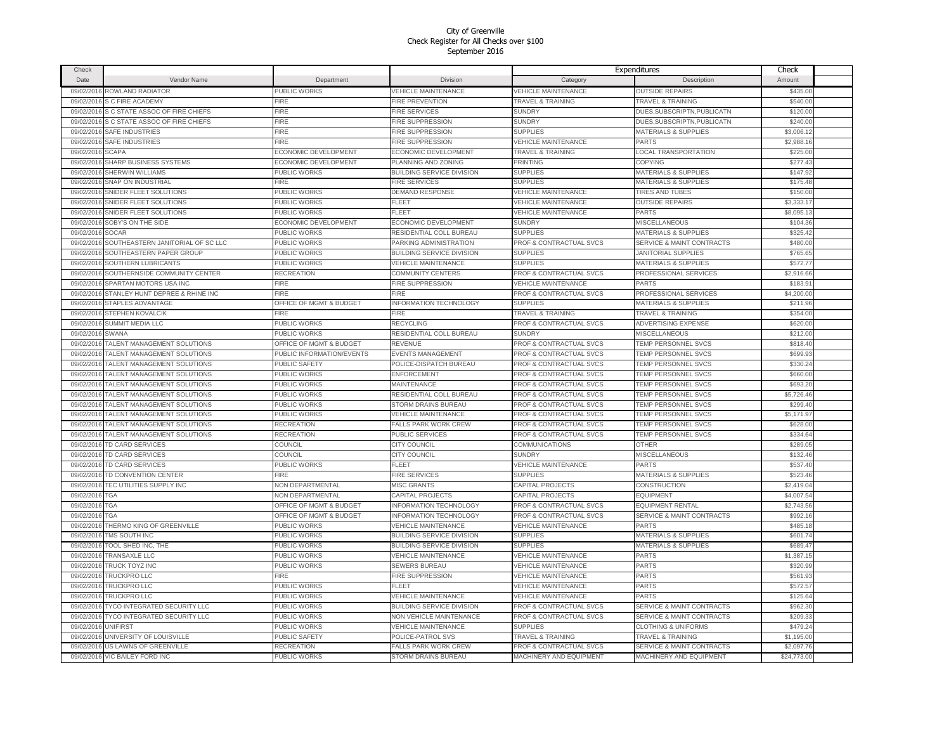| Check      |                                     |                           |                                  |                                    | Expenditures                         | Check       |  |
|------------|-------------------------------------|---------------------------|----------------------------------|------------------------------------|--------------------------------------|-------------|--|
| Date       | Vendor Name                         | Department                | Division                         | Category                           | Description                          | Amount      |  |
| 09/02/2016 | ROWLAND RADIATOR                    | PUBLIC WORKS              | <b>VEHICLE MAINTENANCE</b>       | <b>VEHICLE MAINTENANCE</b>         | <b>OUTSIDE REPAIRS</b>               | \$435.00    |  |
| 09/02/2016 | S C FIRE ACADEMY                    | <b>FIRE</b>               | FIRE PREVENTION                  | <b>TRAVEL &amp; TRAINING</b>       | <b>TRAVEL &amp; TRAINING</b>         | \$540.00    |  |
| 09/02/2016 | S C STATE ASSOC OF FIRE CHIEFS      | FIRE                      | <b>FIRE SERVICES</b>             | <b>SUNDRY</b>                      | DUES, SUBSCRIPTN, PUBLICATN          | \$120.00    |  |
| 09/02/2016 | S C STATE ASSOC OF FIRE CHIEFS      | <b>FIRE</b>               | <b>FIRE SUPPRESSION</b>          | <b>SUNDRY</b>                      | DUES.SUBSCRIPTN.PUBLICATN            | \$240.00    |  |
| 09/02/2016 | SAFE INDUSTRIES                     | <b>FIRE</b>               | FIRE SUPPRESSION                 | <b>SUPPLIES</b>                    | <b>MATERIALS &amp; SUPPLIES</b>      | \$3,006.12  |  |
| 09/02/2016 | <b>SAFE INDUSTRIES</b>              | <b>FIRE</b>               | FIRE SUPPRESSION                 | <b>VEHICLE MAINTENANCE</b>         | PARTS                                | \$2,988.16  |  |
| 09/02/2016 | <b>SCAPA</b>                        | ECONOMIC DEVELOPMENT      | ECONOMIC DEVELOPMENT             | <b>TRAVEL &amp; TRAINING</b>       | <b>LOCAL TRANSPORTATION</b>          | \$225.00    |  |
| 09/02/2016 | SHARP BUSINESS SYSTEMS              | ECONOMIC DEVELOPMENT      | PLANNING AND ZONING              | <b>PRINTING</b>                    | <b>COPYING</b>                       | \$277.43    |  |
| 09/02/2016 | <b>SHERWIN WILLIAMS</b>             | PUBLIC WORKS              | <b>BUILDING SERVICE DIVISION</b> | <b>SUPPLIES</b>                    | <b>MATERIALS &amp; SUPPLIES</b>      | \$147.92    |  |
| 09/02/2016 | <b>SNAP ON INDUSTRIAL</b>           | <b>FIRE</b>               | <b>FIRE SERVICES</b>             | <b>SUPPLIES</b>                    | MATERIALS & SUPPLIES                 | \$175.48    |  |
| 09/02/2016 | SNIDER FLEET SOLUTIONS              | PUBLIC WORKS              | <b>DEMAND RESPONSE</b>           | VEHICLE MAINTENANCE                | <b>TIRES AND TUBES</b>               | \$150.00    |  |
| 09/02/2016 | SNIDER FLEET SOLUTIONS              | PUBLIC WORKS              | FLEET                            | <b>VEHICLE MAINTENANCE</b>         | <b>OUTSIDE REPAIRS</b>               | \$3,333.1   |  |
| 09/02/2016 | SNIDER FLEET SOLUTIONS              | PUBLIC WORKS              | FLEET                            | VEHICLE MAINTENANCE                | PARTS                                | \$8,095.1   |  |
| 09/02/2016 | SOBY'S ON THE SIDE                  | ECONOMIC DEVELOPMENT      | <b>ECONOMIC DEVELOPMENT</b>      | <b>SUNDRY</b>                      | <b>MISCELLANEOUS</b>                 | \$104.36    |  |
| 09/02/2016 | <b>SOCAR</b>                        | PUBLIC WORKS              | RESIDENTIAL COLL BUREAU          | <b>SUPPLIES</b>                    | <b>MATERIALS &amp; SUPPLIES</b>      | \$325.42    |  |
| 09/02/201  | SOUTHEASTERN JANITORIAL OF SC LLC   | PUBLIC WORKS              | PARKING ADMINISTRATION           | <b>PROF &amp; CONTRACTUAL SVCS</b> | <b>SERVICE &amp; MAINT CONTRACTS</b> | \$480.00    |  |
| 09/02/2016 | SOUTHEASTERN PAPER GROUP            | PUBLIC WORKS              | BUILDING SERVICE DIVISION        | <b>SUPPLIES</b>                    | <b>JANITORIAL SUPPLIES</b>           | \$765.65    |  |
| 09/02/201  | SOUTHERN LUBRICANTS                 | PUBLIC WORKS              | <b>VEHICLE MAINTENANCE</b>       | <b>SUPPLIES</b>                    | <b>MATERIALS &amp; SUPPLIES</b>      | \$572.7     |  |
| 09/02/2016 | SOUTHERNSIDE COMMUNITY CENTER       | RECREATION                | COMMUNITY CENTERS                | PROF & CONTRACTUAL SVCS            | PROFESSIONAL SERVICES                | \$2,916.66  |  |
| 09/02/2016 | SPARTAN MOTORS USA INC              | <b>FIRE</b>               | FIRE SUPPRESSION                 | <b>VEHICLE MAINTENANCE</b>         | PARTS                                | \$183.91    |  |
| 09/02/2016 | STANLEY HUNT DEPREE & RHINE INC     | <b>FIRE</b>               | FIRE                             | <b>PROF &amp; CONTRACTUAL SVCS</b> | PROFESSIONAL SERVICES                | \$4,200.00  |  |
| 09/02/2016 | STAPLES ADVANTAGE                   | OFFICE OF MGMT & BUDGET   | <b>INFORMATION TECHNOLOGY</b>    | <b>SUPPLIES</b>                    | MATERIALS & SUPPLIES                 | \$211.96    |  |
| 09/02/2016 | STEPHEN KOVALCIK                    | <b>FIRE</b>               | FIRE                             | <b>TRAVEL &amp; TRAINING</b>       | <b>TRAVEL &amp; TRAINING</b>         | \$354.00    |  |
| 09/02/2016 | SUMMIT MEDIA LLC                    | PUBLIC WORKS              | <b>RECYCLING</b>                 | PROF & CONTRACTUAL SVCS            | <b>ADVERTISING EXPENSE</b>           | \$620.00    |  |
| 09/02/2016 | SWANA                               | PUBLIC WORKS              | RESIDENTIAL COLL BUREAU          | <b>SUNDRY</b>                      | <b>MISCELLANEOUS</b>                 | \$212.00    |  |
| 09/02/2016 | TALENT MANAGEMENT SOLUTIONS         | OFFICE OF MGMT & BUDGET   | REVENUE                          | PROF & CONTRACTUAL SVCS            | TEMP PERSONNEL SVCS                  | \$818.40    |  |
| 09/02/2016 | <b>TALENT MANAGEMENT SOLUTIONS</b>  | PUBLIC INFORMATION/EVENTS | EVENTS MANAGEMENT                | PROF & CONTRACTUAL SVCS            | TEMP PERSONNEL SVCS                  | \$699.93    |  |
| 09/02/2016 | TALENT MANAGEMENT SOLUTIONS         | PUBLIC SAFETY             | POLICE-DISPATCH BUREAU           | PROF & CONTRACTUAL SVCS            | TEMP PERSONNEL SVCS                  | \$330.24    |  |
| 09/02/2016 | TALENT MANAGEMENT SOLUTIONS         | PUBLIC WORKS              | <b>ENFORCEMENT</b>               | PROF & CONTRACTUAL SVCS            | TEMP PERSONNEL SVCS                  | \$660.00    |  |
| 09/02/2016 | TALENT MANAGEMENT SOLUTIONS         | PUBLIC WORKS              | <b>MAINTENANCE</b>               | PROF & CONTRACTUAL SVCS            | TEMP PERSONNEL SVCS                  | \$693.20    |  |
| 09/02/2016 | <b>TALENT MANAGEMENT SOLUTIONS</b>  | PUBLIC WORKS              | RESIDENTIAL COLL BUREAU          | PROF & CONTRACTUAL SVCS            | TEMP PERSONNEL SVCS                  | \$5,726.46  |  |
| 09/02/2016 | <b>TALENT MANAGEMENT SOLUTIONS</b>  | PUBLIC WORKS              | <b>STORM DRAINS BUREAU</b>       | <b>PROF &amp; CONTRACTUAL SVCS</b> | TEMP PERSONNEL SVCS                  | \$299.40    |  |
| 09/02/2016 | <b>TALENT MANAGEMENT SOLUTIONS</b>  | PUBLIC WORKS              | <b>VEHICLE MAINTENANCE</b>       | <b>PROF &amp; CONTRACTUAL SVCS</b> | TEMP PERSONNEL SVCS                  | \$5,171.97  |  |
| 09/02/2016 | TALENT MANAGEMENT SOLUTIONS         | RECREATION                | <b>FALLS PARK WORK CREW</b>      | PROF & CONTRACTUAL SVCS            | <b>TEMP PERSONNEL SVCS</b>           | \$628.00    |  |
| 09/02/2016 | TALENT MANAGEMENT SOLUTIONS         | <b>RECREATION</b>         | PUBLIC SERVICES                  | <b>PROF &amp; CONTRACTUAL SVCS</b> | <b>TEMP PERSONNEL SVCS</b>           | \$334.64    |  |
| 09/02/2016 | TD CARD SERVICES                    | COUNCIL                   | CITY COUNCIL                     | COMMUNICATIONS                     | <b>OTHER</b>                         | \$289.05    |  |
| 09/02/2016 | TD CARD SERVICES                    | COUNCIL                   | <b>CITY COUNCIL</b>              | <b>SUNDRY</b>                      | <b>MISCELLANEOUS</b>                 | \$132.46    |  |
| 09/02/2016 | TD CARD SERVICES                    | PUBLIC WORKS              | FI FFT                           | <b>VEHICLE MAINTENANCE</b>         | <b>PARTS</b>                         | \$537,40    |  |
| 09/02/2016 | TD CONVENTION CENTER                | <b>FIRE</b>               | <b>FIRE SERVICES</b>             | <b>SUPPLIES</b>                    | MATERIALS & SUPPLIES                 | \$523.46    |  |
| 09/02/2016 | TEC UTILITIES SUPPLY INC            | NON DEPARTMENTAL          | <b>MISC GRANTS</b>               | CAPITAL PROJECTS                   | CONSTRUCTION                         | \$2,419.04  |  |
| 09/02/2016 | TGA                                 | NON DEPARTMENTAL          | CAPITAL PROJECTS                 | CAPITAL PROJECTS                   | <b>EQUIPMENT</b>                     | \$4,007.54  |  |
| 09/02/2016 | TGA                                 | OFFICE OF MGMT & BUDGET   | <b>INFORMATION TECHNOLOGY</b>    | PROF & CONTRACTUAL SVCS            | <b>EQUIPMENT RENTAL</b>              | \$2,743.56  |  |
| 09/02/2016 | ГGA                                 | OFFICE OF MGMT & BUDGET   | <b>INFORMATION TECHNOLOGY</b>    | PROF & CONTRACTUAL SVCS            | SERVICE & MAINT CONTRACTS            | \$992.16    |  |
| 09/02/2016 | THERMO KING OF GREENVILLE           | PUBLIC WORKS              | <b>VEHICLE MAINTENANCE</b>       | <b>VEHICLE MAINTENANCE</b>         | <b>PARTS</b>                         | \$485.18    |  |
| 09/02/2016 | TMS SOUTH INC                       | PUBLIC WORKS              | <b>BUILDING SERVICE DIVISION</b> | <b>SUPPLIES</b>                    | <b>MATERIALS &amp; SUPPLIES</b>      | \$601.74    |  |
| 09/02/2016 | TOOL SHED INC, THE                  | PUBLIC WORKS              | BUILDING SERVICE DIVISION        | <b>SUPPLIES</b>                    | <b>MATERIALS &amp; SUPPLIES</b>      | \$689.47    |  |
| 09/02/2016 | <b>TRANSAXLE LLC</b>                | PUBLIC WORKS              | <b>VEHICLE MAINTENANCE</b>       | <b>VEHICLE MAINTENANCE</b>         | PARTS                                | \$1,387.1   |  |
| 09/02/2016 | TRUCK TOYZ INC                      | PUBLIC WORKS              | <b>SEWERS BUREAU</b>             | VEHICLE MAINTENANCE                | PARTS                                | \$320.99    |  |
| 09/02/2016 | <b>TRUCKPRO LLC</b>                 | FIRE                      | <b>FIRE SUPPRESSION</b>          | <b>VEHICLE MAINTENANCE</b>         | PARTS                                | \$561.93    |  |
| 09/02/2016 | <b>TRUCKPRO LLC</b>                 | PUBLIC WORKS              | <b>FLEET</b>                     | <b>VEHICLE MAINTENANCE</b>         | PARTS                                | \$572.5     |  |
| 09/02/2016 | TRUCKPRO LLC                        | PUBLIC WORKS              | <b>/EHICLE MAINTENANCE</b>       | <b>VEHICLE MAINTENANCE</b>         | <b>PARTS</b>                         | \$125.64    |  |
| 09/02/201  | <b>TYCO INTEGRATED SECURITY LLC</b> | PUBLIC WORKS              | <b>BUILDING SERVICE DIVISION</b> | PROF & CONTRACTUAL SVCS            | <b>SERVICE &amp; MAINT CONTRACTS</b> | \$962.3     |  |
| 09/02/2016 | TYCO INTEGRATED SECURITY LLC        | PUBLIC WORKS              | NON VEHICLE MAINTENANCE          | PROF & CONTRACTUAL SVCS            | <b>SERVICE &amp; MAINT CONTRACTS</b> | \$209.33    |  |
| 09/02/2016 | <b>UNIFIRST</b>                     | PUBLIC WORKS              | <b>VEHICLE MAINTENANCE</b>       | <b>SUPPLIES</b>                    | <b>CLOTHING &amp; UNIFORMS</b>       | \$479.24    |  |
| 09/02/2016 | UNIVERSITY OF LOUISVILLE            | PUBLIC SAFETY             | POLICE-PATROL SVS                | <b>TRAVEL &amp; TRAINING</b>       | <b>TRAVEL &amp; TRAINING</b>         | \$1,195.00  |  |
| 09/02/2016 | <b>US LAWNS OF GREENVILLE</b>       | RECREATION                | <b>FALLS PARK WORK CREW</b>      | <b>PROF &amp; CONTRACTUAL SVCS</b> | <b>SERVICE &amp; MAINT CONTRACTS</b> | \$2,097.76  |  |
|            | 09/02/2016 VIC BAILEY FORD INC      | <b>PUBLIC WORKS</b>       | <b>STORM DRAINS BUREAU</b>       | MACHINERY AND EQUIPMENT            | MACHINERY AND EQUIPMENT              | \$24,773.00 |  |
|            |                                     |                           |                                  |                                    |                                      |             |  |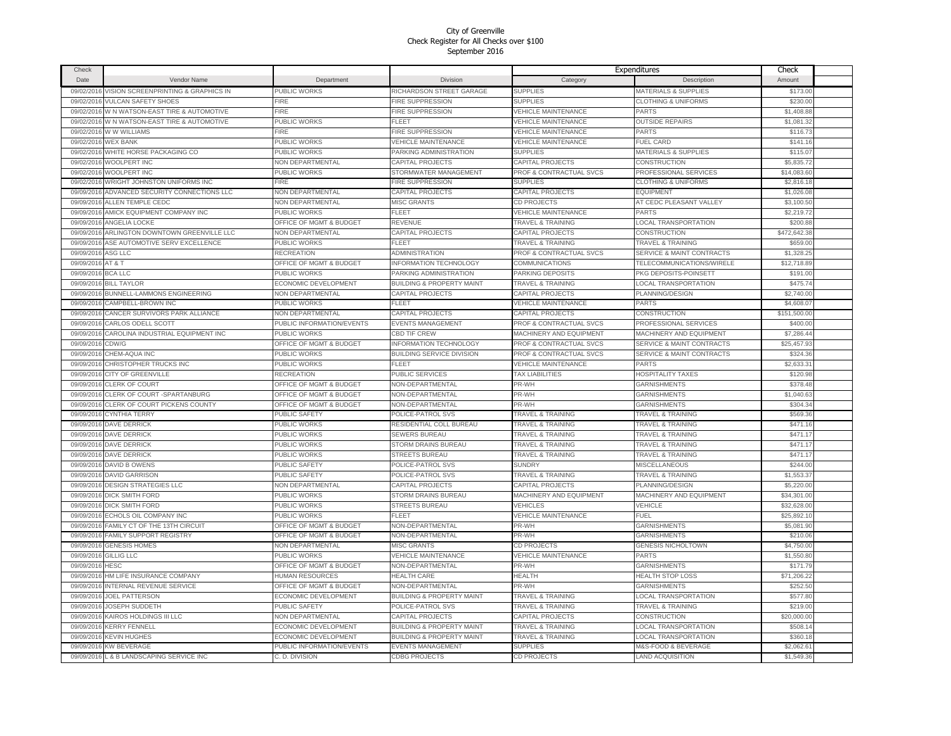| Check      |                                          |                                             |                                      |                              | Expenditures                         | Check        |  |
|------------|------------------------------------------|---------------------------------------------|--------------------------------------|------------------------------|--------------------------------------|--------------|--|
| Date       | Vendor Name                              | Department                                  | Division                             | Category                     | Description                          | Amount       |  |
| 09/02/2016 | VISION SCREENPRINTING & GRAPHICS IN      | PUBLIC WORKS                                | RICHARDSON STREET GARAGE             | <b>SUPPLIES</b>              | <b>MATERIALS &amp; SUPPLIES</b>      | \$173.00     |  |
| 09/02/2016 | <b>VULCAN SAFETY SHOES</b>               | <b>FIRE</b>                                 | <b>FIRE SUPPRESSION</b>              | <b>SUPPLIES</b>              | <b>CLOTHING &amp; UNIFORMS</b>       | \$230.00     |  |
| 09/02/2016 | W N WATSON-EAST TIRE & AUTOMOTIVE        | FIRE                                        | FIRE SUPPRESSION                     | <b>VEHICLE MAINTENANCE</b>   | PARTS                                | \$1,408.88   |  |
| 09/02/2016 | W N WATSON-EAST TIRE & AUTOMOTIVE        | PUBLIC WORKS                                | FLEET                                | <b>VEHICLE MAINTENANCE</b>   | <b>OUTSIDE REPAIRS</b>               | \$1,081.32   |  |
| 09/02/2016 | W W WILLIAMS                             | <b>FIRE</b>                                 | FIRE SUPPRESSION                     | <b>VEHICLE MAINTENANCE</b>   | PARTS                                | \$116.73     |  |
| 09/02/2016 | <b>WEX BANK</b>                          | PUBLIC WORKS                                | <b>VEHICLE MAINTENANCE</b>           | <b>VEHICLE MAINTENANCE</b>   | <b>FUEL CARD</b>                     | \$141.16     |  |
| 09/02/2016 | WHITE HORSE PACKAGING CO                 | PUBLIC WORKS                                | PARKING ADMINISTRATION               | <b>SUPPLIES</b>              | <b>MATERIALS &amp; SUPPLIES</b>      | \$115.07     |  |
| 09/02/2016 | WOOLPERT INC                             | NON DEPARTMENTAL                            | CAPITAL PROJECTS                     | CAPITAL PROJECTS             | CONSTRUCTION                         | \$5,835.72   |  |
| 09/02/2016 | WOOLPERT INC                             | PUBLIC WORKS                                | STORMWATER MANAGEMENT                | PROF & CONTRACTUAL SVCS      | PROFESSIONAL SERVICES                | \$14,083.60  |  |
|            | WRIGHT JOHNSTON UNIFORMS INC             |                                             |                                      |                              |                                      |              |  |
| 09/02/2016 |                                          | <b>FIRE</b>                                 | FIRE SUPPRESSION                     | <b>SUPPLIES</b>              | <b>CLOTHING &amp; UNIFORMS</b>       | \$2,816.18   |  |
| 09/09/2016 | ADVANCED SECURITY CONNECTIONS LLC        | NON DEPARTMENTAL<br><b>NON DEPARTMENTAL</b> | CAPITAL PROJECTS                     | CAPITAL PROJECTS             | <b>EQUIPMENT</b>                     | \$1,026.08   |  |
| 09/09/2016 | ALLEN TEMPLE CEDC                        |                                             | <b>MISC GRANTS</b>                   | CD PROJECTS                  | AT CEDC PLEASANT VALLEY              | \$3,100.50   |  |
| 09/09/2016 | AMICK EQUIPMENT COMPANY INC              | PUBLIC WORKS                                | FLEET                                | VEHICLE MAINTENANCE          | PARTS                                | \$2,219.72   |  |
| 09/09/2016 | ANGELIA LOCKE                            | OFFICE OF MGMT & BUDGET                     | REVENUE                              | <b>TRAVEL &amp; TRAINING</b> | LOCAL TRANSPORTATION                 | \$200.8      |  |
| 09/09/2016 | ARLINGTON DOWNTOWN GREENVILLE LLC        | <b>NON DEPARTMENTAL</b>                     | CAPITAL PROJECTS                     | CAPITAL PROJECTS             | CONSTRUCTION                         | \$472,642.3  |  |
| 09/09/2016 | ASE AUTOMOTIVE SERV EXCELLENCE           | PUBLIC WORKS                                | FLEET                                | <b>TRAVEL &amp; TRAINING</b> | <b>TRAVEL &amp; TRAINING</b>         | \$659.0      |  |
| 09/09/2016 | ASG LLC                                  | <b>RECREATION</b>                           | ADMINISTRATION                       | PROF & CONTRACTUAL SVCS      | <b>SERVICE &amp; MAINT CONTRACTS</b> | \$1,328.2    |  |
| 09/09/2016 | AT & T                                   | OFFICE OF MGMT & BUDGET                     | NFORMATION TECHNOLOGY                | COMMUNICATIONS               | TELECOMMUNICATIONS/WIRELE            | \$12,718.8   |  |
| 09/09/2016 | <b>BCA LLC</b>                           | PUBLIC WORKS                                | PARKING ADMINISTRATION               | PARKING DEPOSITS             | PKG DEPOSITS-POINSETT                | \$191.00     |  |
| 09/09/2016 | <b>BILL TAYLOR</b>                       | ECONOMIC DEVELOPMENT                        | <b>BUILDING &amp; PROPERTY MAINT</b> | <b>TRAVEL &amp; TRAINING</b> | <b>LOCAL TRANSPORTATION</b>          | \$475.74     |  |
| 09/09/2016 | <b>BUNNELL-LAMMONS ENGINEERING</b>       | <b>NON DEPARTMENTAL</b>                     | CAPITAL PROJECTS                     | CAPITAL PROJECTS             | <b>PLANNING/DESIGN</b>               | \$2,740.00   |  |
| 09/09/2016 | CAMPBELL-BROWN INC                       | <b>PUBLIC WORKS</b>                         | FLEET                                | <b>VEHICLE MAINTENANCE</b>   | PARTS                                | \$4,608.0    |  |
| 09/09/2016 | CANCER SURVIVORS PARK ALLIANCE           | <b>NON DEPARTMENTAL</b>                     | CAPITAL PROJECTS                     | CAPITAL PROJECTS             | CONSTRUCTION                         | \$151,500.00 |  |
| 09/09/201  | CARLOS ODELL SCOTT                       | PUBLIC INFORMATION/EVENTS                   | <b>EVENTS MANAGEMENT</b>             | PROF & CONTRACTUAL SVCS      | PROFESSIONAL SERVICES                | \$400.00     |  |
| 09/09/2016 | CAROLINA INDUSTRIAL EQUIPMENT INC        | PUBLIC WORKS                                | <b>CBD TIF CREW</b>                  | MACHINERY AND EQUIPMENT      | <b>MACHINERY AND EQUIPMENT</b>       | \$7,286.44   |  |
| 09/09/2016 | CDW/G                                    | OFFICE OF MGMT & BUDGET                     | NFORMATION TECHNOLOGY                | PROF & CONTRACTUAL SVCS      | <b>SERVICE &amp; MAINT CONTRACTS</b> | \$25,457.93  |  |
| 09/09/2016 | CHEM-AQUA INC                            | PUBLIC WORKS                                | <b>BUILDING SERVICE DIVISION</b>     | PROF & CONTRACTUAL SVCS      | SERVICE & MAINT CONTRACTS            | \$324.36     |  |
| 09/09/2016 | CHRISTOPHER TRUCKS INC                   | <b>PUBLIC WORKS</b>                         | FLEET                                | <b>VEHICLE MAINTENANCE</b>   | PARTS                                | \$2,633.3'   |  |
| 09/09/2016 | CITY OF GREENVILLE                       | <b>RECREATION</b>                           | PUBLIC SERVICES                      | <b>TAX LIABILITIES</b>       | HOSPITALITY TAXES                    | \$120.98     |  |
| 09/09/2016 | <b>CLERK OF COURT</b>                    | OFFICE OF MGMT & BUDGET                     | NON-DEPARTMENTAL                     | PR-WH                        | <b>GARNISHMENTS</b>                  | \$378.48     |  |
| 09/09/2016 | CLERK OF COURT -SPARTANBURG              | OFFICE OF MGMT & BUDGET                     | NON-DEPARTMENTAL                     | PR-WH                        | <b>GARNISHMENTS</b>                  | \$1,040.63   |  |
| 09/09/2016 | CLERK OF COURT PICKENS COUNTY            | OFFICE OF MGMT & BUDGET                     | NON-DEPARTMENTAL                     | PR-WH                        | <b>GARNISHMENTS</b>                  | \$304.3      |  |
| 09/09/2016 | <b>CYNTHIA TERRY</b>                     | PUBLIC SAFETY                               | POLICE-PATROL SVS                    | <b>TRAVEL &amp; TRAINING</b> | <b>TRAVEL &amp; TRAINING</b>         | \$569.36     |  |
|            | 09/09/2016 DAVE DERRICK                  | PUBLIC WORKS                                | RESIDENTIAL COLL BUREAU              | <b>TRAVEL &amp; TRAINING</b> | <b>TRAVEL &amp; TRAINING</b>         | \$471.16     |  |
|            | 09/09/2016 DAVE DERRICK                  | PUBLIC WORKS                                | <b>SEWERS BUREAU</b>                 | <b>TRAVEL &amp; TRAINING</b> | <b>TRAVEL &amp; TRAINING</b>         | \$471.17     |  |
|            | 09/09/2016 DAVE DERRICK                  | PUBLIC WORKS                                | STORM DRAINS BUREAU                  | <b>TRAVEL &amp; TRAINING</b> | <b>TRAVEL &amp; TRAINING</b>         | \$471.17     |  |
| 09/09/2016 | <b>DAVE DERRICK</b>                      | PUBLIC WORKS                                | <b>STREETS BUREAU</b>                | <b>TRAVEL &amp; TRAINING</b> | <b>TRAVEL &amp; TRAINING</b>         | \$471.17     |  |
| 09/09/2016 | DAVID B OWENS                            | PUBLIC SAFETY                               | POLICE-PATROL SVS                    | <b>SUNDRY</b>                | <b>MISCELLANEOUS</b>                 | \$244.00     |  |
| 09/09/2016 | <b>DAVID GARRISON</b>                    | PUBLIC SAFETY                               | POLICE-PATROL SVS                    | TRAVEL & TRAINING            | <b>TRAVEL &amp; TRAINING</b>         | \$1,553.3    |  |
| 09/09/2016 | <b>DESIGN STRATEGIES LLC</b>             | NON DEPARTMENTAL                            | CAPITAL PROJECTS                     | CAPITAL PROJECTS             | PLANNING/DESIGN                      | \$5,220.00   |  |
| 09/09/201  | <b>DICK SMITH FORD</b>                   | <b>PUBLIC WORKS</b>                         | STORM DRAINS BUREAU                  | MACHINERY AND EQUIPMENT      | MACHINERY AND EQUIPMENT              | \$34,301.00  |  |
| 09/09/2016 | <b>DICK SMITH FORD</b>                   | PUBLIC WORKS                                | <b>STREETS BUREAU</b>                | VEHICLES                     | VEHICLE                              | \$32,628.00  |  |
| 09/09/2016 | ECHOLS OIL COMPANY INC                   | PUBLIC WORKS                                | FLEET                                | <b>VEHICLE MAINTENANCE</b>   | FUEL                                 | \$25,892.10  |  |
| 09/09/2016 | <b>FAMILY CT OF THE 13TH CIRCUIT</b>     | <b>DEFICE OF MGMT &amp; BUDGET</b>          | <b>NON-DEPARTMENTAL</b>              | PR-WH                        | <b>GARNISHMENTS</b>                  | \$5,081.90   |  |
|            | <b>FAMILY SUPPORT REGISTRY</b>           | OFFICE OF MGMT & BUDGET                     | <b>VON-DEPARTMENTAL</b>              | PR-WH                        | <b>GARNISHMENTS</b>                  |              |  |
| 09/09/2016 |                                          |                                             | <b>MISC GRANTS</b>                   |                              |                                      | \$210.06     |  |
| 09/09/2016 | <b>GENESIS HOMES</b>                     | NON DEPARTMENTAL                            |                                      | CD PROJECTS                  | <b>GENESIS NICHOLTOWN</b>            | \$4,750.00   |  |
| 09/09/2016 | <b>GILLIG LLC</b>                        | PUBLIC WORKS                                | <b>VEHICLE MAINTENANCE</b>           | <b>VEHICLE MAINTENANCE</b>   | PARTS                                | \$1,550.80   |  |
| 09/09/2016 | <b>HESC</b>                              | OFFICE OF MGMT & BUDGET                     | NON-DEPARTMENTAL                     | PR-WH                        | <b>GARNISHMENTS</b>                  | \$171.79     |  |
| 09/09/2016 | HM LIFE INSURANCE COMPANY                | <b>HUMAN RESOURCES</b>                      | <b>HEALTH CARE</b>                   | HEALTH                       | <b>HEALTH STOP LOSS</b>              | \$71,206.22  |  |
| 09/09/2016 | INTERNAL REVENUE SERVICE                 | OFFICE OF MGMT & BUDGET                     | NON-DEPARTMENTAL                     | PR-WH                        | <b>GARNISHMENTS</b>                  | \$252.50     |  |
| 09/09/2016 | <b>JOEL PATTERSON</b>                    | ECONOMIC DEVELOPMENT                        | <b>BUILDING &amp; PROPERTY MAINT</b> | <b>TRAVEL &amp; TRAINING</b> | LOCAL TRANSPORTATION                 | \$577.80     |  |
| 09/09/2016 | JOSEPH SUDDETH                           | PUBLIC SAFETY                               | POLICE-PATROL SVS                    | <b>TRAVEL &amp; TRAINING</b> | <b>TRAVEL &amp; TRAINING</b>         | \$219.00     |  |
| 09/09/2016 | KAIROS HOLDINGS III LLC                  | NON DEPARTMENTAL                            | CAPITAL PROJECTS                     | CAPITAL PROJECTS             | CONSTRUCTION                         | \$20,000.00  |  |
| 09/09/2016 | <b>KERRY FENNELL</b>                     | ECONOMIC DEVELOPMENT                        | <b>BUILDING &amp; PROPERTY MAINT</b> | <b>TRAVEL &amp; TRAINING</b> | <b>LOCAL TRANSPORTATION</b>          | \$508.14     |  |
| 09/09/2016 | <b>KEVIN HUGHES</b>                      | ECONOMIC DEVELOPMENT                        | <b>BUILDING &amp; PROPERTY MAINT</b> | TRAVEL & TRAINING            | <b>LOCAL TRANSPORTATION</b>          | \$360.18     |  |
|            | 09/09/2016 KW BEVERAGE                   | PUBLIC INFORMATION/EVENTS                   | <b>EVENTS MANAGEMENT</b>             | <b>SUPPLIES</b>              | <b>M&amp;S-FOOD &amp; BEVERAGE</b>   | \$2,062.6    |  |
|            | 09/09/2016 L & B LANDSCAPING SERVICE INC | C. D. DIVISION                              | <b>CDBG PROJECTS</b>                 | CD PROJECTS                  | <b>LAND ACQUISITION</b>              | \$1,549.36   |  |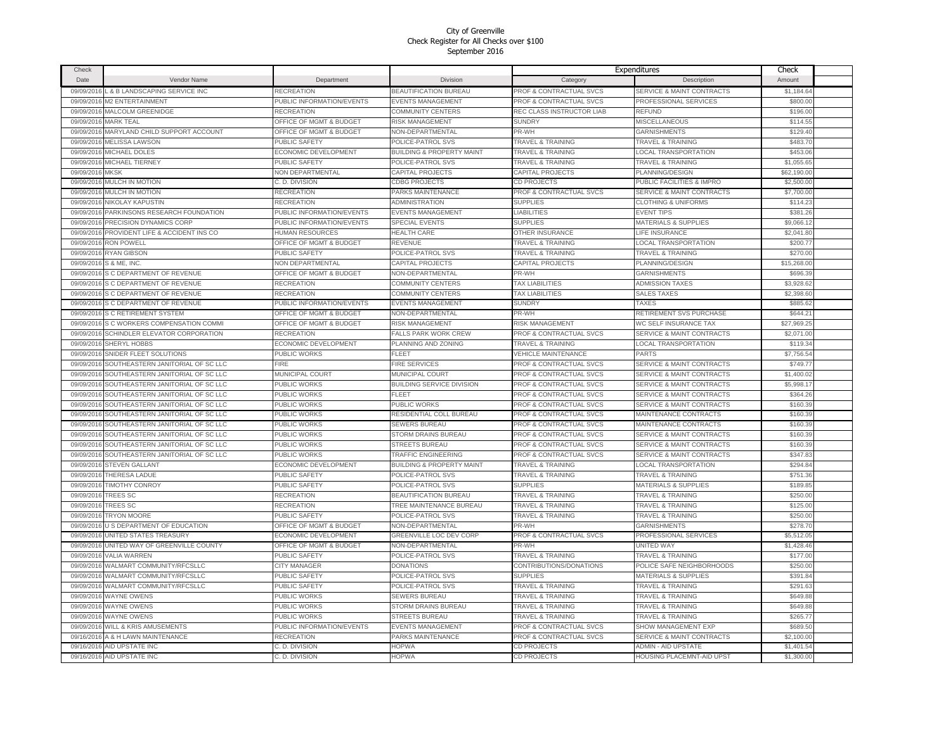| Check      |                                              |                                    |                                      |                                    | Expenditures                         | Check       |  |
|------------|----------------------------------------------|------------------------------------|--------------------------------------|------------------------------------|--------------------------------------|-------------|--|
| Date       | Vendor Name                                  | Department                         | Division                             | Category                           | Description                          | Amount      |  |
| 09/09/2016 | L & B LANDSCAPING SERVICE INC                | RECREATION                         | <b>BEAUTIFICATION BUREAU</b>         | PROF & CONTRACTUAL SVCS            | <b>SERVICE &amp; MAINT CONTRACTS</b> | \$1,184.64  |  |
| 09/09/2016 | <b>M2 ENTERTAINMENT</b>                      | PUBLIC INFORMATION/EVENTS          | <b>EVENTS MANAGEMENT</b>             | <b>PROF &amp; CONTRACTUAL SVCS</b> | PROFESSIONAL SERVICES                | \$800.00    |  |
| 09/09/2016 | MALCOLM GREENIDGE                            | <b>RECREATION</b>                  | COMMUNITY CENTERS                    | REC CLASS INSTRUCTOR LIAB          | <b>REFLIND</b>                       | \$196.00    |  |
| 09/09/2016 | <b>MARK TEAL</b>                             | OFFICE OF MGMT & BUDGET            | RISK MANAGEMENT                      | <b>SUNDRY</b>                      | <b>MISCELLANEOUS</b>                 | \$114.55    |  |
|            | 09/09/2016 MARYLAND CHILD SUPPORT ACCOUNT    | OFFICE OF MGMT & BUDGET            | NON-DEPARTMENTAL                     | PR-WH                              | <b>GARNISHMENTS</b>                  | \$129.40    |  |
| 09/09/2016 | <b>MELISSA LAWSON</b>                        | PUBLIC SAFETY                      | POLICE-PATROL SVS                    | <b>TRAVEL &amp; TRAINING</b>       | TRAVEL & TRAINING                    | \$483.70    |  |
|            | 09/09/2016 MICHAEL DOLES                     | ECONOMIC DEVELOPMENT               | <b>BUILDING &amp; PROPERTY MAINT</b> | <b>TRAVEL &amp; TRAINING</b>       | <b>LOCAL TRANSPORTATION</b>          | \$453.06    |  |
| 09/09/2016 | MICHAEL TIERNEY                              | PUBLIC SAFETY                      | POLICE-PATROL SVS                    | <b>TRAVEL &amp; TRAINING</b>       | <b>TRAVEL &amp; TRAINING</b>         | \$1,055.65  |  |
| 09/09/2016 | <b>MKSK</b>                                  | NON DEPARTMENTAL                   | CAPITAL PROJECTS                     | CAPITAL PROJECTS                   | PLANNING/DESIGN                      | \$62,190.00 |  |
|            | 09/09/2016 MULCH IN MOTION                   | C. D. DIVISION                     | <b>CDBG PROJECTS</b>                 | CD PROJECTS                        | PUBLIC FACILITIES & IMPRO            | \$2,500.00  |  |
|            | 09/09/2016 MULCH IN MOTION                   | <b>RECREATION</b>                  | PARKS MAINTENANCE                    | PROF & CONTRACTUAL SVCS            | SERVICE & MAINT CONTRACTS            | \$7,700.00  |  |
| 09/09/2016 | <b>NIKOLAY KAPUSTIN</b>                      | <b>RECREATION</b>                  | ADMINISTRATION                       | <b>SUPPLIES</b>                    | <b>CLOTHING &amp; UNIFORMS</b>       | \$114.23    |  |
| 09/09/2016 | PARKINSONS RESEARCH FOUNDATION               | PUBLIC INFORMATION/EVENTS          | <b>EVENTS MANAGEMENT</b>             | <b>LIABILITIES</b>                 | <b>EVENT TIPS</b>                    | \$381.26    |  |
| 09/09/2016 | PRECISION DYNAMICS CORP                      | PUBLIC INFORMATION/EVENTS          | <b>SPECIAL EVENTS</b>                | <b>SUPPLIES</b>                    | <b>MATERIALS &amp; SUPPLIES</b>      | \$9,066.1   |  |
| 09/09/2016 | PROVIDENT LIFE & ACCIDENT INS CO             | HUMAN RESOURCES                    | <b>HEALTH CARE</b>                   | <b>OTHER INSURANCE</b>             | LIFE INSURANCE                       | \$2,041.80  |  |
| 09/09/2016 | <b>RON POWELL</b>                            | OFFICE OF MGMT & BUDGET            | REVENUE                              | <b>TRAVEL &amp; TRAINING</b>       | <b>LOCAL TRANSPORTATION</b>          | \$200.7     |  |
| 09/09/2016 | <b>RYAN GIBSON</b>                           | PUBLIC SAFETY                      | POLICE-PATROL SVS                    | <b>TRAVEL &amp; TRAINING</b>       | <b>TRAVEL &amp; TRAINING</b>         | \$270.0     |  |
| 09/09/2016 | S & ME, INC.                                 | <b>NON DEPARTMENTAL</b>            | CAPITAL PROJECTS                     | CAPITAL PROJECTS                   | <b>PLANNING/DESIGN</b>               | \$15,268.0  |  |
| 09/09/2016 | S C DEPARTMENT OF REVENUE                    | OFFICE OF MGMT & BUDGET            | NON-DEPARTMENTAL                     | PR-WH                              | GARNISHMENTS                         | \$696.3     |  |
| 09/09/2016 | S C DEPARTMENT OF REVENUE                    | <b>RECREATION</b>                  | <b>COMMUNITY CENTERS</b>             | <b>TAX LIABILITIES</b>             | <b>ADMISSION TAXES</b>               | \$3,928.62  |  |
| 09/09/2016 | S C DEPARTMENT OF REVENUE                    | RECREATION                         | <b>COMMUNITY CENTERS</b>             | <b>TAX LIABILITIES</b>             | <b>SALES TAXES</b>                   | \$2,398.60  |  |
| 09/09/2016 | S C DEPARTMENT OF REVENUE                    | PUBLIC INFORMATION/EVENTS          | <b>EVENTS MANAGEMENT</b>             | <b>SUNDRY</b>                      | TAXES                                | \$885.6     |  |
| 09/09/2016 | <b>S C RETIREMENT SYSTEM</b>                 | <b>OFFICE OF MGMT &amp; BUDGET</b> | NON-DEPARTMENTAL                     | PR-WH                              | RETIREMENT SVS PURCHASE              | \$644.21    |  |
| 09/09/2016 | S C WORKERS COMPENSATION COMMI               | OFFICE OF MGMT & BUDGE"            | <b>RISK MANAGEMENT</b>               | <b>RISK MANAGEMENT</b>             | WC SELF INSURANCE TAX                | \$27,969.25 |  |
| 09/09/2016 | SCHINDLER ELEVATOR CORPORATION               | <b>RECREATION</b>                  | <b>FALLS PARK WORK CREW</b>          | PROF & CONTRACTUAL SVCS            | <b>SERVICE &amp; MAINT CONTRACTS</b> | \$2,071.00  |  |
| 09/09/2016 | SHERYL HOBBS                                 | ECONOMIC DEVELOPMENT               | <b>PLANNING AND ZONING</b>           | <b>TRAVEL &amp; TRAINING</b>       | <b>LOCAL TRANSPORTATION</b>          | \$119.34    |  |
| 09/09/2016 | SNIDER FLEET SOLUTIONS                       | PUBLIC WORKS                       | FI FFT                               | <b>VEHICLE MAINTENANCE</b>         | <b>PARTS</b>                         | \$7,756.54  |  |
| 09/09/2016 | SOUTHEASTERN JANITORIAL OF SC LLC            | <b>FIRE</b>                        | <b>FIRE SERVICES</b>                 | PROF & CONTRACTUAL SVCS            | SERVICE & MAINT CONTRACTS            | \$749.77    |  |
| 09/09/2016 | SOUTHEASTERN JANITORIAL OF SC LLC            | MUNICIPAL COURT                    | <b>MUNICIPAL COURT</b>               | PROF & CONTRACTUAL SVCS            | <b>SERVICE &amp; MAINT CONTRACTS</b> | \$1,400.02  |  |
|            | 09/09/2016 SOUTHEASTERN JANITORIAL OF SC LLC | PUBLIC WORKS                       | <b>BUILDING SERVICE DIVISION</b>     | PROF & CONTRACTUAL SVCS            | SERVICE & MAINT CONTRACTS            | \$5,998.17  |  |
| 09/09/2016 | SOUTHEASTERN JANITORIAL OF SC LLC            | PUBLIC WORKS                       | FLEET                                | PROF & CONTRACTUAL SVCS            | SERVICE & MAINT CONTRACTS            | \$364.26    |  |
| 09/09/2016 | SOUTHEASTERN JANITORIAL OF SC LLC            | PUBLIC WORKS                       | PUBLIC WORKS                         | <b>PROF &amp; CONTRACTUAL SVCS</b> | <b>SERVICE &amp; MAINT CONTRACTS</b> | \$160.39    |  |
|            | 09/09/2016 SOUTHEASTERN JANITORIAL OF SC LLC | PUBLIC WORKS                       | RESIDENTIAL COLL BUREAU              | PROF & CONTRACTUAL SVCS            | MAINTENANCE CONTRACTS                | \$160.39    |  |
|            | 09/09/2016 SOUTHEASTERN JANITORIAL OF SC LLC | <b>PUBLIC WORKS</b>                | SEWERS BUREAU                        | <b>PROF &amp; CONTRACTUAL SVCS</b> | MAINTENANCE CONTRACTS                | \$160.39    |  |
| 09/09/2016 | SOUTHEASTERN JANITORIAL OF SC LLC            | PUBLIC WORKS                       | STORM DRAINS BUREAU                  | PROF & CONTRACTUAL SVCS            | SERVICE & MAINT CONTRACTS            | \$160.39    |  |
| 09/09/2016 | SOUTHEASTERN JANITORIAL OF SC LLC            | PUBLIC WORKS                       | <b>STREETS BUREAU</b>                | PROF & CONTRACTUAL SVCS            | <b>SERVICE &amp; MAINT CONTRACTS</b> | \$160.39    |  |
|            | 09/09/2016 SOUTHEASTERN JANITORIAL OF SC LLC | PUBLIC WORKS                       | TRAFFIC ENGINEERING                  | PROF & CONTRACTUAL SVCS            | <b>SERVICE &amp; MAINT CONTRACTS</b> | \$347.83    |  |
|            | 09/09/2016 STEVEN GALLANT                    | ECONOMIC DEVELOPMENT               | <b>BUILDING &amp; PROPERTY MAINT</b> | <b>TRAVEL &amp; TRAINING</b>       | <b>LOCAL TRANSPORTATION</b>          | \$294.84    |  |
| 09/09/2016 | <b>THERESA LADUE</b>                         | PUBLIC SAFETY                      | POLICE-PATROL SVS                    | <b>TRAVEL &amp; TRAINING</b>       | <b>TRAVEL &amp; TRAINING</b>         | \$751.36    |  |
| 09/09/2016 | <b>TIMOTHY CONROY</b>                        | PUBLIC SAFETY                      | POLICE-PATROL SVS                    | <b>SUPPLIES</b>                    | MATERIALS & SUPPLIES                 | \$189.85    |  |
| 09/09/2016 | <b>TREES SC</b>                              | <b>RECREATION</b>                  | <b>BEAUTIFICATION BUREAU</b>         | <b>TRAVEL &amp; TRAINING</b>       | <b>TRAVEL &amp; TRAINING</b>         | \$250.00    |  |
| 09/09/2016 | <b>TREES SC</b>                              | RECREATION                         | TREE MAINTENANCE BUREAU              | <b>TRAVEL &amp; TRAINING</b>       | <b>TRAVEL &amp; TRAINING</b>         | \$125.00    |  |
| 09/09/2016 | <b>TRYON MOORE</b>                           | PUBLIC SAFETY                      | POLICE-PATROL SVS                    | <b>TRAVEL &amp; TRAINING</b>       | <b>TRAVEL &amp; TRAINING</b>         | \$250.0     |  |
| 09/09/2016 | U S DEPARTMENT OF EDUCATION                  | <b>OFFICE OF MGMT &amp; BUDGET</b> | <b>NON-DEPARTMENTAL</b>              | PR-WH                              | <b>GARNISHMENTS</b>                  | \$278.7     |  |
| 09/09/2016 | UNITED STATES TREASURY                       | ECONOMIC DEVELOPMENT               | <b>GREENVILLE LOC DEV CORP</b>       | <b>PROF &amp; CONTRACTUAL SVCS</b> | PROFESSIONAL SERVICES                | \$5,512.05  |  |
| 09/09/2016 | UNITED WAY OF GREENVILLE COUNTY              | OFFICE OF MGMT & BUDGE"            | NON-DEPARTMENTAL                     | PR-WH                              | UNITED WAY                           | \$1,428.46  |  |
| 09/09/2016 | <b>VALIA WARREN</b>                          | PUBLIC SAFETY                      | POLICE-PATROL SVS                    | <b>TRAVEL &amp; TRAINING</b>       | <b>TRAVEL &amp; TRAINING</b>         | \$177.00    |  |
| 09/09/2016 | WALMART COMMUNITY/RFCSLLC                    | <b>CITY MANAGER</b>                | <b>DONATIONS</b>                     | CONTRIBUTIONS/DONATIONS            | POLICE SAFE NEIGHBORHOODS            | \$250.00    |  |
| 09/09/2016 | WALMART COMMUNITY/RFCSLLC                    | PUBLIC SAFETY                      | POLICE-PATROL SVS                    | <b>SUPPLIES</b>                    | <b>MATERIALS &amp; SUPPLIES</b>      | \$391.84    |  |
| 09/09/2016 | WALMART COMMUNITY/RFCSLLC                    | PUBLIC SAFETY                      | POLICE-PATROL SVS                    | <b>TRAVEL &amp; TRAINING</b>       | <b>TRAVEL &amp; TRAINING</b>         | \$291.63    |  |
| 09/09/2016 | <b>WAYNE OWENS</b>                           | PUBLIC WORKS                       | <b>SEWERS BUREAU</b>                 | <b>TRAVEL &amp; TRAINING</b>       | <b>TRAVEL &amp; TRAINING</b>         | \$649.88    |  |
|            |                                              |                                    |                                      |                                    |                                      |             |  |
| 09/09/2016 | <b>WAYNE OWENS</b>                           | PUBLIC WORKS                       | STORM DRAINS BUREAU                  | <b>TRAVEL &amp; TRAINING</b>       | <b>TRAVEL &amp; TRAINING</b>         | \$649.88    |  |
| 09/09/2016 | <b>WAYNE OWENS</b>                           | PUBLIC WORKS                       | <b>STREETS BUREAU</b>                | <b>TRAVEL &amp; TRAINING</b>       | <b>TRAVEL &amp; TRAINING</b>         | \$265.77    |  |
|            | 09/09/2016 WILL & KRIS AMUSEMENTS            | PUBLIC INFORMATION/EVENTS          | <b>EVENTS MANAGEMENT</b>             | PROF & CONTRACTUAL SVCS            | <b>SHOW MANAGEMENT EXP</b>           | \$689.50    |  |
| 09/16/2016 | A & H LAWN MAINTENANCE                       | <b>RECREATION</b>                  | PARKS MAINTENANCE                    | PROF & CONTRACTUAL SVCS            | SERVICE & MAINT CONTRACTS            | \$2,100.00  |  |
| 09/16/2016 | AID UPSTATE INC                              | C. D. DIVISION                     | <b>HOPWA</b>                         | CD PROJECTS                        | <b>ADMIN - AID UPSTATE</b>           | \$1,401.54  |  |
|            | 09/16/2016 AID UPSTATE INC                   | C. D. DIVISION                     | <b>HOPWA</b>                         | CD PROJECTS                        | HOUSING PLACEMNT-AID UPST            | \$1,300.00  |  |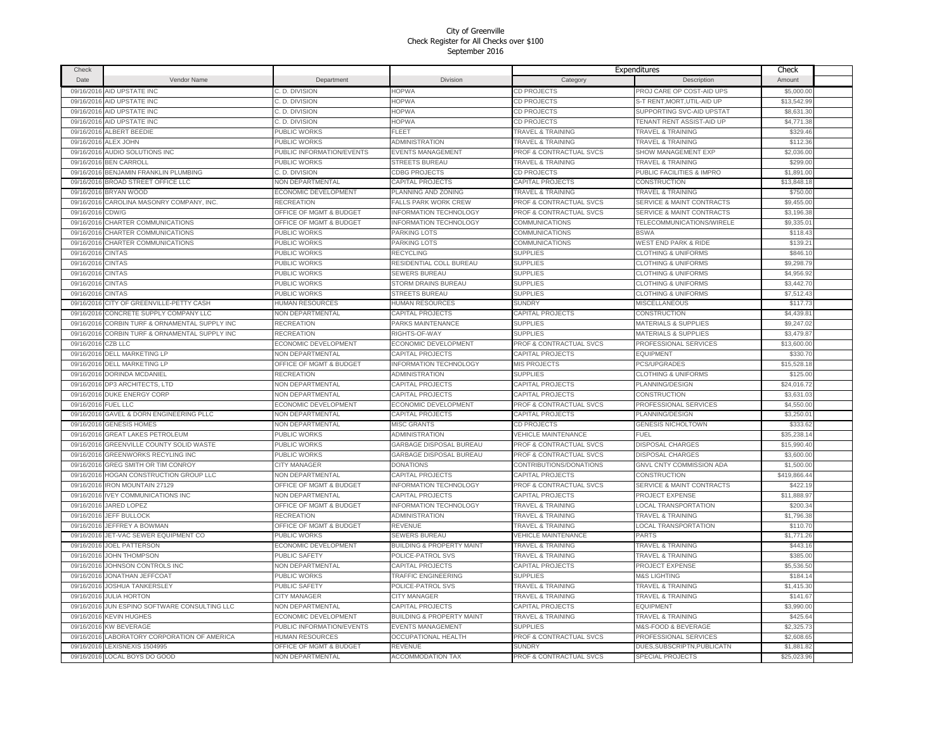| Check      |                                     |                           |                                      |                                    | Expenditures                         | Check        |  |
|------------|-------------------------------------|---------------------------|--------------------------------------|------------------------------------|--------------------------------------|--------------|--|
| Date       | Vendor Name                         | Department                | <b>Division</b>                      | Category                           | Description                          | Amount       |  |
| 09/16/2016 | AID UPSTATE INC                     | C. D. DIVISION            | <b>HOPWA</b>                         | <b>CD PROJECTS</b>                 | PROJ CARE OP COST-AID UPS            | \$5,000.00   |  |
| 09/16/2016 | AID UPSTATE INC                     | C. D. DIVISION            | <b>HOPWA</b>                         | CD PROJECTS                        | S-T RENT, MORT, UTIL-AID UP          | \$13,542.99  |  |
| 09/16/2016 | AID UPSTATE INC                     | C. D. DIVISION            | <b>HOPWA</b>                         | CD PROJECTS                        | SUPPORTING SVC-AID UPSTAT            | \$8,631.30   |  |
| 09/16/2016 | AID UPSTATE INC                     | C. D. DIVISION            | <b>HOPWA</b>                         | CD PROJECTS                        | TENANT RENT ASSIST-AID UP            | \$4,771.38   |  |
| 09/16/2016 | <b>ALBERT BEEDIE</b>                | <b>PUBLIC WORKS</b>       | FLEET                                | TRAVEL & TRAINING                  | <b>TRAVEL &amp; TRAINING</b>         | \$329.46     |  |
| 09/16/2016 | ALEX JOHN                           | PUBLIC WORKS              | <b>ADMINISTRATION</b>                | <b>TRAVEL &amp; TRAINING</b>       | <b>TRAVEL &amp; TRAINING</b>         | \$112.36     |  |
| 09/16/2016 | AUDIO SOLUTIONS INC                 | PUBLIC INFORMATION/EVENTS | <b>EVENTS MANAGEMENT</b>             | PROF & CONTRACTUAL SVCS            | SHOW MANAGEMENT EXP                  | \$2,036.00   |  |
| 09/16/2016 | <b>BEN CARROLL</b>                  | PUBLIC WORKS              | STREETS BUREAU                       | <b>TRAVEL &amp; TRAINING</b>       | <b>TRAVEL &amp; TRAINING</b>         | \$299.00     |  |
| 09/16/2016 | BENJAMIN FRANKLIN PLUMBING          | C. D. DIVISION            | <b>CDBG PROJECTS</b>                 | <b>CD PROJECTS</b>                 | PUBLIC FACILITIES & IMPRO            | \$1,891.00   |  |
| 09/16/2016 | BROAD STREET OFFICE LLC             | NON DEPARTMENTAL          | CAPITAL PROJECTS                     | <b>CAPITAL PROJECTS</b>            | CONSTRUCTION                         | \$13,848.18  |  |
| 09/16/2016 | BRYAN WOOD                          | ECONOMIC DEVELOPMENT      | PLANNING AND ZONING                  | <b>TRAVEL &amp; TRAINING</b>       | <b>TRAVEL &amp; TRAINING</b>         | \$750.00     |  |
| 09/16/2016 | CAROLINA MASONRY COMPANY, INC.      | <b>RECREATION</b>         | <b>FALLS PARK WORK CREW</b>          | PROF & CONTRACTUAL SVCS            | <b>SERVICE &amp; MAINT CONTRACTS</b> | \$9,455.00   |  |
| 09/16/2016 | CDW/G                               | OFFICE OF MGMT & BUDGET   | <b>INFORMATION TECHNOLOGY</b>        | PROF & CONTRACTUAL SVCS            | <b>SERVICE &amp; MAINT CONTRACTS</b> | \$3,196.38   |  |
| 09/16/2016 | CHARTER COMMUNICATIONS              | OFFICE OF MGMT & BUDGET   | <b>INFORMATION TECHNOLOGY</b>        | COMMUNICATIONS                     | TELECOMMUNICATIONS/WIRELE            | \$9,335.0    |  |
| 09/16/2016 | CHARTER COMMUNICATIONS              | PUBLIC WORKS              | PARKING LOTS                         | COMMUNICATIONS                     | <b>BSWA</b>                          | \$118.4      |  |
| 09/16/2016 | CHARTER COMMUNICATIONS              | PUBLIC WORKS              | PARKING LOTS                         | COMMUNICATIONS                     | <b>WEST END PARK &amp; RIDE</b>      | \$139.2      |  |
| 09/16/2016 | <b>CINTAS</b>                       | PUBLIC WORKS              | RECYCLING                            | <b>SUPPLIES</b>                    | <b>CLOTHING &amp; UNIFORMS</b>       | \$846.1      |  |
| 09/16/2016 | <b>CINTAS</b>                       | PUBLIC WORKS              | RESIDENTIAL COLL BUREAU              | <b>SUPPLIES</b>                    | <b>CLOTHING &amp; UNIFORMS</b>       | \$9,298.7    |  |
| 09/16/2016 | <b>CINTAS</b>                       | PUBLIC WORKS              | <b>SEWERS BUREAU</b>                 | <b>SUPPLIES</b>                    | <b>CLOTHING &amp; UNIFORMS</b>       | \$4,956.9    |  |
| 09/16/2016 | CINTAS                              | PUBLIC WORKS              | STORM DRAINS BUREAU                  | <b>SUPPLIES</b>                    | <b>CLOTHING &amp; UNIFORMS</b>       | \$3,442.70   |  |
| 09/16/2016 | <b>CINTAS</b>                       | PUBLIC WORKS              | <b>STREETS BUREAU</b>                | <b>SUPPLIES</b>                    | <b>CLOTHING &amp; UNIFORMS</b>       | \$7,512.43   |  |
| 09/16/2016 | CITY OF GREENVILLE-PETTY CASH       | <b>HUMAN RESOURCES</b>    | <b>HUMAN RESOURCES</b>               | <b>SUNDRY</b>                      | <b>MISCELLANEOUS</b>                 | \$117.73     |  |
| 09/16/2016 | CONCRETE SUPPLY COMPANY LLC         | <b>NON DEPARTMENTAL</b>   | CAPITAL PROJECTS                     | CAPITAL PROJECTS                   | <b>CONSTRUCTION</b>                  | \$4,439.81   |  |
| 09/16/2016 | CORBIN TURF & ORNAMENTAL SUPPLY INC | RECREATION                | PARKS MAINTENANCE                    | <b>SUPPLIES</b>                    | MATERIALS & SUPPLIES                 | \$9,247.02   |  |
| 09/16/2016 | CORBIN TURF & ORNAMENTAL SUPPLY INC | <b>RECREATION</b>         | RIGHTS-OF-WAY                        | <b>SUPPLIES</b>                    | MATERIALS & SUPPLIES                 | \$3,479.87   |  |
| 09/16/2016 | CZB LLC                             | ECONOMIC DEVELOPMENT      | ECONOMIC DEVELOPMENT                 | PROF & CONTRACTUAL SVCS            | PROFESSIONAL SERVICES                | \$13,600.00  |  |
| 09/16/2016 | <b>DELL MARKETING LP</b>            | NON DEPARTMENTAL          | CAPITAL PROJECTS                     | CAPITAL PROJECTS                   | <b>EQUIPMENT</b>                     | \$330.7      |  |
| 09/16/2016 | DELL MARKETING LP                   | OFFICE OF MGMT & BUDGET   | <b>INFORMATION TECHNOLOGY</b>        | <b>MIS PROJECTS</b>                | PCS/UPGRADES                         | \$15,528.18  |  |
| 09/16/2016 | DORINDA MCDANIEL                    | <b>RECREATION</b>         | ADMINISTRATION                       | <b>SUPPLIES</b>                    | <b>CLOTHING &amp; UNIFORMS</b>       | \$125.00     |  |
|            | 09/16/2016 DP3 ARCHITECTS, LTD      | NON DEPARTMENTAL          | CAPITAL PROJECTS                     | <b>CAPITAL PROJECTS</b>            | PLANNING/DESIGN                      | \$24,016.72  |  |
|            | 09/16/2016 DUKE ENERGY CORP         | NON DEPARTMENTAL          | CAPITAL PROJECTS                     | CAPITAL PROJECTS                   | CONSTRUCTION                         | \$3,631.03   |  |
| 09/16/2016 | <b>FUEL LLC</b>                     | ECONOMIC DEVELOPMENT      | <b>ECONOMIC DEVELOPMENT</b>          | PROF & CONTRACTUAL SVCS            | PROFESSIONAL SERVICES                | \$4,550.00   |  |
| 09/16/2016 | GAVEL & DORN ENGINEERING PLLC       | <b>NON DEPARTMENTAL</b>   | <b>CAPITAL PROJECTS</b>              | <b>CAPITAL PROJECTS</b>            | PLANNING/DESIGN                      | \$3,250.0    |  |
| 09/16/2016 | <b>GENESIS HOMES</b>                | NON DEPARTMENTAL          | <b>MISC GRANTS</b>                   | <b>CD PROJECTS</b>                 | <b>GENESIS NICHOLTOWN</b>            | \$333.6      |  |
| 09/16/2016 | <b>GREAT LAKES PETROLEUM</b>        | PUBLIC WORKS              | <b>ADMINISTRATION</b>                | VEHICLE MAINTENANCE                | FUEL                                 | \$35,238.1   |  |
| 09/16/2016 | GREENVILLE COUNTY SOLID WASTE       | PUBLIC WORKS              | GARBAGE DISPOSAL BUREAU              | PROF & CONTRACTUAL SVCS            | DISPOSAL CHARGES                     | \$15,990.40  |  |
| 09/16/2016 | <b>GREENWORKS RECYLING INC</b>      | PUBLIC WORKS              | GARBAGE DISPOSAL BUREAU              | <b>PROF &amp; CONTRACTUAL SVCS</b> | <b>DISPOSAL CHARGES</b>              | \$3,600.0    |  |
| 09/16/2016 | GREG SMITH OR TIM CONROY            | <b>CITY MANAGER</b>       | <b>DONATIONS</b>                     | CONTRIBUTIONS/DONATIONS            | <b>GNVL CNTY COMMISSION ADA</b>      | \$1,500.0    |  |
| 09/16/2016 | HOGAN CONSTRUCTION GROUP LLC        | NON DEPARTMENTAL          | CAPITAL PROJECTS                     | CAPITAL PROJECTS                   | CONSTRUCTION                         | \$419,866.44 |  |
| 09/16/2016 | <b>IRON MOUNTAIN 27129</b>          | OFFICE OF MGMT & BUDGET   | <b>INFORMATION TECHNOLOGY</b>        | PROF & CONTRACTUAL SVCS            | <b>SERVICE &amp; MAINT CONTRACTS</b> | \$422.1      |  |
| 09/16/2016 | <b>IVEY COMMUNICATIONS INC</b>      | <b>NON DEPARTMENTAL</b>   | CAPITAL PROJECTS                     | CAPITAL PROJECTS                   | PROJECT EXPENSE                      | \$11,888.9   |  |
| 09/16/2016 | <b>JARED LOPEZ</b>                  | OFFICE OF MGMT & BUDGET   | <b>INFORMATION TECHNOLOGY</b>        | <b>TRAVEL &amp; TRAINING</b>       | <b>LOCAL TRANSPORTATION</b>          | \$200.34     |  |
| 09/16/2016 | <b>JEFF BULLOCK</b>                 | RECREATION                | <b>ADMINISTRATION</b>                | <b>TRAVEL &amp; TRAINING</b>       | <b>TRAVEL &amp; TRAINING</b>         | \$1,796.38   |  |
| 09/16/2016 | JEFFREY A BOWMAN                    | OFFICE OF MGMT & BUDGET   | REVENUE                              | <b>TRAVEL &amp; TRAINING</b>       | <b>LOCAL TRANSPORTATION</b>          | \$110.70     |  |
| 09/16/2016 | JET-VAC SEWER EQUIPMENT CO          | PUBLIC WORKS              | <b>SEWERS BUREAU</b>                 | <b>VEHICLE MAINTENANCE</b>         | <b>PARTS</b>                         | \$1,771.26   |  |
| 09/16/2016 | <b>JOEL PATTERSON</b>               | ECONOMIC DEVELOPMENT      | <b>BUILDING &amp; PROPERTY MAINT</b> | <b>TRAVEL &amp; TRAINING</b>       | <b>TRAVEL &amp; TRAINING</b>         | \$443.16     |  |
| 09/16/2016 | <b>JOHN THOMPSON</b>                | PUBLIC SAFETY             | POLICE-PATROL SVS                    | <b>TRAVEL &amp; TRAINING</b>       | <b>TRAVEL &amp; TRAINING</b>         | \$385.00     |  |
| 09/16/2016 | JOHNSON CONTROLS INC                | NON DEPARTMENTAL          | CAPITAL PROJECTS                     | CAPITAL PROJECTS                   | PROJECT EXPENSE                      | \$5,536.50   |  |
| 09/16/2016 | JONATHAN JEFFCOAT                   | <b>PUBLIC WORKS</b>       | TRAFFIC ENGINEERING                  | <b>SUPPLIES</b>                    | <b>M&amp;S LIGHTING</b>              | \$184.14     |  |
| 09/16/2016 | <b>JOSHUA TANKERSLEY</b>            | PUBLIC SAFETY             | POLICE-PATROL SVS                    | <b>TRAVEL &amp; TRAINING</b>       | <b>TRAVEL &amp; TRAINING</b>         | \$1,415.30   |  |
| 09/16/2016 | <b>JULIA HORTON</b>                 | CITY MANAGER              | <b>CITY MANAGER</b>                  | <b>TRAVEL &amp; TRAINING</b>       | <b>TRAVEL &amp; TRAINING</b>         | \$141.67     |  |
| 09/16/2016 | JUN ESPINO SOFTWARE CONSULTING LLC  | NON DEPARTMENTAL          | CAPITAL PROJECTS                     | CAPITAL PROJECTS                   | <b>EQUIPMENT</b>                     | \$3,990.00   |  |
| 09/16/2016 | <b>KEVIN HUGHES</b>                 | ECONOMIC DEVELOPMENT      | <b>BUILDING &amp; PROPERTY MAINT</b> | <b>TRAVEL &amp; TRAINING</b>       | <b>TRAVEL &amp; TRAINING</b>         | \$425.64     |  |
| 09/16/2016 | KW BEVERAGE                         | PUBLIC INFORMATION/EVENTS | EVENTS MANAGEMENT                    | <b>SUPPLIES</b>                    | M&S-FOOD & BEVERAGE                  | \$2,325.7    |  |
| 09/16/2016 | LABORATORY CORPORATION OF AMERICA   | HUMAN RESOURCES           | OCCUPATIONAL HEALTH                  | PROF & CONTRACTUAL SVCS            | PROFESSIONAL SERVICES                | \$2,608.6    |  |
| 09/16/2016 | LEXISNEXIS 1504995                  | OFFICE OF MGMT & BUDGET   | REVENUE                              | <b>SUNDRY</b>                      | DUES, SUBSCRIPTN, PUBLICATN          | \$1,881.8    |  |
|            | 09/16/2016 LOCAL BOYS DO GOOD       | NON DEPARTMENTAL          | <b>ACCOMMODATION TAX</b>             | <b>PROF &amp; CONTRACTUAL SVCS</b> | <b>SPECIAL PROJECTS</b>              | \$25,023.96  |  |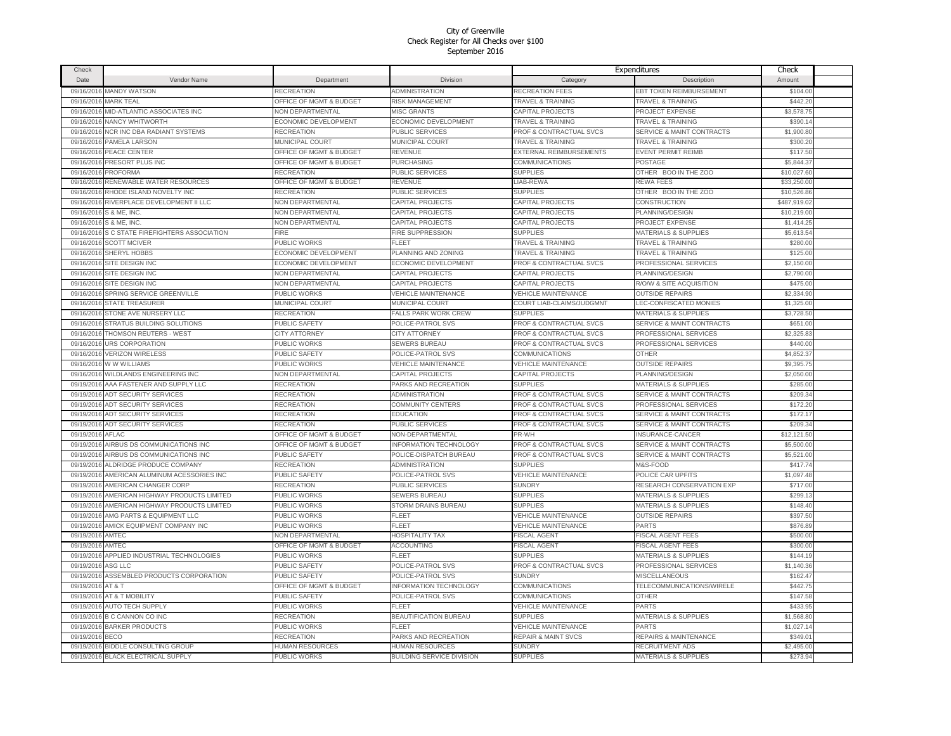| Check      |                                          |                         |                                  |                                    | Expenditures                         | Check        |  |
|------------|------------------------------------------|-------------------------|----------------------------------|------------------------------------|--------------------------------------|--------------|--|
| Date       | Vendor Name                              | Department              | <b>Division</b>                  | Category                           | Description                          | Amount       |  |
| 09/16/2016 | <b>MANDY WATSON</b>                      | <b>RECREATION</b>       | <b>ADMINISTRATION</b>            | <b>RECREATION FEES</b>             | <b>EBT TOKEN REIMBURSEMENT</b>       | \$104.00     |  |
| 09/16/2016 | <b>MARK TEAL</b>                         | OFFICE OF MGMT & BUDGET | <b>RISK MANAGEMENT</b>           | <b>TRAVEL &amp; TRAINING</b>       | <b>TRAVEL &amp; TRAINING</b>         | \$442.20     |  |
| 09/16/2016 | MID-ATLANTIC ASSOCIATES INC              | NON DEPARTMENTAL        | <b>MISC GRANTS</b>               | CAPITAL PROJECTS                   | PROJECT EXPENSE                      | \$3,578.75   |  |
| 09/16/2016 | NANCY WHITWORTH                          | ECONOMIC DEVELOPMENT    | <b>ECONOMIC DEVELOPMENT</b>      | <b>TRAVEL &amp; TRAINING</b>       | <b>TRAVEL &amp; TRAINING</b>         | \$390.14     |  |
| 09/16/2016 | NCR INC DBA RADIANT SYSTEMS              | <b>RECREATION</b>       | PUBLIC SERVICES                  | PROF & CONTRACTUAL SVCS            | SERVICE & MAINT CONTRACTS            | \$1,900.80   |  |
| 09/16/2016 | PAMELA LARSON                            | MUNICIPAL COURT         | MUNICIPAL COURT                  | <b>TRAVEL &amp; TRAINING</b>       | <b>TRAVEL &amp; TRAINING</b>         | \$300.20     |  |
| 09/16/2016 | PEACE CENTER                             | OFFICE OF MGMT & BUDGET | <b>REVENUE</b>                   | EXTERNAL REIMBURSEMENTS            | <b>EVENT PERMIT REIME</b>            | \$117.50     |  |
| 09/16/2016 | PRESORT PLUS INC                         | OFFICE OF MGMT & BUDGET | <b>PURCHASING</b>                | COMMUNICATIONS                     | POSTAGE                              | \$5,844.37   |  |
| 09/16/2016 | PROFORMA                                 | <b>RECREATION</b>       | PUBLIC SERVICES                  | <b>SUPPLIES</b>                    | OTHER BOO IN THE ZOO                 | \$10,027.60  |  |
|            |                                          | OFFICE OF MGMT & BUDGET |                                  |                                    |                                      |              |  |
| 09/16/2016 | RENEWABLE WATER RESOURCES                |                         | <b>REVENUE</b>                   | LIAB-REWA                          | <b>REWA FEES</b>                     | \$33,250.00  |  |
| 09/16/2016 | RHODE ISLAND NOVELTY INC                 | <b>RECREATION</b>       | PUBLIC SERVICES                  | <b>SUPPLIES</b>                    | OTHER BOO IN THE ZOO                 | \$10,526.86  |  |
|            | 09/16/2016 RIVERPLACE DEVELOPMENT II LLC | NON DEPARTMENTAL        | <b>CAPITAL PROJECTS</b>          | <b>CAPITAL PROJECTS</b>            | CONSTRUCTION                         | \$487,919.02 |  |
|            | 09/16/2016 S & ME, INC.                  | NON DEPARTMENTAL        | CAPITAL PROJECTS                 | CAPITAL PROJECTS                   | PLANNING/DESIGN                      | \$10,219.00  |  |
| 09/16/2016 | S & ME, INC.                             | NON DEPARTMENTAL        | <b>CAPITAL PROJECTS</b>          | <b>CAPITAL PROJECTS</b>            | PROJECT EXPENSE                      | \$1,414.25   |  |
| 09/16/2016 | S C STATE FIREFIGHTERS ASSOCIATION       | <b>FIRE</b>             | <b>FIRE SUPPRESSION</b>          | <b>SUPPLIES</b>                    | MATERIALS & SUPPLIES                 | \$5,613.54   |  |
| 09/16/2016 | <b>SCOTT MCIVER</b>                      | PUBLIC WORKS            | <b>FLEET</b>                     | <b>TRAVEL &amp; TRAINING</b>       | <b>TRAVEL &amp; TRAINING</b>         | \$280.00     |  |
| 09/16/2016 | <b>SHERYL HOBBS</b>                      | ECONOMIC DEVELOPMENT    | PLANNING AND ZONING              | <b>TRAVEL &amp; TRAINING</b>       | <b>TRAVEL &amp; TRAINING</b>         | \$125.00     |  |
| 09/16/2016 | SITE DESIGN INC                          | ECONOMIC DEVELOPMENT    | ECONOMIC DEVELOPMENT             | PROF & CONTRACTUAL SVCS            | PROFESSIONAL SERVICES                | \$2,150.0    |  |
| 09/16/2016 | SITE DESIGN INC                          | <b>NON DEPARTMENTAL</b> | CAPITAL PROJECTS                 | CAPITAL PROJECTS                   | PLANNING/DESIGN                      | \$2,790.0    |  |
| 09/16/2016 | SITE DESIGN INC                          | <b>NON DEPARTMENTAL</b> | CAPITAL PROJECTS                 | CAPITAL PROJECTS                   | <b>R/O/W &amp; SITE ACQUISITION</b>  | \$475.00     |  |
| 09/16/2016 | SPRING SERVICE GREENVILLE                | PUBLIC WORKS            | <b>VEHICLE MAINTENANCE</b>       | <b>VEHICLE MAINTENANCE</b>         | <b>OUTSIDE REPAIRS</b>               | \$2,334.9    |  |
| 09/16/2016 | <b>STATE TREASURER</b>                   | <b>MUNICIPAL COURT</b>  | <b>MUNICIPAL COURT</b>           | COURT LIAB-CLAIMS/JUDGMNT          | LEC-CONFISCATED MONIES               | \$1,325.00   |  |
| 09/16/2016 | STONE AVE NURSERY LLC                    | RECREATION              | ALLS PARK WORK CREW              | <b>SUPPLIES</b>                    | <b>MATERIALS &amp; SUPPLIES</b>      | \$3,728.50   |  |
| 09/16/2016 | <b>STRATUS BUILDING SOLUTIONS</b>        | PUBLIC SAFETY           | POLICE-PATROL SVS                | PROF & CONTRACTUAL SVCS            | <b>SERVICE &amp; MAINT CONTRACTS</b> | \$651.00     |  |
| 09/16/2016 | <b>THOMSON REUTERS - WEST</b>            | <b>CITY ATTORNEY</b>    | <b>CITY ATTORNEY</b>             | PROF & CONTRACTUAL SVCS            | PROFESSIONAL SERVICES                | \$2,325.83   |  |
| 09/16/2016 | <b>URS CORPORATION</b>                   | <b>PUBLIC WORKS</b>     | <b>SEWERS BUREAU</b>             | <b>PROF &amp; CONTRACTUAL SVCS</b> | PROFESSIONAL SERVICES                | \$440.0      |  |
| 09/16/2016 | <b>VERIZON WIRELESS</b>                  | PUBLIC SAFETY           | POLICE-PATROL SVS                | <b>COMMUNICATIONS</b>              | <b>OTHER</b>                         | \$4,852.37   |  |
| 09/16/2016 | W W WILLIAMS                             | PUBLIC WORKS            | <b>VEHICLE MAINTENANCE</b>       | VEHICLE MAINTENANCE                | <b>OUTSIDE REPAIRS</b>               | \$9,395.75   |  |
| 09/16/2016 | WILDLANDS ENGINEERING INC                | NON DEPARTMENTAL        | CAPITAL PROJECTS                 | CAPITAL PROJECTS                   | PLANNING/DESIGN                      | \$2,050.00   |  |
| 09/19/2016 | AAA FASTENER AND SUPPLY LLC              | <b>RECREATION</b>       | PARKS AND RECREATION             | <b>SUPPLIES</b>                    | <b>MATERIALS &amp; SUPPLIES</b>      | \$285.00     |  |
| 09/19/2016 | ADT SECURITY SERVICES                    | <b>RECREATION</b>       | <b>ADMINISTRATION</b>            | PROF & CONTRACTUAL SVCS            | SERVICE & MAINT CONTRACTS            | \$209.34     |  |
| 09/19/2016 | <b>ADT SECURITY SERVICES</b>             | RECREATION              | <b>COMMUNITY CENTERS</b>         | PROF & CONTRACTUAL SVCS            | PROFESSIONAL SERVICES                | \$172.20     |  |
| 09/19/2016 | <b>ADT SECURITY SERVICES</b>             | <b>RECREATION</b>       | <b>EDUCATION</b>                 | PROF & CONTRACTUAL SVCS            | SERVICE & MAINT CONTRACTS            | \$172.1      |  |
| 09/19/2016 | <b>ADT SECURITY SERVICES</b>             | <b>RECREATION</b>       | PUBLIC SERVICES                  | PROF & CONTRACTUAL SVCS            | SERVICE & MAINT CONTRACTS            | \$209.34     |  |
| 09/19/2016 | <b>AFLAC</b>                             | OFFICE OF MGMT & BUDGET | NON-DEPARTMENTAL                 | PR-WH                              | <b>INSURANCE-CANCER</b>              | \$12,121.50  |  |
| 09/19/2016 | AIRBUS DS COMMUNICATIONS INC             | OFFICE OF MGMT & BUDGET | <b>INFORMATION TECHNOLOGY</b>    | PROF & CONTRACTUAL SVCS            | SERVICE & MAINT CONTRACTS            | \$5,500.00   |  |
| 09/19/2016 | AIRBUS DS COMMUNICATIONS INC             | PUBLIC SAFETY           | POLICE-DISPATCH BUREAU           | PROF & CONTRACTUAL SVCS            | <b>SERVICE &amp; MAINT CONTRACTS</b> | \$5,521.0    |  |
| 09/19/2016 | ALDRIDGE PRODUCE COMPANY                 | RECREATION              | <b>ADMINISTRATION</b>            | <b>SUPPLIES</b>                    | M&S-FOOD                             | \$417.74     |  |
| 09/19/2016 | AMERICAN ALUMINUM ACESSORIES INC         | PUBLIC SAFETY           | POLICE-PATROL SVS                | <b>VEHICLE MAINTENANCE</b>         | POLICE CAR UPFITS                    | \$1,097.48   |  |
| 09/19/2016 | AMERICAN CHANGER CORP                    | RECREATION              | PUBLIC SERVICES                  | <b>SUNDRY</b>                      | RESEARCH CONSERVATION EXP            | \$717.00     |  |
| 09/19/2016 | AMERICAN HIGHWAY PRODUCTS LIMITED        | PUBLIC WORKS            | <b>SEWERS BUREAU</b>             | <b>SUPPLIES</b>                    | MATERIALS & SUPPLIES                 | \$299.1      |  |
| 09/19/2016 | AMERICAN HIGHWAY PRODUCTS LIMITED        | PUBLIC WORKS            | <b>STORM DRAINS BUREAU</b>       | <b>SUPPLIES</b>                    | <b>MATERIALS &amp; SUPPLIES</b>      | \$148.40     |  |
| 09/19/2016 | AMG PARTS & EQUIPMENT LLC                | PUBLIC WORKS            | FLEET                            | <b>VEHICLE MAINTENANCE</b>         | <b>OUTSIDE REPAIRS</b>               | \$397.50     |  |
| 09/19/2016 | AMICK EQUIPMENT COMPANY INC              | PUBLIC WORKS            | FLEET                            | <b>VEHICLE MAINTENANCE</b>         | <b>PARTS</b>                         | \$876.89     |  |
| 09/19/2016 | AMTEC                                    | NON DEPARTMENTAL        | <b>HOSPITALITY TAX</b>           | <b>FISCAL AGENT</b>                | <b>FISCAL AGENT FEES</b>             | \$500.00     |  |
| 09/19/2016 | AMTEC                                    | OFFICE OF MGMT & BUDGET | <b>ACCOUNTING</b>                | <b>FISCAL AGENT</b>                | <b>FISCAL AGENT FEES</b>             | \$300.00     |  |
| 09/19/2016 | APPLIED INDUSTRIAL TECHNOLOGIES          | PUBLIC WORKS            | FLEET                            | <b>SUPPLIES</b>                    | <b>MATERIALS &amp; SUPPLIES</b>      | \$144.19     |  |
| 09/19/2016 | ASG LLC                                  | PUBLIC SAFETY           | POLICE-PATROL SVS                | PROF & CONTRACTUAL SVCS            | PROFESSIONAL SERVICES                | \$1,140.36   |  |
| 09/19/2016 | ASSEMBLED PRODUCTS CORPORATION           | <b>PUBLIC SAFETY</b>    | POLICE-PATROL SVS                | <b>SUNDRY</b>                      | MISCELLANEOUS                        | \$162.47     |  |
|            |                                          |                         |                                  |                                    |                                      |              |  |
| 09/19/2016 | AT & T                                   | OFFICE OF MGMT & BUDGET | <b>INFORMATION TECHNOLOGY</b>    | COMMUNICATIONS                     | TELECOMMUNICATIONS/WIRELE            | \$442.75     |  |
| 09/19/2016 | AT & T MOBILITY                          | <b>PUBLIC SAFETY</b>    | POLICE-PATROL SVS                | <b>COMMUNICATIONS</b>              | <b>OTHER</b>                         | \$147.58     |  |
| 09/19/2016 | <b>AUTO TECH SUPPLY</b>                  | PUBLIC WORKS            | <b>FLEET</b>                     | <b>VEHICLE MAINTENANCE</b>         | <b>PARTS</b>                         | \$433.9      |  |
| 09/19/2016 | <b>B C CANNON CO INC</b>                 | <b>RECREATION</b>       | BEAUTIFICATION BUREAU            | <b>SUPPLIES</b>                    | <b>MATERIALS &amp; SUPPLIES</b>      | \$1,568.80   |  |
|            | 09/19/2016 BARKER PRODUCTS               | <b>PUBLIC WORKS</b>     | <b>FLEET</b>                     | <b>VEHICLE MAINTENANCE</b>         | <b>PARTS</b>                         | \$1,027.14   |  |
| 09/19/2016 | <b>BECO</b>                              | <b>RECREATION</b>       | PARKS AND RECREATION             | <b>REPAIR &amp; MAINT SVCS</b>     | REPAIRS & MAINTENANCE                | \$349.01     |  |
| 09/19/2016 | <b>BIDDLE CONSULTING GROUP</b>           | <b>HUMAN RESOURCES</b>  | HUMAN RESOURCES                  | <b>SUNDRY</b>                      | <b>RECRUITMENT ADS</b>               | \$2,495.00   |  |
|            | 09/19/2016 BLACK ELECTRICAL SUPPLY       | PUBLIC WORKS            | <b>BUILDING SERVICE DIVISION</b> | <b>SUPPLIES</b>                    | <b>MATERIALS &amp; SUPPLIES</b>      | \$273.94     |  |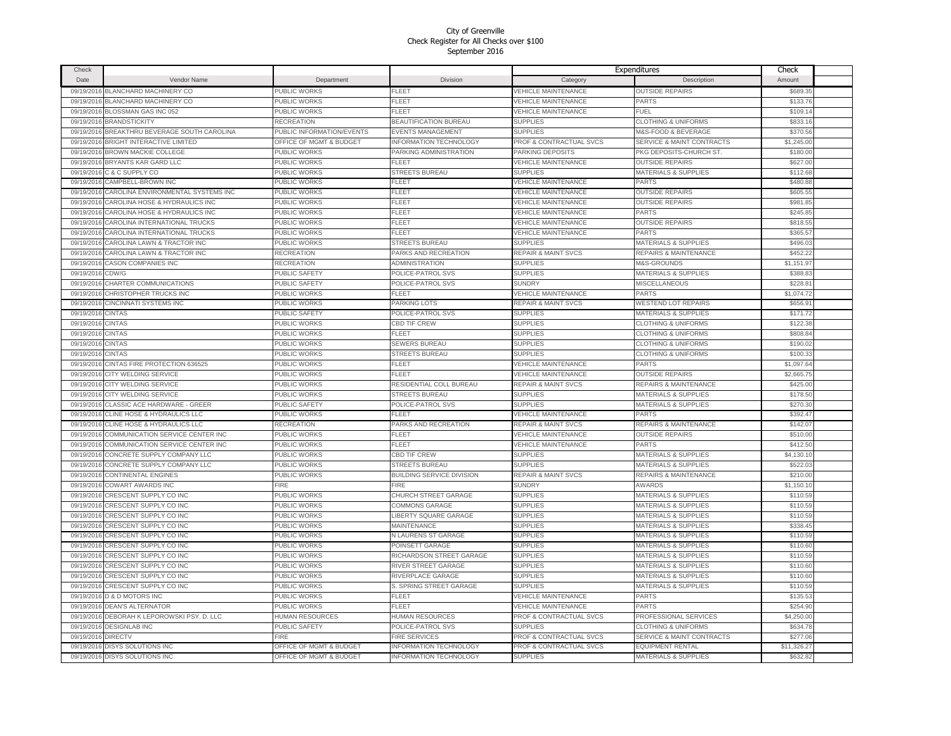| Check      |                                    |                                    |                                  |                                | Expenditures                         | Check       |  |
|------------|------------------------------------|------------------------------------|----------------------------------|--------------------------------|--------------------------------------|-------------|--|
| Date       | Vendor Name                        | Department                         | Division                         | Category                       | Description                          | Amount      |  |
| 09/19/2016 | BLANCHARD MACHINERY CO             | PUBLIC WORKS                       | FLEET                            | <b>VEHICLE MAINTENANCE</b>     | <b>OUTSIDE REPAIRS</b>               | \$689.35    |  |
| 09/19/2016 | BLANCHARD MACHINERY CO             | PUBLIC WORKS                       | FLEET                            | <b>VEHICLE MAINTENANCE</b>     | PARTS                                | \$133.76    |  |
| 09/19/2016 | BLOSSMAN GAS INC 052               | PUBLIC WORKS                       | FLEET                            | <b>VEHICLE MAINTENANCE</b>     | FUEL                                 | \$109.1     |  |
| 09/19/2016 | <b>BRANDSTICKITY</b>               | RECREATION                         | <b>BEAUTIFICATION BUREAU</b>     | <b>SUPPLIES</b>                | <b>CLOTHING &amp; UNIFORMS</b>       | \$833.16    |  |
| 09/19/2016 | BREAKTHRU BEVERAGE SOUTH CAROLINA  | PUBLIC INFORMATION/EVENTS          | <b>EVENTS MANAGEMENT</b>         | <b>SUPPLIES</b>                | M&S-FOOD & BEVERAGE                  | \$370.56    |  |
| 09/19/2016 | BRIGHT INTERACTIVE LIMITED         | <b>DFFICE OF MGMT &amp; BUDGET</b> | NFORMATION TECHNOLOGY            | PROF & CONTRACTUAL SVCS        | SERVICE & MAINT CONTRACTS            | \$1,245.00  |  |
| 09/19/2016 | BROWN MACKIE COLLEGE               | PUBLIC WORKS                       | PARKING ADMINISTRATION           | PARKING DEPOSITS               | PKG DEPOSITS-CHURCH ST.              | \$180.00    |  |
| 09/19/2016 | BRYANTS KAR GARD LLC               | PUBLIC WORKS                       | FLEET                            | <b>VEHICLE MAINTENANCE</b>     | <b>OUTSIDE REPAIRS</b>               | \$627.00    |  |
|            | 09/19/2016 C & C SUPPLY CO         | PUBLIC WORKS                       | <b>STREETS BUREAU</b>            | <b>SUPPLIES</b>                | <b>MATERIALS &amp; SUPPLIES</b>      | \$112.68    |  |
| 09/19/2016 | CAMPBELL-BROWN INC                 | PUBLIC WORKS                       | FLEET                            | <b>VEHICLE MAINTENANCE</b>     | <b>PARTS</b>                         | \$480.88    |  |
| 09/19/2016 | CAROLINA ENVIRONMENTAL SYSTEMS INC | PUBLIC WORKS                       | FLEET                            | <b>VEHICLE MAINTENANCE</b>     | <b>OUTSIDE REPAIRS</b>               | \$605.5     |  |
| 09/19/201  | CAROLINA HOSE & HYDRAULICS INC     | PUBLIC WORKS                       | FLEET                            | <b>VEHICLE MAINTENANCE</b>     | <b>OUTSIDE REPAIRS</b>               | \$981.8     |  |
| 09/19/201  | CAROLINA HOSE & HYDRAULICS INC     | PUBLIC WORKS                       | FLEET                            | <b>VEHICLE MAINTENANCE</b>     | <b>PARTS</b>                         | \$245.85    |  |
| 09/19/2016 | CAROLINA INTERNATIONAL TRUCKS      | PUBLIC WORKS                       | FLEET                            | <b>VEHICLE MAINTENANCE</b>     | <b>OUTSIDE REPAIRS</b>               | \$818.5     |  |
| 09/19/2016 | CAROLINA INTERNATIONAL TRUCKS      | <b>UBLIC WORKS</b>                 | FLEET                            | <b>VEHICLE MAINTENANCE</b>     | PARTS                                | \$365.57    |  |
| 09/19/201  | CAROLINA LAWN & TRACTOR INC        | PUBLIC WORKS                       | <b>STREETS BUREAU</b>            | <b>SUPPLIES</b>                | <b>MATERIALS &amp; SUPPLIES</b>      | \$496.03    |  |
| 09/19/2016 | CAROLINA LAWN & TRACTOR INC        | RECREATION                         | PARKS AND RECREATION             | <b>REPAIR &amp; MAINT SVCS</b> | <b>REPAIRS &amp; MAINTENANCE</b>     | \$452.22    |  |
| 09/19/2016 | <b>CASON COMPANIES INC</b>         | RECREATION                         | ADMINISTRATION                   | <b>SUPPLIES</b>                | M&S-GROUNDS                          | \$1,151.97  |  |
| 09/19/2016 | CDW/G                              | PUBLIC SAFETY                      | POLICE-PATROL SVS                | <b>SUPPLIES</b>                | MATERIALS & SUPPLIES                 | \$388.83    |  |
| 09/19/2016 | CHARTER COMMUNICATIONS             | PUBLIC SAFETY                      | POLICE-PATROL SVS                | <b>SUNDRY</b>                  | <b>MISCELLANEOUS</b>                 | \$228.8     |  |
| 09/19/201  | CHRISTOPHER TRUCKS INC             | PUBLIC WORKS                       | FLEET                            | VEHICLE MAINTENANCE            | PARTS                                | \$1,074.72  |  |
| 09/19/2016 | <b>CINCINNATI SYSTEMS INC</b>      | PUBLIC WORKS                       | PARKING LOTS                     | <b>REPAIR &amp; MAINT SVCS</b> | <b>WESTEND LOT REPAIRS</b>           | \$656.91    |  |
| 09/19/2016 | <b>CINTAS</b>                      | PUBLIC SAFETY                      | POLICE-PATROL SVS                | <b>SUPPLIES</b>                | <b>MATERIALS &amp; SUPPLIES</b>      | \$171.72    |  |
| 09/19/2016 | <b>CINTAS</b>                      | PUBLIC WORKS                       | CBD TIF CREW                     | <b>SUPPLIES</b>                | <b>CLOTHING &amp; UNIFORMS</b>       | \$122.38    |  |
| 09/19/2016 | <b>CINTAS</b>                      | PUBLIC WORKS                       | FLEET                            | <b>SUPPLIES</b>                | <b>CLOTHING &amp; UNIFORMS</b>       | \$808.84    |  |
| 09/19/2016 | <b>CINTAS</b>                      | PUBLIC WORKS                       | SEWERS BUREAU                    | <b>SUPPLIES</b>                | <b>CLOTHING &amp; UNIFORMS</b>       | \$190.02    |  |
| 09/19/201  | CINTAS                             | PUBLIC WORKS                       | <b>STREETS BUREAU</b>            | <b>SUPPLIES</b>                | <b>CLOTHING &amp; UNIFORMS</b>       | \$100.3     |  |
| 09/19/2016 | CINTAS FIRE PROTECTION 636525      | PUBLIC WORKS                       | FLEET                            | <b>VEHICLE MAINTENANCE</b>     | <b>PARTS</b>                         | \$1,097.64  |  |
| 09/19/2016 | <b>CITY WELDING SERVICE</b>        | PUBLIC WORKS                       | FLEET                            | <b>VEHICLE MAINTENANCE</b>     | <b>OUTSIDE REPAIRS</b>               | \$2,665.7   |  |
| 09/19/2016 | CITY WELDING SERVICE               | <b>UBLIC WORKS</b>                 | RESIDENTIAL COLL BUREAU          | <b>REPAIR &amp; MAINT SVCS</b> | <b>REPAIRS &amp; MAINTENANCE</b>     | \$425.00    |  |
| 09/19/201  | CITY WELDING SERVICE               | PUBLIC WORKS                       | <b>STREETS BUREAU</b>            | <b>SUPPLIES</b>                | MATERIALS & SUPPLIES                 | \$178.50    |  |
| 09/19/2016 | CLASSIC ACE HARDWARE - GREER       | PUBLIC SAFETY                      | POLICE-PATROL SVS                | <b>SUPPLIES</b>                | MATERIALS & SUPPLIES                 | \$270.30    |  |
| 09/19/201  | CLINE HOSE & HYDRAULICS LLC        | PUBLIC WORKS                       | FLEET                            | <b>VEHICLE MAINTENANCE</b>     | <b>PARTS</b>                         | \$392.4     |  |
| 09/19/2016 | CLINE HOSE & HYDRAULICS LLC        | RECREATION                         | PARKS AND RECREATION             | <b>REPAIR &amp; MAINT SVCS</b> | REPAIRS & MAINTENANCE                | \$142.07    |  |
| 09/19/201  | COMMUNICATION SERVICE CENTER INC   | PUBLIC WORKS                       | FLEET                            | <b>VEHICLE MAINTENANCE</b>     | <b>OUTSIDE REPAIRS</b>               | \$510.00    |  |
| 09/19/2016 | COMMUNICATION SERVICE CENTER INC   | PUBLIC WORKS                       | FLEET                            | <b>VEHICLE MAINTENANCE</b>     | <b>PARTS</b>                         | \$412.50    |  |
| 09/19/2016 | CONCRETE SUPPLY COMPANY LLC        | PUBLIC WORKS                       | CBD TIF CREW                     | <b>SUPPLIES</b>                | MATERIALS & SUPPLIES                 | \$4,130.10  |  |
| 09/19/201  | CONCRETE SUPPLY COMPANY LLC        | PUBLIC WORKS                       | <b>STREETS BUREAU</b>            | <b>SUPPLIES</b>                | MATERIALS & SUPPLIES                 | \$522.03    |  |
| 09/19/2016 | <b>CONTINENTAL ENGINES</b>         | PUBLIC WORKS                       | <b>BUILDING SERVICE DIVISION</b> | <b>REPAIR &amp; MAINT SVCS</b> | REPAIRS & MAINTENANCE                | \$210.00    |  |
| 09/19/2016 | <b>COWART AWARDS INC</b>           | FIRE                               | FIRE                             | <b>SUNDRY</b>                  | <b>AWARDS</b>                        | \$1,150.10  |  |
| 09/19/2016 | CRESCENT SUPPLY CO INC             | PUBLIC WORKS                       | CHURCH STREET GARAGE             | <b>SUPPLIES</b>                | <b>MATERIALS &amp; SUPPLIES</b>      | \$110.59    |  |
| 09/19/201  | CRESCENT SUPPLY CO INC             | PUBLIC WORKS                       | <b>COMMONS GARAGE</b>            | <b>SUPPLIES</b>                | <b>MATERIALS &amp; SUPPLIES</b>      | \$110.59    |  |
| 09/19/2016 | CRESCENT SUPPLY CO INC             | PUBLIC WORKS                       | <b>LIBERTY SQUARE GARAGE</b>     | <b>SUPPLIES</b>                | <b>MATERIALS &amp; SUPPLIES</b>      | \$110.59    |  |
| 09/19/201  | CRESCENT SUPPLY CO INC             | PUBLIC WORKS                       | <b>MAINTENANCE</b>               | <b>SUPPLIES</b>                | <b>MATERIALS &amp; SUPPLIES</b>      | \$338.45    |  |
| 09/19/2016 | CRESCENT SUPPLY CO INC             | PUBLIC WORKS                       | <b>N LAURENS ST GARAGE</b>       | <b>SUPPLIES</b>                | MATERIALS & SUPPLIES                 | \$110.59    |  |
| 09/19/201  | CRESCENT SUPPLY CO INC             | PUBLIC WORKS                       | POINSETT GARAGE                  | <b>SUPPLIES</b>                | <b>MATERIALS &amp; SUPPLIES</b>      | \$110.60    |  |
| 09/19/2016 | CRESCENT SUPPLY CO INC             | PUBLIC WORKS                       | RICHARDSON STREET GARAGE         | <b>SUPPLIES</b>                | <b>MATERIALS &amp; SUPPLIES</b>      | \$110.59    |  |
| 09/19/201  | CRESCENT SUPPLY CO INC             | PUBLIC WORKS                       | RIVER STREET GARAGE              | <b>SUPPLIES</b>                | <b>MATERIALS &amp; SUPPLIES</b>      | \$110.60    |  |
| 09/19/2016 | CRESCENT SUPPLY CO INC             | <b>UBLIC WORKS</b>                 | RIVERPLACE GARAGE                | <b>SUPPLIES</b>                | <b>MATERIALS &amp; SUPPLIES</b>      | \$110,60    |  |
| 09/19/2016 | CRESCENT SUPPLY CO INC             | <b>UBLIC WORKS</b>                 | S. SPRING STREET GARAGE          | <b>SUPPLIES</b>                | MATERIALS & SUPPLIES                 | \$110.59    |  |
| 09/19/2016 | <b>D &amp; D MOTORS INC</b>        | PUBLIC WORKS                       | FLEET                            | <b>VEHICLE MAINTENANCE</b>     | <b>PARTS</b>                         | \$135.53    |  |
| 09/19/2016 | <b>DEAN'S ALTERNATOR</b>           | PUBLIC WORKS                       | FI FFT                           | <b>VEHICLE MAINTENANCE</b>     | PARTS                                | \$254.90    |  |
| 09/19/2016 | DEBORAH K LEPOROWSKI PSY. D. LLC   | HUMAN RESOURCES                    | <b>HUMAN RESOURCES</b>           | PROF & CONTRACTUAL SVCS        | PROFESSIONAL SERVICES                | \$4,250.00  |  |
| 09/19/2016 | <b>DESIGNLAB INC</b>               | PUBLIC SAFETY                      | POLICE-PATROL SVS                | <b>SUPPLIES</b>                | <b>CLOTHING &amp; UNIFORMS</b>       | \$634.78    |  |
| 09/19/2016 | <b>DIRECTV</b>                     | FIRE                               | FIRE SERVICES                    | PROF & CONTRACTUAL SVCS        | <b>SERVICE &amp; MAINT CONTRACTS</b> | \$277.06    |  |
| 09/19/2016 | DISYS SOLUTIONS INC                | OFFICE OF MGMT & BUDGET            | <b>INFORMATION TECHNOLOGY</b>    | PROF & CONTRACTUAL SVCS        | <b>EQUIPMENT RENTAL</b>              | \$11,326.27 |  |
|            | 09/19/2016 DISYS SOLUTIONS INC     | OFFICE OF MGMT & BUDGET            | <b>INFORMATION TECHNOLOGY</b>    | <b>SUPPLIES</b>                | <b>MATERIALS &amp; SUPPLIES</b>      | \$632.82    |  |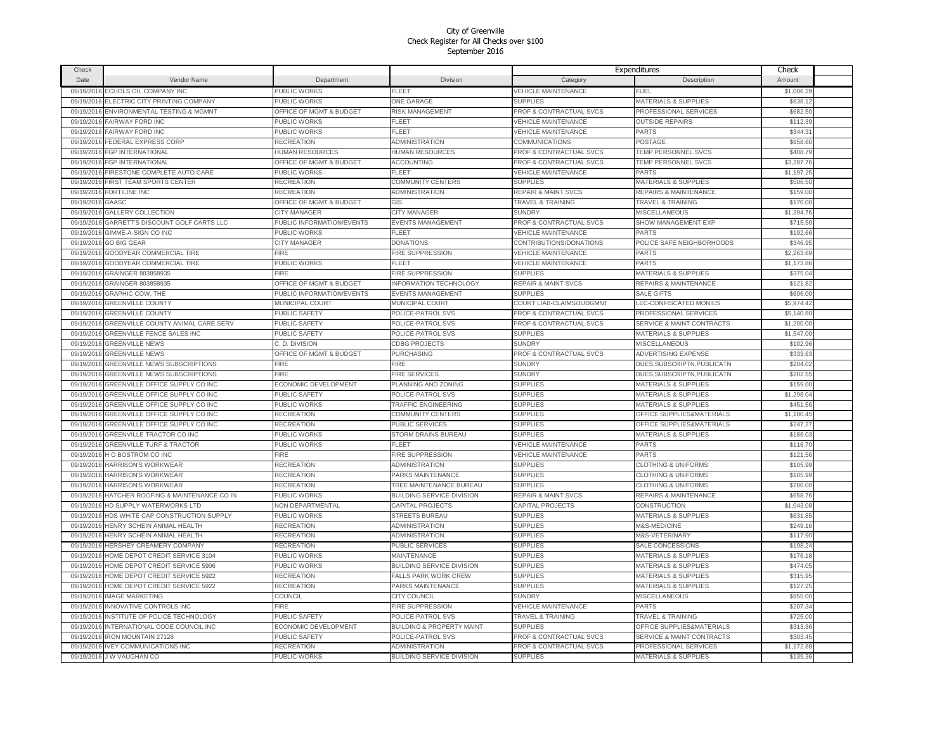| Check       |                                      |                           |                                      |                                    | Expenditures                         | Check      |  |
|-------------|--------------------------------------|---------------------------|--------------------------------------|------------------------------------|--------------------------------------|------------|--|
| <b>Date</b> | Vendor Name                          | Department                | <b>Division</b>                      | Category                           | Description                          | Amount     |  |
| 09/19/2016  | ECHOLS OIL COMPANY INC               | PUBLIC WORKS              | FLEET                                | <b>VEHICLE MAINTENANCE</b>         | FUEL                                 | \$1,006.29 |  |
| 09/19/2016  | ELECTRIC CITY PRINTING COMPANY       | PUBLIC WORKS              | ONE GARAGE                           | <b>SUPPLIES</b>                    | <b>MATERIALS &amp; SUPPLIES</b>      | \$638.12   |  |
| 09/19/2016  | ENVIRONMENTAL TESTING & MGMNT        | OFFICE OF MGMT & BUDGET   | <b>RISK MANAGEMENT</b>               | PROF & CONTRACTUAL SVCS            | PROFESSIONAL SERVICES                | \$682.50   |  |
| 09/19/2016  | <b>FAIRWAY FORD INC</b>              | <b>PUBLIC WORKS</b>       | FLEET                                | <b>VEHICLE MAINTENANCE</b>         | <b>OUTSIDE REPAIRS</b>               | \$112.39   |  |
| 09/19/2016  | <b>FAIRWAY FORD INC</b>              | PUBLIC WORKS              | FLEET                                | VEHICLE MAINTENANCE                | PARTS                                | \$344.3'   |  |
| 09/19/2016  | FEDERAL EXPRESS CORP                 | <b>RECREATION</b>         | ADMINISTRATION                       | <b>COMMUNICATIONS</b>              | POSTAGE                              | \$658.60   |  |
|             | <b>FGP INTERNATIONAL</b>             | <b>HUMAN RESOURCES</b>    | HUMAN RESOURCES                      | PROF & CONTRACTUAL SVCS            | <b>TEMP PERSONNEL SVCS</b>           | \$408.79   |  |
| 09/19/2016  |                                      |                           |                                      |                                    |                                      |            |  |
| 09/19/2016  | FGP INTERNATIONAL                    | OFFICE OF MGMT & BUDGET   | <b>ACCOUNTING</b>                    | PROF & CONTRACTUAL SVCS            | TEMP PERSONNEL SVCS                  | \$3,287.76 |  |
| 09/19/2016  | FIRESTONE COMPLETE AUTO CARE         | PUBLIC WORKS              | FLEET                                | <b>VEHICLE MAINTENANCE</b>         | PARTS                                | \$1,197.25 |  |
| 09/19/2016  | FIRST TEAM SPORTS CENTER             | <b>RECREATION</b>         | COMMUNITY CENTERS                    | <b>SUPPLIES</b>                    | <b>MATERIALS &amp; SUPPLIES</b>      | \$506.50   |  |
| 09/19/2016  | <b>FORTILINE INC</b>                 | <b>RECREATION</b>         | ADMINISTRATION                       | <b>REPAIR &amp; MAINT SVCS</b>     | REPAIRS & MAINTENANCE                | \$159.00   |  |
| 09/19/2016  | GAASC                                | OFFICE OF MGMT & BUDGET   | GIS                                  | <b>TRAVEL &amp; TRAINING</b>       | <b>TRAVEL &amp; TRAINING</b>         | \$170.00   |  |
| 09/19/2016  | GALLERY COLLECTION                   | CITY MANAGER              | CITY MANAGER                         | <b>SUNDRY</b>                      | MISCELLANEOUS                        | \$1,394.76 |  |
| 09/19/2016  | GARRETT'S DISCOUNT GOLF CARTS LLC    | PUBLIC INFORMATION/EVENTS | EVENTS MANAGEMENT                    | PROF & CONTRACTUAL SVCS            | SHOW MANAGEMENT EXP                  | \$715.50   |  |
| 09/19/2016  | GIMME-A-SIGN CO INC                  | PUBLIC WORKS              | <b>FLEET</b>                         | <b>VEHICLE MAINTENANCE</b>         | PARTS                                | \$192.66   |  |
| 09/19/2016  | <b>GO BIG GEAR</b>                   | CITY MANAGER              | <b>DONATIONS</b>                     | CONTRIBUTIONS/DONATIONS            | POLICE SAFE NEIGHBORHOODS            | \$346.95   |  |
| 09/19/2016  | GOODYEAR COMMERCIAL TIRE             | FIRE                      | FIRE SUPPRESSION                     | <b>VEHICLE MAINTENANCE</b>         | PARTS                                | \$2,263.69 |  |
| 09/19/2016  | <b>GOODYEAR COMMERCIAL TIRE</b>      | <b>PUBLIC WORKS</b>       | FLEET                                | <b>VEHICLE MAINTENANCE</b>         | PARTS                                | \$1,173.86 |  |
| 09/19/2016  | GRAINGER 803858935                   | FIRE                      | <b>IRE SUPPRESSION</b>               | <b>SUPPLIES</b>                    | <b>MATERIALS &amp; SUPPLIES</b>      | \$375.04   |  |
| 09/19/2016  | GRAINGER 803858935                   | OFFICE OF MGMT & BUDGET   | NFORMATION TECHNOLOGY                | <b>REPAIR &amp; MAINT SVCS</b>     | REPAIRS & MAINTENANCE                | \$121.82   |  |
| 09/19/2016  | GRAPHIC COW. THE                     | PUBLIC INFORMATION/EVENTS | <b>EVENTS MANAGEMENT</b>             | <b>SUPPLIES</b>                    | SALE GIFTS                           | \$696.00   |  |
| 09/19/2016  | <b>GREENVILLE COUNTY</b>             | MUNICIPAL COURT           | <b>MUNICIPAL COURT</b>               | COURT LIAB-CLAIMS/JUDGMNT          | LEC-CONFISCATED MONIES               | \$5,974.42 |  |
| 09/19/2016  | <b>GREENVILLE COUNTY</b>             | PUBLIC SAFETY             | POLICE-PATROL SVS                    | <b>PROF &amp; CONTRACTUAL SVCS</b> | PROFESSIONAL SERVICES                | \$5,140.80 |  |
| 09/19/201   | GREENVILLE COUNTY ANIMAL CARE SERV   | PUBLIC SAFETY             | POLICE-PATROL SVS                    | PROF & CONTRACTUAL SVCS            | <b>SERVICE &amp; MAINT CONTRACTS</b> | \$1,200.00 |  |
| 09/19/2016  | GREENVILLE FENCE SALES INC           | PUBLIC SAFETY             | POLICE-PATROL SVS                    | <b>SUPPLIES</b>                    | <b>MATERIALS &amp; SUPPLIES</b>      | \$1,547.00 |  |
| 09/19/2016  | <b>GREENVILLE NEWS</b>               | C. D. DIVISION            | <b>CDBG PROJECTS</b>                 | <b>SUNDRY</b>                      | <b>MISCELLANEOUS</b>                 | \$102.96   |  |
| 09/19/2016  | <b>GREENVILLE NEWS</b>               | OFFICE OF MGMT & BUDGET   | PURCHASING                           | PROF & CONTRACTUAL SVCS            | <b>ADVERTISING EXPENSE</b>           | \$333.63   |  |
| 09/19/2016  | GREENVILLE NEWS SUBSCRIPTIONS        | <b>FIRE</b>               | FIRE                                 | <b>SUNDRY</b>                      | DUES, SUBSCRIPTN, PUBLICATN          | \$204.02   |  |
| 09/19/2016  | <b>GREENVILLE NEWS SUBSCRIPTIONS</b> | <b>FIRE</b>               | FIRE SERVICES                        | <b>SUNDRY</b>                      | DUES, SUBSCRIPTN, PUBLICATN          | \$202.55   |  |
| 09/19/2016  | GREENVILLE OFFICE SUPPLY CO INC      | ECONOMIC DEVELOPMENT      | PLANNING AND ZONING                  | <b>SUPPLIES</b>                    | <b>MATERIALS &amp; SUPPLIES</b>      | \$159.00   |  |
|             | GREENVILLE OFFICE SUPPLY CO INC      | PUBLIC SAFETY             | POLICE-PATROL SVS                    | <b>SUPPLIES</b>                    | <b>MATERIALS &amp; SUPPLIES</b>      | \$1,298.04 |  |
| 09/19/2016  |                                      |                           |                                      |                                    |                                      |            |  |
| 09/19/2016  | GREENVILLE OFFICE SUPPLY CO INC      | PUBLIC WORKS              | <b>TRAFFIC ENGINEERING</b>           | <b>SUPPLIES</b>                    | <b>MATERIALS &amp; SUPPLIES</b>      | \$451.56   |  |
| 09/19/2016  | GREENVILLE OFFICE SUPPLY CO INC      | <b>RECREATION</b>         | COMMUNITY CENTERS                    | <b>SUPPLIES</b>                    | OFFICE SUPPLIES&MATERIALS            | \$1,180.45 |  |
| 09/19/2016  | GREENVILLE OFFICE SUPPLY CO INC      | <b>RECREATION</b>         | PUBLIC SERVICES                      | <b>SUPPLIES</b>                    | OFFICE SUPPLIES&MATERIALS            | \$247.27   |  |
| 09/19/2016  | GREENVILLE TRACTOR CO INC            | PUBLIC WORKS              | STORM DRAINS BUREAU                  | <b>SUPPLIES</b>                    | <b>MATERIALS &amp; SUPPLIES</b>      | \$186.03   |  |
| 09/19/2016  | <b>GREENVILLE TURF &amp; TRACTOR</b> | PUBLIC WORKS              | FLEET                                | <b>VEHICLE MAINTENANCE</b>         | PARTS                                | \$116.70   |  |
| 09/19/2016  | H O BOSTROM CO INC                   | <b>FIRE</b>               | FIRE SUPPRESSION                     | <b>VEHICLE MAINTENANCE</b>         | PARTS                                | \$121.56   |  |
| 09/19/2016  | HARRISON'S WORKWEAR                  | RECREATION                | ADMINISTRATION                       | <b>SUPPLIES</b>                    | <b>CLOTHING &amp; UNIFORMS</b>       | \$105.99   |  |
| 09/19/2016  | HARRISON'S WORKWEAR                  | RECREATION                | PARKS MAINTENANCE                    | <b>SUPPLIES</b>                    | <b>CLOTHING &amp; UNIFORMS</b>       | \$105.99   |  |
| 09/19/2016  | HARRISON'S WORKWEAR                  | <b>RECREATION</b>         | TREE MAINTENANCE BUREAU              | <b>SUPPLIES</b>                    | <b>CLOTHING &amp; UNIFORMS</b>       | \$280.00   |  |
| 09/19/2016  | HATCHER ROOFING & MAINTENANCE CO IN  | PUBLIC WORKS              | <b>BUILDING SERVICE DIVISION</b>     | <b>REPAIR &amp; MAINT SVCS</b>     | REPAIRS & MAINTENANCE                | \$658.76   |  |
| 09/19/2016  | HD SUPPLY WATERWORKS LTD             | <b>NON DEPARTMENTAL</b>   | CAPITAL PROJECTS                     | CAPITAL PROJECTS                   | <b>CONSTRUCTION</b>                  | \$1,043.08 |  |
| 09/19/2016  | HDS WHITE CAP CONSTRUCTION SUPPLY    | PUBLIC WORKS              | <b>STREETS BUREAU</b>                | <b>SUPPLIES</b>                    | <b>MATERIALS &amp; SUPPLIES</b>      | \$631.85   |  |
| 09/19/2016  | HENRY SCHEIN ANIMAL HEALTH           | RECREATION                | ADMINISTRATION                       | <b>SUPPLIES</b>                    | <b>M&amp;S-MEDICINE</b>              | \$249.16   |  |
| 09/19/2016  | HENRY SCHEIN ANIMAL HEALTH           | RECREATION                | ADMINISTRATION                       | <b>SUPPLIES</b>                    | M&S-VETERINARY                       | \$117.90   |  |
| 09/19/2016  | HERSHEY CREAMERY COMPANY             | RECREATION                | PUBLIC SERVICES                      | <b>SUPPLIES</b>                    | SALE CONCESSIONS                     | \$198.24   |  |
| 09/19/2016  | HOME DEPOT CREDIT SERVICE 3104       | PUBLIC WORKS              | <b>MAINTENANCE</b>                   | <b>SUPPLIES</b>                    | <b>MATERIALS &amp; SUPPLIES</b>      | \$176.18   |  |
| 09/19/2016  | HOME DEPOT CREDIT SERVICE 5906       | <b>PUBLIC WORKS</b>       | BUILDING SERVICE DIVISION            | <b>SUPPLIES</b>                    | <b>MATERIALS &amp; SUPPLIES</b>      | \$474.05   |  |
| 09/19/2016  | HOME DEPOT CREDIT SERVICE 5922       | RECREATION                | <b>FALLS PARK WORK CREW</b>          | <b>SUPPLIES</b>                    | <b>MATERIALS &amp; SUPPLIES</b>      | \$315.95   |  |
| 09/19/2016  | HOME DEPOT CREDIT SERVICE 5922       | <b>RECREATION</b>         | PARKS MAINTENANCE                    | <b>SUPPLIES</b>                    | <b>MATERIALS &amp; SUPPLIES</b>      | \$127.25   |  |
| 09/19/2016  | <b>IMAGE MARKETING</b>               | COUNCIL                   | CITY COUNCIL                         | <b>SUNDRY</b>                      | <b>MISCELLANEOUS</b>                 | \$855.00   |  |
| 09/19/2016  | INNOVATIVE CONTROLS INC              | <b>FIRE</b>               | FIRE SUPPRESSION                     | VEHICLE MAINTENANCE                | PARTS                                | \$207.34   |  |
| 09/19/2016  | INSTITUTE OF POLICE TECHNOLOGY       | PUBLIC SAFETY             | POLICE-PATROL SVS                    | <b>TRAVEL &amp; TRAINING</b>       | <b>TRAVEL &amp; TRAINING</b>         | \$725.00   |  |
| 09/19/2016  | INTERNATIONAL CODE COUNCIL INC       | ECONOMIC DEVELOPMENT      | <b>BUILDING &amp; PROPERTY MAINT</b> | <b>SUPPLIES</b>                    | OFFICE SUPPLIES&MATERIALS            | \$313.36   |  |
| 09/19/2016  | <b>IRON MOUNTAIN 27128</b>           | <b>PUBLIC SAFETY</b>      | POLICE-PATROL SVS                    | <b>PROF &amp; CONTRACTUAL SVCS</b> | <b>SERVICE &amp; MAINT CONTRACTS</b> | \$303.45   |  |
| 09/19/2016  | <b>IVEY COMMUNICATIONS INC</b>       | <b>RECREATION</b>         | ADMINISTRATION                       | PROF & CONTRACTUAL SVCS            | PROFESSIONAL SERVICES                | \$1,172.88 |  |
|             |                                      | PUBLIC WORKS              |                                      | <b>SUPPLIES</b>                    | <b>MATERIALS &amp; SUPPLIES</b>      | \$139.36   |  |
|             | 09/19/2016 J W VAUGHAN CO            |                           | BUILDING SERVICE DIVISION            |                                    |                                      |            |  |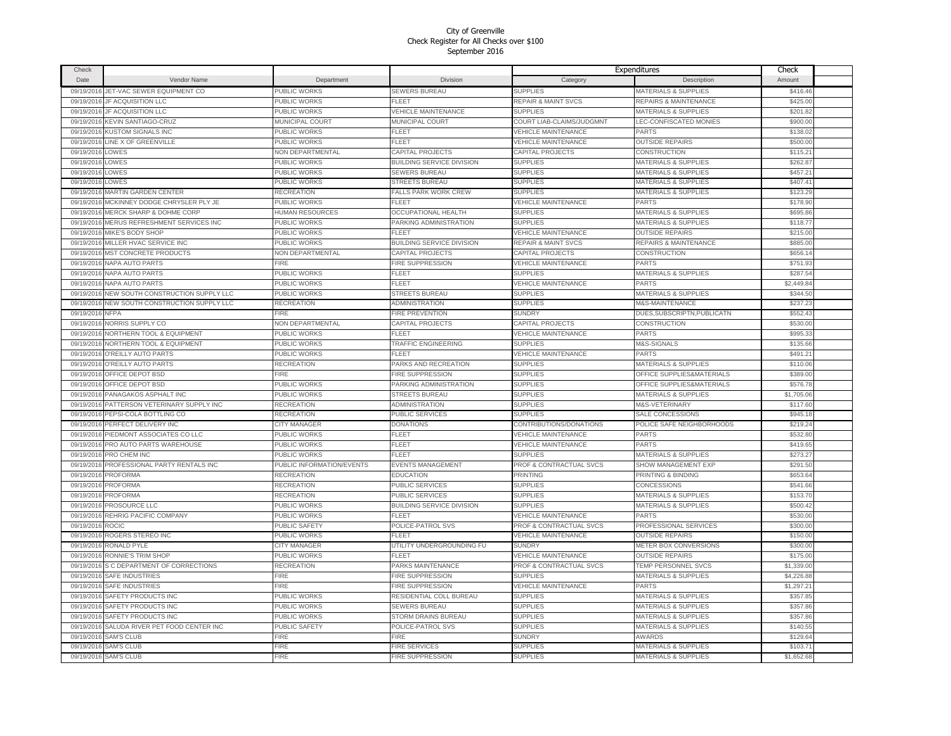| Check      |                                   |                           |                                      |                                | Expenditures                    | Check      |  |
|------------|-----------------------------------|---------------------------|--------------------------------------|--------------------------------|---------------------------------|------------|--|
| Date       | Vendor Name                       | Department                | Division                             | Category                       | Description                     | Amount     |  |
| 09/19/2016 | JET-VAC SEWER EQUIPMENT CO        | PUBLIC WORKS              | <b>SEWERS BUREAU</b>                 | <b>SUPPLIES</b>                | <b>MATERIALS &amp; SUPPLIES</b> | \$416.46   |  |
| 09/19/2016 | JF ACQUISITION LLC                | PUBLIC WORKS              | FLEET                                | <b>REPAIR &amp; MAINT SVCS</b> | REPAIRS & MAINTENANCE           | \$425.00   |  |
| 09/19/2016 | JF ACQUISITION LLC                | PUBLIC WORKS              | <b>/EHICLE MAINTENANCE</b>           | <b>SUPPLIES</b>                | <b>MATERIALS &amp; SUPPLIES</b> | \$201.82   |  |
| 09/19/2016 | KEVIN SANTIAGO-CRUZ               | <b>MUNICIPAL COURT</b>    | <b>MUNICIPAL COURT</b>               | COURT LIAB-CLAIMS/JUDGMNT      | <b>LEC-CONFISCATED MONIES</b>   | \$900.00   |  |
| 09/19/2016 | <b>KUSTOM SIGNALS INC</b>         | <b>PUBLIC WORKS</b>       | FLEET                                | VEHICLE MAINTENANCE            | PARTS                           | \$138.02   |  |
| 09/19/2016 | LINE X OF GREENVILLE              | PUBLIC WORKS              | <b>FLEET</b>                         | VEHICLE MAINTENANCE            | <b>OUTSIDE REPAIRS</b>          | \$500.00   |  |
| 09/19/2016 | LOWES                             | <b>VON DEPARTMENTAL</b>   | CAPITAL PROJECTS                     | <b>CAPITAL PROJECTS</b>        | <b>CONSTRUCTION</b>             | \$115.21   |  |
| 09/19/2016 | LOWES                             | PUBLIC WORKS              | BUILDING SERVICE DIVISION            | <b>SUPPLIES</b>                | <b>MATERIALS &amp; SUPPLIES</b> | \$262.87   |  |
| 09/19/2016 | LOWES                             | PUBLIC WORKS              | <b>SEWERS BUREAU</b>                 | <b>SUPPLIES</b>                | <b>MATERIALS &amp; SUPPLIES</b> | \$457.21   |  |
|            | LOWES                             |                           |                                      |                                |                                 | \$407.41   |  |
| 09/19/2016 |                                   | PUBLIC WORKS              | <b>STREETS BUREAU</b>                | <b>SUPPLIES</b>                | <b>MATERIALS &amp; SUPPLIES</b> |            |  |
| 09/19/2016 | MARTIN GARDEN CENTER              | RECREATION                | FALLS PARK WORK CREW<br><b>FLEET</b> | <b>SUPPLIES</b>                | MATERIALS & SUPPLIES            | \$123.29   |  |
| 09/19/2016 | MCKINNEY DODGE CHRYSLER PLY JE    | PUBLIC WORKS              |                                      | <b>VEHICLE MAINTENANCE</b>     | PARTS                           | \$178.90   |  |
| 09/19/2016 | MERCK SHARP & DOHME CORP          | HUMAN RESOURCES           | OCCUPATIONAL HEALTH                  | <b>SUPPLIES</b>                | <b>MATERIALS &amp; SUPPLIES</b> | \$695.86   |  |
| 09/19/2016 | MERUS REFRESHMENT SERVICES INC    | PUBLIC WORKS              | PARKING ADMINISTRATION               | <b>SUPPLIES</b>                | <b>MATERIALS &amp; SUPPLIES</b> | \$118.77   |  |
| 09/19/2016 | MIKE'S BODY SHOP                  | PUBLIC WORKS              | FLEET                                | <b>VEHICLE MAINTENANCE</b>     | <b>OUTSIDE REPAIRS</b>          | \$215.00   |  |
| 09/19/2016 | MILLER HVAC SERVICE INC           | PUBLIC WORKS              | BUILDING SERVICE DIVISION            | <b>REPAIR &amp; MAINT SVCS</b> | REPAIRS & MAINTENANCE           | \$885.00   |  |
| 09/19/2016 | MST CONCRETE PRODUCTS             | <b>NON DEPARTMENTAL</b>   | CAPITAL PROJECTS                     | CAPITAL PROJECTS               | CONSTRUCTION                    | \$656.1    |  |
| 09/19/2016 | <b>NAPA AUTO PARTS</b>            | FIRE                      | <b>FIRE SUPPRESSION</b>              | <b>VEHICLE MAINTENANCE</b>     | <b>PARTS</b>                    | \$751.93   |  |
| 09/19/2016 | NAPA AUTO PARTS                   | PUBLIC WORKS              | FLEET                                | <b>SUPPLIES</b>                | MATERIALS & SUPPLIES            | \$287.54   |  |
| 09/19/2016 | <b>NAPA AUTO PARTS</b>            | PUBLIC WORKS              | FLEET                                | <b>VEHICLE MAINTENANCE</b>     | PARTS                           | \$2,449.84 |  |
| 09/19/2016 | NEW SOUTH CONSTRUCTION SUPPLY LLC | PUBLIC WORKS              | <b>STREETS BUREAU</b>                | <b>SUPPLIES</b>                | MATERIALS & SUPPLIES            | \$344.50   |  |
| 09/19/2016 | NEW SOUTH CONSTRUCTION SUPPLY LLC | <b>RECREATION</b>         | ADMINISTRATION                       | <b>SUPPLIES</b>                | <b>M&amp;S-MAINTENANCE</b>      | \$237.23   |  |
| 09/19/2016 | <b>NFPA</b>                       | <b>FIRE</b>               | FIRE PREVENTION                      | <b>SUNDRY</b>                  | DUES, SUBSCRIPTN, PUBLICATN     | \$552.43   |  |
| 09/19/2016 | NORRIS SUPPLY CO                  | <b>NON DEPARTMENTAL</b>   | CAPITAL PROJECTS                     | CAPITAL PROJECTS               | <b>CONSTRUCTION</b>             | \$530.00   |  |
| 09/19/2016 | NORTHERN TOOL & EQUIPMENT         | PUBLIC WORKS              | FLEET                                | <b>VEHICLE MAINTENANCE</b>     | <b>PARTS</b>                    | \$995.33   |  |
| 09/19/2016 | NORTHERN TOOL & EQUIPMENT         | PUBLIC WORKS              | <b>TRAFFIC ENGINEERING</b>           | <b>SUPPLIES</b>                | M&S-SIGNALS                     | \$135.66   |  |
| 09/19/2016 | O'REILLY AUTO PARTS               | PUBLIC WORKS              | <b>FLEET</b>                         | <b>VEHICLE MAINTENANCE</b>     | <b>PARTS</b>                    | \$491.21   |  |
| 09/19/2016 | O'REILLY AUTO PARTS               | RECREATION                | PARKS AND RECREATION                 | <b>SUPPLIES</b>                | MATERIALS & SUPPLIES            | \$110.06   |  |
| 09/19/2016 | OFFICE DEPOT BSD                  | FIRE                      | <b>FIRE SUPPRESSION</b>              | <b>SUPPLIES</b>                | OFFICE SUPPLIES&MATERIALS       | \$389.00   |  |
| 09/19/2016 | OFFICE DEPOT BSD                  | PUBLIC WORKS              | PARKING ADMINISTRATION               | <b>SUPPLIES</b>                | OFFICE SUPPLIES&MATERIALS       | \$576.78   |  |
| 09/19/2016 | PANAGAKOS ASPHALT INC             | PUBLIC WORKS              | <b>STREETS BUREAU</b>                | <b>SUPPLIES</b>                | <b>MATERIALS &amp; SUPPLIES</b> | \$1,705.06 |  |
| 09/19/2016 | PATTERSON VETERINARY SUPPLY INC   | <b>RECREATION</b>         | <b>ADMINISTRATION</b>                | <b>SUPPLIES</b>                | M&S-VETERINARY                  | \$117.60   |  |
| 09/19/2016 | PEPSI-COLA BOTTLING CO            | <b>RECREATION</b>         | PUBLIC SERVICES                      | <b>SUPPLIES</b>                | SALE CONCESSIONS                | \$945.18   |  |
| 09/19/2016 | PERFECT DELIVERY INC              | CITY MANAGER              | <b>DONATIONS</b>                     | CONTRIBUTIONS/DONATIONS        | POLICE SAFE NEIGHBORHOODS       | \$219.24   |  |
| 09/19/2016 | PIEDMONT ASSOCIATES CO LLC        | PUBLIC WORKS              | FLEET                                | <b>VEHICLE MAINTENANCE</b>     | <b>PARTS</b>                    | \$532.80   |  |
| 09/19/2016 | PRO AUTO PARTS WAREHOUSE          | PUBLIC WORKS              | FLEET                                | <b>VEHICLE MAINTENANCE</b>     | PARTS                           | \$419.65   |  |
| 09/19/2016 | PRO CHEM INC                      | PUBLIC WORKS              | FLEET                                | <b>SUPPLIES</b>                | MATERIALS & SUPPLIES            | \$273.27   |  |
| 09/19/2016 | PROFESSIONAL PARTY RENTALS INC    | PUBLIC INFORMATION/EVENTS | <b>EVENTS MANAGEMENT</b>             | PROF & CONTRACTUAL SVCS        | SHOW MANAGEMENT EXP             | \$291.50   |  |
| 09/19/2016 | <b>PROFORMA</b>                   | RECREATION                | <b>EDUCATION</b>                     | PRINTING                       | PRINTING & BINDING              | \$653.64   |  |
| 09/19/2016 | <b>PROFORMA</b>                   | RECREATION                | <b>PUBLIC SERVICES</b>               | <b>SUPPLIES</b>                | <b>CONCESSIONS</b>              | \$541.66   |  |
| 09/19/2016 | <b>PROFORMA</b>                   | RECREATION                | PUBLIC SERVICES                      | <b>SUPPLIES</b>                | MATERIALS & SUPPLIES            | \$153.70   |  |
| 09/19/2016 | PROSOURCE LLC                     | PUBLIC WORKS              | <b>BUILDING SERVICE DIVISION</b>     | <b>SUPPLIES</b>                | <b>MATERIALS &amp; SUPPLIES</b> | \$500.42   |  |
| 09/19/2016 | REHRIG PACIFIC COMPANY            | PUBLIC WORKS              | FLEET                                | <b>VEHICLE MAINTENANCE</b>     | PARTS                           | \$530.00   |  |
| 09/19/2016 | ROCIC                             | PUBLIC SAFETY             | POLICE-PATROL SVS                    | PROF & CONTRACTUAL SVCS        | PROFESSIONAL SERVICES           | \$300.00   |  |
| 09/19/2016 | ROGERS STEREO INC                 | PUBLIC WORKS              | FL FFT                               | VEHICLE MAINTENANCE            | <b>OUTSIDE REPAIRS</b>          | \$150.00   |  |
| 09/19/2016 | RONALD PYLE                       | <b>CITY MANAGER</b>       | UTILITY UNDERGROUNDING FU            | <b>SUNDRY</b>                  | METER BOX CONVERSIONS           | \$300.00   |  |
| 09/19/2016 | RONNIE'S TRIM SHOP                | PUBLIC WORKS              | <b>FLEET</b>                         | <b>VEHICLE MAINTENANCE</b>     | <b>OUTSIDE REPAIRS</b>          | \$175.00   |  |
| 09/19/2016 | S C DEPARTMENT OF CORRECTIONS     | RECREATION                | PARKS MAINTENANCE                    | PROF & CONTRACTUAL SVCS        | TEMP PERSONNEL SVCS             | \$1,339.00 |  |
|            | 09/19/2016 SAFE INDUSTRIES        | FIRE                      | <b>FIRE SUPPRESSION</b>              | <b>SUPPLIES</b>                | MATERIALS & SUPPLIES            | \$4,226.88 |  |
| 09/19/2016 | <b>SAFE INDUSTRIES</b>            | <b>FIRE</b>               | FIRE SUPPRESSION                     | <b>VEHICLE MAINTENANCE</b>     | PARTS                           | \$1,297.21 |  |
| 09/19/2016 | <b>SAFETY PRODUCTS INC</b>        | PUBLIC WORKS              | RESIDENTIAL COLL BUREAU              | <b>SUPPLIES</b>                | MATERIALS & SUPPLIES            | \$357.85   |  |
| 09/19/2016 | SAFETY PRODUCTS INC               | <b>PUBLIC WORKS</b>       | <b>SEWERS BUREAU</b>                 | <b>SUPPLIES</b>                | <b>MATERIALS &amp; SUPPLIES</b> | \$357.86   |  |
| 09/19/2016 | SAFETY PRODUCTS INC               | PUBLIC WORKS              | STORM DRAINS BUREAU                  | <b>SUPPLIES</b>                | <b>MATERIALS &amp; SUPPLIES</b> | \$357.86   |  |
| 09/19/2016 | SALUDA RIVER PET FOOD CENTER INC  | PUBLIC SAFETY             | POLICE-PATROL SVS                    | <b>SUPPLIES</b>                | <b>MATERIALS &amp; SUPPLIES</b> | \$140.55   |  |
| 09/19/2016 | <b>SAM'S CLUB</b>                 | <b>FIRE</b>               | <b>FIRE</b>                          | <b>SUNDRY</b>                  | <b>AWARDS</b>                   | \$129.64   |  |
| 09/19/2016 | <b>SAM'S CLUB</b>                 | <b>FIRE</b>               | FIRE SERVICES                        | <b>SUPPLIES</b>                | <b>MATERIALS &amp; SUPPLIES</b> | \$103.7    |  |
|            | 09/19/2016 SAM'S CLUB             | FIRE                      | FIRE SUPPRESSION                     | <b>SUPPLIES</b>                | <b>MATERIALS &amp; SUPPLIES</b> | \$1,652.68 |  |
|            |                                   |                           |                                      |                                |                                 |            |  |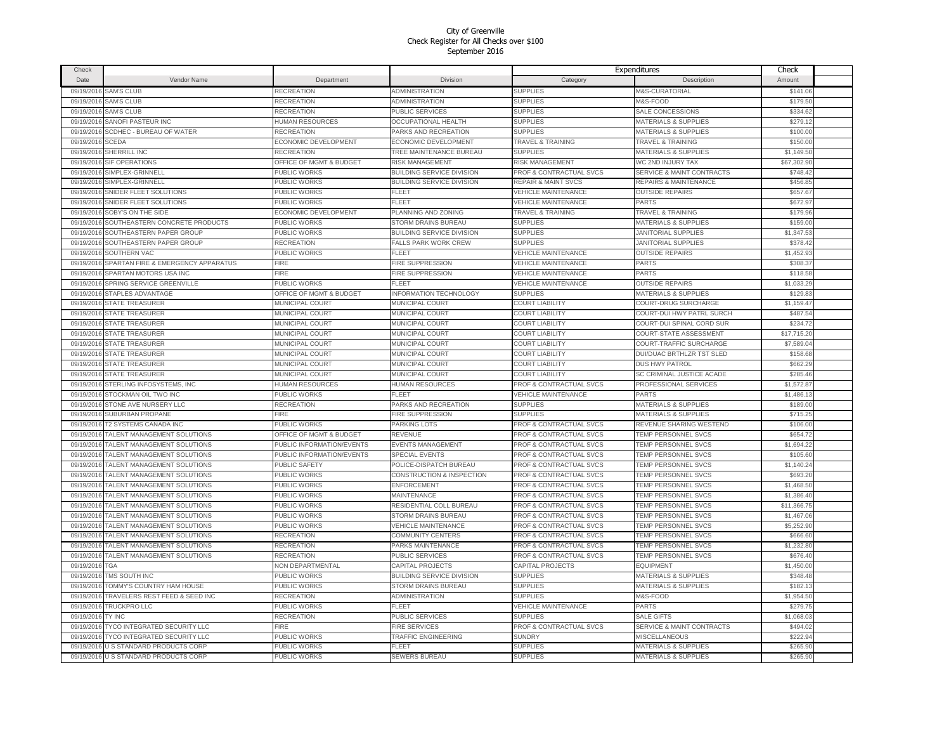| Check      |                                       |                                    |                                      |                                    | Expenditures                         | Check       |  |
|------------|---------------------------------------|------------------------------------|--------------------------------------|------------------------------------|--------------------------------------|-------------|--|
| Date       | Vendor Name                           | Department                         | Division                             | Category                           | Description                          | Amount      |  |
| 09/19/2016 | <b>SAM'S CLUB</b>                     | RECREATION                         | <b>ADMINISTRATION</b>                | <b>SUPPLIES</b>                    | M&S-CURATORIAL                       | \$141.06    |  |
| 09/19/2016 | <b>SAM'S CLUB</b>                     | RECREATION                         | ADMINISTRATION                       | <b>SUPPLIES</b>                    | M&S-FOOD                             | \$179.50    |  |
| 09/19/2016 | <b>SAM'S CLUB</b>                     | <b>RECREATION</b>                  | PUBLIC SERVICES                      | <b>SUPPLIES</b>                    | SALE CONCESSIONS                     | \$334.62    |  |
| 09/19/2016 | SANOFI PASTEUR INC                    | HUMAN RESOURCES                    | <b>OCCUPATIONAL HEALTH</b>           | <b>SUPPLIES</b>                    | <b>MATERIALS &amp; SUPPLIES</b>      | \$279.12    |  |
| 09/19/2016 | SCDHEC - BUREAU OF WATER              | <b>RECREATION</b>                  | PARKS AND RECREATION                 | <b>SUPPLIES</b>                    | MATERIALS & SUPPLIES                 | \$100.00    |  |
| 09/19/2016 | <b>SCEDA</b>                          | ECONOMIC DEVELOPMENT               | ECONOMIC DEVELOPMENT                 | <b>TRAVEL &amp; TRAINING</b>       | <b>TRAVEL &amp; TRAINING</b>         | \$150.00    |  |
| 09/19/2016 | SHERRILL INC                          | <b>RECREATION</b>                  | TREE MAINTENANCE BUREAU              | <b>SUPPLIES</b>                    | <b>MATERIALS &amp; SUPPLIES</b>      | \$1,149.50  |  |
|            | <b>SIF OPERATIONS</b>                 | OFFICE OF MGMT & BUDGET            | <b>RISK MANAGEMENT</b>               | <b>RISK MANAGEMENT</b>             | WC 2ND INJURY TAX                    | \$67,302.90 |  |
| 09/19/2016 | SIMPLEX-GRINNELL                      |                                    |                                      |                                    |                                      |             |  |
| 09/19/2016 |                                       | PUBLIC WORKS                       | <b>BUILDING SERVICE DIVISION</b>     | PROF & CONTRACTUAL SVCS            | <b>SERVICE &amp; MAINT CONTRACTS</b> | \$748.42    |  |
|            | 09/19/2016 SIMPLEX-GRINNELL           | PUBLIC WORKS                       | <b>BUILDING SERVICE DIVISION</b>     | <b>REPAIR &amp; MAINT SVCS</b>     | REPAIRS & MAINTENANCE                | \$456.85    |  |
|            | 09/19/2016 SNIDER FLEET SOLUTIONS     | PUBLIC WORKS                       | <b>FLEET</b>                         | <b>VEHICLE MAINTENANCE</b>         | <b>OUTSIDE REPAIRS</b>               | \$657.67    |  |
| 09/19/2016 | SNIDER FLEET SOLUTIONS                | PUBLIC WORKS                       | <b>FLEET</b>                         | <b>VEHICLE MAINTENANCE</b>         | <b>PARTS</b>                         | \$672.97    |  |
| 09/19/2016 | SOBY'S ON THE SIDE                    | ECONOMIC DEVELOPMENT               | PLANNING AND ZONING                  | <b>TRAVEL &amp; TRAINING</b>       | <b>TRAVEL &amp; TRAINING</b>         | \$179.96    |  |
| 09/19/2016 | SOUTHEASTERN CONCRETE PRODUCTS        | PUBLIC WORKS                       | STORM DRAINS BUREAU                  | <b>SUPPLIES</b>                    | <b>MATERIALS &amp; SUPPLIES</b>      | \$159.00    |  |
| 09/19/2016 | SOUTHEASTERN PAPER GROUP              | PUBLIC WORKS                       | <b>BUILDING SERVICE DIVISION</b>     | <b>SUPPLIES</b>                    | <b>JANITORIAL SUPPLIES</b>           | \$1,347.5   |  |
| 09/19/2016 | SOUTHEASTERN PAPER GROUP              | <b>RECREATION</b>                  | <b>FALLS PARK WORK CREW</b>          | <b>SUPPLIES</b>                    | <b>JANITORIAL SUPPLIES</b>           | \$378.42    |  |
| 09/19/2016 | SOUTHERN VAC                          | PUBLIC WORKS                       | FLEET                                | <b>VEHICLE MAINTENANCE</b>         | <b>OUTSIDE REPAIRS</b>               | \$1,452.9   |  |
| 09/19/2016 | SPARTAN FIRE & EMERGENCY APPARATUS    | FIRE                               | <b>FIRE SUPPRESSION</b>              | VEHICLE MAINTENANCE                | <b>PARTS</b>                         | \$308.3     |  |
| 09/19/2016 | SPARTAN MOTORS USA INC                | <b>FIRE</b>                        | FIRE SUPPRESSION                     | <b>VEHICLE MAINTENANCE</b>         | PARTS                                | \$118.58    |  |
| 09/19/2016 | SPRING SERVICE GREENVILLE             | PUBLIC WORKS                       | FLEET                                | <b>VEHICLE MAINTENANCE</b>         | <b>OUTSIDE REPAIRS</b>               | \$1,033.29  |  |
| 09/19/2016 | STAPLES ADVANTAGE                     | <b>OFFICE OF MGMT &amp; BUDGET</b> | <b>INFORMATION TECHNOLOGY</b>        | <b>SUPPLIES</b>                    | MATERIALS & SUPPLIES                 | \$129.83    |  |
| 09/19/2016 | <b>STATE TREASURER</b>                | <b>MUNICIPAL COURT</b>             | <b>MUNICIPAL COURT</b>               | <b>COURT LIABILITY</b>             | COURT-DRUG SURCHARGE                 | \$1,159.47  |  |
| 09/19/2016 | <b>STATE TREASURER</b>                | MUNICIPAL COURT                    | MUNICIPAL COURT                      | COURT LIABILITY                    | COURT-DUI HWY PATRL SURCH            | \$487.54    |  |
| 09/19/2016 | <b>STATE TREASURER</b>                | MUNICIPAL COURT                    | MUNICIPAL COURT                      | <b>COURT LIABILITY</b>             | COURT-DUI SPINAL CORD SUR            | \$234.72    |  |
| 09/19/2016 | <b>STATE TREASURER</b>                | MUNICIPAL COURT                    | <b>MUNICIPAL COURT</b>               | <b>COURT LIABILITY</b>             | COURT-STATE ASSESSMENT               | \$17,715.20 |  |
| 09/19/2016 | <b>STATE TREASURER</b>                | MUNICIPAL COURT                    | MUNICIPAL COURT                      | <b>COURT LIABILITY</b>             | COURT-TRAFFIC SURCHARGE              | \$7,589.04  |  |
| 09/19/2016 | <b>STATE TREASURER</b>                | MUNICIPAL COURT                    | MUNICIPAL COURT                      | <b>COURT LIABILITY</b>             | DUI/DUAC BRTHLZR TST SLED            | \$158.68    |  |
| 09/19/2016 | <b>STATE TREASURER</b>                | MUNICIPAL COURT                    | MUNICIPAL COURT                      | <b>COURT LIABILITY</b>             | <b>DUS HWY PATROL</b>                | \$662.29    |  |
| 09/19/2016 | STATE TREASURER                       | MUNICIPAL COURT                    | MUNICIPAL COURT                      | <b>COURT LIABILITY</b>             | SC CRIMINAL JUSTICE ACADE            | \$285.46    |  |
|            | 09/19/2016 STERLING INFOSYSTEMS, INC  | HUMAN RESOURCES                    | <b>HUMAN RESOURCES</b>               | PROF & CONTRACTUAL SVCS            | PROFESSIONAL SERVICES                | \$1,572.87  |  |
| 09/19/2016 | STOCKMAN OIL TWO INC                  | PUBLIC WORKS                       | <b>FLEET</b>                         | <b>VEHICLE MAINTENANCE</b>         | <b>PARTS</b>                         | \$1,486.13  |  |
| 09/19/2016 | STONE AVE NURSERY LLC                 | <b>RECREATION</b>                  | PARKS AND RECREATION                 | <b>SUPPLIES</b>                    | <b>MATERIALS &amp; SUPPLIES</b>      | \$189.00    |  |
| 09/19/2016 | <b>SUBURBAN PROPANE</b>               | <b>FIRE</b>                        | <b>FIRE SUPPRESSION</b>              | <b>SUPPLIES</b>                    | <b>MATERIALS &amp; SUPPLIES</b>      | \$715.25    |  |
| 09/19/2016 | <b>T2 SYSTEMS CANADA INC</b>          | PUBLIC WORKS                       | PARKING LOTS                         | PROF & CONTRACTUAL SVCS            | REVENUE SHARING WESTEND              | \$106.00    |  |
| 09/19/2016 | TALENT MANAGEMENT SOLUTIONS           | OFFICE OF MGMT & BUDGET            | REVENUE                              | <b>PROF &amp; CONTRACTUAL SVCS</b> | TEMP PERSONNEL SVCS                  | \$654.72    |  |
| 09/19/2016 | TALENT MANAGEMENT SOLUTIONS           | PUBLIC INFORMATION/EVENTS          | <b>EVENTS MANAGEMENT</b>             | PROF & CONTRACTUAL SVCS            | TEMP PERSONNEL SVCS                  | \$1,694.22  |  |
| 09/19/2016 | <b>TALENT MANAGEMENT SOLUTIONS</b>    | PUBLIC INFORMATION/EVENTS          | <b>SPECIAL EVENTS</b>                | <b>PROF &amp; CONTRACTUAL SVCS</b> | TEMP PERSONNEL SVCS                  | \$105.60    |  |
| 09/19/2016 | <b>TALENT MANAGEMENT SOLUTIONS</b>    | PUBLIC SAFETY                      | POLICE-DISPATCH BUREAU               | <b>PROF &amp; CONTRACTUAL SVCS</b> | TEMP PERSONNEL SVCS                  | \$1,140.24  |  |
| 09/19/2016 | <b>FALENT MANAGEMENT SOLUTIONS</b>    | PUBLIC WORKS                       | <b>CONSTRUCTION &amp; INSPECTION</b> | <b>PROF &amp; CONTRACTUAL SVCS</b> | TEMP PERSONNEL SVCS                  | \$693.20    |  |
| 09/19/2016 | <b>FALENT MANAGEMENT SOLUTIONS</b>    | PUBLIC WORKS                       | <b>ENFORCEMENT</b>                   | PROF & CONTRACTUAL SVCS            | TEMP PERSONNEL SVCS                  | \$1,468.50  |  |
| 09/19/2016 | TALENT MANAGEMENT SOLUTIONS           | PUBLIC WORKS                       | <b>MAINTENANCE</b>                   | PROF & CONTRACTUAL SVCS            | TEMP PERSONNEL SVCS                  | \$1,386.40  |  |
| 09/19/2016 | TALENT MANAGEMENT SOLUTIONS           | PUBLIC WORKS                       | RESIDENTIAL COLL BUREAU              | PROF & CONTRACTUAL SVCS            | TEMP PERSONNEL SVCS                  | \$11,366.75 |  |
| 09/19/2016 | <b>FALENT MANAGEMENT SOLUTIONS</b>    | PUBLIC WORKS                       | STORM DRAINS BUREAU                  | PROF & CONTRACTUAL SVCS            | TEMP PERSONNEL SVCS                  | \$1,467.06  |  |
| 09/19/2016 | TALENT MANAGEMENT SOLUTIONS           | PUBLIC WORKS                       | <b>VEHICLE MAINTENANCE</b>           | PROF & CONTRACTUAL SVCS            | TEMP PERSONNEL SVCS                  | \$5,252.90  |  |
| 09/19/2016 | TALENT MANAGEMENT SOLUTIONS           | RECREATION                         | <b>COMMUNITY CENTERS</b>             | PROF & CONTRACTUAL SVCS            | TEMP PERSONNEL SVCS                  | \$666.60    |  |
| 09/19/2016 | TALENT MANAGEMENT SOLUTIONS           | <b>RECREATION</b>                  | PARKS MAINTENANCE                    | PROF & CONTRACTUAL SVCS            | TEMP PERSONNEL SVCS                  | \$1,232.80  |  |
| 09/19/2016 | TALENT MANAGEMENT SOLUTIONS           | <b>RECREATION</b>                  | PUBLIC SERVICES                      | PROF & CONTRACTUAL SVCS            | TEMP PERSONNEL SVCS                  | \$676.40    |  |
| 09/19/2016 | TGA                                   | NON DEPARTMENTAL                   | <b>CAPITAL PROJECTS</b>              | <b>CAPITAL PROJECTS</b>            | <b>EQUIPMENT</b>                     | \$1,450.00  |  |
| 09/19/2016 | TMS SOUTH INC                         | PUBLIC WORKS                       | BUILDING SERVICE DIVISION            | <b>SUPPLIES</b>                    | <b>MATERIALS &amp; SUPPLIES</b>      | \$348.48    |  |
|            |                                       |                                    |                                      |                                    |                                      |             |  |
| 09/19/2016 | TOMMY'S COUNTRY HAM HOUSE             | <b>PUBLIC WORKS</b>                | STORM DRAINS BUREAU                  | <b>SUPPLIES</b>                    | <b>MATERIALS &amp; SUPPLIES</b>      | \$182.1     |  |
| 09/19/2016 | TRAVELERS REST FEED & SEED INC        | <b>RECREATION</b>                  | <b>ADMINISTRATION</b>                | <b>SUPPLIES</b>                    | M&S-FOOD                             | \$1,954.50  |  |
| 09/19/2016 | <b>TRUCKPRO LLC</b>                   | PUBLIC WORKS                       | FI FFT                               | <b>VEHICLE MAINTENANCE</b>         | <b>PARTS</b>                         | \$279.7     |  |
| 09/19/2016 | <b>TY INC</b>                         | RECREATION                         | PUBLIC SERVICES                      | <b>SUPPLIES</b>                    | <b>SALE GIFTS</b>                    | \$1,068.03  |  |
| 09/19/2016 | <b>TYCO INTEGRATED SECURITY LLC</b>   | FIRE                               | <b>FIRE SERVICES</b>                 | PROF & CONTRACTUAL SVCS            | <b>SERVICE &amp; MAINT CONTRACTS</b> | \$494.02    |  |
| 09/19/2016 | <b>TYCO INTEGRATED SECURITY LLC</b>   | PUBLIC WORKS                       | <b>TRAFFIC ENGINEERING</b>           | <b>SUNDRY</b>                      | <b>MISCELLANEOUS</b>                 | \$222.94    |  |
| 09/19/2016 | <b>U S STANDARD PRODUCTS CORP</b>     | PUBLIC WORKS                       | FI FFT                               | <b>SUPPLIES</b>                    | <b>MATERIALS &amp; SUPPLIES</b>      | \$265.90    |  |
|            | 09/19/2016 U S STANDARD PRODUCTS CORP | PUBLIC WORKS                       | <b>SEWERS BUREAU</b>                 | <b>SUPPLIES</b>                    | <b>MATERIALS &amp; SUPPLIES</b>      | \$265.90    |  |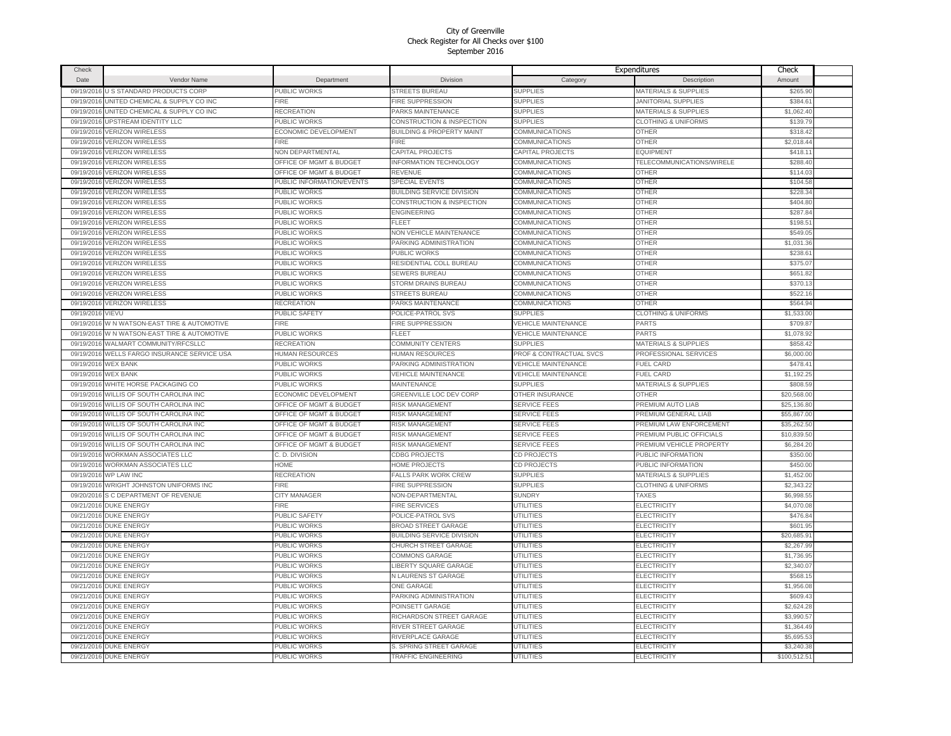| Check       |                                              |                           |                                      |                            | Expenditures                    | Check       |  |
|-------------|----------------------------------------------|---------------------------|--------------------------------------|----------------------------|---------------------------------|-------------|--|
| <b>Date</b> | Vendor Name                                  | Department                | Division                             | Category                   | Description                     | Amount      |  |
| 09/19/2016  | U S STANDARD PRODUCTS CORP                   | PUBLIC WORKS              | <b>STREETS BUREAU</b>                | <b>SUPPLIES</b>            | <b>MATERIALS &amp; SUPPLIES</b> | \$265.90    |  |
| 09/19/2016  | UNITED CHEMICAL & SUPPLY CO INC              | <b>FIRE</b>               | FIRE SUPPRESSION                     | <b>SUPPLIES</b>            | <b>JANITORIAL SUPPLIES</b>      | \$384.6     |  |
| 09/19/2016  | UNITED CHEMICAL & SUPPLY CO INC              | <b>RECREATION</b>         | PARKS MAINTENANCE                    | <b>SUPPLIES</b>            | <b>MATERIALS &amp; SUPPLIES</b> | \$1,062.40  |  |
| 09/19/2016  | <b>UPSTREAM IDENTITY LLC</b>                 | PUBLIC WORKS              | CONSTRUCTION & INSPECTION            | <b>SUPPLIES</b>            | <b>CLOTHING &amp; UNIFORMS</b>  | \$139.79    |  |
| 09/19/2016  | <b>VERIZON WIRELESS</b>                      | ECONOMIC DEVELOPMENT      | <b>BUILDING &amp; PROPERTY MAINT</b> | COMMUNICATIONS             | <b>OTHER</b>                    | \$318.42    |  |
| 09/19/2016  | <b>VERIZON WIRELESS</b>                      | FIRE                      | FIRE                                 | <b>COMMUNICATIONS</b>      | OTHER                           | \$2,018.44  |  |
| 09/19/2016  | <b>VERIZON WIRELESS</b>                      | NON DEPARTMENTAL          | <b>CAPITAL PROJECTS</b>              | <b>CAPITAL PROJECTS</b>    | <b>EQUIPMENT</b>                | \$418.11    |  |
| 09/19/2016  | <b>VERIZON WIRELESS</b>                      | OFFICE OF MGMT & BUDGET   | <b>INFORMATION TECHNOLOGY</b>        | COMMUNICATIONS             | TELECOMMUNICATIONS/WIRELE       | \$288.40    |  |
| 09/19/2016  | <b>VERIZON WIRELESS</b>                      | OFFICE OF MGMT & BUDGET   | REVENUE                              | COMMUNICATIONS             | OTHER                           | \$114.03    |  |
| 09/19/2016  | <b>VERIZON WIRELESS</b>                      | PUBLIC INFORMATION/EVENTS | <b>SPECIAL EVENTS</b>                | COMMUNICATIONS             | <b>OTHER</b>                    | \$104.58    |  |
| 09/19/2016  | <b>VERIZON WIRELESS</b>                      | PUBLIC WORKS              | BUILDING SERVICE DIVISION            | COMMUNICATIONS             | <b>OTHER</b>                    | \$228.3     |  |
| 09/19/2016  | <b>VERIZON WIRELESS</b>                      | PUBLIC WORKS              | CONSTRUCTION & INSPECTION            | COMMUNICATIONS             | OTHER                           | \$404.80    |  |
| 09/19/2016  | <b>/ERIZON WIRELESS</b>                      | PUBLIC WORKS              | ENGINEERING                          | <b>COMMUNICATIONS</b>      | <b>OTHER</b>                    | \$287.84    |  |
| 09/19/2016  | <b>/ERIZON WIRELESS</b>                      |                           | FLEET                                |                            | <b>OTHER</b>                    | \$198.5     |  |
|             |                                              | PUBLIC WORKS              |                                      | COMMUNICATIONS             |                                 |             |  |
| 09/19/2016  | <b>/ERIZON WIRELESS</b>                      | PUBLIC WORKS              | <b>VON VEHICLE MAINTENANCE</b>       | COMMUNICATIONS             | OTHER                           | \$549.05    |  |
| 09/19/2016  | <b>/ERIZON WIRELESS</b>                      | PUBLIC WORKS              | PARKING ADMINISTRATION               | COMMUNICATIONS             | OTHER                           | \$1,031.36  |  |
| 09/19/2016  | <b>/ERIZON WIRELESS</b>                      | PUBLIC WORKS              | PUBLIC WORKS                         | COMMUNICATIONS             | OTHER                           | \$238.6     |  |
| 09/19/2016  | <b>/ERIZON WIRELESS</b>                      | PUBLIC WORKS              | RESIDENTIAL COLL BUREAU              | COMMUNICATIONS             | <b>OTHER</b>                    | \$375.07    |  |
| 09/19/2016  | <b>/ERIZON WIRELESS</b>                      | PUBLIC WORKS              | SEWERS BUREAU                        | COMMUNICATIONS             | OTHER                           | \$651.82    |  |
| 09/19/201   | <b>ERIZON WIRELESS</b>                       | PUBLIC WORKS              | STORM DRAINS BUREAU                  | COMMUNICATIONS             | OTHER                           | \$370.13    |  |
| 09/19/2016  | <b>VERIZON WIRELESS</b>                      | PUBLIC WORKS              | <b>STREETS BUREAU</b>                | <b>COMMUNICATIONS</b>      | <b>OTHER</b>                    | \$522.16    |  |
| 09/19/2016  | <b>VERIZON WIRELESS</b>                      | <b>RECREATION</b>         | PARKS MAINTENANCE                    | <b>COMMUNICATIONS</b>      | OTHER                           | \$564.94    |  |
| 09/19/2016  | VIEVU                                        | <b>PUBLIC SAFETY</b>      | POLICE-PATROL SVS                    | <b>SUPPLIES</b>            | <b>CLOTHING &amp; UNIFORMS</b>  | \$1,533.00  |  |
| 09/19/201   | <b>W N WATSON-EAST TIRE &amp; AUTOMOTIVE</b> | FIRE                      | FIRE SUPPRESSION                     | <b>VEHICLE MAINTENANCE</b> | PARTS                           | \$709.8     |  |
| 09/19/2016  | W N WATSON-EAST TIRE & AUTOMOTIVE            | PUBLIC WORKS              | FLEET                                | VEHICLE MAINTENANCE        | PARTS                           | \$1,078.92  |  |
| 09/19/2016  | WALMART COMMUNITY/RFCSLLC                    | <b>RECREATION</b>         | COMMUNITY CENTERS                    | <b>SUPPLIES</b>            | <b>MATERIALS &amp; SUPPLIES</b> | \$858.42    |  |
| 09/19/2016  | WELLS FARGO INSURANCE SERVICE USA            | HUMAN RESOURCES           | HUMAN RESOURCES                      | PROF & CONTRACTUAL SVCS    | PROFESSIONAL SERVICES           | \$6,000.00  |  |
| 09/19/2016  | <b>WEX BANK</b>                              | PUBLIC WORKS              | PARKING ADMINISTRATION               | <b>VEHICLE MAINTENANCE</b> | <b>FUEL CARD</b>                | \$478.4'    |  |
| 09/19/2016  | <b>WEX BANK</b>                              | PUBLIC WORKS              | <b>VEHICLE MAINTENANCE</b>           | <b>VEHICLE MAINTENANCE</b> | <b>FUEL CARD</b>                | \$1,192.2   |  |
| 09/19/2016  | WHITE HORSE PACKAGING CO                     | PUBLIC WORKS              | <b>MAINTENANCE</b>                   | <b>SUPPLIES</b>            | <b>MATERIALS &amp; SUPPLIES</b> | \$808.59    |  |
| 09/19/2016  | WILLIS OF SOUTH CAROLINA INC                 | ECONOMIC DEVELOPMENT      | <b>GREENVILLE LOC DEV CORP</b>       | OTHER INSURANCE            | OTHER                           | \$20,568.00 |  |
| 09/19/2016  | WILLIS OF SOUTH CAROLINA INC                 | OFFICE OF MGMT & BUDGET   | <b>RISK MANAGEMENT</b>               | <b>SERVICE FEES</b>        | PREMIUM AUTO LIAB               | \$25,136.80 |  |
| 09/19/2016  | WILLIS OF SOUTH CAROLINA INC                 | OFFICE OF MGMT & BUDGET   | <b>RISK MANAGEMENT</b>               | <b>SERVICE FEES</b>        | PREMIUM GENERAL LIAB            | \$55,867.00 |  |
| 09/19/2016  | WILLIS OF SOUTH CAROLINA INC                 | OFFICE OF MGMT & BUDGET   | RISK MANAGEMENT                      | <b>SERVICE FEES</b>        | PREMIUM LAW ENFORCEMENT         | \$35,262.50 |  |
| 09/19/2016  | <b><i>NILLIS OF SOUTH CAROLINA INC</i></b>   | OFFICE OF MGMT & BUDGET   | <b>RISK MANAGEMENT</b>               | <b>SERVICE FEES</b>        | PREMIUM PUBLIC OFFICIALS        | \$10,839.50 |  |
| 09/19/2016  | WILLIS OF SOUTH CAROLINA INC                 | OFFICE OF MGMT & BUDGET   | RISK MANAGEMENT                      | <b>SERVICE FEES</b>        | PREMIUM VEHICLE PROPERTY        | \$6,284.20  |  |
| 09/19/201   | <b><i>NORKMAN ASSOCIATES LLC</i></b>         | C. D. DIVISION            | <b>CDBG PROJECTS</b>                 | CD PROJECTS                | PUBLIC INFORMATION              | \$350.0     |  |
| 09/19/2016  | <b>WORKMAN ASSOCIATES LLC</b>                | HOME                      | HOME PROJECTS                        | CD PROJECTS                | PUBLIC INFORMATION              | \$450.00    |  |
| 09/19/2016  | <b><i>NP LAW INC</i></b>                     | RECREATION                | <b>FALLS PARK WORK CREW</b>          | <b>SUPPLIES</b>            | <b>MATERIALS &amp; SUPPLIES</b> | \$1,452.00  |  |
| 09/19/2016  | WRIGHT JOHNSTON UNIFORMS INC                 | <b>FIRE</b>               | <b>FIRE SUPPRESSION</b>              | <b>SUPPLIES</b>            | <b>CLOTHING &amp; UNIFORMS</b>  | \$2,343.2   |  |
| 09/20/2016  | S C DEPARTMENT OF REVENUE                    | CITY MANAGER              | <b>NON-DEPARTMENTAL</b>              | <b>SUNDRY</b>              | <b>TAXES</b>                    | \$6,998.5   |  |
| 09/21/2016  | <b>DUKE ENERGY</b>                           | <b>FIRE</b>               | <b>FIRE SERVICES</b>                 | UTILITIES                  | <b>ELECTRICITY</b>              | \$4,070.08  |  |
| 09/21/2016  | <b>DUKE ENERGY</b>                           | <b>PUBLIC SAFETY</b>      | POLICE-PATROL SVS                    | UTILITIES                  | <b>ELECTRICITY</b>              | \$476.84    |  |
| 09/21/2016  | <b>DUKE ENERGY</b>                           | <b>PUBLIC WORKS</b>       | <b>BROAD STREET GARAGE</b>           | <b>UTILITIES</b>           | ELECTRICITY                     | \$601.95    |  |
| 09/21/2016  | <b>DUKE ENERGY</b>                           | <b>PUBLIC WORKS</b>       | <b>BUILDING SERVICE DIVISION</b>     | UTILITIES                  | ELECTRICITY                     | \$20,685.9  |  |
| 09/21/2016  | <b>DUKE ENERGY</b>                           | PUBLIC WORKS              | CHURCH STREET GARAGE                 | UTILITIES                  | ELECTRICITY                     | \$2,267.99  |  |
|             | 09/21/2016 DUKE ENERGY                       | PUBLIC WORKS              | COMMONS GARAGE                       | <b>UTILITIES</b>           | <b>ELECTRICITY</b>              | \$1,736.95  |  |
|             | 09/21/2016 DUKE ENERGY                       | PUBLIC WORKS              | LIBERTY SQUARE GARAGE                | UTILITIES                  | <b>ELECTRICITY</b>              | \$2,340.07  |  |
|             | 09/21/2016 DUKE ENERGY                       | PUBLIC WORKS              | <b>N LAURENS ST GARAGE</b>           | UTILITIES                  | ELECTRICITY                     | \$568.15    |  |
|             | 09/21/2016 DUKE ENERGY                       | PUBLIC WORKS              | ONE GARAGE                           | <b>UTILITIES</b>           | ELECTRICITY                     | \$1,956.08  |  |
| 09/21/2016  | <b>DUKE ENERGY</b>                           | <b>PUBLIC WORKS</b>       | PARKING ADMINISTRATION               | UTILITIES                  | ELECTRICITY                     | \$609.43    |  |
|             | 09/21/2016 DUKE ENERGY                       | PUBLIC WORKS              | POINSETT GARAGE                      | UTILITIES                  | ELECTRICITY                     | \$2,624.2   |  |
|             | 09/21/2016 DUKE ENERGY                       | <b>PUBLIC WORKS</b>       | RICHARDSON STREET GARAGE             | UTILITIES                  | ELECTRICITY                     | \$3,990.57  |  |
| 09/21/2016  | <b>DUKE ENERGY</b>                           | PUBLIC WORKS              | RIVER STREET GARAGE                  | UTILITIES                  | ELECTRICITY                     | \$1,364.49  |  |
| 09/21/2016  | <b>DUKE ENERGY</b>                           | PUBLIC WORKS              | RIVERPLACE GARAGE                    | UTILITIES                  | <b>ELECTRICITY</b>              | \$5,695.5   |  |
| 09/21/2016  | <b>DUKE ENERGY</b>                           | PUBLIC WORKS              | S. SPRING STREET GARAGE              | UTILITIES                  | ELECTRICITY                     | \$3,240.3   |  |
|             | 09/21/2016 DUKE ENERGY                       | <b>PUBLIC WORKS</b>       | <b>TRAFFIC ENGINEERING</b>           | <b>UTILITIES</b>           | <b>ELECTRICITY</b>              | \$100.512.5 |  |
|             |                                              |                           |                                      |                            |                                 |             |  |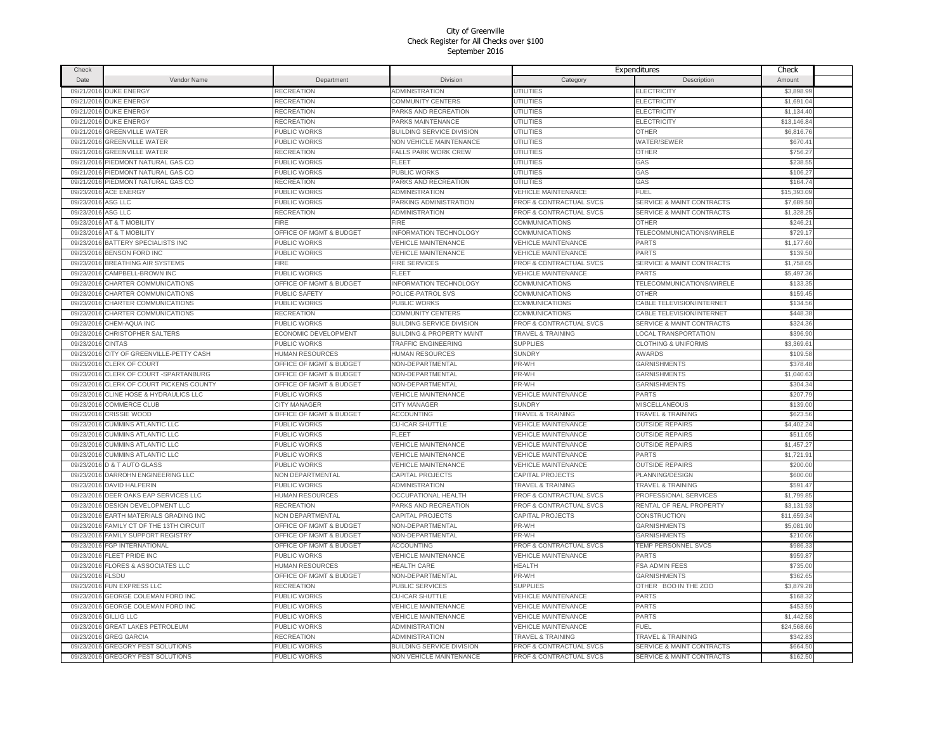| Check             |                                          |                                    |                                      |                              | Expenditures                         | Check       |  |
|-------------------|------------------------------------------|------------------------------------|--------------------------------------|------------------------------|--------------------------------------|-------------|--|
| Date              | Vendor Name                              | Department                         | <b>Division</b>                      | Category                     | Description                          | Amount      |  |
| 09/21/2016        | <b>DUKE ENERGY</b>                       | <b>RECREATION</b>                  | ADMINISTRATION                       | UTILITIES                    | ELECTRICITY                          | \$3,898.99  |  |
|                   | 09/21/2016 DUKE ENERGY                   | RECREATION                         | COMMUNITY CENTERS                    | UTILITIES                    | ELECTRICITY                          | \$1,691.04  |  |
| 09/21/2016        | <b>DUKE ENERGY</b>                       | RECREATION                         | PARKS AND RECREATION                 | UTILITIES                    | <b>ELECTRICITY</b>                   | \$1,134.40  |  |
| 09/21/2016        | <b>DUKE ENERGY</b>                       | RECREATION                         | PARKS MAINTENANCE                    | <b>UTILITIES</b>             | <b>ELECTRICITY</b>                   | \$13,146.84 |  |
| 09/21/2016        | <b>GREENVILLE WATER</b>                  | PUBLIC WORKS                       | <b>BUILDING SERVICE DIVISION</b>     | UTILITIES                    | <b>OTHER</b>                         | \$6,816.76  |  |
| 09/21/2016        | <b>GREENVILLE WATER</b>                  | PUBLIC WORKS                       | NON VEHICLE MAINTENANCE              | UTILITIES                    | WATER/SEWER                          | \$670.4     |  |
|                   | 09/21/2016 GREENVILLE WATER              | RECREATION                         | FALLS PARK WORK CREW                 | UTILITIES                    | OTHER                                | \$756.27    |  |
| 09/21/2016        | PIEDMONT NATURAL GAS CO                  | PUBLIC WORKS                       | FLEET                                | <b>UTILITIES</b>             | GAS                                  | \$238.55    |  |
|                   | 09/21/2016 PIEDMONT NATURAL GAS CO       | PUBLIC WORKS                       | PUBLIC WORKS                         | <b>UTILITIES</b>             | GAS                                  | \$106.27    |  |
| 09/21/2016        |                                          | <b>RECREATION</b>                  |                                      | UTILITIES                    | GAS                                  | \$164.74    |  |
|                   | PIEDMONT NATURAL GAS CO                  |                                    | PARKS AND RECREATION                 |                              |                                      |             |  |
| 09/23/2016        | <b>ACE ENERGY</b>                        | <b>PUBLIC WORKS</b>                | ADMINISTRATION                       | VEHICLE MAINTENANCE          | FUEL                                 | \$15,393.09 |  |
| 09/23/2016        | ASG LLC                                  | PUBLIC WORKS                       | PARKING ADMINISTRATION               | PROF & CONTRACTUAL SVCS      | <b>SERVICE &amp; MAINT CONTRACTS</b> | \$7,689.50  |  |
| 09/23/2016        | ASG LLC                                  | RECREATION                         | ADMINISTRATION                       | PROF & CONTRACTUAL SVCS      | <b>SERVICE &amp; MAINT CONTRACTS</b> | \$1,328.2   |  |
| 09/23/2016        | AT & T MOBILITY                          | <b>FIRE</b>                        | FIRE                                 | COMMUNICATIONS               | <b>OTHER</b>                         | \$246.2     |  |
| 09/23/2016        | AT & T MOBILITY                          | <b>DFFICE OF MGMT &amp; BUDGET</b> | NFORMATION TECHNOLOGY                | COMMUNICATIONS               | TELECOMMUNICATIONS/WIRELE            | \$729.1     |  |
| 09/23/2016        | <b>BATTERY SPECIALISTS INC</b>           | <b>PUBLIC WORKS</b>                | <b>VEHICLE MAINTENANCE</b>           | <b>VEHICLE MAINTENANCE</b>   | PARTS                                | \$1,177,60  |  |
| 09/23/2016        | <b>BENSON FORD INC</b>                   | PUBLIC WORKS                       | <b>VEHICLE MAINTENANCE</b>           | <b>VEHICLE MAINTENANCE</b>   | PARTS                                | \$139.50    |  |
| 09/23/201         | <b>BREATHING AIR SYSTEMS</b>             | <b>FIRE</b>                        | <b>FIRE SERVICES</b>                 | PROF & CONTRACTUAL SVCS      | <b>SERVICE &amp; MAINT CONTRACTS</b> | \$1,758.0   |  |
| 09/23/2016        | CAMPBELL-BROWN INC                       | PUBLIC WORKS                       | FLEET                                | <b>VEHICLE MAINTENANCE</b>   | PARTS                                | \$5,497.36  |  |
| 09/23/2016        | CHARTER COMMUNICATIONS                   | OFFICE OF MGMT & BUDGET            | <b>INFORMATION TECHNOLOGY</b>        | COMMUNICATIONS               | TELECOMMUNICATIONS/WIRELE            | \$133.35    |  |
| 09/23/2016        | CHARTER COMMUNICATIONS                   | <b>PUBLIC SAFETY</b>               | POLICE-PATROL SVS                    | COMMUNICATIONS               | OTHER                                | \$159.45    |  |
| 09/23/2016        | CHARTER COMMUNICATIONS                   | PUBLIC WORKS                       | PUBLIC WORKS                         | COMMUNICATIONS               | CABLE TELEVISION/INTERNET            | \$134.56    |  |
| 09/23/2016        | CHARTER COMMUNICATIONS                   | <b>RECREATION</b>                  | COMMUNITY CENTERS                    | COMMUNICATIONS               | CABLE TELEVISION/INTERNET            | \$448.38    |  |
| 09/23/2016        | CHEM-AQUA INC                            | <b>PUBLIC WORKS</b>                | <b>BUILDING SERVICE DIVISION</b>     | PROF & CONTRACTUAL SVCS      | <b>SERVICE &amp; MAINT CONTRACTS</b> | \$324.36    |  |
|                   | 09/23/2016 CHRISTOPHER SALTERS           | ECONOMIC DEVELOPMENT               | <b>BUILDING &amp; PROPERTY MAINT</b> | <b>TRAVEL &amp; TRAINING</b> | LOCAL TRANSPORTATION                 | \$396.90    |  |
| 09/23/2016 CINTAS |                                          | PUBLIC WORKS                       | <b>TRAFFIC ENGINEERING</b>           | <b>SUPPLIES</b>              | <b>CLOTHING &amp; UNIFORMS</b>       | \$3,369.61  |  |
| 09/23/2016        | CITY OF GREENVILLE-PETTY CASH            | <b>HUMAN RESOURCES</b>             | <b>HUMAN RESOURCES</b>               | <b>SUNDRY</b>                | <b>AWARDS</b>                        | \$109.58    |  |
| 09/23/2016        | <b>CLERK OF COURT</b>                    | OFFICE OF MGMT & BUDGET            | NON-DEPARTMENTAL                     | PR-WH                        | <b>GARNISHMENTS</b>                  | \$378.48    |  |
| 09/23/2016        | CLERK OF COURT -SPARTANBURG              | OFFICE OF MGMT & BUDGET            | NON-DEPARTMENTAL                     | PR-WH                        | GARNISHMENTS                         | \$1,040.6   |  |
| 09/23/2016        | CLERK OF COURT PICKENS COUNTY            | <b>DFFICE OF MGMT &amp; BUDGET</b> | <b>VON-DEPARTMENTAL</b>              | PR-WH                        | <b>GARNISHMENTS</b>                  | \$304.3     |  |
| 09/23/2016        | CLINE HOSE & HYDRAULICS LLC              | PUBLIC WORKS                       | <b>VEHICLE MAINTENANCE</b>           | VEHICLE MAINTENANCE          | PARTS                                | \$207.79    |  |
| 09/23/2016        | COMMERCE CLUB                            | <b>CITY MANAGER</b>                | <b>CITY MANAGER</b>                  | <b>SUNDRY</b>                | <b>MISCELLANEOUS</b>                 | \$139.00    |  |
| 09/23/2016        | CRISSIE WOOD                             | OFFICE OF MGMT & BUDGET            | <b>ACCOUNTING</b>                    | <b>TRAVEL &amp; TRAINING</b> | <b>TRAVEL &amp; TRAINING</b>         | \$623.56    |  |
| 09/23/2016        | <b>CUMMINS ATLANTIC LLC</b>              | PUBLIC WORKS                       | CU-ICAR SHUTTLE                      | <b>VEHICLE MAINTENANCE</b>   | <b>OUTSIDE REPAIRS</b>               | \$4,402.24  |  |
| 09/23/2016        | <b>CUMMINS ATLANTIC LLC</b>              | PUBLIC WORKS                       | FLEET                                | <b>VEHICLE MAINTENANCE</b>   | <b>OUTSIDE REPAIRS</b>               | \$511.0     |  |
| 09/23/2016        | <b>CUMMINS ATLANTIC LLC</b>              | PUBLIC WORKS                       | <b>VEHICLE MAINTENANCE</b>           | <b>VEHICLE MAINTENANCE</b>   | <b>OUTSIDE REPAIRS</b>               | \$1,457.27  |  |
| 09/23/2016        | <b>CUMMINS ATLANTIC LLC</b>              | PUBLIC WORKS                       | <b>VEHICLE MAINTENANCE</b>           | <b>VEHICLE MAINTENANCE</b>   | PARTS                                | \$1,721.91  |  |
| 09/23/2016        | <b>D &amp; T AUTO GLASS</b>              | PUBLIC WORKS                       | <b>VEHICLE MAINTENANCE</b>           | <b>VEHICLE MAINTENANCE</b>   | <b>OUTSIDE REPAIRS</b>               | \$200.00    |  |
| 09/23/2016        | DARROHN ENGINEERING LLC                  | NON DEPARTMENTAL                   | CAPITAL PROJECTS                     | CAPITAL PROJECTS             | PLANNING/DESIGN                      | \$600.00    |  |
| 09/23/2016        | DAVID HALPERIN                           | PUBLIC WORKS                       | ADMINISTRATION                       | <b>TRAVEL &amp; TRAINING</b> | <b>TRAVEL &amp; TRAINING</b>         | \$591.47    |  |
|                   | DEER OAKS EAP SERVICES LLC               | HUMAN RESOURCES                    |                                      | PROF & CONTRACTUAL SVCS      | PROFESSIONAL SERVICES                |             |  |
| 09/23/2016        |                                          |                                    | <b>OCCUPATIONAL HEALTH</b>           |                              |                                      | \$1,799.85  |  |
| 09/23/2016        | DESIGN DEVELOPMENT LLC                   | <b>RECREATION</b>                  | PARKS AND RECREATION                 | PROF & CONTRACTUAL SVCS      | RENTAL OF REAL PROPERTY              | \$3,131.93  |  |
| 09/23/2016        | EARTH MATERIALS GRADING INC              | NON DEPARTMENTAL                   | CAPITAL PROJECTS                     | CAPITAL PROJECTS             | CONSTRUCTION                         | \$11,659.34 |  |
|                   | 09/23/2016 FAMILY CT OF THE 13TH CIRCUIT | OFFICE OF MGMT & BUDGET            | NON-DEPARTMENTAL                     | PR-WH                        | <b>GARNISHMENTS</b>                  | \$5,081.90  |  |
|                   | 09/23/2016 FAMILY SUPPORT REGISTRY       | OFFICE OF MGMT & BUDGET            | NON-DEPARTMENTAL                     | PR-WH                        | <b>GARNISHMENTS</b>                  | \$210.06    |  |
| 09/23/2016        | FGP INTERNATIONAL                        | OFFICE OF MGMT & BUDGET            | <b>ACCOUNTING</b>                    | PROF & CONTRACTUAL SVCS      | TEMP PERSONNEL SVCS                  | \$986.3     |  |
| 09/23/2016        | FLEET PRIDE INC                          | PUBLIC WORKS                       | <b>/EHICLE MAINTENANCE</b>           | VEHICLE MAINTENANCE          | PARTS                                | \$959.8     |  |
| 09/23/2016        | <b>FLORES &amp; ASSOCIATES LLC</b>       | HUMAN RESOURCES                    | <b>HEALTH CARE</b>                   | <b>HEALTH</b>                | FSA ADMIN FEES                       | \$735.00    |  |
| 09/23/2016        | <b>FLSDU</b>                             | OFFICE OF MGMT & BUDGET            | <b>NON-DEPARTMENTAL</b>              | PR-WH                        | <b>GARNISHMENTS</b>                  | \$362.65    |  |
| 09/23/2016        | FUN EXPRESS LLC                          | <b>RECREATION</b>                  | PUBLIC SERVICES                      | <b>SUPPLIES</b>              | OTHER BOO IN THE ZOO                 | \$3,879.28  |  |
| 09/23/2016        | GEORGE COLEMAN FORD INC                  | PUBLIC WORKS                       | CU-ICAR SHUTTLE                      | VEHICLE MAINTENANCE          | PARTS                                | \$168.32    |  |
| 09/23/2016        | GEORGE COLEMAN FORD INC                  | PUBLIC WORKS                       | <b>VEHICLE MAINTENANCE</b>           | <b>VEHICLE MAINTENANCE</b>   | <b>PARTS</b>                         | \$453.5     |  |
| 09/23/2016        | GILLIG LLC                               | PUBLIC WORKS                       | <b>VEHICLE MAINTENANCE</b>           | <b>VEHICLE MAINTENANCE</b>   | <b>PARTS</b>                         | \$1,442.58  |  |
| 09/23/2016        | <b>GREAT LAKES PETROLEUM</b>             | PUBLIC WORKS                       | ADMINISTRATION                       | <b>VEHICLE MAINTENANCE</b>   | FUEL                                 | \$24,568.66 |  |
| 09/23/2016        | <b>GREG GARCIA</b>                       | RECREATION                         | ADMINISTRATION                       | TRAVEL & TRAINING            | <b>TRAVEL &amp; TRAINING</b>         | \$342.83    |  |
| 09/23/2016        | <b>GREGORY PEST SOLUTIONS</b>            | <b>PUBLIC WORKS</b>                | <b>BUILDING SERVICE DIVISION</b>     | PROF & CONTRACTUAL SVCS      | <b>SERVICE &amp; MAINT CONTRACTS</b> | \$664.50    |  |
|                   | 09/23/2016 GREGORY PEST SOLUTIONS        | <b>PUBLIC WORKS</b>                | NON VEHICLE MAINTENANCE              | PROF & CONTRACTUAL SVCS      | SERVICE & MAINT CONTRACTS            | \$162.50    |  |
|                   |                                          |                                    |                                      |                              |                                      |             |  |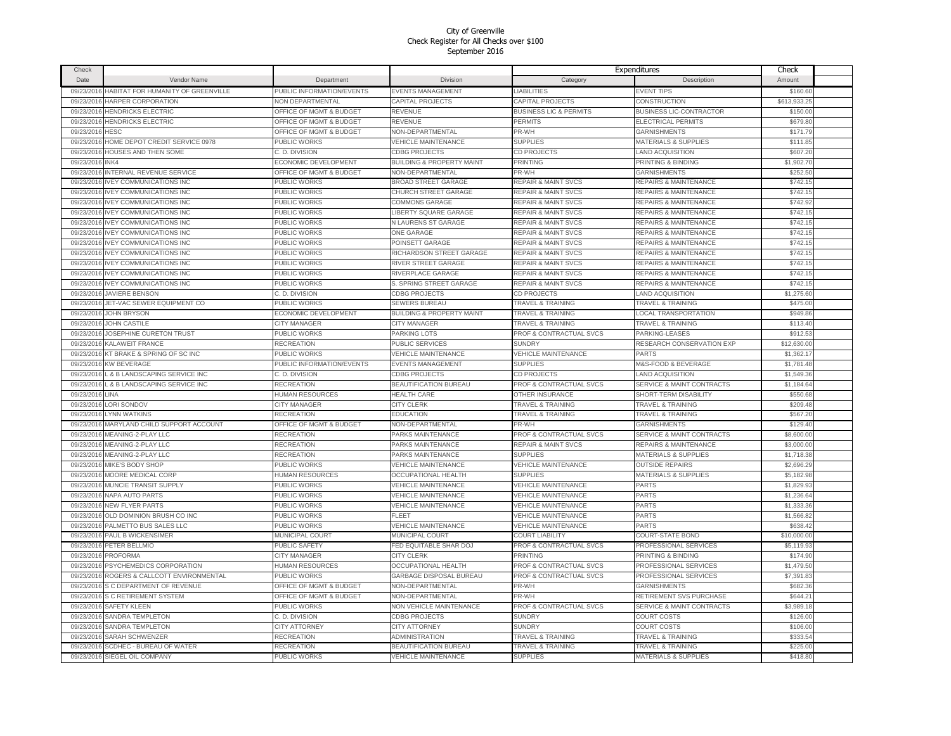| Check      |                                    |                                    |                                                    |                                    | Expenditures                         | Check                |  |
|------------|------------------------------------|------------------------------------|----------------------------------------------------|------------------------------------|--------------------------------------|----------------------|--|
| Date       | Vendor Name                        | Department                         | Division                                           | Category                           | Description                          | Amount               |  |
| 09/23/2016 | HABITAT FOR HUMANITY OF GREENVILLE | PUBLIC INFORMATION/EVENTS          | <b>EVENTS MANAGEMENT</b>                           | <b>LIABILITIES</b>                 | <b>EVENT TIPS</b>                    | \$160.60             |  |
| 09/23/2016 | HARPER CORPORATION                 | <b>NON DEPARTMENTAL</b>            | CAPITAL PROJECTS                                   | CAPITAL PROJECTS                   | CONSTRUCTION                         | \$613,933.25         |  |
| 09/23/201  | <b>HENDRICKS ELECTRIC</b>          | OFFICE OF MGMT & BUDGET            | REVENUE                                            | <b>BUSINESS LIC &amp; PERMITS</b>  | <b>BUSINESS LIC-CONTRACTOR</b>       | \$150.00             |  |
| 09/23/2016 | <b>HENDRICKS ELECTRIC</b>          | OFFICE OF MGMT & BUDGET            | REVENUE                                            | PERMITS                            | ELECTRICAL PERMITS                   | \$679.80             |  |
| 09/23/2016 | HESC                               | OFFICE OF MGMT & BUDGET            | NON-DEPARTMENTAL                                   | PR-WH                              | <b>GARNISHMENTS</b>                  | \$171.79             |  |
| 09/23/2016 | HOME DEPOT CREDIT SERVICE 0978     | PUBLIC WORKS                       | <b>VEHICLE MAINTENANCE</b>                         | <b>SUPPLIES</b>                    | <b>MATERIALS &amp; SUPPLIES</b>      | \$111.85             |  |
| 09/23/2010 | HOUSES AND THEN SOME               | C. D. DIVISION                     | <b>CDBG PROJECTS</b>                               | CD PROJECTS                        | <b>LAND ACQUISITION</b>              | \$607.20             |  |
| 09/23/2016 | INK4                               | ECONOMIC DEVELOPMENT               | <b>BUILDING &amp; PROPERTY MAINT</b>               | <b>PRINTING</b>                    | PRINTING & BINDING                   | \$1,902.70           |  |
| 09/23/2016 | INTERNAL REVENUE SERVICE           | OFFICE OF MGMT & BUDGET            | NON-DEPARTMENTAL                                   | PR-WH                              | <b>GARNISHMENTS</b>                  | \$252.50             |  |
|            |                                    |                                    |                                                    |                                    |                                      |                      |  |
| 09/23/2016 | <b>IVEY COMMUNICATIONS INC</b>     | PUBLIC WORKS<br>PUBLIC WORKS       | <b>BROAD STREET GARAGE</b><br>CHURCH STREET GARAGE | <b>REPAIR &amp; MAINT SVCS</b>     | <b>REPAIRS &amp; MAINTENANCE</b>     | \$742.15<br>\$742.15 |  |
| 09/23/2016 | <b>IVEY COMMUNICATIONS INC</b>     |                                    | COMMONS GARAGE                                     | <b>REPAIR &amp; MAINT SVCS</b>     | <b>REPAIRS &amp; MAINTENANCE</b>     |                      |  |
| 09/23/2016 | <b>IVEY COMMUNICATIONS INC</b>     | PUBLIC WORKS                       |                                                    | <b>REPAIR &amp; MAINT SVCS</b>     | <b>REPAIRS &amp; MAINTENANCE</b>     | \$742.92             |  |
| 09/23/2016 | <b>IVEY COMMUNICATIONS INC</b>     | PUBLIC WORKS                       | LIBERTY SQUARE GARAGE                              | <b>REPAIR &amp; MAINT SVCS</b>     | <b>REPAIRS &amp; MAINTENANCE</b>     | \$742.15             |  |
| 09/23/2016 | <b>IVEY COMMUNICATIONS INC</b>     | PUBLIC WORKS                       | N LAURENS ST GARAGE                                | <b>REPAIR &amp; MAINT SVCS</b>     | <b>REPAIRS &amp; MAINTENANCE</b>     | \$742.15             |  |
| 09/23/2016 | <b>IVEY COMMUNICATIONS INC</b>     | PUBLIC WORKS                       | ONE GARAGE                                         | <b>REPAIR &amp; MAINT SVCS</b>     | REPAIRS & MAINTENANCE                | \$742.1              |  |
| 09/23/2016 | <b>VEY COMMUNICATIONS INC</b>      | PUBLIC WORKS                       | POINSETT GARAGE                                    | <b>REPAIR &amp; MAINT SVCS</b>     | REPAIRS & MAINTENANCE                | \$742.1              |  |
| 09/23/2016 | <b>IVEY COMMUNICATIONS INC</b>     | PUBLIC WORKS                       | RICHARDSON STREET GARAGE                           | <b>REPAIR &amp; MAINT SVCS</b>     | <b>REPAIRS &amp; MAINTENANCE</b>     | \$742.1              |  |
| 09/23/201  | <b>VEY COMMUNICATIONS INC</b>      | PUBLIC WORKS                       | RIVER STREET GARAGE                                | <b>REPAIR &amp; MAINT SVCS</b>     | REPAIRS & MAINTENANCE                | \$742.1              |  |
| 09/23/2016 | <b>IVEY COMMUNICATIONS INC</b>     | PUBLIC WORKS                       | RIVERPLACE GARAGE                                  | <b>REPAIR &amp; MAINT SVCS</b>     | REPAIRS & MAINTENANCE                | \$742.1              |  |
| 09/23/201  | <b>VEY COMMUNICATIONS INC</b>      | PUBLIC WORKS                       | S. SPRING STREET GARAGE                            | <b>REPAIR &amp; MAINT SVCS</b>     | REPAIRS & MAINTENANCE                | \$742.1              |  |
| 09/23/2016 | <b>JAVIERE BENSON</b>              | C. D. DIVISION                     | <b>CDBG PROJECTS</b>                               | CD PROJECTS                        | <b>LAND ACQUISITION</b>              | \$1,275.60           |  |
| 09/23/2016 | JET-VAC SEWER EQUIPMENT CO         | PUBLIC WORKS                       | <b>SEWERS BUREAU</b>                               | <b>TRAVEL &amp; TRAINING</b>       | <b>TRAVEL &amp; TRAINING</b>         | \$475.00             |  |
| 09/23/2016 | <b>JOHN BRYSON</b>                 | ECONOMIC DEVELOPMENT               | <b>BUILDING &amp; PROPERTY MAINT</b>               | <b>TRAVEL &amp; TRAINING</b>       | <b>LOCAL TRANSPORTATION</b>          | \$949.86             |  |
| 09/23/2016 | <b>JOHN CASTILE</b>                | <b>CITY MANAGER</b>                | <b>CITY MANAGER</b>                                | <b>TRAVEL &amp; TRAINING</b>       | <b><i>TRAVEL &amp; TRAINING</i></b>  | \$113.40             |  |
| 09/23/2016 | JOSEPHINE CURETON TRUST            | PUBLIC WORKS                       | PARKING LOTS                                       | PROF & CONTRACTUAL SVCS            | PARKING-LEASES                       | \$912.5              |  |
| 09/23/2016 | KALAWEIT FRANCE                    | RECREATION                         | PUBLIC SERVICES                                    | <b>SUNDRY</b>                      | RESEARCH CONSERVATION EXP            | \$12,630.00          |  |
| 09/23/2016 | KT BRAKE & SPRING OF SC INC        | PUBLIC WORKS                       | <b>VEHICLE MAINTENANCE</b>                         | <b>VEHICLE MAINTENANCE</b>         | <b>PARTS</b>                         | \$1,362.1            |  |
| 09/23/2016 | KW BEVERAGE                        | PUBLIC INFORMATION/EVENTS          | <b>EVENTS MANAGEMENT</b>                           | <b>SUPPLIES</b>                    | M&S-FOOD & BEVERAGE                  | \$1,781.48           |  |
| 09/23/2016 | L & B LANDSCAPING SERVICE INC      | C. D. DIVISION                     | <b>CDBG PROJECTS</b>                               | <b>CD PROJECTS</b>                 | <b>LAND ACQUISITION</b>              | \$1,549.36           |  |
| 09/23/2016 | L & B LANDSCAPING SERVICE INC      | <b>RECREATION</b>                  | <b>BEAUTIFICATION BUREAU</b>                       | PROF & CONTRACTUAL SVCS            | <b>SERVICE &amp; MAINT CONTRACTS</b> | \$1,184.64           |  |
| 09/23/2016 | <b>LINA</b>                        | <b>HUMAN RESOURCES</b>             | <b>HEALTH CARE</b>                                 | OTHER INSURANCE                    | SHORT-TERM DISABILITY                | \$550.68             |  |
| 09/23/2016 | <b>LORI SONDOV</b>                 | <b>CITY MANAGER</b>                | <b>CITY CLERK</b>                                  | <b>TRAVEL &amp; TRAINING</b>       | <b>TRAVEL &amp; TRAINING</b>         | \$209.48             |  |
| 09/23/2016 | <b>LYNN WATKINS</b>                | RECREATION                         | <b>EDUCATION</b>                                   | <b>TRAVEL &amp; TRAINING</b>       | <b>TRAVEL &amp; TRAINING</b>         | \$567.2              |  |
| 09/23/2016 | MARYLAND CHILD SUPPORT ACCOUNT     | <b>OFFICE OF MGMT &amp; BUDGET</b> | <b>VON-DEPARTMENTAL</b>                            | PR-WH                              | <b>GARNISHMENTS</b>                  | \$129.40             |  |
| 09/23/2016 | MEANING-2-PLAY LLC                 | RECREATION                         | PARKS MAINTENANCE                                  | <b>PROF &amp; CONTRACTUAL SVCS</b> | <b>SERVICE &amp; MAINT CONTRACTS</b> | \$8,600.00           |  |
| 09/23/2016 | MEANING-2-PLAY LLC                 | RECREATION                         | PARKS MAINTENANCE                                  | <b>REPAIR &amp; MAINT SVCS</b>     | <b>REPAIRS &amp; MAINTENANCE</b>     | \$3,000.00           |  |
| 09/23/2016 | MEANING-2-PLAY LLC                 | RECREATION                         | PARKS MAINTENANCE                                  | <b>SUPPLIES</b>                    | <b>MATERIALS &amp; SUPPLIES</b>      | \$1,718.38           |  |
| 09/23/2016 | MIKE'S BODY SHOP                   | PUBLIC WORKS                       | <b>VEHICLE MAINTENANCE</b>                         | <b>VEHICLE MAINTENANCE</b>         | <b>OUTSIDE REPAIRS</b>               | \$2,696.29           |  |
| 09/23/2016 | <b>MOORE MEDICAL CORP</b>          | HUMAN RESOURCES                    | <b>OCCUPATIONAL HEALTH</b>                         | <b>SUPPLIES</b>                    | MATERIALS & SUPPLIES                 | \$5,182.98           |  |
| 09/23/2016 | MUNCIE TRANSIT SUPPLY              | PUBLIC WORKS                       | <b>VEHICLE MAINTENANCE</b>                         | VEHICLE MAINTENANCE                | <b>PARTS</b>                         | \$1,829.93           |  |
| 09/23/2016 | NAPA AUTO PARTS                    | PUBLIC WORKS                       | <b>VEHICLE MAINTENANCE</b>                         | <b>VEHICLE MAINTENANCE</b>         | PARTS                                | \$1,236.64           |  |
| 09/23/2016 | <b>NEW FLYER PARTS</b>             | PUBLIC WORKS                       | <b>VEHICLE MAINTENANCE</b>                         | <b>VEHICLE MAINTENANCE</b>         | <b>PARTS</b>                         | \$1,333.36           |  |
| 09/23/2016 | OLD DOMINION BRUSH CO INC          | PUBLIC WORKS                       | <b>FLEET</b>                                       | <b>VEHICLE MAINTENANCE</b>         | <b>PARTS</b>                         | \$1,566.82           |  |
|            | 09/23/2016 PALMETTO BUS SALES LLC  | PUBLIC WORKS                       | <b>VEHICLE MAINTENANCE</b>                         | <b>VEHICLE MAINTENANCE</b>         | <b>PARTS</b>                         | \$638.42             |  |
|            | 09/23/2016 PAUL B WICKENSIMER      | MUNICIPAL COURT                    | MUNICIPAL COURT                                    | <b>COURT LIABILITY</b>             | COURT-STATE BOND                     | \$10,000.00          |  |
|            | 09/23/2016 PETER BELLMIO           | PUBLIC SAFETY                      | FED EQUITABLE SHAR DOJ                             | PROF & CONTRACTUAL SVCS            | PROFESSIONAL SERVICES                | \$5,119.93           |  |
| 09/23/2016 | <b>PROFORMA</b>                    | CITY MANAGER                       | <b>CITY CLERK</b>                                  | PRINTING                           | PRINTING & BINDING                   | \$174.90             |  |
| 09/23/2016 | PSYCHEMEDICS CORPORATION           | HUMAN RESOURCES                    | OCCUPATIONAL HEALTH                                | PROF & CONTRACTUAL SVCS            | PROFESSIONAL SERVICES                | \$1,479.5            |  |
| 09/23/2016 | ROGERS & CALLCOTT ENVIRONMENTAL    | PUBLIC WORKS                       | GARBAGE DISPOSAL BUREAU                            | PROF & CONTRACTUAL SVCS            | PROFESSIONAL SERVICES                | \$7,391.8            |  |
| 09/23/2016 | S C DEPARTMENT OF REVENUE          | OFFICE OF MGMT & BUDGET            | NON-DEPARTMENTAL                                   | PR-WH                              | <b>GARNISHMENTS</b>                  | \$682.3              |  |
| 09/23/2016 | <b>S C RETIREMENT SYSTEM</b>       | <b>OFFICE OF MGMT &amp; BUDGET</b> | <b>VON-DEPARTMENTAL</b>                            | PR-WH                              | RETIREMENT SVS PURCHASE              | \$644.2              |  |
| 09/23/2016 | SAFETY KLEEN                       | PUBLIC WORKS                       | NON VEHICLE MAINTENANCE                            | PROF & CONTRACTUAL SVCS            | <b>SERVICE &amp; MAINT CONTRACTS</b> | \$3,989.1            |  |
| 09/23/2016 | <b>SANDRA TEMPLETON</b>            | C. D. DIVISION                     | <b>CDBG PROJECTS</b>                               | <b>SUNDRY</b>                      | COURT COSTS                          | \$126.00             |  |
| 09/23/2016 | SANDRA TEMPLETON                   | <b>CITY ATTORNEY</b>               | <b>CITY ATTORNEY</b>                               | <b>SUNDRY</b>                      | <b>COURT COSTS</b>                   | \$106.00             |  |
| 09/23/2016 | <b>SARAH SCHWENZER</b>             | <b>RECREATION</b>                  | <b>ADMINISTRATION</b>                              | <b>TRAVEL &amp; TRAINING</b>       | <b>TRAVEL &amp; TRAINING</b>         | \$333.54             |  |
| 09/23/2016 | SCDHEC - BUREAU OF WATER           | RECREATION                         | <b>BEAUTIFICATION BUREAU</b>                       | <b>TRAVEL &amp; TRAINING</b>       | <b>TRAVEL &amp; TRAINING</b>         | \$225.00             |  |
|            | 09/23/2016 SIEGEL OIL COMPANY      | <b>PUBLIC WORKS</b>                | <b>VEHICLE MAINTENANCE</b>                         | <b>SUPPLIES</b>                    | <b>MATERIALS &amp; SUPPLIES</b>      | \$418.80             |  |
|            |                                    |                                    |                                                    |                                    |                                      |                      |  |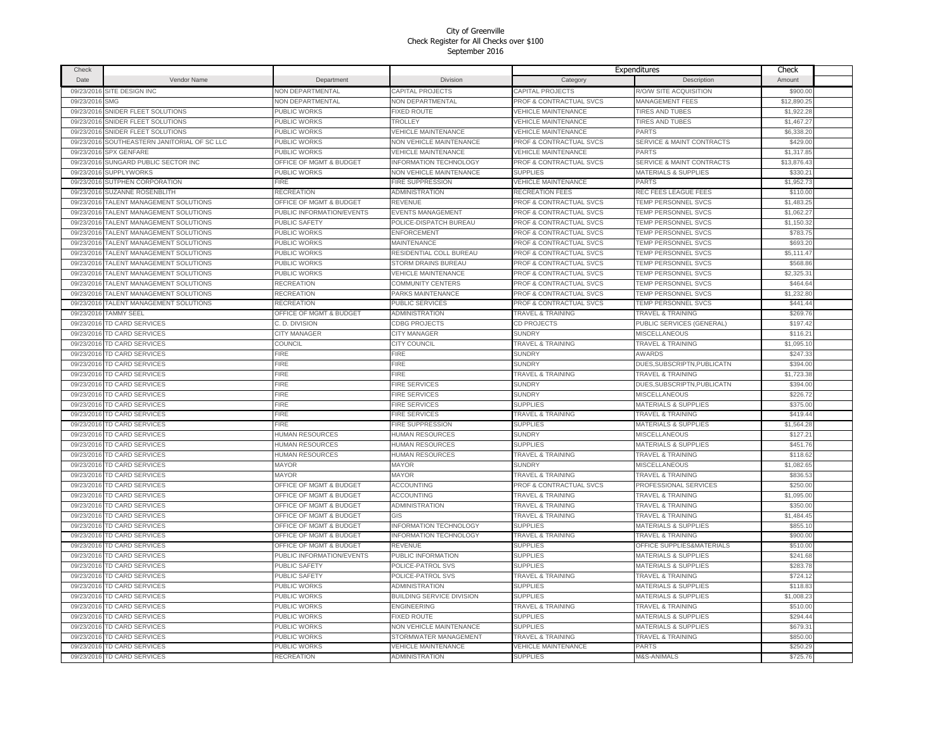| Check                    |                                           |                                    |                                  |                                    | Expenditures                         | Check       |  |
|--------------------------|-------------------------------------------|------------------------------------|----------------------------------|------------------------------------|--------------------------------------|-------------|--|
| <b>Date</b>              | Vendor Name                               | Department                         | Division                         | Category                           | Description                          | Amount      |  |
| 09/23/2016               | SITE DESIGN INC                           | <b>NON DEPARTMENTAL</b>            | <b>CAPITAL PROJECTS</b>          | CAPITAL PROJECTS                   | R/O/W SITE ACQUISITION               | \$900.00    |  |
| 09/23/2016               | <b>SMG</b>                                | <b>NON DEPARTMENTAL</b>            | <b>NON DEPARTMENTAL</b>          | PROF & CONTRACTUAL SVCS            | <b>MANAGEMENT FEES</b>               | \$12,890.25 |  |
| 09/23/2016               | SNIDER FLEET SOLUTIONS                    | <b>PUBLIC WORKS</b>                | <b>FIXED ROUTE</b>               | <b>VEHICLE MAINTENANCE</b>         | <b>TIRES AND TUBES</b>               | \$1.922.28  |  |
| 09/23/2016               | SNIDER FLEET SOLUTIONS                    | PUBLIC WORKS                       | TROLLEY                          | <b>VEHICLE MAINTENANCE</b>         | <b>TIRES AND TUBES</b>               | \$1,467.27  |  |
| 09/23/2016               | SNIDER FLEET SOLUTIONS                    | PUBLIC WORKS                       | <b>VEHICLE MAINTENANCE</b>       | <b>VEHICLE MAINTENANCE</b>         | PARTS                                | \$6,338.20  |  |
| 09/23/2016               | SOUTHEASTERN JANITORIAL OF SC LLC         | PUBLIC WORKS                       | NON VEHICLE MAINTENANCE          | PROF & CONTRACTUAL SVCS            | SERVICE & MAINT CONTRACTS            | \$429.00    |  |
| 09/23/2016               | <b>SPX GENFARE</b>                        | PUBLIC WORKS                       | <b>VEHICLE MAINTENANCE</b>       | <b>VEHICLE MAINTENANCE</b>         | <b>PARTS</b>                         | \$1,317.85  |  |
| 09/23/2016               | SUNGARD PUBLIC SECTOR INC                 | OFFICE OF MGMT & BUDGET            | <b>INFORMATION TECHNOLOGY</b>    | PROF & CONTRACTUAL SVCS            | SERVICE & MAINT CONTRACTS            | \$13,876.43 |  |
| 09/23/2016               | <b>SUPPLYWORKS</b>                        | PUBLIC WORKS                       | NON VEHICLE MAINTENANCE          | <b>SUPPLIES</b>                    | MATERIALS & SUPPLIES                 | \$330.2'    |  |
|                          |                                           |                                    |                                  |                                    |                                      |             |  |
| 09/23/2016               | SUTPHEN CORPORATION<br>SUZANNE ROSENBLITH | FIRE                               | FIRE SUPPRESSION                 | <b>VEHICLE MAINTENANCE</b>         | <b>PARTS</b><br>REC FEES LEAGUE FEES | \$1,952.73  |  |
| 09/23/2016               |                                           | RECREATION                         | <b>ADMINISTRATION</b><br>REVENUE | RECREATION FEES                    |                                      | \$110.00    |  |
| 09/23/2016               | TALENT MANAGEMENT SOLUTIONS               | OFFICE OF MGMT & BUDGET            |                                  | PROF & CONTRACTUAL SVCS            | TEMP PERSONNEL SVCS                  | \$1,483.25  |  |
| 09/23/2016               | TALENT MANAGEMENT SOLUTIONS               | PUBLIC INFORMATION/EVENTS          | <b>EVENTS MANAGEMENT</b>         | PROF & CONTRACTUAL SVCS            | TEMP PERSONNEL SVCS                  | \$1,062.27  |  |
| 09/23/2016               | TALENT MANAGEMENT SOLUTIONS               | PUBLIC SAFETY                      | POLICE-DISPATCH BUREAU           | PROF & CONTRACTUAL SVCS            | TEMP PERSONNEL SVCS                  | \$1,150.32  |  |
| 09/23/2016               | TALENT MANAGEMENT SOLUTIONS               | PUBLIC WORKS                       | <b>ENFORCEMENT</b>               | PROF & CONTRACTUAL SVCS            | TEMP PERSONNEL SVCS                  | \$783.75    |  |
| 09/23/2016               | TALENT MANAGEMENT SOLUTIONS               | PUBLIC WORKS                       | MAINTENANCE                      | PROF & CONTRACTUAL SVCS            | TEMP PERSONNEL SVCS                  | \$693.20    |  |
| 09/23/2016               | TALENT MANAGEMENT SOLUTIONS               | PUBLIC WORKS                       | RESIDENTIAL COLL BUREAU          | PROF & CONTRACTUAL SVCS            | TEMP PERSONNEL SVCS                  | \$5,111.47  |  |
| 09/23/2016               | TALENT MANAGEMENT SOLUTIONS               | <b>PUBLIC WORKS</b>                | STORM DRAINS BUREAU              | PROF & CONTRACTUAL SVCS            | TEMP PERSONNEL SVCS                  | \$568.8     |  |
| 09/23/2016               | TALENT MANAGEMENT SOLUTIONS               | PUBLIC WORKS                       | <b>/EHICLE MAINTENANCE</b>       | PROF & CONTRACTUAL SVCS            | TEMP PERSONNEL SVCS                  | \$2,325.3   |  |
| 09/23/201                | <b>TALENT MANAGEMENT SOLUTIONS</b>        | RECREATION                         | <b>COMMUNITY CENTERS</b>         | <b>PROF &amp; CONTRACTUAL SVCS</b> | TEMP PERSONNEL SVCS                  | \$464.64    |  |
| 09/23/2016               | <b>TALENT MANAGEMENT SOLUTIONS</b>        | RECREATION                         | PARKS MAINTENANCE                | PROF & CONTRACTUAL SVCS            | TEMP PERSONNEL SVCS                  | \$1,232.80  |  |
| 09/23/2016               | TALENT MANAGEMENT SOLUTIONS               | RECREATION                         | PUBLIC SERVICES                  | PROF & CONTRACTUAL SVCS            | TEMP PERSONNEL SVCS                  | \$441.44    |  |
| 09/23/2016               | <b>TAMMY SEEL</b>                         | OFFICE OF MGMT & BUDGE"            | <b>ADMINISTRATION</b>            | <b>TRAVEL &amp; TRAINING</b>       | <b>TRAVEL &amp; TRAINING</b>         | \$269.76    |  |
| 09/23/2016               | <b>TD CARD SERVICES</b>                   | C. D. DIVISION                     | <b>CDBG PROJECTS</b>             | CD PROJECTS                        | PUBLIC SERVICES (GENERAL)            | \$197.42    |  |
| 09/23/2016               | TD CARD SERVICES                          | CITY MANAGER                       | <b>CITY MANAGER</b>              | <b>SUNDRY</b>                      | <b>MISCELLANEOUS</b>                 | \$116.21    |  |
| 09/23/2016               | <b>TD CARD SERVICES</b>                   | COUNCIL                            | CITY COUNCIL                     | <b>TRAVEL &amp; TRAINING</b>       | <b>TRAVEL &amp; TRAINING</b>         | \$1.095.10  |  |
| 09/23/2016               | <b>TD CARD SERVICES</b>                   | FIRE                               | FIRE                             | <b>SUNDRY</b>                      | <b>AWARDS</b>                        | \$247.33    |  |
| 09/23/2016               | TD CARD SERVICES                          | <b>FIRE</b>                        | <b>FIRE</b>                      | <b>SUNDRY</b>                      | DUES, SUBSCRIPTN, PUBLICATN          | \$394.00    |  |
| 09/23/2016               | TD CARD SERVICES                          | <b>FIRE</b>                        | <b>FIRE</b>                      | <b>TRAVEL &amp; TRAINING</b>       | <b>TRAVEL &amp; TRAINING</b>         | \$1,723.38  |  |
| 09/23/2016               | TD CARD SERVICES                          | FIRE                               | <b>FIRE SERVICES</b>             | <b>SUNDRY</b>                      | DUES, SUBSCRIPTN, PUBLICATN          | \$394.00    |  |
| 09/23/2016               | TD CARD SERVICES                          | <b>FIRE</b>                        | FIRE SERVICES                    | <b>SUNDRY</b>                      | MISCELLANEOUS                        | \$226.72    |  |
| 09/23/2016               | TD CARD SERVICES                          | FIRE                               | <b>FIRE SERVICES</b>             | <b>SUPPLIES</b>                    | <b>MATERIALS &amp; SUPPLIES</b>      | \$375.00    |  |
| 09/23/2016               | TD CARD SERVICES                          | <b>FIRE</b>                        | <b>FIRE SERVICES</b>             | <b>TRAVEL &amp; TRAINING</b>       | <b>TRAVEL &amp; TRAINING</b>         | \$419.44    |  |
| 09/23/2016               | TD CARD SERVICES                          | FIRE                               | FIRE SUPPRESSION                 | <b>SUPPLIES</b>                    | <b>MATERIALS &amp; SUPPLIES</b>      | \$1,564.28  |  |
| 09/23/2016               | <b>TD CARD SERVICES</b>                   | HUMAN RESOURCES                    | <b>HUMAN RESOURCES</b>           | <b>SUNDRY</b>                      | <b>MISCELLANEOUS</b>                 | \$127.21    |  |
| 09/23/2016               | TD CARD SERVICES                          | HUMAN RESOURCES                    | HUMAN RESOURCES                  | <b>SUPPLIES</b>                    | MATERIALS & SUPPLIES                 | \$451.76    |  |
| 09/23/2016               | TD CARD SERVICES                          | HUMAN RESOURCES                    | HUMAN RESOURCES                  | <b>TRAVEL &amp; TRAINING</b>       | <b>TRAVEL &amp; TRAINING</b>         | \$118.62    |  |
| 09/23/2016               | <b>TD CARD SERVICES</b>                   | <b>MAYOR</b>                       | <b>MAYOR</b>                     | <b>SUNDRY</b>                      | MISCELLANEOUS                        | \$1,082.65  |  |
| 09/23/2016               | <b>TD CARD SERVICES</b>                   | <b>MAYOR</b>                       | <b>MAYOR</b>                     | <b>TRAVEL &amp; TRAINING</b>       | <b>TRAVEL &amp; TRAINING</b>         | \$836.53    |  |
| 09/23/2016               | TD CARD SERVICES                          | <b>OFFICE OF MGMT &amp; BUDGET</b> | ACCOUNTING                       | PROF & CONTRACTUAL SVCS            | PROFESSIONAL SERVICES                | \$250.00    |  |
| 09/23/2016               | <b>TD CARD SERVICES</b>                   | OFFICE OF MGMT & BUDGET            | ACCOUNTING                       | <b>TRAVEL &amp; TRAINING</b>       | <b>TRAVEL &amp; TRAINING</b>         | \$1,095.0   |  |
| 09/23/2016               | TD CARD SERVICES                          | OFFICE OF MGMT & BUDGET            | <b>ADMINISTRATION</b>            | <b>TRAVEL &amp; TRAINING</b>       | <b>TRAVEL &amp; TRAINING</b>         | \$350.00    |  |
| 09/23/2016               | <b>TD CARD SERVICES</b>                   | OFFICE OF MGMT & BUDGET            | GIS                              | <b>TRAVEL &amp; TRAINING</b>       | <b>TRAVEL &amp; TRAINING</b>         | \$1,484.45  |  |
| 09/23/2016               | <b>TD CARD SERVICES</b>                   | OFFICE OF MGMT & BUDGET            | <b>INFORMATION TECHNOLOGY</b>    | <b>SUPPLIES</b>                    | <b>MATERIALS &amp; SUPPLIES</b>      | \$855.10    |  |
| 09/23/2016               | <b>TD CARD SERVICES</b>                   | OFFICE OF MGMT & BUDGE"            | <b>INFORMATION TECHNOLOGY</b>    | <b>TRAVEL &amp; TRAINING</b>       | <b>TRAVEL &amp; TRAINING</b>         | \$900.00    |  |
| 09/23/2016               | TD CARD SERVICES                          | OFFICE OF MGMT & BUDGET            | REVENUE                          | <b>SUPPLIES</b>                    | OFFICE SUPPLIES&MATERIALS            | \$510.00    |  |
| 09/23/2016               | TD CARD SERVICES                          | PUBLIC INFORMATION/EVENTS          | PUBLIC INFORMATION               | <b>SUPPLIES</b>                    | MATERIALS & SUPPLIES                 | \$241.68    |  |
| 09/23/2016               | <b>TD CARD SERVICES</b>                   | <b>PUBLIC SAFETY</b>               | POLICE-PATROL SVS                | <b>SUPPLIES</b>                    | MATERIALS & SUPPLIES                 | \$283.78    |  |
| 09/23/2016               | <b>TD CARD SERVICES</b>                   | PUBLIC SAFETY                      | POLICE-PATROL SVS                | <b>TRAVEL &amp; TRAINING</b>       | <b>TRAVEL &amp; TRAINING</b>         | \$724.12    |  |
|                          | TD CARD SERVICES                          | PUBLIC WORKS                       | ADMINISTRATION                   | <b>SUPPLIES</b>                    | <b>MATERIALS &amp; SUPPLIES</b>      | \$118.83    |  |
| 09/23/2016<br>09/23/2016 |                                           |                                    |                                  | <b>SUPPLIES</b>                    | <b>MATERIALS &amp; SUPPLIES</b>      |             |  |
|                          | <b>TD CARD SERVICES</b>                   | PUBLIC WORKS                       | <b>BUILDING SERVICE DIVISION</b> |                                    |                                      | \$1,008.23  |  |
| 09/23/2016               | TD CARD SERVICES                          | PUBLIC WORKS                       | <b>ENGINEERING</b>               | <b>TRAVEL &amp; TRAINING</b>       | <b>TRAVEL &amp; TRAINING</b>         | \$510.00    |  |
| 09/23/2016               | TD CARD SERVICES                          | PUBLIC WORKS                       | <b>FIXED ROUTE</b>               | <b>SUPPLIES</b>                    | MATERIALS & SUPPLIES                 | \$294.44    |  |
| 09/23/2016               | TD CARD SERVICES                          | PUBLIC WORKS                       | NON VEHICLE MAINTENANCE          | <b>SUPPLIES</b>                    | <b>MATERIALS &amp; SUPPLIES</b>      | \$679.31    |  |
| 09/23/2016               | TD CARD SERVICES                          | PUBLIC WORKS                       | STORMWATER MANAGEMENT            | <b>TRAVEL &amp; TRAINING</b>       | <b>TRAVEL &amp; TRAINING</b>         | \$850.00    |  |
| 09/23/2016               | TD CARD SERVICES                          | <b>PUBLIC WORKS</b>                | <b>VEHICLE MAINTENANCE</b>       | <b>VEHICLE MAINTENANCE</b>         | PARTS                                | \$250.29    |  |
|                          | 09/23/2016 TD CARD SERVICES               | <b>RECREATION</b>                  | <b>ADMINISTRATION</b>            | <b>SUPPLIES</b>                    | M&S-ANIMALS                          | \$725.76    |  |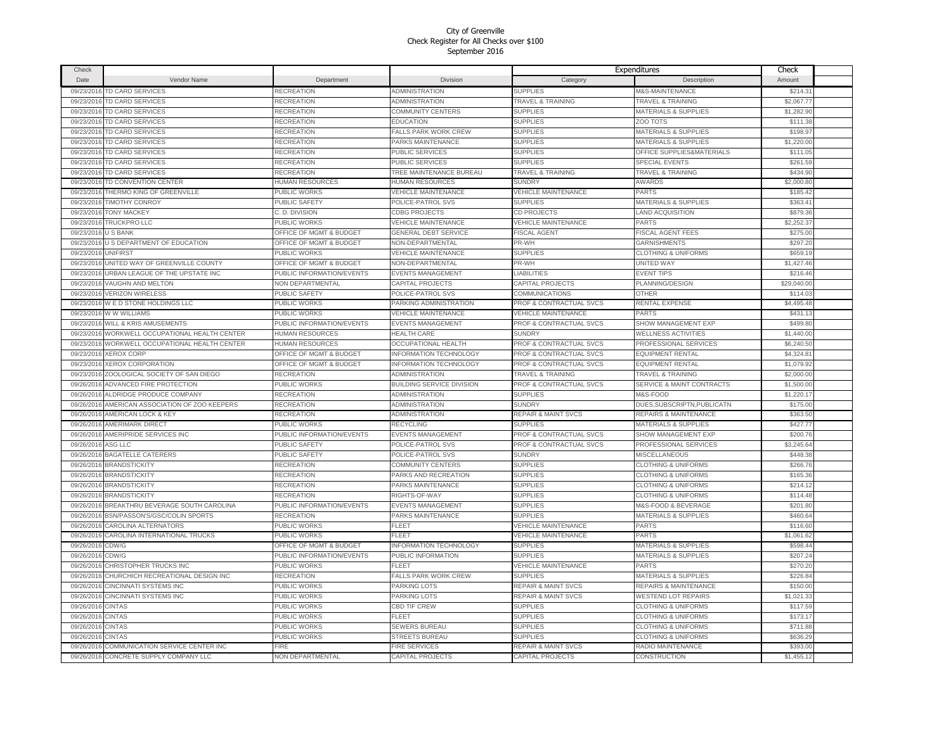| Check      |                                             |                                    |                               |                                    | Expenditures                         | Check       |  |
|------------|---------------------------------------------|------------------------------------|-------------------------------|------------------------------------|--------------------------------------|-------------|--|
| Date       | Vendor Name                                 | Department                         | Division                      | Category                           | Description                          | Amount      |  |
| 09/23/2016 | TD CARD SERVICES                            | RECREATION                         | <b>ADMINISTRATION</b>         | <b>SUPPLIES</b>                    | <b>M&amp;S-MAINTENANCE</b>           | \$214.3'    |  |
| 09/23/2016 | TD CARD SERVICES                            | RECREATION                         | <b>ADMINISTRATION</b>         | <b>TRAVEL &amp; TRAINING</b>       | <b>TRAVEL &amp; TRAINING</b>         | \$2,067.77  |  |
| 09/23/2016 | TD CARD SERVICES                            | RECREATION                         | COMMUNITY CENTERS             | <b>SUPPLIES</b>                    | MATERIALS & SUPPLIES                 | \$1,282.90  |  |
| 09/23/2016 | <b>TD CARD SERVICES</b>                     | RECREATION                         | <b>EDUCATION</b>              | <b>SUPPLIES</b>                    | ZOO TOTS                             | \$111.38    |  |
| 09/23/2016 | <b>TD CARD SERVICES</b>                     | RECREATION                         | <b>FALLS PARK WORK CREW</b>   | <b>SUPPLIES</b>                    | <b>MATERIALS &amp; SUPPLIES</b>      | \$198.97    |  |
| 09/23/2016 | TD CARD SERVICES                            | RECREATION                         | PARKS MAINTENANCE             | <b>SUPPLIES</b>                    | MATERIALS & SUPPLIES                 | \$1,220.00  |  |
|            | 09/23/2016 TD CARD SERVICES                 | RECREATION                         | PUBLIC SERVICES               | <b>SUPPLIES</b>                    | OFFICE SUPPLIES&MATERIALS            | \$111.05    |  |
| 09/23/2016 | <b>TD CARD SERVICES</b>                     | RECREATION                         | PUBLIC SERVICES               | <b>SUPPLIES</b>                    | SPECIAL EVENTS                       | \$261.59    |  |
|            | 09/23/2016 TD CARD SERVICES                 | RECREATION                         | TREE MAINTENANCE BUREAU       | <b>TRAVEL &amp; TRAINING</b>       | <b>TRAVEL &amp; TRAINING</b>         | \$434.90    |  |
|            |                                             |                                    |                               |                                    |                                      |             |  |
| 09/23/2016 | TD CONVENTION CENTER                        | HUMAN RESOURCES                    | <b>HUMAN RESOURCES</b>        | <b>SUNDRY</b>                      | <b>AWARDS</b>                        | \$2,000.8   |  |
| 09/23/2016 | THERMO KING OF GREENVILLE                   | PUBLIC WORKS                       | <b>VEHICLE MAINTENANCE</b>    | <b>VEHICLE MAINTENANCE</b>         | <b>PARTS</b>                         | \$185.42    |  |
| 09/23/201  | <b>TIMOTHY CONROY</b>                       | PUBLIC SAFETY                      | POLICE-PATROL SVS             | <b>SUPPLIES</b>                    | <b>MATERIALS &amp; SUPPLIES</b>      | \$363.4     |  |
| 09/23/2016 | <b>TONY MACKEY</b>                          | C. D. DIVISION                     | <b>CDBG PROJECTS</b>          | CD PROJECTS                        | <b>LAND ACQUISITION</b>              | \$879.36    |  |
| 09/23/201  | <b>TRUCKPRO LLC</b>                         | PUBLIC WORKS                       | VEHICLE MAINTENANCE           | VEHICLE MAINTENANCE                | <b>PARTS</b>                         | \$2,252.3   |  |
| 09/23/2016 | <b>USBANK</b>                               | <b>OFFICE OF MGMT &amp; BUDGET</b> | <b>GENERAL DEBT SERVICE</b>   | <b>FISCAL AGENT</b>                | <b>FISCAL AGENT FEES</b>             | \$275.00    |  |
| 09/23/201  | U S DEPARTMENT OF EDUCATION                 | <b>OFFICE OF MGMT &amp; BUDGET</b> | <b>NON-DEPARTMENTAL</b>       | PR-WH                              | <b>GARNISHMENTS</b>                  | \$297.2     |  |
| 09/23/2016 | <b>UNIFIRST</b>                             | PUBLIC WORKS                       | <b>VEHICLE MAINTENANCE</b>    | <b>SUPPLIES</b>                    | <b>CLOTHING &amp; UNIFORMS</b>       | \$659.19    |  |
| 09/23/2016 | UNITED WAY OF GREENVILLE COUNTY             | <b>OFFICE OF MGMT &amp; BUDGET</b> | NON-DEPARTMENTAL              | PR-WH                              | UNITED WAY                           | \$1,427.46  |  |
| 09/23/2016 | URBAN LEAGUE OF THE UPSTATE INC             | PUBLIC INFORMATION/EVENTS          | <b>EVENTS MANAGEMENT</b>      | <b>LIABILITIES</b>                 | <b>EVENT TIPS</b>                    | \$216.46    |  |
| 09/23/2016 | <b>VAUGHN AND MELTON</b>                    | <b>NON DEPARTMENTAL</b>            | CAPITAL PROJECTS              | CAPITAL PROJECTS                   | PLANNING/DESIGN                      | \$29,040.00 |  |
| 09/23/2016 | <b>VERIZON WIRELESS</b>                     | PUBLIC SAFETY                      | POLICE-PATROL SVS             | COMMUNICATIONS                     | <b>OTHER</b>                         | \$114.03    |  |
|            | 09/23/2016 W E D STONE HOLDINGS LLC         | PUBLIC WORKS                       | PARKING ADMINISTRATION        | <b>PROF &amp; CONTRACTUAL SVCS</b> | RENTAL EXPENSE                       | \$4,495.48  |  |
| 09/23/2010 | W W WILLIAMS                                | PUBLIC WORKS                       | <b>VEHICLE MAINTENANCE</b>    | <b>VEHICLE MAINTENANCE</b>         | PARTS                                | \$431.13    |  |
| 09/23/2016 | <b>WILL &amp; KRIS AMUSEMENTS</b>           | PUBLIC INFORMATION/EVENTS          | <b>EVENTS MANAGEMENT</b>      | PROF & CONTRACTUAL SVCS            | SHOW MANAGEMENT EXP                  | \$499.80    |  |
| 09/23/2016 | WORKWELL OCCUPATIONAL HEALTH CENTER         | HUMAN RESOURCES                    | <b>HEALTH CARE</b>            | <b>SUNDRY</b>                      | <b>WELLNESS ACTIVITIES</b>           | \$1,440.00  |  |
| 09/23/2016 | WORKWELL OCCUPATIONAL HEALTH CENTER         | HUMAN RESOURCES                    | <b>OCCUPATIONAL HEALTH</b>    | <b>PROF &amp; CONTRACTUAL SVCS</b> | PROFESSIONAL SERVICES                | \$6,240.50  |  |
| 09/23/201  | <b>XEROX CORP</b>                           | <b>OFFICE OF MGMT &amp; BUDGET</b> | <b>INFORMATION TECHNOLOGY</b> | PROF & CONTRACTUAL SVCS            | <b>EQUIPMENT RENTAL</b>              | \$4,324.8   |  |
| 09/23/2016 | <b>XEROX CORPORATION</b>                    | <b>DFFICE OF MGMT &amp; BUDGET</b> | <b>INFORMATION TECHNOLOGY</b> | PROF & CONTRACTUAL SVCS            | EQUIPMENT RENTAL                     | \$1,079.92  |  |
| 09/23/201  | ZOOLOGICAL SOCIETY OF SAN DIEGO             | RECREATION                         | <b>ADMINISTRATION</b>         | <b>TRAVEL &amp; TRAINING</b>       | <b>TRAVEL &amp; TRAINING</b>         | \$2,000.0   |  |
| 09/26/2016 | ADVANCED FIRE PROTECTION                    | PUBLIC WORKS                       | BUILDING SERVICE DIVISION     | PROF & CONTRACTUAL SVCS            | <b>SERVICE &amp; MAINT CONTRACTS</b> | \$1,500.00  |  |
| 09/26/201  | ALDRIDGE PRODUCE COMPANY                    | RECREATION                         | <b>ADMINISTRATION</b>         | <b>SUPPLIES</b>                    | <b>M&amp;S-FOOD</b>                  | \$1,220.1   |  |
| 09/26/2016 | AMERICAN ASSOCIATION OF ZOO KEEPERS         | RECREATION                         | <b>ADMINISTRATION</b>         | <b>SUNDRY</b>                      | DUES, SUBSCRIPTN, PUBLICATN          | \$175.00    |  |
| 09/26/2016 | <b>AMERICAN LOCK &amp; KEY</b>              | RECREATION                         | <b>ADMINISTRATION</b>         | <b>REPAIR &amp; MAINT SVCS</b>     | REPAIRS & MAINTENANCE                | \$363.50    |  |
| 09/26/2016 | <b>AMERIMARK DIRECT</b>                     | PUBLIC WORKS                       | <b>RECYCLING</b>              | <b>SUPPLIES</b>                    | <b>MATERIALS &amp; SUPPLIES</b>      | \$427,77    |  |
| 09/26/2016 | AMERIPRIDE SERVICES INC                     | PUBLIC INFORMATION/EVENTS          | <b>EVENTS MANAGEMENT</b>      | <b>PROF &amp; CONTRACTUAL SVCS</b> | SHOW MANAGEMENT EXP                  | \$200.76    |  |
| 09/26/2016 | ASG LLC                                     | PUBLIC SAFETY                      | POLICE-PATROL SVS             | PROF & CONTRACTUAL SVCS            | PROFESSIONAL SERVICES                | \$3,245.64  |  |
| 09/26/2016 | <b>BAGATELLE CATERERS</b>                   | PUBLIC SAFETY                      | POLICE-PATROL SVS             | <b>SUNDRY</b>                      | MISCELLANEOUS                        | \$448.38    |  |
| 09/26/2016 | <b>BRANDSTICKITY</b>                        | RECREATION                         | COMMUNITY CENTERS             | <b>SUPPLIES</b>                    | <b>CLOTHING &amp; UNIFORMS</b>       | \$266.76    |  |
|            | 09/26/2016 BRANDSTICKITY                    | RECREATION                         | PARKS AND RECREATION          | <b>SUPPLIES</b>                    | <b>CLOTHING &amp; UNIFORMS</b>       | \$165.36    |  |
| 09/26/2016 | <b>BRANDSTICKITY</b>                        | RECREATION                         | PARKS MAINTENANCE             | <b>SUPPLIES</b>                    | <b>CLOTHING &amp; UNIFORMS</b>       | \$214.12    |  |
| 09/26/2016 | <b>BRANDSTICKITY</b>                        | RECREATION                         | RIGHTS-OF-WAY                 | <b>SUPPLIES</b>                    | <b>CLOTHING &amp; UNIFORMS</b>       | \$114.48    |  |
| 09/26/201  | BREAKTHRU BEVERAGE SOUTH CAROLINA           | PUBLIC INFORMATION/EVENTS          | EVENTS MANAGEMENT             | <b>SUPPLIES</b>                    | M&S-FOOD & BEVERAGE                  | \$201.80    |  |
| 09/26/2016 | BSN/PASSON'S/GSC/COLIN SPORTS               | RECREATION                         | PARKS MAINTENANCE             | <b>SUPPLIES</b>                    | MATERIALS & SUPPLIES                 | \$460.6     |  |
| 09/26/201  | CAROLINA ALTERNATORS                        | PUBLIC WORKS                       | FLEET                         | <b>VEHICLE MAINTENANCE</b>         | <b>PARTS</b>                         | \$116.60    |  |
| 09/26/2016 | CAROLINA INTERNATIONAL TRUCKS               | PUBLIC WORKS                       | FI FFT                        | <b>VEHICLE MAINTENANCE</b>         | PARTS                                | \$1,061.62  |  |
| 09/26/201  | CDW/G                                       | <b>OFFICE OF MGMT &amp; BUDGET</b> | <b>INFORMATION TECHNOLOGY</b> | <b>SUPPLIES</b>                    | <b>MATERIALS &amp; SUPPLIES</b>      | \$598.44    |  |
| 09/26/2016 | CDW/G                                       | PUBLIC INFORMATION/EVENTS          | PUBLIC INFORMATION            | <b>SUPPLIES</b>                    | MATERIALS & SUPPLIES                 | \$207.24    |  |
| 09/26/201  | CHRISTOPHER TRUCKS INC                      | PUBLIC WORKS                       | FLEET                         | <b>VEHICLE MAINTENANCE</b>         | PARTS                                | \$270.20    |  |
| 09/26/2016 | CHURCHICH RECREATIONAL DESIGN INC           | RECREATION                         | FALLS PARK WORK CREW          | <b>SUPPLIES</b>                    | <b>MATERIALS &amp; SUPPLIES</b>      | \$226.84    |  |
|            |                                             |                                    |                               |                                    |                                      |             |  |
| 09/26/2016 | CINCINNATI SYSTEMS INC                      | PUBLIC WORKS                       | PARKING LOTS                  | <b>REPAIR &amp; MAINT SVCS</b>     | REPAIRS & MAINTENANCE                | \$150.00    |  |
| 09/26/2016 | <b>CINCINNATI SYSTEMS INC</b>               | PUBLIC WORKS                       | PARKING LOTS                  | <b>REPAIR &amp; MAINT SVCS</b>     | <b>WESTEND LOT REPAIRS</b>           | \$1,021.33  |  |
| 09/26/2016 | <b>CINTAS</b>                               | PUBLIC WORKS                       | CBD TIF CREW                  | <b>SUPPLIES</b>                    | <b>CLOTHING &amp; UNIFORMS</b>       | \$117.59    |  |
| 09/26/2016 | <b>CINTAS</b>                               | PUBLIC WORKS                       | FLEET                         | <b>SUPPLIES</b>                    | <b>CLOTHING &amp; UNIFORMS</b>       | \$173.17    |  |
| 09/26/2016 | <b>CINTAS</b>                               | PUBLIC WORKS                       | <b>SEWERS BUREAU</b>          | <b>SUPPLIES</b>                    | <b>CLOTHING &amp; UNIFORMS</b>       | \$711.88    |  |
| 09/26/2016 | <b>CINTAS</b>                               | PUBLIC WORKS                       | <b>STREETS BUREAU</b>         | <b>SUPPLIES</b>                    | <b>CLOTHING &amp; UNIFORMS</b>       | \$636.2     |  |
|            | 09/26/2016 COMMUNICATION SERVICE CENTER INC | FIRE                               | FIRE SERVICES                 | <b>REPAIR &amp; MAINT SVCS</b>     | RADIO MAINTENANCE                    | \$393.00    |  |
|            | 09/26/2016 CONCRETE SUPPLY COMPANY LLC      | <b>NON DEPARTMENTAL</b>            | <b>CAPITAL PROJECTS</b>       | CAPITAL PROJECTS                   | CONSTRUCTION                         | \$1,455.12  |  |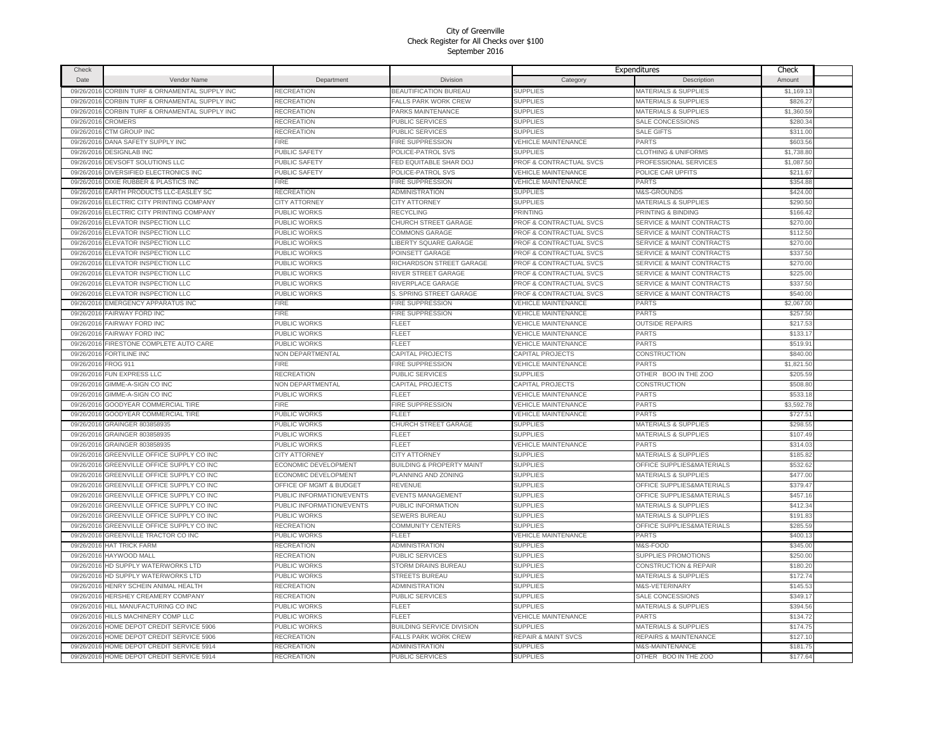| Check      |                                           |                           |                                      |                                    | Expenditures                         | Check      |  |
|------------|-------------------------------------------|---------------------------|--------------------------------------|------------------------------------|--------------------------------------|------------|--|
| Date       | Vendor Name                               | Department                | Division                             | Category                           | Description                          | Amount     |  |
| 09/26/2016 | CORBIN TURF & ORNAMENTAL SUPPLY INC       | <b>RECREATION</b>         | <b>BEAUTIFICATION BUREAU</b>         | <b>SUPPLIES</b>                    | <b>MATERIALS &amp; SUPPLIES</b>      | \$1,169.13 |  |
| 09/26/2016 | CORBIN TURF & ORNAMENTAL SUPPLY INC       | RECREATION                | <b>FALLS PARK WORK CREW</b>          | <b>SUPPLIES</b>                    | <b>MATERIALS &amp; SUPPLIES</b>      | \$826.27   |  |
| 09/26/2016 | CORBIN TURF & ORNAMENTAL SUPPLY INC       | <b>RECREATION</b>         | PARKS MAINTENANCE                    | <b>SUPPLIES</b>                    | MATERIALS & SUPPLIES                 | \$1,360.59 |  |
| 09/26/2016 | CROMERS                                   | <b>RECREATION</b>         | PUBLIC SERVICES                      | <b>SUPPLIES</b>                    | SALE CONCESSIONS                     | \$280.34   |  |
| 09/26/2016 | CTM GROUP INC                             | <b>RECREATION</b>         | PUBLIC SERVICES                      | <b>SUPPLIES</b>                    | <b>SALE GIFTS</b>                    | \$311.00   |  |
|            | 09/26/2016 DANA SAFETY SUPPLY INC         | <b>FIRE</b>               | FIRE SUPPRESSION                     | <b>VEHICLE MAINTENANCE</b>         | PARTS                                | \$603.56   |  |
|            | 09/26/2016 DESIGNLAB INC                  | <b>PUBLIC SAFETY</b>      | POLICE-PATROL SVS                    | <b>SUPPLIES</b>                    | <b>CLOTHING &amp; UNIFORMS</b>       | \$1,738.80 |  |
| 09/26/2016 | DEVSOFT SOLUTIONS LLC                     | PUBLIC SAFETY             | FED EQUITABLE SHAR DOJ               | PROF & CONTRACTUAL SVCS            | PROFESSIONAL SERVICES                | \$1,087.50 |  |
| 09/26/2016 | DIVERSIFIED ELECTRONICS INC               | PUBLIC SAFETY             | POLICE-PATROL SVS                    | <b>VEHICLE MAINTENANCE</b>         | POLICE CAR UPFITS                    | \$211.67   |  |
| 09/26/2016 | DIXIE RUBBER & PLASTICS INC               | <b>FIRE</b>               | FIRE SUPPRESSION                     | VEHICLE MAINTENANCE                | PARTS                                | \$354.88   |  |
| 09/26/2016 | EARTH PRODUCTS LLC-EASLEY SC              | <b>RECREATION</b>         | ADMINISTRATION                       | <b>SUPPLIES</b>                    | <b>M&amp;S-GROUNDS</b>               | \$424.00   |  |
| 09/26/2016 | ELECTRIC CITY PRINTING COMPANY            | CITY ATTORNEY             | CITY ATTORNEY                        | <b>SUPPLIES</b>                    | <b>MATERIALS &amp; SUPPLIES</b>      | \$290.50   |  |
|            | ELECTRIC CITY PRINTING COMPANY            |                           |                                      | PRINTING                           | <b>PRINTING &amp; BINDING</b>        |            |  |
| 09/26/2016 |                                           | PUBLIC WORKS              | RECYCLING                            |                                    |                                      | \$166.42   |  |
| 09/26/2016 | ELEVATOR INSPECTION LLC                   | PUBLIC WORKS              | CHURCH STREET GARAGE                 | PROF & CONTRACTUAL SVCS            | <b>SERVICE &amp; MAINT CONTRACTS</b> | \$270.00   |  |
| 09/26/2016 | ELEVATOR INSPECTION LLC                   | PUBLIC WORKS              | COMMONS GARAGE                       | <b>PROF &amp; CONTRACTUAL SVCS</b> | <b>SERVICE &amp; MAINT CONTRACTS</b> | \$112.50   |  |
| 09/26/2016 | ELEVATOR INSPECTION LLC                   | PUBLIC WORKS              | <b>LIBERTY SQUARE GARAGE</b>         | <b>PROF &amp; CONTRACTUAL SVCS</b> | <b>SERVICE &amp; MAINT CONTRACTS</b> | \$270.00   |  |
| 09/26/2016 | ELEVATOR INSPECTION LLC                   | PUBLIC WORKS              | POINSETT GARAGE                      | PROF & CONTRACTUAL SVCS            | <b>SERVICE &amp; MAINT CONTRACTS</b> | \$337.50   |  |
| 09/26/201  | ELEVATOR INSPECTION LLC                   | PUBLIC WORKS              | RICHARDSON STREET GARAGE             | PROF & CONTRACTUAL SVCS            | <b>SERVICE &amp; MAINT CONTRACTS</b> | \$270.00   |  |
| 09/26/2016 | ELEVATOR INSPECTION LLC                   | PUBLIC WORKS              | RIVER STREET GARAGE                  | <b>PROF &amp; CONTRACTUAL SVCS</b> | <b>SERVICE &amp; MAINT CONTRACTS</b> | \$225.00   |  |
| 09/26/2016 | ELEVATOR INSPECTION LLC                   | <b>PUBLIC WORKS</b>       | RIVERPLACE GARAGE                    | PROF & CONTRACTUAL SVCS            | <b>SERVICE &amp; MAINT CONTRACTS</b> | \$337.50   |  |
| 09/26/2016 | ELEVATOR INSPECTION LLC                   | PUBLIC WORKS              | S. SPRING STREET GARAGE              | <b>PROF &amp; CONTRACTUAL SVCS</b> | <b>SERVICE &amp; MAINT CONTRACTS</b> | \$540.00   |  |
| 09/26/2016 | EMERGENCY APPARATUS INC                   | FIRE                      | FIRE SUPPRESSION                     | VEHICLE MAINTENANCE                | <b>PARTS</b>                         | \$2,067.00 |  |
| 09/26/2016 | FAIRWAY FORD INC                          | <b>FIRE</b>               | FIRE SUPPRESSION                     | <b>VEHICLE MAINTENANCE</b>         | PARTS                                | \$257.50   |  |
| 09/26/2016 | <b>FAIRWAY FORD INC</b>                   | PUBLIC WORKS              | FLEET                                | <b>VEHICLE MAINTENANCE</b>         | <b>OUTSIDE REPAIRS</b>               | \$217.53   |  |
| 09/26/2016 | <b>FAIRWAY FORD INC</b>                   | PUBLIC WORKS              | FLEET                                | <b>VEHICLE MAINTENANCE</b>         | <b>PARTS</b>                         | \$133.17   |  |
| 09/26/2016 | FIRESTONE COMPLETE AUTO CARE              | PUBLIC WORKS              | FLEET                                | <b>VEHICLE MAINTENANCE</b>         | PARTS                                | \$519.91   |  |
| 09/26/2016 | <b>FORTILINE INC</b>                      | NON DEPARTMENTAL          | <b>CAPITAL PROJECTS</b>              | <b>CAPITAL PROJECTS</b>            | CONSTRUCTION                         | \$840.00   |  |
| 09/26/2016 | <b>FROG 911</b>                           | FIRE                      | FIRE SUPPRESSION                     | <b>VEHICLE MAINTENANCE</b>         | PARTS                                | \$1,821.50 |  |
|            | 09/26/2016 FUN EXPRESS LLC                | <b>RECREATION</b>         | PUBLIC SERVICES                      | <b>SUPPLIES</b>                    | OTHER BOO IN THE ZOO                 | \$205.59   |  |
| 09/26/2016 | GIMME-A-SIGN CO INC                       | NON DEPARTMENTAL          | CAPITAL PROJECTS                     | CAPITAL PROJECTS                   | <b>CONSTRUCTION</b>                  | \$508.80   |  |
| 09/26/2016 | GIMME-A-SIGN CO INC                       | PUBLIC WORKS              | FLEET                                | <b>VEHICLE MAINTENANCE</b>         | PARTS                                | \$533.18   |  |
| 09/26/2016 | GOODYEAR COMMERCIAL TIRE                  | <b>FIRE</b>               | FIRE SUPPRESSION                     | VEHICLE MAINTENANCE                | PARTS                                | \$3,592.78 |  |
| 09/26/2016 | GOODYEAR COMMERCIAL TIRE                  | PUBLIC WORKS              | FLEET                                | <b>VEHICLE MAINTENANCE</b>         | PARTS                                | \$727.5    |  |
| 09/26/2016 | GRAINGER 803858935                        | PUBLIC WORKS              | CHURCH STREET GARAGE                 | <b>SUPPLIES</b>                    | <b>MATERIALS &amp; SUPPLIES</b>      | \$298.55   |  |
| 09/26/2016 | GRAINGER 803858935                        | PUBLIC WORKS              | FLEET                                | <b>SUPPLIES</b>                    | <b>MATERIALS &amp; SUPPLIES</b>      | \$107.49   |  |
| 09/26/2016 | GRAINGER 803858935                        | PUBLIC WORKS              | FLEET                                | <b>VEHICLE MAINTENANCE</b>         | PARTS                                | \$314.03   |  |
| 09/26/201  | GREENVILLE OFFICE SUPPLY CO INC           | <b>CITY ATTORNEY</b>      | <b>CITY ATTORNEY</b>                 | <b>SUPPLIES</b>                    | <b>MATERIALS &amp; SUPPLIES</b>      | \$185.82   |  |
| 09/26/2016 | GREENVILLE OFFICE SUPPLY CO INC           | ECONOMIC DEVELOPMENT      | <b>BUILDING &amp; PROPERTY MAINT</b> | <b>SUPPLIES</b>                    | OFFICE SUPPLIES&MATERIALS            | \$532.62   |  |
| 09/26/2016 | <b>GREENVILLE OFFICE SUPPLY CO INC</b>    | ECONOMIC DEVELOPMENT      | PLANNING AND ZONING                  | <b>SUPPLIES</b>                    | <b>MATERIALS &amp; SUPPLIES</b>      | \$477.00   |  |
| 09/26/2016 | GREENVILLE OFFICE SUPPLY CO INC           | OFFICE OF MGMT & BUDGET   | REVENUE                              | <b>SUPPLIES</b>                    | OFFICE SUPPLIES&MATERIALS            | \$379.47   |  |
| 09/26/2016 | GREENVILLE OFFICE SUPPLY CO INC           | PUBLIC INFORMATION/EVENTS | <b>EVENTS MANAGEMENT</b>             | <b>SUPPLIES</b>                    | OFFICE SUPPLIES&MATERIALS            | \$457.16   |  |
| 09/26/2016 | GREENVILLE OFFICE SUPPLY CO INC           | PUBLIC INFORMATION/EVENTS | PUBLIC INFORMATION                   | <b>SUPPLIES</b>                    | <b>MATERIALS &amp; SUPPLIES</b>      | \$412.34   |  |
| 09/26/2016 | GREENVILLE OFFICE SUPPLY CO INC           | <b>PUBLIC WORKS</b>       | <b>SEWERS BUREAU</b>                 | <b>SUPPLIES</b>                    | <b>MATERIALS &amp; SUPPLIES</b>      | \$191.83   |  |
| 09/26/2016 | GREENVILLE OFFICE SUPPLY CO INC           | <b>RECREATION</b>         | COMMUNITY CENTERS                    | <b>SUPPLIES</b>                    | OFFICE SUPPLIES&MATERIALS            | \$285.59   |  |
| 09/26/2016 | GREENVILLE TRACTOR CO INC                 | PUBLIC WORKS              | FLEET                                | <b>VEHICLE MAINTENANCE</b>         | PARTS                                | \$400.13   |  |
| 09/26/2016 | <b>HAT TRICK FARM</b>                     | RECREATION                | ADMINISTRATION                       | <b>SUPPLIES</b>                    | M&S-FOOD                             | \$345.00   |  |
|            | 09/26/2016 HAYWOOD MALL                   | <b>RECREATION</b>         | PUBLIC SERVICES                      | <b>SUPPLIES</b>                    | SUPPLIES PROMOTIONS                  | \$250.00   |  |
| 09/26/2016 | HD SUPPLY WATERWORKS LTD                  | PUBLIC WORKS              | STORM DRAINS BUREAU                  | <b>SUPPLIES</b>                    | <b>CONSTRUCTION &amp; REPAIR</b>     | \$180.20   |  |
|            | 09/26/2016 HD SUPPLY WATERWORKS LTD       | <b>PUBLIC WORKS</b>       | <b>STREETS BUREAU</b>                | <b>SUPPLIES</b>                    | <b>MATERIALS &amp; SUPPLIES</b>      | \$172.74   |  |
| 09/26/2016 | HENRY SCHEIN ANIMAL HEALTH                | <b>RECREATION</b>         | ADMINISTRATION                       | <b>SUPPLIES</b>                    | <b>M&amp;S-VETERINARY</b>            | \$145.53   |  |
| 09/26/2016 | HERSHEY CREAMERY COMPANY                  | <b>RECREATION</b>         | PUBLIC SERVICES                      | <b>SUPPLIES</b>                    | SALE CONCESSIONS                     | \$349.17   |  |
|            | 09/26/2016 HILL MANUFACTURING CO INC      | PUBLIC WORKS              | FLEET                                | <b>SUPPLIES</b>                    | MATERIALS & SUPPLIES                 | \$394.56   |  |
| 09/26/2016 | HILLS MACHINERY COMP LLC                  | PUBLIC WORKS              | FLEET                                | VEHICLE MAINTENANCE                | PARTS                                | \$134.72   |  |
| 09/26/2016 | HOME DEPOT CREDIT SERVICE 5906            | PUBLIC WORKS              | <b>BUILDING SERVICE DIVISION</b>     | <b>SUPPLIES</b>                    | <b>MATERIALS &amp; SUPPLIES</b>      | \$174.75   |  |
| 09/26/2016 | HOME DEPOT CREDIT SERVICE 5906            | RECREATION                | <b>FALLS PARK WORK CREW</b>          | <b>REPAIR &amp; MAINT SVCS</b>     | REPAIRS & MAINTENANCE                | \$127.10   |  |
| 09/26/2016 | HOME DEPOT CREDIT SERVICE 5914            | RECREATION                | ADMINISTRATION                       | <b>SUPPLIES</b>                    | <b>M&amp;S-MAINTENANCE</b>           | \$181.75   |  |
|            | 09/26/2016 HOME DEPOT CREDIT SERVICE 5914 | <b>RECREATION</b>         | PUBLIC SERVICES                      | <b>SUPPLIES</b>                    | OTHER BOO IN THE ZOO                 | \$177.64   |  |
|            |                                           |                           |                                      |                                    |                                      |            |  |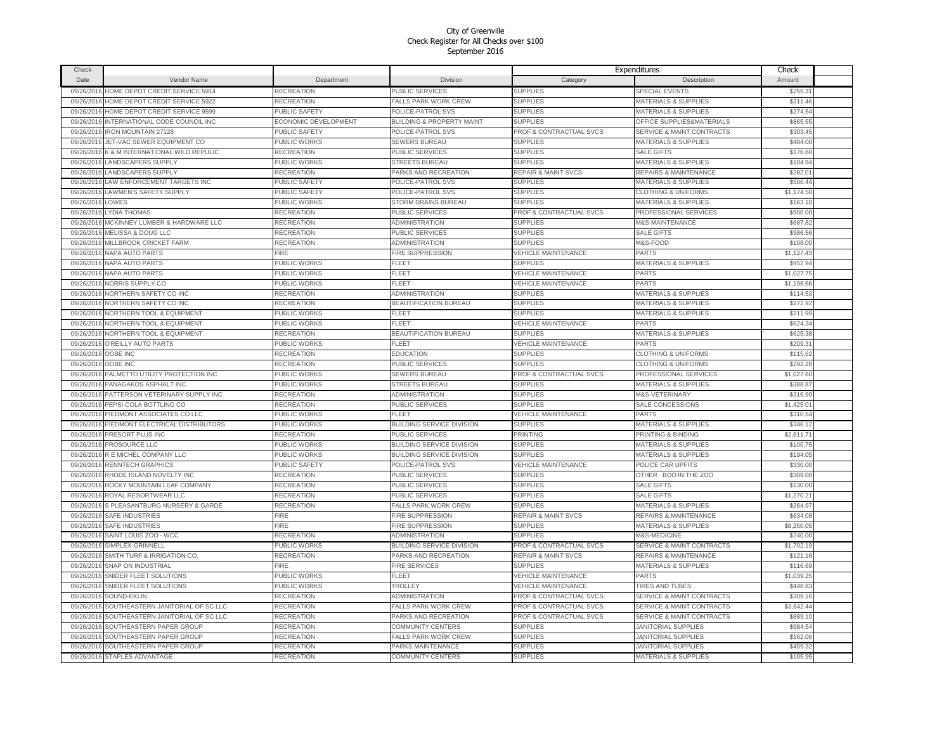| Check      |                                   |                             |                                      |                                | Expenditures                         | Check      |  |
|------------|-----------------------------------|-----------------------------|--------------------------------------|--------------------------------|--------------------------------------|------------|--|
| Date       | Vendor Name                       | Department                  | Division                             | Category                       | Description                          | Amount     |  |
| 09/26/2016 | HOME DEPOT CREDIT SERVICE 5914    | RECREATION                  | PUBLIC SERVICES                      | <b>SUPPLIES</b>                | SPECIAL EVENTS                       | \$255.31   |  |
| 09/26/2016 | HOME DEPOT CREDIT SERVICE 5922    | RECREATION                  | <b>FALLS PARK WORK CREW</b>          | <b>SUPPLIES</b>                | MATERIALS & SUPPLIES                 | \$311.46   |  |
| 09/26/2016 | HOME DEPOT CREDIT SERVICE 9599    | PUBLIC SAFETY               | POLICE-PATROL SVS                    | <b>SUPPLIES</b>                | MATERIALS & SUPPLIES                 | \$274.54   |  |
| 09/26/2016 | INTERNATIONAL CODE COUNCIL INC    | <b>ECONOMIC DEVELOPMENT</b> | <b>BUILDING &amp; PROPERTY MAINT</b> | <b>SUPPLIES</b>                | OFFICE SUPPLIES&MATERIALS            | \$865.55   |  |
| 09/26/2016 | <b>IRON MOUNTAIN 27128</b>        | PUBLIC SAFETY               | POLICE-PATROL SVS                    | PROF & CONTRACTUAL SVCS        | SERVICE & MAINT CONTRACTS            | \$303.45   |  |
| 09/26/2016 | JET-VAC SEWER EQUIPMENT CO        | PUBLIC WORKS                | SEWERS BUREAU                        | <b>SUPPLIES</b>                | <b>MATERIALS &amp; SUPPLIES</b>      | \$484.00   |  |
| 09/26/2016 | K & M INTERNATIONAL WILD REPULIC  | RECREATION                  | PUBLIC SERVICES                      | <b>SUPPLIES</b>                | <b>SALE GIFTS</b>                    | \$176.60   |  |
| 09/26/2016 | <b>LANDSCAPERS SUPPLY</b>         | PUBLIC WORKS                | <b>STREETS BUREAU</b>                | <b>SUPPLIES</b>                | <b>MATERIALS &amp; SUPPLIES</b>      | \$104.94   |  |
| 09/26/2016 | <b>LANDSCAPERS SUPPLY</b>         | <b>RECREATION</b>           | PARKS AND RECREATION                 | <b>REPAIR &amp; MAINT SVCS</b> | <b>REPAIRS &amp; MAINTENANCE</b>     | \$282.01   |  |
| 09/26/2010 | LAW ENFORCEMENT TARGETS INC       | PUBLIC SAFETY               | POLICE-PATROL SVS                    | <b>SUPPLIES</b>                | <b>MATERIALS &amp; SUPPLIES</b>      | \$506.44   |  |
| 09/26/2016 | <b>LAWMEN'S SAFETY SUPPLY</b>     | PUBLIC SAFETY               | POLICE-PATROL SVS                    | <b>SUPPLIES</b>                | <b>CLOTHING &amp; UNIFORMS</b>       | \$1,174.50 |  |
| 09/26/2016 | LOWES                             | PUBLIC WORKS                | STORM DRAINS BUREAU                  | <b>SUPPLIES</b>                | <b>MATERIALS &amp; SUPPLIES</b>      | \$163.10   |  |
| 09/26/2016 | <b>LYDIA THOMAS</b>               | RECREATION                  | PUBLIC SERVICES                      | PROF & CONTRACTUAL SVCS        | PROFESSIONAL SERVICES                | \$900.00   |  |
| 09/26/201  | MCKINNEY LUMBER & HARDWARE LLC    | RECREATION                  | ADMINISTRATION                       | <b>SUPPLIES</b>                | M&S-MAINTENANCE                      | \$687.8    |  |
| 09/26/2016 | MELISSA & DOUG LLC                | RECREATION                  | PUBLIC SERVICES                      | <b>SUPPLIES</b>                | <b>SALE GIFTS</b>                    | \$986.56   |  |
| 09/26/201  | MILLBROOK CRICKET FARM            | RECREATION                  | ADMINISTRATION                       | <b>SUPPLIES</b>                | M&S-FOOD                             | \$108.00   |  |
| 09/26/201  | <b>NAPA AUTO PARTS</b>            | FIRE                        | FIRE SUPPRESSION                     | <b>VEHICLE MAINTENANCE</b>     | PARTS                                | \$1,127.4  |  |
| 09/26/201  | <b>NAPA AUTO PARTS</b>            | PUBLIC WORKS                | FLEET                                | <b>SUPPLIES</b>                | MATERIALS & SUPPLIES                 | \$952.9    |  |
| 09/26/2016 | <b>NAPA AUTO PARTS</b>            | PUBLIC WORKS                | FLEET                                | <b>VEHICLE MAINTENANCE</b>     | PARTS                                | \$1,027.75 |  |
| 09/26/201  | NORRIS SUPPLY CO                  | PUBLIC WORKS                | FLEET                                | <b>VEHICLE MAINTENANCE</b>     | <b>PARTS</b>                         | \$1,196.66 |  |
| 09/26/2016 | NORTHERN SAFETY CO INC            | RECREATION                  | ADMINISTRATION                       | <b>SUPPLIES</b>                | MATERIALS & SUPPLIES                 | \$114.53   |  |
| 09/26/2016 | NORTHERN SAFETY CO INC            | RECREATION                  | BEAUTIFICATION BUREAU                | <b>SUPPLIES</b>                | <b>MATERIALS &amp; SUPPLIES</b>      | \$272.92   |  |
| 09/26/2016 | NORTHERN TOOL & EQUIPMENT         | PUBLIC WORKS                | FLEET                                | <b>SUPPLIES</b>                | MATERIALS & SUPPLIES                 | \$211.99   |  |
| 09/26/2016 | NORTHERN TOOL & EQUIPMENT         | PUBLIC WORKS                | FLEET                                | <b>VEHICLE MAINTENANCE</b>     | PARTS                                | \$624.34   |  |
| 09/26/2016 | NORTHERN TOOL & EQUIPMENT         | RECREATION                  | <b>BEAUTIFICATION BUREAU</b>         | <b>SUPPLIES</b>                | MATERIALS & SUPPLIES                 | \$625.38   |  |
| 09/26/2016 | O'REILLY AUTO PARTS               | PUBLIC WORKS                | FLEET                                | VEHICLE MAINTENANCE            | <b>PARTS</b>                         | \$209.31   |  |
| 09/26/2016 | OOBE INC                          | RECREATION                  | EDUCATION                            | <b>SUPPLIES</b>                | <b>CLOTHING &amp; UNIFORMS</b>       | \$115.62   |  |
| 09/26/2016 | OOBE INC                          | RECREATION                  | PUBLIC SERVICES                      | <b>SUPPLIES</b>                | <b>CLOTHING &amp; UNIFORMS</b>       | \$292.28   |  |
| 09/26/2016 | PALMETTO UTILITY PROTECTION INC   | PUBLIC WORKS                | <b>SEWERS BUREAU</b>                 | PROF & CONTRACTUAL SVCS        | PROFESSIONAL SERVICES                | \$1,027.60 |  |
| 09/26/2016 | PANAGAKOS ASPHALT INC             | PUBLIC WORKS                | <b>STREETS BUREAU</b>                | <b>SUPPLIES</b>                | <b>MATERIALS &amp; SUPPLIES</b>      | \$388.8    |  |
| 09/26/201  | PATTERSON VETERINARY SUPPLY INC   | RECREATION                  | ADMINISTRATION                       | <b>SUPPLIES</b>                | M&S-VETERINARY                       | \$316.99   |  |
| 09/26/201  | PEPSI-COLA BOTTLING CO            | RECREATION                  | PUBLIC SERVICES                      | <b>SUPPLIES</b>                | SALE CONCESSIONS                     | \$1,425.0  |  |
| 09/26/201  | PIEDMONT ASSOCIATES CO LLC        | PUBLIC WORKS                | FLEET                                | <b>VEHICLE MAINTENANCE</b>     | <b>PARTS</b>                         | \$310.5    |  |
| 09/26/2016 | PIEDMONT ELECTRICAL DISTRIBUTORS  | PUBLIC WORKS                | BUILDING SERVICE DIVISION            | <b>SUPPLIES</b>                | MATERIALS & SUPPLIES                 | \$346.1    |  |
| 09/26/201  | <b>PRESORT PLUS INC</b>           | RECREATION                  | PUBLIC SERVICES                      | PRINTING                       | PRINTING & BINDING                   | \$2.811.7  |  |
| 09/26/201  | PROSOURCE LLC                     | PUBLIC WORKS                | BUILDING SERVICE DIVISION            | <b>SUPPLIES</b>                | <b>MATERIALS &amp; SUPPLIES</b>      | \$100.75   |  |
| 09/26/201  | R E MICHEL COMPANY LLC            | PUBLIC WORKS                | <b>BUILDING SERVICE DIVISION</b>     | <b>SUPPLIES</b>                | MATERIALS & SUPPLIES                 | \$194.05   |  |
| 09/26/201  | RENNTECH GRAPHICS                 | PUBLIC SAFETY               | POLICE-PATROL SVS                    | <b>VEHICLE MAINTENANCE</b>     | POLICE CAR UPFITS                    | \$330.00   |  |
| 09/26/201  | RHODE ISLAND NOVELTY INC          | RECREATION                  | PUBLIC SERVICES                      | <b>SUPPLIES</b>                | OTHER BOO IN THE ZOO                 | \$309.00   |  |
| 09/26/201  | ROCKY MOUNTAIN LEAF COMPANY       | RECREATION                  | PUBLIC SERVICES                      | <b>SUPPLIES</b>                | <b>SALE GIFTS</b>                    | \$130.00   |  |
| 09/26/201  | ROYAL RESORTWEAR LLC              | RECREATION                  | PUBLIC SERVICES                      | <b>SUPPLIES</b>                | <b>SALE GIFTS</b>                    | \$1,270.21 |  |
| 09/26/201  | S PLEASANTBURG NURSERY & GARDE    | RECREATION                  | FALLS PARK WORK CREW                 | <b>SUPPLIES</b>                | <b>MATERIALS &amp; SUPPLIES</b>      | \$264.97   |  |
| 09/26/2016 | <b>SAFE INDUSTRIES</b>            | FIRE                        | FIRE SUPPRESSION                     | <b>REPAIR &amp; MAINT SVCS</b> | REPAIRS & MAINTENANCE                | \$634.08   |  |
| 09/26/2016 | <b>SAFE INDUSTRIES</b>            | FIRE                        | FIRE SUPPRESSION                     | <b>SUPPLIES</b>                | MATERIALS & SUPPLIES                 | \$8,250.0  |  |
| 09/26/2016 | SAINT LOUIS ZOO - WCC             | <b>RECREATION</b>           | ADMINISTRATION                       | <b>SUPPLIES</b>                | M&S-MEDICINE                         | \$240.00   |  |
| 09/26/2016 | SIMPLEX-GRINNELL                  | PUBLIC WORKS                | BUILDING SERVICE DIVISION            | PROF & CONTRACTUAL SVCS        | SERVICE & MAINT CONTRACTS            | \$1,702.19 |  |
| 09/26/2016 | SMITH TURF & IRRIGATION CO.       | <b>RECREATION</b>           | PARKS AND RECREATION                 | <b>REPAIR &amp; MAINT SVCS</b> | REPAIRS & MAINTENANCE                | \$121.16   |  |
| 09/26/2016 | <b>SNAP ON INDUSTRIAL</b>         | FIRE                        | FIRE SERVICES                        | <b>SUPPLIES</b>                | <b>MATERIALS &amp; SUPPLIES</b>      | \$116.69   |  |
| 09/26/2016 | SNIDER FLEET SOLUTIONS            | PUBLIC WORKS                | FLEET                                | <b>VEHICLE MAINTENANCE</b>     | PARTS                                | \$1,039.25 |  |
| 09/26/2016 | SNIDER FLEET SOLUTIONS            | PUBLIC WORKS                | TROLLEY                              | <b>VEHICLE MAINTENANCE</b>     | <b>TIRES AND TUBES</b>               | \$448.8    |  |
| 09/26/2016 | SOUND-EKLIN                       | RECREATION                  | ADMINISTRATION                       | PROF & CONTRACTUAL SVCS        | <b>SERVICE &amp; MAINT CONTRACTS</b> | \$309.1    |  |
| 09/26/201  | SOUTHEASTERN JANITORIAL OF SC LLC | RECREATION                  | <b>FALLS PARK WORK CREW</b>          | PROF & CONTRACTUAL SVCS        | <b>SERVICE &amp; MAINT CONTRACTS</b> | \$3,642.4  |  |
| 09/26/2016 | SOUTHEASTERN JANITORIAL OF SC LLC | RECREATION                  | PARKS AND RECREATION                 | PROF & CONTRACTUAL SVCS        | <b>SERVICE &amp; MAINT CONTRACTS</b> | \$889.1    |  |
| 09/26/2016 | SOUTHEASTERN PAPER GROUP          | RECREATION                  | COMMUNITY CENTERS                    | <b>SUPPLIES</b>                | <b>JANITORIAL SUPPLIES</b>           | \$984.54   |  |
| 09/26/2016 | SOUTHEASTERN PAPER GROUP          | RECREATION                  | <b>FALLS PARK WORK CREW</b>          | <b>SUPPLIES</b>                | <b>JANITORIAL SUPPLIES</b>           | \$162.06   |  |
| 09/26/2016 | SOUTHEASTERN PAPER GROUP          | RECREATION                  | <b>PARKS MAINTENANCE</b>             | <b>SUPPLIES</b>                | <b>JANITORIAL SUPPLIES</b>           | \$459.32   |  |
|            |                                   |                             | COMMUNITY CENTERS                    | <b>SUPPLIES</b>                | <b>MATERIALS &amp; SUPPLIES</b>      |            |  |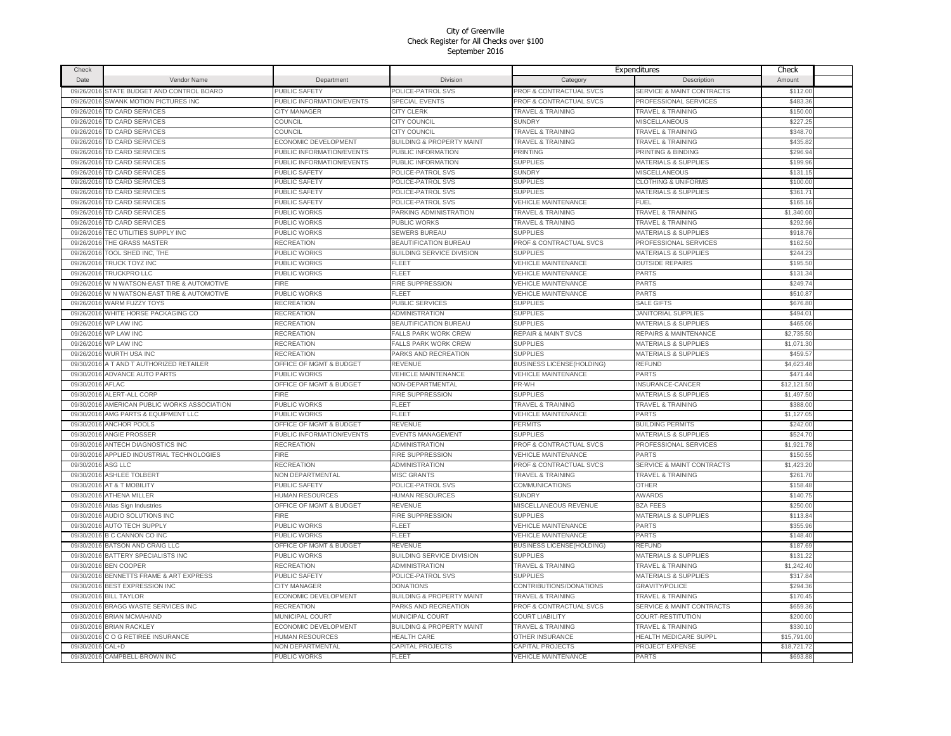| Check                    |                                                    |                                    |                                        |                                    | Expenditures                         | Check       |  |
|--------------------------|----------------------------------------------------|------------------------------------|----------------------------------------|------------------------------------|--------------------------------------|-------------|--|
| Date                     | Vendor Name                                        | Department                         | Division                               | Category                           | Description                          | Amount      |  |
| 09/26/2016               | STATE BUDGET AND CONTROL BOARD                     | PUBLIC SAFETY                      | POLICE-PATROL SVS                      | PROF & CONTRACTUAL SVCS            | <b>SERVICE &amp; MAINT CONTRACTS</b> | \$112.00    |  |
| 09/26/2016               | <b>SWANK MOTION PICTURES INC</b>                   | PUBLIC INFORMATION/EVENTS          | <b>SPECIAL EVENTS</b>                  | PROF & CONTRACTUAL SVCS            | PROFESSIONAL SERVICES                | \$483.36    |  |
| 09/26/2016               | TD CARD SERVICES                                   | <b>CITY MANAGER</b>                | CITY CLERK                             | <b>TRAVEL &amp; TRAINING</b>       | <b>TRAVEL &amp; TRAINING</b>         | \$150.00    |  |
| 09/26/2016               | TD CARD SERVICES                                   | COUNCIL                            | CITY COUNCIL                           | <b>SUNDRY</b>                      | <b>MISCELLANEOUS</b>                 | \$227.25    |  |
|                          | 09/26/2016 TD CARD SERVICES                        | COUNCIL                            | CITY COUNCIL                           | <b>TRAVEL &amp; TRAINING</b>       | <b>TRAVEL &amp; TRAINING</b>         | \$348.70    |  |
|                          | 09/26/2016 TD CARD SERVICES                        | ECONOMIC DEVELOPMENT               | <b>BUILDING &amp; PROPERTY MAINT</b>   | <b>TRAVEL &amp; TRAINING</b>       | <b>TRAVEL &amp; TRAINING</b>         | \$435.82    |  |
|                          | 09/26/2016 TD CARD SERVICES                        | PUBLIC INFORMATION/EVENTS          | PUBLIC INFORMATION                     | <b>PRINTING</b>                    | PRINTING & BINDING                   | \$296.94    |  |
| 09/26/2016               | <b>TD CARD SERVICES</b>                            | PUBLIC INFORMATION/EVENTS          | PUBLIC INFORMATION                     | <b>SUPPLIES</b>                    | <b>MATERIALS &amp; SUPPLIES</b>      | \$199.96    |  |
|                          | 09/26/2016 TD CARD SERVICES                        | PUBLIC SAFETY                      | POLICE-PATROL SVS                      | <b>SUNDRY</b>                      | <b>MISCELLANEOUS</b>                 | \$131.15    |  |
|                          |                                                    |                                    |                                        |                                    |                                      | \$100.00    |  |
| 09/26/2016<br>09/26/2016 | <b>TD CARD SERVICES</b><br><b>TD CARD SERVICES</b> | PUBLIC SAFETY<br>PUBLIC SAFETY     | POLICE-PATROL SVS<br>POLICE-PATROL SVS | <b>SUPPLIES</b><br><b>SUPPLIES</b> | <b>CLOTHING &amp; UNIFORMS</b>       | \$361.71    |  |
|                          |                                                    |                                    |                                        |                                    | <b>MATERIALS &amp; SUPPLIES</b>      |             |  |
| 09/26/201                | <b>TD CARD SERVICES</b>                            | PUBLIC SAFETY                      | POLICE-PATROL SVS                      | <b>VEHICLE MAINTENANCE</b>         | FUEL                                 | \$165.16    |  |
| 09/26/2016               | TD CARD SERVICES                                   | PUBLIC WORKS                       | PARKING ADMINISTRATION                 | <b>TRAVEL &amp; TRAINING</b>       | <b>TRAVEL &amp; TRAINING</b>         | \$1,340.0   |  |
| 09/26/201                | TD CARD SERVICES                                   | PUBLIC WORKS                       | PUBLIC WORKS                           | <b>TRAVEL &amp; TRAINING</b>       | <b>TRAVEL &amp; TRAINING</b>         | \$292.9     |  |
| 09/26/2016               | TEC UTILITIES SUPPLY INC                           | <b>UBLIC WORKS</b>                 | <b>SEWERS BUREAU</b>                   | <b>SUPPLIES</b>                    | <b>MATERIALS &amp; SUPPLIES</b>      | \$918.76    |  |
| 09/26/201                | THE GRASS MASTER                                   | RECREATION                         | <b>BEAUTIFICATION BUREAU</b>           | <b>PROF &amp; CONTRACTUAL SVCS</b> | PROFESSIONAL SERVICES                | \$162.50    |  |
| 09/26/2016               | TOOL SHED INC, THE                                 | <b>UBLIC WORKS</b>                 | <b>BUILDING SERVICE DIVISION</b>       | <b>SUPPLIES</b>                    | <b>MATERIALS &amp; SUPPLIES</b>      | \$244.23    |  |
| 09/26/201                | TRUCK TOYZ INC                                     | <b>UBLIC WORKS</b>                 | FLEET                                  | <b>VEHICLE MAINTENANCE</b>         | <b>OUTSIDE REPAIRS</b>               | \$195.50    |  |
| 09/26/2016               | TRUCKPRO LLC                                       | PUBLIC WORKS                       | FLEET                                  | <b>VEHICLE MAINTENANCE</b>         | <b>PARTS</b>                         | \$131.34    |  |
| 09/26/2016               | W N WATSON-EAST TIRE & AUTOMOTIVE                  | FIRE                               | FIRE SUPPRESSION                       | <b>VEHICLE MAINTENANCE</b>         | <b>PARTS</b>                         | \$249.74    |  |
| 09/26/2016               | W N WATSON-EAST TIRE & AUTOMOTIVE                  | PUBLIC WORKS                       | FLEET                                  | <b>VEHICLE MAINTENANCE</b>         | <b>PARTS</b>                         | \$510.87    |  |
| 09/26/2016               | <b>WARM FUZZY TOYS</b>                             | RECREATION                         | PUBLIC SERVICES                        | <b>SUPPLIES</b>                    | SALE GIFTS                           | \$676.80    |  |
| 09/26/2016               | WHITE HORSE PACKAGING CO                           | RECREATION                         | ADMINISTRATION                         | <b>SUPPLIES</b>                    | <b>JANITORIAL SUPPLIES</b>           | \$494.01    |  |
| 09/26/2016               | WP LAW INC                                         | RECREATION                         | <b>BEAUTIFICATION BUREAU</b>           | <b>SUPPLIES</b>                    | <b>MATERIALS &amp; SUPPLIES</b>      | \$465.06    |  |
| 09/26/2016               | <b>WP LAW INC</b>                                  | RECREATION                         | <b>FALLS PARK WORK CREW</b>            | <b>REPAIR &amp; MAINT SVCS</b>     | REPAIRS & MAINTENANCE                | \$2,735.50  |  |
| 09/26/2016               | <b>WP LAW INC</b>                                  | <b>RECREATION</b>                  | <b>FALLS PARK WORK CREW</b>            | <b>SUPPLIES</b>                    | MATERIALS & SUPPLIES                 | \$1,071.30  |  |
| 09/26/2016               | <b>WURTH USA INC</b>                               | RECREATION                         | PARKS AND RECREATION                   | <b>SUPPLIES</b>                    | <b>MATERIALS &amp; SUPPLIES</b>      | \$459.57    |  |
| 09/30/2016               | A T AND T AUTHORIZED RETAILER                      | <b>OFFICE OF MGMT &amp; BUDGET</b> | REVENUE                                | <b>BUSINESS LICENSE(HOLDING)</b>   | <b>REFUND</b>                        | \$4,623.48  |  |
|                          | 09/30/2016 ADVANCE AUTO PARTS                      | PUBLIC WORKS                       | <b>VEHICLE MAINTENANCE</b>             | <b>VEHICLE MAINTENANCE</b>         | <b>PARTS</b>                         | \$471.44    |  |
| 09/30/2016 AFLAC         |                                                    | OFFICE OF MGMT & BUDGET            | <b>NON-DEPARTMENTAL</b>                | PR-WH                              | <b>INSURANCE-CANCER</b>              | \$12,121.50 |  |
| 09/30/2016               | ALERT-ALL CORP                                     | <b>FIRE</b>                        | FIRE SUPPRESSION                       | <b>SUPPLIES</b>                    | <b>MATERIALS &amp; SUPPLIES</b>      | \$1,497.50  |  |
| 09/30/2016               | AMERICAN PUBLIC WORKS ASSOCIATION                  | PUBLIC WORKS                       | FLEET                                  | <b>TRAVEL &amp; TRAINING</b>       | <b>TRAVEL &amp; TRAINING</b>         | \$388.0     |  |
| 09/30/2016               | AMG PARTS & EQUIPMENT LLC                          | PUBLIC WORKS                       | FLEET                                  | <b>VEHICLE MAINTENANCE</b>         | <b>PARTS</b>                         | \$1,127.0   |  |
| 09/30/2016               | <b>ANCHOR POOLS</b>                                | <b>OFFICE OF MGMT &amp; BUDGET</b> | REVENUE                                | <b>PERMITS</b>                     | <b>BUILDING PERMITS</b>              | \$242.00    |  |
| 09/30/201                | <b>ANGIE PROSSER</b>                               | PUBLIC INFORMATION/EVENTS          | EVENTS MANAGEMENT                      | <b>SUPPLIES</b>                    | MATERIALS & SUPPLIES                 | \$524.7     |  |
| 09/30/2016               | ANTECH DIAGNOSTICS INC                             | RECREATION                         | ADMINISTRATION                         | PROF & CONTRACTUAL SVCS            | PROFESSIONAL SERVICES                | \$1,921.78  |  |
| 09/30/201                | APPLIED INDUSTRIAL TECHNOLOGIES                    | <b>FIRE</b>                        | <b>FIRE SUPPRESSION</b>                | <b>VEHICLE MAINTENANCE</b>         | PARTS                                | \$150.55    |  |
| 09/30/2016               | ASG LLC                                            | RECREATION                         | ADMINISTRATION                         | <b>PROF &amp; CONTRACTUAL SVCS</b> | <b>SERVICE &amp; MAINT CONTRACTS</b> | \$1,423.20  |  |
| 09/30/2016               | <b>ASHLEE TOLBERT</b>                              | <b>NON DEPARTMENTAL</b>            | <b>MISC GRANTS</b>                     | <b>TRAVEL &amp; TRAINING</b>       | <b>TRAVEL &amp; TRAINING</b>         | \$261.70    |  |
| 09/30/2016               | AT & T MOBILITY                                    | PUBLIC SAFETY                      | POLICE-PATROL SVS                      | <b>COMMUNICATIONS</b>              | <b>OTHER</b>                         | \$158.48    |  |
| 09/30/2016               | ATHENA MILLER                                      | <b>IUMAN RESOURCES</b>             | <b>HUMAN RESOURCES</b>                 | <b>SUNDRY</b>                      | AWARDS                               | \$140.75    |  |
| 09/30/2016               | Atlas Sign Industries                              | <b>OFFICE OF MGMT &amp; BUDGET</b> | REVENUE                                | MISCELLANEOUS REVENUE              | <b>BZA FEES</b>                      | \$250.00    |  |
| 09/30/2016               | <b>AUDIO SOLUTIONS INC</b>                         | FIRE                               | FIRE SUPPRESSION                       | <b>SUPPLIES</b>                    | <b>MATERIALS &amp; SUPPLIES</b>      | \$113.84    |  |
| 09/30/2016               | <b>AUTO TECH SUPPLY</b>                            | PUBLIC WORKS                       | FLEET                                  | <b>VEHICLE MAINTENANCE</b>         | PARTS                                | \$355.96    |  |
| 09/30/2016               | <b>B C CANNON CO INC</b>                           | PUBLIC WORKS                       | FLEET                                  | <b>VEHICLE MAINTENANCE</b>         | PARTS                                | \$148.40    |  |
| 09/30/2016               | BATSON AND CRAIG LLC                               | <b>DFFICE OF MGMT &amp; BUDGET</b> | REVENUE                                | <b>BUSINESS LICENSE(HOLDING)</b>   | REFUND                               | \$187.69    |  |
|                          | 09/30/2016 BATTERY SPECIALISTS INC                 | PUBLIC WORKS                       | BUILDING SERVICE DIVISION              | <b>SUPPLIES</b>                    | <b>MATERIALS &amp; SUPPLIES</b>      | \$131.22    |  |
| 09/30/2016               | <b>BEN COOPER</b>                                  | RECREATION                         | ADMINISTRATION                         | <b>TRAVEL &amp; TRAINING</b>       | <b>TRAVEL &amp; TRAINING</b>         | \$1,242.40  |  |
|                          | 09/30/2016 BENNETTS FRAME & ART EXPRESS            | PUBLIC SAFETY                      | POLICE-PATROL SVS                      | <b>SUPPLIES</b>                    | <b>MATERIALS &amp; SUPPLIES</b>      | \$317.84    |  |
| 09/30/2016               | <b>BEST EXPRESSION INC</b>                         | CITY MANAGER                       | <b>DONATIONS</b>                       | CONTRIBUTIONS/DONATIONS            | <b>GRAVITY/POLICE</b>                | \$294.36    |  |
|                          | 09/30/2016 BILL TAYLOR                             | ECONOMIC DEVELOPMENT               | <b>BUILDING &amp; PROPERTY MAINT</b>   | <b>TRAVEL &amp; TRAINING</b>       | <b>TRAVEL &amp; TRAINING</b>         | \$170.45    |  |
|                          |                                                    |                                    |                                        |                                    |                                      |             |  |
| 09/30/2016               | <b>BRAGG WASTE SERVICES INC</b>                    | <b>RECREATION</b>                  | PARKS AND RECREATION                   | PROF & CONTRACTUAL SVCS            | <b>SERVICE &amp; MAINT CONTRACTS</b> | \$659.36    |  |
|                          | 09/30/2016 BRIAN MCMAHAND                          | <b>MUNICIPAL COURT</b>             | <b>MUNICIPAL COURT</b>                 | <b>COURT LIABILITY</b>             | COURT-RESTITUTION                    | \$200.00    |  |
| 09/30/2016               | <b>BRIAN RACKLEY</b>                               | ECONOMIC DEVELOPMENT               | <b>BUILDING &amp; PROPERTY MAINT</b>   | TRAVEL & TRAINING                  | <b>TRAVEL &amp; TRAINING</b>         | \$330.1     |  |
| 09/30/2016               | C O G RETIREE INSURANCE                            | <b>IUMAN RESOURCES</b>             | <b>HEALTH CARE</b>                     | OTHER INSURANCE                    | <b>HEALTH MEDICARE SUPPL</b>         | \$15,791.00 |  |
| 09/30/2016               | CAL+D                                              | <b>NON DEPARTMENTAL</b>            | CAPITAL PROJECTS                       | CAPITAL PROJECTS                   | PROJECT EXPENSE                      | \$18,721.72 |  |
|                          | 09/30/2016 CAMPBELL-BROWN INC                      | PUBLIC WORKS                       | FLEET                                  | <b>VEHICLE MAINTENANCE</b>         | <b>PARTS</b>                         | \$693.88    |  |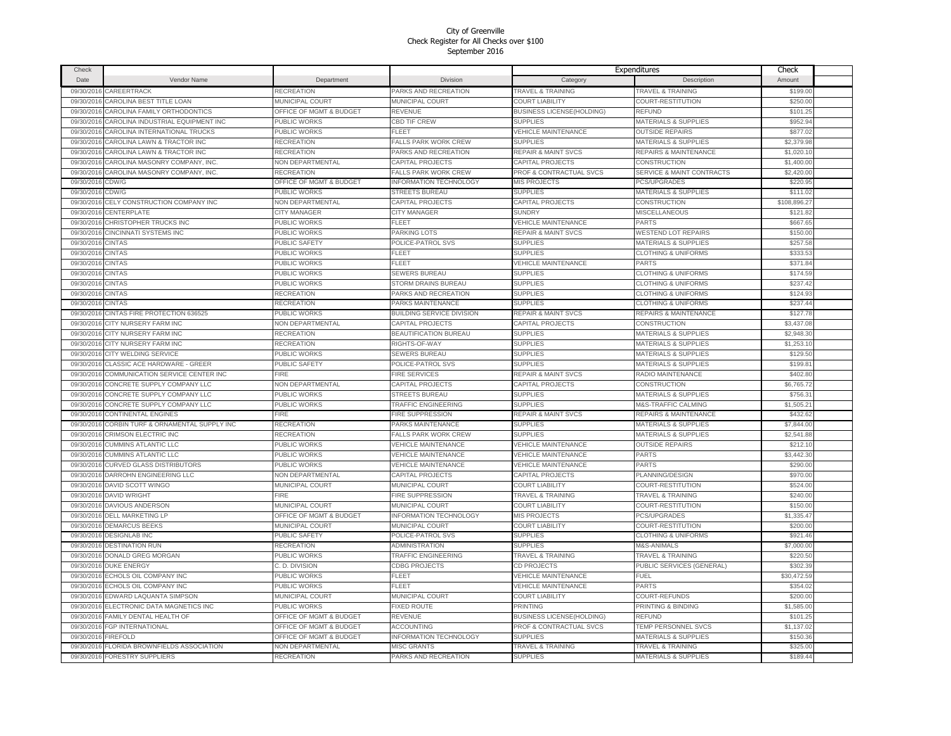| Check      |                                     |                                    |                                  |                                  | Expenditures                     | Check        |  |
|------------|-------------------------------------|------------------------------------|----------------------------------|----------------------------------|----------------------------------|--------------|--|
| Date       | Vendor Name                         | Department                         | <b>Division</b>                  | Category                         | Description                      | Amount       |  |
| 09/30/2016 | CAREERTRACK                         | RECREATION                         | PARKS AND RECREATION             | <b>TRAVEL &amp; TRAINING</b>     | <b>TRAVEL &amp; TRAINING</b>     | \$199.00     |  |
| 09/30/2016 | CAROLINA BEST TITLE LOAN            | <b>MUNICIPAL COURT</b>             | <b>MUNICIPAL COURT</b>           | <b>COURT LIABILITY</b>           | COURT-RESTITUTION                | \$250.00     |  |
| 09/30/2016 | CAROLINA FAMILY ORTHODONTICS        | <b>DFFICE OF MGMT &amp; BUDGET</b> | REVENUE                          | <b>BUSINESS LICENSE(HOLDING)</b> | REFUND                           | \$101.25     |  |
| 09/30/2016 | CAROLINA INDUSTRIAL EQUIPMENT INC   | PUBLIC WORKS                       | CBD TIF CREW                     | <b>SUPPLIES</b>                  | MATERIALS & SUPPLIES             | \$952.94     |  |
| 09/30/201  | CAROLINA INTERNATIONAL TRUCKS       | PUBLIC WORKS                       | FLEET                            | <b>VEHICLE MAINTENANCE</b>       | <b>OUTSIDE REPAIRS</b>           | \$877.02     |  |
| 09/30/2016 | CAROLINA LAWN & TRACTOR INC         | RECREATION                         | <b>FALLS PARK WORK CREW</b>      | <b>SUPPLIES</b>                  | MATERIALS & SUPPLIES             | \$2,379.98   |  |
| 09/30/2016 | CAROLINA LAWN & TRACTOR INC         | RECREATION                         | PARKS AND RECREATION             | <b>REPAIR &amp; MAINT SVCS</b>   | <b>REPAIRS &amp; MAINTENANCE</b> | \$1,020.10   |  |
| 09/30/2016 | CAROLINA MASONRY COMPANY, INC.      | <b>NON DEPARTMENTAL</b>            | CAPITAL PROJECTS                 | CAPITAL PROJECTS                 | <b>CONSTRUCTION</b>              | \$1,400.00   |  |
| 09/30/2016 | CAROLINA MASONRY COMPANY, INC       | RECREATION                         | <b>FALLS PARK WORK CREW</b>      | PROF & CONTRACTUAL SVCS          | SERVICE & MAINT CONTRACTS        | \$2,420.00   |  |
| 09/30/2016 | CDW/G                               | <b>OFFICE OF MGMT &amp; BUDGET</b> | <b>INFORMATION TECHNOLOGY</b>    | <b>MIS PROJECTS</b>              | PCS/UPGRADES                     | \$220.9      |  |
| 09/30/2016 | CDW/G                               | PUBLIC WORKS                       | <b>STREETS BUREAU</b>            | <b>SUPPLIES</b>                  | <b>MATERIALS &amp; SUPPLIES</b>  | \$111.02     |  |
| 09/30/2016 | CELY CONSTRUCTION COMPANY INC       | <b>NON DEPARTMENTAL</b>            | <b>CAPITAL PROJECTS</b>          | CAPITAL PROJECTS                 | CONSTRUCTION                     | \$108,896.27 |  |
| 09/30/2016 | CENTERPLATE                         | CITY MANAGER                       | CITY MANAGER                     | <b>SUNDRY</b>                    | <b>MISCELLANEOUS</b>             | \$121.82     |  |
| 09/30/2016 | CHRISTOPHER TRUCKS INC              | PUBLIC WORKS                       | FLEET                            | <b>VEHICLE MAINTENANCE</b>       | PARTS                            | \$667.65     |  |
| 09/30/201  | CINCINNATI SYSTEMS INC              | PUBLIC WORKS                       | PARKING LOTS                     | <b>REPAIR &amp; MAINT SVCS</b>   | <b>WESTEND LOT REPAIRS</b>       | \$150.00     |  |
| 09/30/2016 | <b>CINTAS</b>                       | PUBLIC SAFETY                      | POLICE-PATROL SVS                | <b>SUPPLIES</b>                  | <b>MATERIALS &amp; SUPPLIES</b>  | \$257.58     |  |
| 09/30/2016 | <b>CINTAS</b>                       | PUBLIC WORKS                       | FLEET                            | <b>SUPPLIES</b>                  | <b>CLOTHING &amp; UNIFORMS</b>   | \$333.5      |  |
| 09/30/201  | <b>CINTAS</b>                       | PUBLIC WORKS                       | FLEET                            | <b>VEHICLE MAINTENANCE</b>       | <b>PARTS</b>                     | \$371.84     |  |
| 09/30/201  | <b>CINTAS</b>                       | PUBLIC WORKS                       | <b>SEWERS BUREAU</b>             | <b>SUPPLIES</b>                  | <b>CLOTHING &amp; UNIFORMS</b>   | \$174.5      |  |
| 09/30/201  | <b>INTAS</b>                        | <b>UBLIC WORKS</b>                 | <b>STORM DRAINS BUREAU</b>       | <b>SUPPLIES</b>                  | <b>CLOTHING &amp; UNIFORMS</b>   | \$237.42     |  |
| 09/30/2016 | <b>CINTAS</b>                       | RECREATION                         | PARKS AND RECREATION             | <b>SUPPLIES</b>                  | <b>CLOTHING &amp; UNIFORMS</b>   | \$124.93     |  |
| 09/30/201  | CINTAS                              | RECREATION                         | PARKS MAINTENANCE                | <b>SUPPLIES</b>                  | <b>CLOTHING &amp; UNIFORMS</b>   | \$237.44     |  |
| 09/30/201  | CINTAS FIRE PROTECTION 636525       | <b>UBLIC WORKS</b>                 | <b>BUILDING SERVICE DIVISION</b> | <b>REPAIR &amp; MAINT SVCS</b>   | <b>REPAIRS &amp; MAINTENANCE</b> | \$127.78     |  |
| 09/30/201  | CITY NURSERY FARM INC               | <b>NON DEPARTMENTAL</b>            | CAPITAL PROJECTS                 | CAPITAL PROJECTS                 | CONSTRUCTION                     | \$3,437.08   |  |
| 09/30/2016 | CITY NURSERY FARM INC               | RECREATION                         | BEAUTIFICATION BUREAU            | <b>SUPPLIES</b>                  | <b>MATERIALS &amp; SUPPLIES</b>  | \$2,948.30   |  |
| 09/30/2016 | CITY NURSERY FARM INC               | RECREATION                         | RIGHTS-OF-WAY                    | <b>SUPPLIES</b>                  | <b>MATERIALS &amp; SUPPLIES</b>  | \$1,253,1    |  |
| 09/30/2016 | CITY WELDING SERVICE                | PUBLIC WORKS                       | <b>SEWERS BUREAU</b>             | <b>SUPPLIES</b>                  | MATERIALS & SUPPLIES             | \$129.50     |  |
| 09/30/2016 | CLASSIC ACE HARDWARE - GREER        | PUBLIC SAFETY                      | POLICE-PATROL SVS                | <b>SUPPLIES</b>                  | <b>MATERIALS &amp; SUPPLIES</b>  | \$199.8      |  |
| 09/30/2016 | COMMUNICATION SERVICE CENTER INC    | <b>FIRE</b>                        | <b>FIRE SERVICES</b>             | <b>REPAIR &amp; MAINT SVCS</b>   | RADIO MAINTENANCE                | \$402.80     |  |
| 09/30/2016 | CONCRETE SUPPLY COMPANY LLC         | <b>NON DEPARTMENTAL</b>            | CAPITAL PROJECTS                 | <b>CAPITAL PROJECTS</b>          | CONSTRUCTION                     | \$6,765.72   |  |
| 09/30/2016 | CONCRETE SUPPLY COMPANY LLC         | PUBLIC WORKS                       | <b>STREETS BUREAU</b>            | <b>SUPPLIES</b>                  | MATERIALS & SUPPLIES             | \$756.31     |  |
| 09/30/2016 | CONCRETE SUPPLY COMPANY LLC         | PUBLIC WORKS                       | <b>TRAFFIC ENGINEERING</b>       | <b>SUPPLIES</b>                  | M&S-TRAFFIC CALMING              | \$1,505.21   |  |
| 09/30/2016 | <b>CONTINENTAL ENGINES</b>          | FIRE                               | FIRE SUPPRESSION                 | <b>REPAIR &amp; MAINT SVCS</b>   | <b>REPAIRS &amp; MAINTENANCE</b> | \$432.62     |  |
| 09/30/2016 | CORBIN TURF & ORNAMENTAL SUPPLY INC | <b>RECREATION</b>                  | PARKS MAINTENANCE                | <b>SUPPLIES</b>                  | <b>MATERIALS &amp; SUPPLIES</b>  | \$7,844.00   |  |
| 09/30/201  | <b>CRIMSON ELECTRIC INC</b>         | RECREATION                         | <b>FALLS PARK WORK CREW</b>      | <b>SUPPLIES</b>                  | MATERIALS & SUPPLIES             | \$2,541.88   |  |
| 09/30/2016 | <b>CUMMINS ATLANTIC LLC</b>         | PUBLIC WORKS                       | <b>VEHICLE MAINTENANCE</b>       | <b>VEHICLE MAINTENANCE</b>       | <b>OUTSIDE REPAIRS</b>           | \$212.10     |  |
| 09/30/2016 | <b>CUMMINS ATLANTIC LLC</b>         | PUBLIC WORKS                       | <b>VEHICLE MAINTENANCE</b>       | <b>VEHICLE MAINTENANCE</b>       | <b>PARTS</b>                     | \$3,442.3    |  |
| 09/30/2016 | <b>CURVED GLASS DISTRIBUTORS</b>    | PUBLIC WORKS                       | <b>VEHICLE MAINTENANCE</b>       | <b>VEHICLE MAINTENANCE</b>       | PARTS                            | \$290.00     |  |
| 09/30/201  | DARROHN ENGINEERING LLC             | <b>NON DEPARTMENTAL</b>            | CAPITAL PROJECTS                 | CAPITAL PROJECTS                 | PLANNING/DESIGN                  | \$970.00     |  |
| 09/30/2016 | DAVID SCOTT WINGO                   | <b>MUNICIPAL COURT</b>             | <b>MUNICIPAL COURT</b>           | <b>COURT LIABILITY</b>           | COURT-RESTITUTION                | \$524.00     |  |
| 09/30/201  | <b>DAVID WRIGHT</b>                 | FIRE                               | FIRE SUPPRESSION                 | <b>TRAVEL &amp; TRAINING</b>     | TRAVEL & TRAINING                | \$240.0      |  |
| 09/30/2016 | <b>DAVIOUS ANDERSON</b>             | <b>MUNICIPAL COURT</b>             | <b>MUNICIPAL COURT</b>           | <b>COURT LIABILITY</b>           | COURT-RESTITUTION                | \$150.00     |  |
| 09/30/201  | <b>DELL MARKETING LP</b>            | <b>OFFICE OF MGMT &amp; BUDGET</b> | NFORMATION TECHNOLOGY            | <b>MIS PROJECTS</b>              | <b>PCS/UPGRADES</b>              | \$1,335.4    |  |
| 09/30/2016 | <b>DEMARCUS BEEKS</b>               | <b>MUNICIPAL COURT</b>             | <b>MUNICIPAL COURT</b>           | <b>COURT LIABILITY</b>           | COURT-RESTITUTION                | \$200.00     |  |
| 09/30/2016 | <b>DESIGNLAB INC</b>                | PUBLIC SAFETY                      | POLICE-PATROL SVS                | <b>SUPPLIES</b>                  | <b>CLOTHING &amp; UNIFORMS</b>   | \$921.46     |  |
| 09/30/2016 | <b>DESTINATION RUN</b>              | RECREATION                         | ADMINISTRATION                   | <b>SUPPLIES</b>                  | M&S-ANIMALS                      | \$7,000.00   |  |
| 09/30/2016 | DONALD GREG MORGAN                  | PUBLIC WORKS                       | <b>TRAFFIC ENGINEERING</b>       | <b>TRAVEL &amp; TRAINING</b>     | <b>TRAVEL &amp; TRAINING</b>     | \$220.50     |  |
| 09/30/2016 | <b>DUKE ENERGY</b>                  | C. D. DIVISION                     | <b>CDBG PROJECTS</b>             | CD PROJECTS                      | PUBLIC SERVICES (GENERAL)        | \$302.39     |  |
| 09/30/2016 | ECHOLS OIL COMPANY INC              | PUBLIC WORKS                       | FLEET                            | <b>VEHICLE MAINTENANCE</b>       | <b>FUEL</b>                      | \$30,472.59  |  |
| 09/30/201  | ECHOLS OIL COMPANY INC              | PUBLIC WORKS                       | FLEET                            | <b>VEHICLE MAINTENANCE</b>       | PARTS                            | \$354.02     |  |
| 09/30/2016 | EDWARD LAQUANTA SIMPSON             | <b>MUNICIPAL COURT</b>             | <b>MUNICIPAL COURT</b>           | <b>COURT LIABILITY</b>           | COURT-REFUNDS                    | \$200.0      |  |
| 09/30/2016 | ELECTRONIC DATA MAGNETICS INC       | PUBLIC WORKS                       | FIXED ROUTE                      | <b>PRINTING</b>                  | PRINTING & BINDING               | \$1,585.00   |  |
| 09/30/2016 | FAMILY DENTAL HEALTH OF             | OFFICE OF MGMT & BUDGET            | REVENUE                          | <b>BUSINESS LICENSE(HOLDING)</b> | <b>REFUND</b>                    | \$101.25     |  |
| 09/30/2016 | FGP INTERNATIONAL                   | OFFICE OF MGMT & BUDGET            | ACCOUNTING                       | PROF & CONTRACTUAL SVCS          | TEMP PERSONNEL SVCS              | \$1,137.02   |  |
| 09/30/2016 | <b>FIREFOLD</b>                     | <b>OFFICE OF MGMT &amp; BUDGET</b> | <b>INFORMATION TECHNOLOGY</b>    | <b>SUPPLIES</b>                  | <b>MATERIALS &amp; SUPPLIES</b>  | \$150.36     |  |
| 09/30/2016 | FLORIDA BROWNFIELDS ASSOCIATION     | NON DEPARTMENTAL                   | <b>MISC GRANTS</b>               | <b>TRAVEL &amp; TRAINING</b>     | <b>TRAVEL &amp; TRAINING</b>     | \$325.00     |  |
|            | 09/30/2016 FORESTRY SUPPLIERS       | <b>RECREATION</b>                  | PARKS AND RECREATION             | <b>SUPPLIES</b>                  | <b>MATERIALS &amp; SUPPLIES</b>  | \$189.44     |  |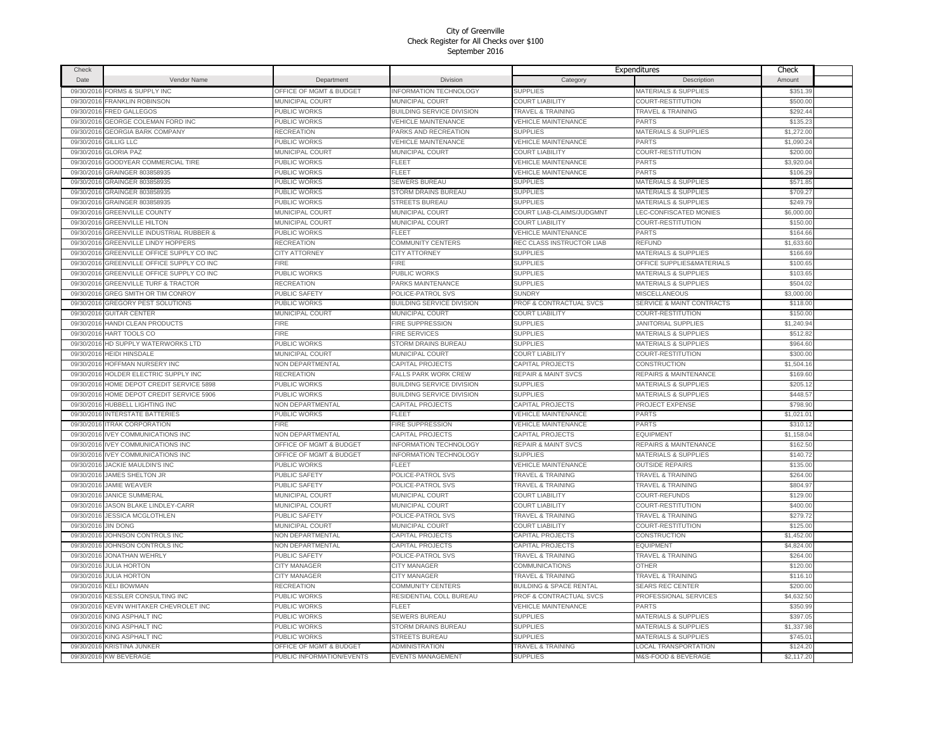| Check                    |                                                                         |                                    |                                                                 |                                                    | Expenditures                                                        | Check                |  |
|--------------------------|-------------------------------------------------------------------------|------------------------------------|-----------------------------------------------------------------|----------------------------------------------------|---------------------------------------------------------------------|----------------------|--|
| <b>Date</b>              | Vendor Name                                                             | Department                         | Division                                                        | Category                                           | Description                                                         | Amount               |  |
| 09/30/2016               | FORMS & SUPPLY INC                                                      | OFFICE OF MGMT & BUDGET            | <b>INFORMATION TECHNOLOGY</b>                                   | <b>SUPPLIES</b>                                    | MATERIALS & SUPPLIES                                                | \$351.39             |  |
| 09/30/2016               | <b>FRANKLIN ROBINSON</b>                                                | <b>MUNICIPAL COURT</b>             | MUNICIPAL COURT                                                 | <b>COURT LIABILITY</b>                             | COURT-RESTITUTION                                                   | \$500.00             |  |
| 09/30/2016               | <b>FRED GALLEGOS</b>                                                    | PUBLIC WORKS                       | BUILDING SERVICE DIVISION                                       | <b>TRAVEL &amp; TRAINING</b>                       | TRAVEL & TRAINING                                                   | \$292.4              |  |
| 09/30/2016               | GEORGE COLEMAN FORD INC                                                 | <b>PUBLIC WORKS</b>                | <b>VEHICLE MAINTENANCE</b>                                      | <b>VEHICLE MAINTENANCE</b>                         | <b>PARTS</b>                                                        | \$135.23             |  |
| 09/30/2016               | <b>GEORGIA BARK COMPANY</b>                                             | RECREATION                         | PARKS AND RECREATION                                            | <b>SUPPLIES</b>                                    | <b>MATERIALS &amp; SUPPLIES</b>                                     | \$1,272.00           |  |
| 09/30/2016               | <b>GILLIG LLC</b>                                                       | PUBLIC WORKS                       | <b>VEHICLE MAINTENANCE</b>                                      | <b>VEHICLE MAINTENANCE</b>                         | <b>PARTS</b>                                                        | \$1,090.2            |  |
| 09/30/2016               | <b>GLORIA PAZ</b>                                                       | MUNICIPAL COURT                    | MUNICIPAL COURT                                                 | <b>COURT LIABILITY</b>                             | COURT-RESTITUTION                                                   | \$200.00             |  |
| 09/30/2016               | GOODYEAR COMMERCIAL TIRE                                                | PUBLIC WORKS                       | <b>FLEET</b>                                                    | <b>VEHICLE MAINTENANCE</b>                         | <b>PARTS</b>                                                        | \$3,920.04           |  |
| 09/30/2016               | GRAINGER 803858935                                                      | PUBLIC WORKS                       | FLEET                                                           | <b>VEHICLE MAINTENANCE</b>                         | <b>PARTS</b>                                                        | \$106.29             |  |
| 09/30/2016               | GRAINGER 803858935                                                      | PUBLIC WORKS                       | SEWERS BUREAU                                                   | <b>SUPPLIES</b>                                    | MATERIALS & SUPPLIES                                                | \$571.85             |  |
| 09/30/2016               | GRAINGER 803858935                                                      | PUBLIC WORKS                       | STORM DRAINS BUREAU                                             | <b>SUPPLIES</b>                                    | <b>MATERIALS &amp; SUPPLIES</b>                                     | \$709.2              |  |
| 09/30/2016               | GRAINGER 803858935                                                      | PUBLIC WORKS                       | STREETS BUREAU                                                  | <b>SUPPLIES</b>                                    | <b>MATERIALS &amp; SUPPLIES</b>                                     | \$249.79             |  |
| 09/30/2016               | <b>GREENVILLE COUNTY</b>                                                | MUNICIPAL COURT                    | MUNICIPAL COURT                                                 | COURT LIAB-CLAIMS/JUDGMNT                          | LEC-CONFISCATED MONIES                                              | \$6,000.00           |  |
| 09/30/2016               | <b>GREENVILLE HILTON</b>                                                | MUNICIPAL COURT                    | MUNICIPAL COURT                                                 | <b>COURT LIABILITY</b>                             | COURT-RESTITUTION                                                   | \$150.00             |  |
| 09/30/2016               | GREENVILLE INDUSTRIAL RUBBER &                                          | PUBLIC WORKS                       | FI FFT                                                          | VEHICLE MAINTENANCE                                | <b>PARTS</b>                                                        | \$164.66             |  |
| 09/30/2016               | GREENVILLE LINDY HOPPERS                                                | RECREATION                         | COMMUNITY CENTERS                                               | REC CLASS INSTRUCTOR LIAB                          | REFUND                                                              | \$1,633.60           |  |
| 09/30/2016               | GREENVILLE OFFICE SUPPLY CO INC                                         | CITY ATTORNEY                      | <b>CITY ATTORNEY</b>                                            | <b>SUPPLIES</b>                                    | <b>MATERIALS &amp; SUPPLIES</b>                                     | \$166.69             |  |
| 09/30/201                | GREENVILLE OFFICE SUPPLY CO INC                                         | <b>FIRE</b>                        | <b>FIRE</b>                                                     | <b>SUPPLIES</b>                                    | OFFICE SUPPLIES&MATERIALS                                           | \$100.65             |  |
| 09/30/2016               | GREENVILLE OFFICE SUPPLY CO INC                                         | PUBLIC WORKS                       | PUBLIC WORKS                                                    | <b>SUPPLIES</b>                                    | <b>MATERIALS &amp; SUPPLIES</b>                                     | \$103.65             |  |
| 09/30/2016               | <b>GREENVILLE TURF &amp; TRACTOR</b>                                    | RECREATION                         | PARKS MAINTENANCE                                               | <b>SUPPLIES</b>                                    | <b>MATERIALS &amp; SUPPLIES</b>                                     | \$504.02             |  |
| 09/30/2016               | GREG SMITH OR TIM CONROY                                                | <b>PUBLIC SAFETY</b>               | POLICE-PATROL SVS                                               | <b>SUNDRY</b>                                      | <b>MISCELLANEOUS</b>                                                | \$3,000.00           |  |
| 09/30/2016               | GREGORY PEST SOLUTIONS                                                  | PUBLIC WORKS                       | <b>BUILDING SERVICE DIVISION</b>                                | PROF & CONTRACTUAL SVCS                            | SERVICE & MAINT CONTRACTS                                           | \$118.00             |  |
| 09/30/2016               | <b>GUITAR CENTER</b>                                                    | MUNICIPAL COURT                    | <b>MUNICIPAL COURT</b>                                          | <b>COURT LIABILITY</b>                             | COURT-RESTITUTION                                                   | \$150.00             |  |
| 09/30/2016               | HANDI CLEAN PRODUCTS                                                    | FIRE                               | <b>FIRE SUPPRESSION</b>                                         | <b>SUPPLIES</b>                                    | <b>JANITORIAL SUPPLIES</b>                                          | \$1,240.94           |  |
|                          |                                                                         | <b>FIRE</b>                        |                                                                 |                                                    |                                                                     |                      |  |
| 09/30/2016               | HART TOOLS CO                                                           |                                    | FIRE SERVICES                                                   | <b>SUPPLIES</b><br><b>SUPPLIES</b>                 | MATERIALS & SUPPLIES                                                | \$512.82<br>\$964.60 |  |
| 09/30/2016               | HD SUPPLY WATERWORKS LTD                                                | PUBLIC WORKS                       | STORM DRAINS BUREAU                                             |                                                    | MATERIALS & SUPPLIES                                                |                      |  |
| 09/30/2016               | <b>HEIDI HINSDALE</b>                                                   | MUNICIPAL COURT                    | MUNICIPAL COURT                                                 | <b>COURT LIABILITY</b>                             | COURT-RESTITUTION                                                   | \$300.00             |  |
| 09/30/2016               | HOFFMAN NURSERY INC                                                     | NON DEPARTMENTAL                   | CAPITAL PROJECTS                                                | CAPITAL PROJECTS<br><b>REPAIR &amp; MAINT SVCS</b> | CONSTRUCTION                                                        | \$1,504.16           |  |
| 09/30/2016               | 09/30/2016 HOLDER ELECTRIC SUPPLY INC<br>HOME DEPOT CREDIT SERVICE 5898 | <b>RECREATION</b><br>PUBLIC WORKS  | <b>FALLS PARK WORK CREW</b><br><b>BUILDING SERVICE DIVISION</b> | <b>SUPPLIES</b>                                    | <b>REPAIRS &amp; MAINTENANCE</b><br><b>MATERIALS &amp; SUPPLIES</b> | \$169.60<br>\$205.12 |  |
| 09/30/2016               | HOME DEPOT CREDIT SERVICE 5906                                          | PUBLIC WORKS                       | BUILDING SERVICE DIVISION                                       | <b>SUPPLIES</b>                                    | <b>MATERIALS &amp; SUPPLIES</b>                                     | \$448.57             |  |
|                          | HUBBELL LIGHTING INC                                                    | <b>NON DEPARTMENTAL</b>            | CAPITAL PROJECTS                                                | CAPITAL PROJECTS                                   | PROJECT EXPENSE                                                     | \$798.9              |  |
| 09/30/2016<br>09/30/2016 | <b>INTERSTATE BATTERIES</b>                                             | PUBLIC WORKS                       | FLEET                                                           | VEHICLE MAINTENANCE                                | <b>PARTS</b>                                                        | \$1,021.0            |  |
| 09/30/2016               | <b>ITRAK CORPORATION</b>                                                | FIRE                               | <b>FIRE SUPPRESSION</b>                                         | <b>VEHICLE MAINTENANCE</b>                         | PARTS                                                               | \$310.13             |  |
| 09/30/2016               | <b>VEY COMMUNICATIONS INC</b>                                           | <b>NON DEPARTMENTAL</b>            | CAPITAL PROJECTS                                                | CAPITAL PROJECTS                                   | <b>EQUIPMENT</b>                                                    | \$1,158.04           |  |
| 09/30/2016               | <b>IVEY COMMUNICATIONS INC</b>                                          | <b>OFFICE OF MGMT &amp; BUDGET</b> | NFORMATION TECHNOLOGY                                           | <b>REPAIR &amp; MAINT SVCS</b>                     | <b>REPAIRS &amp; MAINTENANCE</b>                                    | \$162.50             |  |
| 09/30/201                | <b>IVEY COMMUNICATIONS INC</b>                                          | OFFICE OF MGMT & BUDGET            | NFORMATION TECHNOLOGY                                           | <b>SUPPLIES</b>                                    | MATERIALS & SUPPLIES                                                | \$140.72             |  |
| 09/30/2016               | JACKIE MAULDIN'S INC                                                    | PUBLIC WORKS                       | FLEET                                                           | <b>VEHICLE MAINTENANCE</b>                         | <b>OUTSIDE REPAIRS</b>                                              | \$135.00             |  |
| 09/30/2016               | JAMES SHELTON JR                                                        | PUBLIC SAFETY                      | POLICE-PATROL SVS                                               | <b>TRAVEL &amp; TRAINING</b>                       | <b>TRAVEL &amp; TRAINING</b>                                        | \$264.00             |  |
| 09/30/2016               | <b>JAMIE WEAVER</b>                                                     | PUBLIC SAFETY                      | POLICE-PATROL SVS                                               | <b>TRAVEL &amp; TRAINING</b>                       | <b>TRAVEL &amp; TRAINING</b>                                        | \$804.97             |  |
| 09/30/2016               | <b>JANICE SUMMERAL</b>                                                  | <b>MUNICIPAL COURT</b>             | <b>MUNICIPAL COURT</b>                                          | <b>COURT LIABILITY</b>                             | COURT-REFUNDS                                                       | \$129.00             |  |
|                          | JASON BLAKE LINDLEY-CARR                                                | <b>MUNICIPAL COURT</b>             | <b>MUNICIPAL COURT</b>                                          | <b>COURT LIABILITY</b>                             | COURT-RESTITUTION                                                   | \$400.00             |  |
| 09/30/2016<br>09/30/2016 | <b>JESSICA MCGLOTHLEN</b>                                               | PUBLIC SAFETY                      | POLICE-PATROL SVS                                               | <b>TRAVEL &amp; TRAINING</b>                       | <b>TRAVEL &amp; TRAINING</b>                                        | \$279.72             |  |
| 09/30/2016               | <b>JIN DONG</b>                                                         | <b>MUNICIPAL COURT</b>             | MUNICIPAL COURT                                                 | <b>COURT LIABILITY</b>                             | COURT-RESTITUTION                                                   | \$125.00             |  |
| 09/30/2016               | JOHNSON CONTROLS INC                                                    | NON DEPARTMENTAL                   | CAPITAL PROJECTS                                                | CAPITAL PROJECTS                                   | CONSTRUCTION                                                        | \$1,452.00           |  |
| 09/30/2016               | JOHNSON CONTROLS INC                                                    | <b>NON DEPARTMENTAL</b>            | CAPITAL PROJECTS                                                | <b>CAPITAL PROJECTS</b>                            | <b>EQUIPMENT</b>                                                    | \$4,824.00           |  |
| 09/30/2016               | <b>JONATHAN WEHRLY</b>                                                  | PUBLIC SAFETY                      | POLICE-PATROL SVS                                               | <b>TRAVEL &amp; TRAINING</b>                       | <b>TRAVEL &amp; TRAINING</b>                                        | \$264.00             |  |
| 09/30/2016               | <b>JULIA HORTON</b>                                                     | CITY MANAGER                       | <b>CITY MANAGER</b>                                             | COMMUNICATIONS                                     | <b>OTHER</b>                                                        | \$120.00             |  |
| 09/30/2016               | <b>JULIA HORTON</b>                                                     | <b>CITY MANAGER</b>                | CITY MANAGER                                                    | <b>TRAVEL &amp; TRAINING</b>                       | <b>TRAVEL &amp; TRAINING</b>                                        | \$116.10             |  |
| 09/30/2016               | <b>KELI BOWMAN</b>                                                      | <b>RECREATION</b>                  | COMMUNITY CENTERS                                               | <b>BUILDING &amp; SPACE RENTAL</b>                 | <b>SEARS REC CENTER</b>                                             | \$200.00             |  |
| 09/30/2016               | KESSLER CONSULTING INC                                                  | <b>PUBLIC WORKS</b>                | RESIDENTIAL COLL BUREAU                                         | PROF & CONTRACTUAL SVCS                            | PROFESSIONAL SERVICES                                               | \$4,632.50           |  |
| 09/30/2016               | KEVIN WHITAKER CHEVROLET INC                                            | PUBLIC WORKS                       | FLEET                                                           | <b>VEHICLE MAINTENANCE</b>                         | <b>PARTS</b>                                                        | \$350.9              |  |
| 09/30/2016               | KING ASPHALT INC                                                        | PUBLIC WORKS                       | <b>SEWERS BUREAU</b>                                            | <b>SUPPLIES</b>                                    | MATERIALS & SUPPLIES                                                | \$397.0              |  |
| 09/30/2016               | KING ASPHALT INC                                                        | PUBLIC WORKS                       | STORM DRAINS BUREAU                                             | <b>SUPPLIES</b>                                    | <b>MATERIALS &amp; SUPPLIES</b>                                     | \$1,337.98           |  |
| 09/30/2016               | KING ASPHALT INC                                                        | PUBLIC WORKS                       | <b>STREETS BUREAU</b>                                           | <b>SUPPLIES</b>                                    | <b>MATERIALS &amp; SUPPLIES</b>                                     | \$745.01             |  |
| 09/30/2016               | <b>KRISTINA JUNKER</b>                                                  | OFFICE OF MGMT & BUDGET            | ADMINISTRATION                                                  | <b>TRAVEL &amp; TRAINING</b>                       | <b>LOCAL TRANSPORTATION</b>                                         | \$124.20             |  |
|                          | 09/30/2016 KW BEVERAGE                                                  | PUBLIC INFORMATION/EVENTS          | <b>EVENTS MANAGEMENT</b>                                        | <b>SUPPLIES</b>                                    | M&S-FOOD & BEVERAGE                                                 | \$2,117.20           |  |
|                          |                                                                         |                                    |                                                                 |                                                    |                                                                     |                      |  |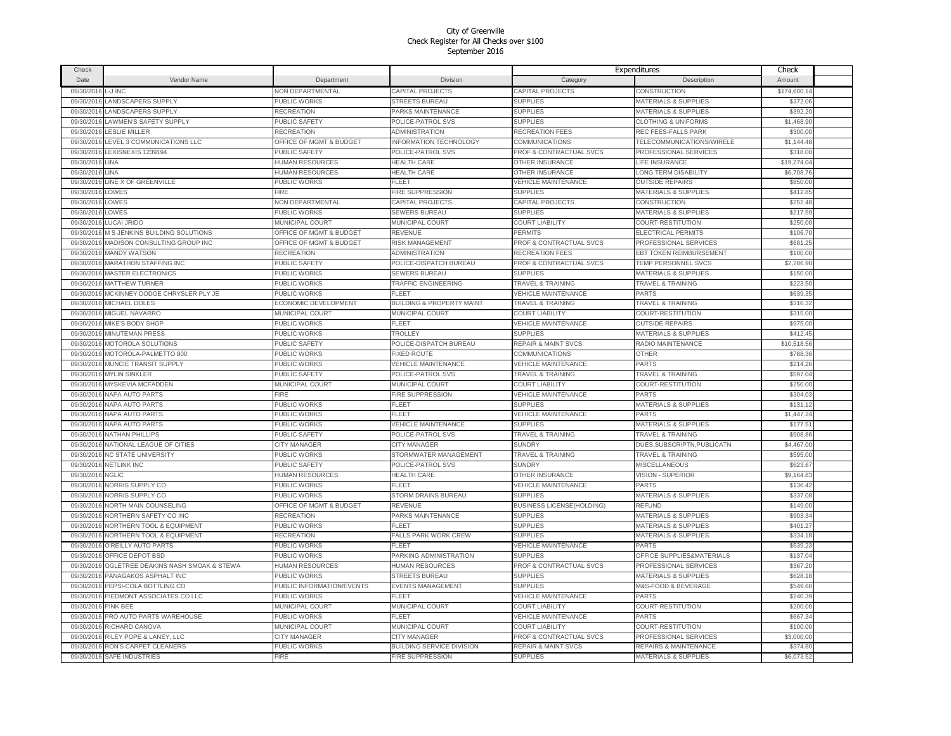| Check      |                                     |                                    |                                      |                                    | Expenditures                    | Check        |  |
|------------|-------------------------------------|------------------------------------|--------------------------------------|------------------------------------|---------------------------------|--------------|--|
| Date       | Vendor Name                         | Department                         | Division                             | Category                           | Description                     | Amount       |  |
| 09/30/2016 | -J INC                              | <b>NON DEPARTMENTAL</b>            | <b>CAPITAL PROJECTS</b>              | <b>CAPITAL PROJECTS</b>            | CONSTRUCTION                    | \$174,600.14 |  |
| 09/30/2016 | LANDSCAPERS SUPPLY                  | PUBLIC WORKS                       | <b>STREETS BUREAU</b>                | <b>SUPPLIES</b>                    | MATERIALS & SUPPLIES            | \$372.06     |  |
| 09/30/2016 | LANDSCAPERS SUPPLY                  | <b>RECREATION</b>                  | <b>PARKS MAINTENANCE</b>             | <b>SUPPLIES</b>                    | <b>MATERIALS &amp; SUPPLIES</b> | \$392.20     |  |
| 09/30/2016 | <b>LAWMEN'S SAFETY SUPPLY</b>       | <b>PUBLIC SAFETY</b>               | POLICE-PATROL SVS                    | <b>SUPPLIES</b>                    | <b>CLOTHING &amp; UNIFORMS</b>  | \$1,468.90   |  |
| 09/30/2016 | LESLIE MILLER                       | RECREATION                         | <b>ADMINISTRATION</b>                | <b>RECREATION FEES</b>             | REC FEES-FALLS PARK             | \$300.00     |  |
| 09/30/2016 | LEVEL 3 COMMUNICATIONS LLC          | OFFICE OF MGMT & BUDGET            | <b>INFORMATION TECHNOLOGY</b>        | <b>COMMUNICATIONS</b>              | TELECOMMUNICATIONS/WIRELE       | \$1,144.48   |  |
| 09/30/2016 | LEXISNEXIS 1239194                  | <b>PUBLIC SAFETY</b>               | POLICE-PATROL SVS                    | PROF & CONTRACTUAL SVCS            | PROFESSIONAL SERVICES           | \$318.00     |  |
|            | LINA                                | HUMAN RESOURCES                    | <b>HEALTH CARE</b>                   | OTHER INSURANCE                    | LIFE INSURANCE                  | \$19,274.04  |  |
| 09/30/2016 | LINA                                |                                    |                                      |                                    |                                 |              |  |
| 09/30/2016 |                                     | HUMAN RESOURCES                    | HEALTH CARE                          | OTHER INSURANCE                    | LONG TERM DISABILITY            | \$6,708.76   |  |
| 09/30/2016 | LINE X OF GREENVILLE                | PUBLIC WORKS                       | <b>FLEET</b>                         | <b>VEHICLE MAINTENANCE</b>         | <b>OUTSIDE REPAIRS</b>          | \$850.00     |  |
| 09/30/2016 | LOWES                               | FIRE                               | FIRE SUPPRESSION                     | <b>SUPPLIES</b>                    | MATERIALS & SUPPLIES            | \$412.85     |  |
| 09/30/2016 | LOWES                               | NON DEPARTMENTAL                   | CAPITAL PROJECTS                     | <b>CAPITAL PROJECTS</b>            | <b>CONSTRUCTION</b>             | \$252.48     |  |
| 09/30/2016 | LOWES                               | PUBLIC WORKS                       | <b>SEWERS BUREAU</b>                 | <b>SUPPLIES</b>                    | <b>MATERIALS &amp; SUPPLIES</b> | \$217.59     |  |
| 09/30/2016 | LUCAI JRIDO                         | MUNICIPAL COURT                    | MUNICIPAL COURT                      | <b>COURT LIABILITY</b>             | COURT-RESTITUTION               | \$250.00     |  |
| 09/30/2016 | M S JENKINS BUILDING SOLUTIONS      | <b>OFFICE OF MGMT &amp; BUDGET</b> | REVENUE                              | PERMITS                            | ELECTRICAL PERMITS              | \$106.70     |  |
| 09/30/2016 | MADISON CONSULTING GROUP INC        | OFFICE OF MGMT & BUDGET            | RISK MANAGEMENT                      | PROF & CONTRACTUAL SVCS            | PROFESSIONAL SERVICES           | \$681.25     |  |
| 09/30/2016 | <b>MANDY WATSON</b>                 | <b>RECREATION</b>                  | <b>ADMINISTRATION</b>                | <b>RECREATION FEES</b>             | <b>EBT TOKEN REIMBURSEMENT</b>  | \$100.00     |  |
| 09/30/2016 | <b>MARATHON STAFFING INC</b>        | <b>PUBLIC SAFETY</b>               | POLICE-DISPATCH BUREAU               | <b>PROF &amp; CONTRACTUAL SVCS</b> | <b>TEMP PERSONNEL SVCS</b>      | \$2,286.9    |  |
| 09/30/2016 | <b>MASTER ELECTRONICS</b>           | PUBLIC WORKS                       | <b>SEWERS BUREAU</b>                 | <b>SUPPLIES</b>                    | <b>MATERIALS &amp; SUPPLIES</b> | \$150.00     |  |
| 09/30/2016 | <b>MATTHEW TURNER</b>               | PUBLIC WORKS                       | TRAFFIC ENGINEERING                  | <b>TRAVEL &amp; TRAINING</b>       | <b>TRAVEL &amp; TRAINING</b>    | \$223.50     |  |
| 09/30/2016 | MCKINNEY DODGE CHRYSLER PLY JE      | PUBLIC WORKS                       | FLEET                                | <b>VEHICLE MAINTENANCE</b>         | <b>PARTS</b>                    | \$639.35     |  |
| 09/30/2016 | MICHAEL DOLES                       | ECONOMIC DEVELOPMENT               | <b>BUILDING &amp; PROPERTY MAINT</b> | <b>TRAVEL &amp; TRAINING</b>       | <b>TRAVEL &amp; TRAINING</b>    | \$316.32     |  |
| 09/30/2016 | MIGUEL NAVARRO                      | <b>MUNICIPAL COURT</b>             | MUNICIPAL COURT                      | COURT LIABILITY                    | COURT-RESTITUTION               | \$315.00     |  |
| 09/30/2016 | <b>MIKE'S BODY SHOP</b>             | PUBLIC WORKS                       | FLEET                                | <b>VEHICLE MAINTENANCE</b>         | <b>OUTSIDE REPAIRS</b>          | \$975.00     |  |
| 09/30/2016 | <b>MINUTEMAN PRESS</b>              | PUBLIC WORKS                       | TROLLEY                              | <b>SUPPLIES</b>                    | MATERIALS & SUPPLIES            | \$412.45     |  |
| 09/30/2016 | MOTOROLA SOLUTIONS                  | PUBLIC SAFETY                      | POLICE-DISPATCH BUREAU               | <b>REPAIR &amp; MAINT SVCS</b>     | RADIO MAINTENANCE               | \$10,518.56  |  |
|            | 09/30/2016 MOTOROLA-PALMETTO 800    | PUBLIC WORKS                       | <b>FIXED ROUTE</b>                   | <b>COMMUNICATIONS</b>              | <b>OTHER</b>                    | \$788.36     |  |
|            | MUNCIE TRANSIT SUPPLY               | PUBLIC WORKS                       | VEHICLE MAINTENANCE                  | <b>VEHICLE MAINTENANCE</b>         | <b>PARTS</b>                    | \$214.26     |  |
| 09/30/2016 |                                     |                                    |                                      |                                    |                                 | \$597.04     |  |
| 09/30/2016 | <b>MYLIN SINKLER</b>                | PUBLIC SAFETY                      | POLICE-PATROL SVS                    | TRAVEL & TRAINING                  | TRAVEL & TRAINING               |              |  |
|            | 09/30/2016 MYSKEVIA MCFADDEN        | MUNICIPAL COURT                    | MUNICIPAL COURT                      | <b>COURT LIABILITY</b>             | COURT-RESTITUTION               | \$250.00     |  |
| 09/30/2016 | <b>NAPA AUTO PARTS</b>              | FIRE                               | <b>FIRE SUPPRESSION</b>              | <b>VEHICLE MAINTENANCE</b>         | PARTS                           | \$304.03     |  |
|            | 09/30/2016 NAPA AUTO PARTS          | <b>PUBLIC WORKS</b>                | <b>FLEET</b>                         | <b>SUPPLIES</b>                    | MATERIALS & SUPPLIES            | \$131.12     |  |
|            | 09/30/2016 NAPA AUTO PARTS          | PUBLIC WORKS                       | <b>FLEET</b>                         | <b>VEHICLE MAINTENANCE</b>         | PARTS                           | \$1,447.24   |  |
| 09/30/2016 | NAPA AUTO PARTS                     | PUBLIC WORKS                       | <b>VEHICLE MAINTENANCE</b>           | <b>SUPPLIES</b>                    | MATERIALS & SUPPLIES            | \$177.51     |  |
| 09/30/2016 | NATHAN PHILLIPS                     | <b>PUBLIC SAFETY</b>               | POLICE-PATROL SVS                    | <b>TRAVEL &amp; TRAINING</b>       | <b>TRAVEL &amp; TRAINING</b>    | \$908.86     |  |
| 09/30/2016 | NATIONAL LEAGUE OF CITIES           | CITY MANAGER                       | CITY MANAGER                         | <b>SUNDRY</b>                      | DUES, SUBSCRIPTN, PUBLICATN     | \$4,467.00   |  |
| 09/30/2016 | <b>NC STATE UNIVERSITY</b>          | PUBLIC WORKS                       | STORMWATER MANAGEMENT                | <b>TRAVEL &amp; TRAINING</b>       | <b>TRAVEL &amp; TRAINING</b>    | \$595.00     |  |
| 09/30/2016 | <b>NETLINK INC</b>                  | PUBLIC SAFETY                      | POLICE-PATROL SVS                    | <b>SUNDRY</b>                      | <b>MISCELLANEOUS</b>            | \$623.67     |  |
| 09/30/2016 | <b>NGLIC</b>                        | <b>HUMAN RESOURCES</b>             | <b>HEALTH CARE</b>                   | OTHER INSURANCE                    | <b>VISION - SUPERIOR</b>        | \$9,164.83   |  |
| 09/30/2016 | NORRIS SUPPLY CO                    | PUBLIC WORKS                       | FLEET                                | <b>VEHICLE MAINTENANCE</b>         | PARTS                           | \$136.42     |  |
| 09/30/2016 | NORRIS SUPPLY CO                    | <b>PUBLIC WORKS</b>                | STORM DRAINS BUREAU                  | <b>SUPPLIES</b>                    | <b>MATERIALS &amp; SUPPLIES</b> | \$337.08     |  |
| 09/30/2016 | NORTH MAIN COUNSELING               | OFFICE OF MGMT & BUDGET            | REVENUE                              | <b>BUSINESS LICENSE(HOLDING)</b>   | REFUND                          | \$149.00     |  |
| 09/30/2016 | NORTHERN SAFETY CO INC              | RECREATION                         | PARKS MAINTENANCE                    | <b>SUPPLIES</b>                    | MATERIALS & SUPPLIES            | \$903.34     |  |
| 09/30/2016 | NORTHERN TOOL & EQUIPMENT           | <b>PUBLIC WORKS</b>                | FLEET                                | <b>SUPPLIES</b>                    | <b>MATERIALS &amp; SUPPLIES</b> | \$401.27     |  |
| 09/30/2016 | NORTHERN TOOL & EQUIPMENT           | <b>RECREATION</b>                  | <b>FALLS PARK WORK CREW</b>          | <b>SUPPLIES</b>                    | <b>MATERIALS &amp; SUPPLIES</b> | \$334.18     |  |
| 09/30/2016 | O'REILLY AUTO PARTS                 | PUBLIC WORKS                       | FI FFT                               | <b>VEHICLE MAINTENANCE</b>         | PARTS                           | \$539.23     |  |
| 09/30/2016 | OFFICE DEPOT BSD                    | PUBLIC WORKS                       | PARKING ADMINISTRATION               | <b>SUPPLIES</b>                    | OFFICE SUPPLIES&MATERIALS       | \$137.04     |  |
| 09/30/2016 | OGLETREE DEAKINS NASH SMOAK & STEWA | HUMAN RESOURCES                    | <b>HUMAN RESOURCES</b>               | PROF & CONTRACTUAL SVCS            | PROFESSIONAL SERVICES           | \$367.20     |  |
| 09/30/2016 | PANAGAKOS ASPHALT INC               | PUBLIC WORKS                       | <b>STREETS BUREAU</b>                | <b>SUPPLIES</b>                    | <b>MATERIALS &amp; SUPPLIES</b> | \$628.18     |  |
| 09/30/2016 | PEPSI-COLA BOTTLING CO              | PUBLIC INFORMATION/EVENTS          | <b>EVENTS MANAGEMENT</b>             | <b>SUPPLIES</b>                    | M&S-FOOD & BEVERAGE             | \$549.60     |  |
| 09/30/2016 | PIEDMONT ASSOCIATES CO LLC          | PUBLIC WORKS                       | FLEET                                | <b>VEHICLE MAINTENANCE</b>         | PARTS                           | \$240.39     |  |
|            | <b>PINK BEE</b>                     | <b>MUNICIPAL COURT</b>             |                                      | <b>COURT LIABILITY</b>             |                                 | \$200.00     |  |
| 09/30/2016 |                                     |                                    | MUNICIPAL COURT<br>FI FFT            |                                    | COURT-RESTITUTION               |              |  |
| 09/30/2016 | PRO AUTO PARTS WAREHOUSE            | PUBLIC WORKS                       |                                      | <b>VEHICLE MAINTENANCE</b>         | PARTS                           | \$667.34     |  |
| 09/30/2016 | RICHARD CANOVA                      | MUNICIPAL COURT                    | MUNICIPAL COURT                      | <b>COURT LIABILITY</b>             | COURT-RESTITUTION               | \$100.00     |  |
| 09/30/2016 | RILEY POPE & LANEY, LLC             | CITY MANAGER                       | CITY MANAGER                         | PROF & CONTRACTUAL SVCS            | PROFESSIONAL SERVICES           | \$3,000.00   |  |
| 09/30/2016 | RON'S CARPET CLEANERS               | PUBLIC WORKS                       | BUILDING SERVICE DIVISION            | <b>REPAIR &amp; MAINT SVCS</b>     | REPAIRS & MAINTENANCE           | \$374.8      |  |
|            | 09/30/2016 SAFE INDUSTRIES          | <b>FIRE</b>                        | <b>FIRE SUPPRESSION</b>              | <b>SUPPLIES</b>                    | <b>MATERIALS &amp; SUPPLIES</b> | \$6,073.52   |  |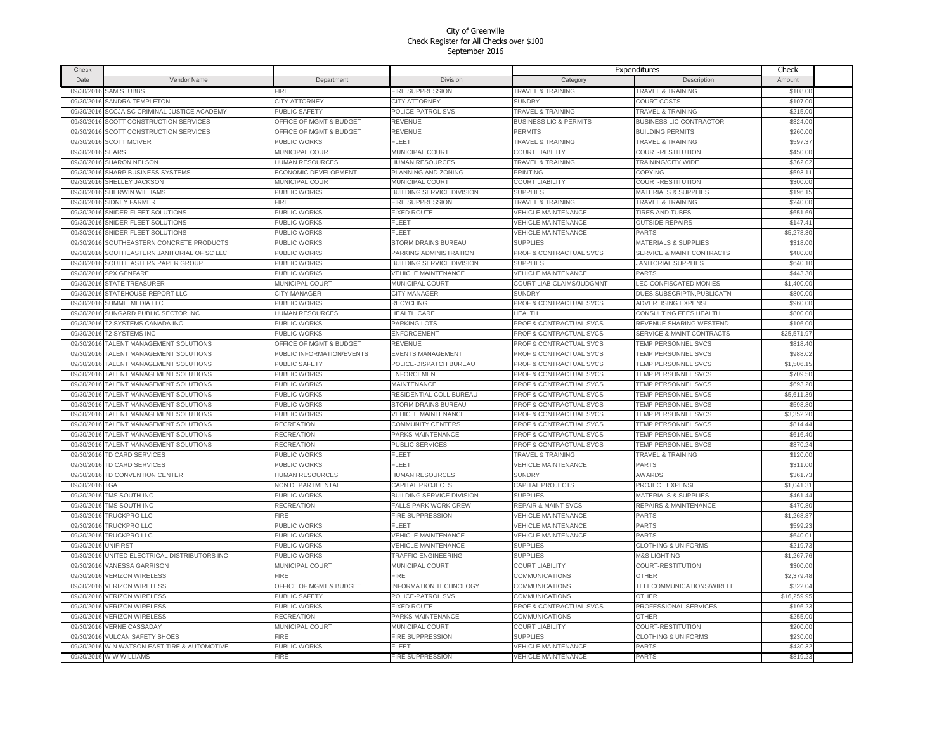| Check                    |                                                            |                              |                                                         | Expenditures                                       |                                            | Check                  |  |
|--------------------------|------------------------------------------------------------|------------------------------|---------------------------------------------------------|----------------------------------------------------|--------------------------------------------|------------------------|--|
| Date                     | Vendor Name                                                | Department                   | <b>Division</b>                                         | Category                                           | Description                                | Amount                 |  |
| 09/30/2016               | <b>SAM STUBBS</b>                                          | <b>FIRE</b>                  | FIRE SUPPRESSION                                        | <b>TRAVEL &amp; TRAINING</b>                       | <b>TRAVEL &amp; TRAINING</b>               | \$108.00               |  |
|                          | 09/30/2016 SANDRA TEMPLETON                                | <b>CITY ATTORNEY</b>         | <b>CITY ATTORNEY</b>                                    | <b>SUNDRY</b>                                      | <b>COURT COSTS</b>                         | \$107.00               |  |
|                          | 09/30/2016 SCCJA SC CRIMINAL JUSTICE ACADEMY               | PUBLIC SAFETY                | POLICE-PATROL SVS                                       | <b>TRAVEL &amp; TRAINING</b>                       | <b>TRAVEL &amp; TRAINING</b>               | \$215.00               |  |
| 09/30/2016               | SCOTT CONSTRUCTION SERVICES                                | OFFICE OF MGMT & BUDGET      | REVENUE                                                 | <b>BUSINESS LIC &amp; PERMITS</b>                  | <b>BUSINESS LIC-CONTRACTOR</b>             | \$324.00               |  |
| 09/30/2016               | SCOTT CONSTRUCTION SERVICES                                | OFFICE OF MGMT & BUDGET      | REVENUE                                                 | PERMITS                                            | <b>BUILDING PERMITS</b>                    | \$260.00               |  |
|                          | 09/30/2016 SCOTT MCIVER                                    | PUBLIC WORKS                 | <b>FLEET</b>                                            | TRAVEL & TRAINING                                  | <b>TRAVEL &amp; TRAINING</b>               | \$597.37               |  |
| 09/30/2016 SEARS         |                                                            | MUNICIPAL COURT              | MUNICIPAL COURT                                         | <b>COURT LIABILITY</b>                             | COURT-RESTITUTION                          | \$450.00               |  |
| 09/30/2016               | <b>SHARON NELSON</b>                                       | <b>HUMAN RESOURCES</b>       | <b>HUMAN RESOURCES</b>                                  | <b>TRAVEL &amp; TRAINING</b>                       | TRAINING/CITY WIDE                         | \$362.02               |  |
| 09/30/2016               | SHARP BUSINESS SYSTEMS                                     | ECONOMIC DEVELOPMENT         | PLANNING AND ZONING                                     | PRINTING                                           | <b>COPYING</b>                             | \$593.11               |  |
|                          | 09/30/2016 SHELLEY JACKSON                                 | MUNICIPAL COURT              | MUNICIPAL COURT                                         | <b>COURT LIABILITY</b>                             | COURT-RESTITUTION                          | \$300.00               |  |
| 09/30/2016               | <b>SHERWIN WILLIAMS</b>                                    | PUBLIC WORKS                 | <b>BUILDING SERVICE DIVISION</b>                        | <b>SUPPLIES</b>                                    | <b>MATERIALS &amp; SUPPLIES</b>            | \$196.15               |  |
| 09/30/2016               | <b>SIDNEY FARMER</b>                                       | <b>FIRE</b>                  | FIRE SUPPRESSION                                        | <b>TRAVEL &amp; TRAINING</b>                       | <b>TRAVEL &amp; TRAINING</b>               | \$240.00               |  |
|                          | SNIDER FLEET SOLUTIONS                                     | PUBLIC WORKS                 | <b>FIXED ROUTE</b>                                      | <b>VEHICLE MAINTENANCE</b>                         | <b>TIRES AND TUBES</b>                     |                        |  |
| 09/30/2016<br>09/30/2016 | SNIDER FLEET SOLUTIONS                                     | PUBLIC WORKS                 | <b>FLEET</b>                                            | <b>VEHICLE MAINTENANCE</b>                         | <b>OUTSIDE REPAIRS</b>                     | \$651.69<br>\$147.41   |  |
| 09/30/2016               | SNIDER FLEET SOLUTIONS                                     | PUBLIC WORKS                 | FLEET                                                   | <b>VEHICLE MAINTENANCE</b>                         | PARTS                                      | \$5,278.30             |  |
| 09/30/2016               | SOUTHEASTERN CONCRETE PRODUCTS                             | PUBLIC WORKS                 | <b>STORM DRAINS BUREAU</b>                              | <b>SUPPLIES</b>                                    | <b>MATERIALS &amp; SUPPLIES</b>            | \$318.00               |  |
|                          |                                                            |                              |                                                         |                                                    |                                            |                        |  |
| 09/30/2016               | SOUTHEASTERN JANITORIAL OF SC LLC                          | PUBLIC WORKS                 | PARKING ADMINISTRATION                                  | PROF & CONTRACTUAL SVCS                            | <b>SERVICE &amp; MAINT CONTRACTS</b>       | \$480.00               |  |
| 09/30/2016               | SOUTHEASTERN PAPER GROUP                                   | PUBLIC WORKS<br>PUBLIC WORKS | BUILDING SERVICE DIVISION<br><b>VEHICLE MAINTENANCE</b> | <b>SUPPLIES</b><br><b>VEHICLE MAINTENANCE</b>      | <b>JANITORIAL SUPPLIES</b><br>PARTS        | \$640.10<br>\$443.30   |  |
| 09/30/2016               | SPX GENFARE                                                |                              |                                                         |                                                    |                                            |                        |  |
| 09/30/2016               | <b>STATE TREASURER</b>                                     | MUNICIPAL COURT              | MUNICIPAL COURT                                         | COURT LIAB-CLAIMS/JUDGMNT                          | LEC-CONFISCATED MONIES                     | \$1,400.00             |  |
| 09/30/2016               | STATEHOUSE REPORT LLC                                      | <b>CITY MANAGER</b>          | <b>CITY MANAGER</b>                                     | <b>SUNDRY</b>                                      | DUES.SUBSCRIPTN.PUBLICATN                  | \$800.00               |  |
| 09/30/2016               | <b>SUMMIT MEDIA LLC</b>                                    | PUBLIC WORKS                 | <b>RECYCLING</b>                                        | PROF & CONTRACTUAL SVCS                            | <b>ADVERTISING EXPENSE</b>                 | \$960.00               |  |
| 09/30/2016               | SUNGARD PUBLIC SECTOR INC                                  | HUMAN RESOURCES              | <b>HEALTH CARE</b>                                      | <b>HEALTH</b>                                      | CONSULTING FEES HEALTH                     | \$800.00               |  |
| 09/30/2016               | T2 SYSTEMS CANADA INC                                      | PUBLIC WORKS                 | PARKING LOTS                                            | PROF & CONTRACTUAL SVCS                            | REVENUE SHARING WESTEND                    | \$106.00               |  |
| 09/30/2016               | <b>T2 SYSTEMS INC</b>                                      | PUBLIC WORKS                 | <b>ENFORCEMENT</b>                                      | PROF & CONTRACTUAL SVCS                            | <b>SERVICE &amp; MAINT CONTRACTS</b>       | \$25,571.97            |  |
| 09/30/2016               | TALENT MANAGEMENT SOLUTIONS                                | OFFICE OF MGMT & BUDGET      | REVENUE                                                 | PROF & CONTRACTUAL SVCS                            | TEMP PERSONNEL SVCS                        | \$818.40               |  |
| 09/30/2016               | TALENT MANAGEMENT SOLUTIONS                                | PUBLIC INFORMATION/EVENTS    | <b>EVENTS MANAGEMENT</b>                                | PROF & CONTRACTUAL SVCS                            | TEMP PERSONNEL SVCS                        | \$988.02               |  |
| 09/30/2016               | TALENT MANAGEMENT SOLUTIONS                                | PUBLIC SAFETY                | POLICE-DISPATCH BUREAU                                  | <b>PROF &amp; CONTRACTUAL SVCS</b>                 | TEMP PERSONNEL SVCS                        | \$1,506.15             |  |
| 09/30/2016               | TALENT MANAGEMENT SOLUTIONS                                | PUBLIC WORKS                 | <b>ENFORCEMENT</b>                                      | PROF & CONTRACTUAL SVCS                            | TEMP PERSONNEL SVCS                        | \$709.50               |  |
| 09/30/2016               | TALENT MANAGEMENT SOLUTIONS                                | PUBLIC WORKS                 | <b>MAINTENANCE</b>                                      | <b>PROF &amp; CONTRACTUAL SVCS</b>                 | <b>TEMP PERSONNEL SVCS</b>                 | \$693.20               |  |
| 09/30/2016               | TALENT MANAGEMENT SOLUTIONS                                | PUBLIC WORKS                 | RESIDENTIAL COLL BUREAU                                 | PROF & CONTRACTUAL SVCS                            | TEMP PERSONNEL SVCS                        | \$5,611.39             |  |
| 09/30/2016               | TALENT MANAGEMENT SOLUTIONS<br>TALENT MANAGEMENT SOLUTIONS | PUBLIC WORKS<br>PUBLIC WORKS | STORM DRAINS BUREAU<br><b>VEHICLE MAINTENANCE</b>       | PROF & CONTRACTUAL SVCS<br>PROF & CONTRACTUAL SVCS | TEMP PERSONNEL SVCS<br>TEMP PERSONNEL SVCS | \$598.80<br>\$3,352.20 |  |
| 09/30/2016<br>09/30/2016 | TALENT MANAGEMENT SOLUTIONS                                | <b>RECREATION</b>            | <b>COMMUNITY CENTERS</b>                                | <b>PROF &amp; CONTRACTUAL SVCS</b>                 | <b>TEMP PERSONNEL SVCS</b>                 | \$814.44               |  |
| 09/30/2016               | <b>FALENT MANAGEMENT SOLUTIONS</b>                         | <b>RECREATION</b>            | PARKS MAINTENANCE                                       | PROF & CONTRACTUAL SVCS                            | TEMP PERSONNEL SVCS                        | \$616.40               |  |
| 09/30/2016               | TALENT MANAGEMENT SOLUTIONS                                | RECREATION                   | PUBLIC SERVICES                                         | PROF & CONTRACTUAL SVCS                            | TEMP PERSONNEL SVCS                        | \$370.24               |  |
| 09/30/2016               | <b>TD CARD SERVICES</b>                                    | PUBLIC WORKS                 | <b>FLEET</b>                                            | <b>TRAVEL &amp; TRAINING</b>                       | <b>TRAVEL &amp; TRAINING</b>               | \$120.00               |  |
| 09/30/2016               | <b>TD CARD SERVICES</b>                                    | PUBLIC WORKS                 | FI FFT                                                  | <b>VEHICLE MAINTENANCE</b>                         | <b>PARTS</b>                               | \$311.00               |  |
| 09/30/2016               | TD CONVENTION CENTER                                       | <b>HUMAN RESOURCES</b>       | <b>HUMAN RESOURCES</b>                                  | <b>SUNDRY</b>                                      | <b>AWARDS</b>                              | \$361.73               |  |
| 09/30/2016               | TGA                                                        | NON DEPARTMENTAL             | CAPITAL PROJECTS                                        | CAPITAL PROJECTS                                   | <b>PROJECT EXPENSE</b>                     | \$1,041.31             |  |
| 09/30/2016               | TMS SOUTH INC                                              | PUBLIC WORKS                 | <b>BUILDING SERVICE DIVISION</b>                        | <b>SUPPLIES</b>                                    | <b>MATERIALS &amp; SUPPLIES</b>            | \$461.44               |  |
| 09/30/2016               | TMS SOUTH INC                                              | <b>RECREATION</b>            | <b>FALLS PARK WORK CREW</b>                             | <b>REPAIR &amp; MAINT SVCS</b>                     | <b>REPAIRS &amp; MAINTENANCE</b>           | \$470.80               |  |
| 09/30/2016               | <b>TRUCKPRO LLC</b>                                        | <b>FIRE</b>                  | <b>FIRE SUPPRESSION</b>                                 | <b>VEHICLE MAINTENANCE</b>                         | <b>PARTS</b>                               | \$1,268.87             |  |
| 09/30/2016               | <b>TRUCKPRO LLC</b>                                        | PUBLIC WORKS                 | FI FFT                                                  | <b>VEHICLE MAINTENANCE</b>                         | PARTS                                      | \$599.23               |  |
| 09/30/2016               | TRUCKPRO LLC                                               | PUBLIC WORKS                 | <b>VEHICLE MAINTENANCE</b>                              | <b>VEHICLE MAINTENANCE</b>                         | <b>PARTS</b>                               | \$640.01               |  |
| 09/30/2016               | <b>UNIFIRST</b>                                            | PUBLIC WORKS                 | <b>VEHICLE MAINTENANCE</b>                              | <b>SUPPLIES</b>                                    | <b>CLOTHING &amp; UNIFORMS</b>             | \$219.73               |  |
| 09/30/2016               | UNITED ELECTRICAL DISTRIBUTORS INC                         | PUBLIC WORKS                 | TRAFFIC ENGINEERING                                     | <b>SUPPLIES</b>                                    | <b>M&amp;S LIGHTING</b>                    | \$1,267.76             |  |
| 09/30/2016               | <b>VANESSA GARRISON</b>                                    | MUNICIPAL COURT              | MUNICIPAL COURT                                         | <b>COURT LIABILITY</b>                             | COURT-RESTITUTION                          | \$300.00               |  |
|                          | 09/30/2016 VERIZON WIRELESS                                | FIRE                         | FIRE                                                    | COMMUNICATIONS                                     | OTHER                                      | \$2,379.48             |  |
| 09/30/2016               | <b>VERIZON WIRELESS</b>                                    | OFFICE OF MGMT & BUDGET      | <b>INFORMATION TECHNOLOGY</b>                           | COMMUNICATIONS                                     | TELECOMMUNICATIONS/WIRELE                  | \$322.04               |  |
| 09/30/2016               | <b>VERIZON WIRELESS</b>                                    | PUBLIC SAFETY                | POLICE-PATROL SVS                                       | COMMUNICATIONS                                     | OTHER                                      | \$16,259.95            |  |
| 09/30/2016               | <b>VERIZON WIRELESS</b>                                    | PUBLIC WORKS                 | <b>FIXED ROUTE</b>                                      | PROF & CONTRACTUAL SVCS                            | PROFESSIONAL SERVICES                      | \$196.23               |  |
| 09/30/2016               | <b>VERIZON WIRELESS</b>                                    | <b>RECREATION</b>            | PARKS MAINTENANCE                                       | <b>COMMUNICATIONS</b>                              | <b>OTHER</b>                               | \$255.00               |  |
| 09/30/2016               | <b>VERNE CASSADAY</b>                                      | MUNICIPAL COURT              | MUNICIPAL COURT                                         | <b>COURT LIABILITY</b>                             | COURT-RESTITUTION                          | \$200.00               |  |
| 09/30/2016               | <b>VULCAN SAFETY SHOES</b>                                 | <b>FIRE</b>                  | FIRE SUPPRESSION                                        | <b>SUPPLIES</b>                                    | <b>CLOTHING &amp; UNIFORMS</b>             | \$230.00               |  |
| 09/30/2016               | W N WATSON-EAST TIRE & AUTOMOTIVE                          | PUBLIC WORKS                 | FLEET                                                   | VEHICLE MAINTENANCE                                | PARTS                                      | \$430.32               |  |
|                          | 09/30/2016 W W WILLIAMS                                    | <b>FIRE</b>                  | <b>FIRE SUPPRESSION</b>                                 | <b>VEHICLE MAINTENANCE</b>                         | <b>PARTS</b>                               | \$819.23               |  |
|                          |                                                            |                              |                                                         |                                                    |                                            |                        |  |